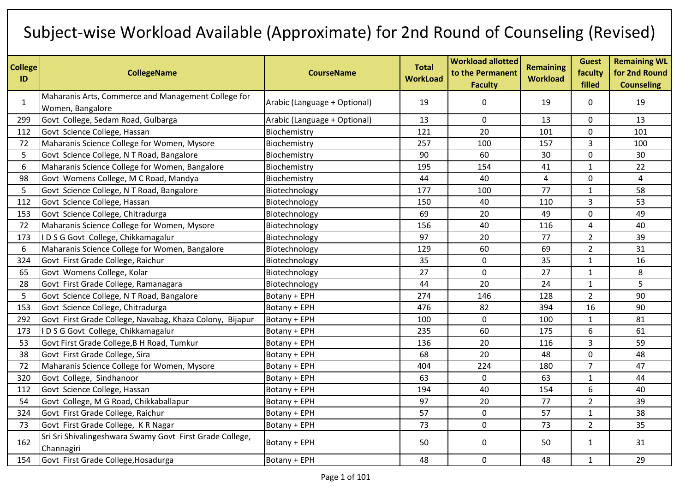## Subject-wise Workload Available (Approximate) for 2nd Round of Counseling (Revised)

| <b>College</b><br>ID | <b>CollegeName</b>                                                      | <b>CourseName</b>            | <b>Total</b><br><b>WorkLoad</b> | <b>Workload allotted</b><br>to the Permanent<br><b>Faculty</b> | <b>Remaining</b><br><b>Workload</b> | <b>Guest</b><br>faculty<br>filled | <b>Remaining WL</b><br>for 2nd Round<br><b>Counseling</b> |
|----------------------|-------------------------------------------------------------------------|------------------------------|---------------------------------|----------------------------------------------------------------|-------------------------------------|-----------------------------------|-----------------------------------------------------------|
| $\mathbf{1}$         | Maharanis Arts, Commerce and Management College for<br>Women, Bangalore | Arabic (Language + Optional) | 19                              | 0                                                              | 19                                  | 0                                 | 19                                                        |
| 299                  | Govt College, Sedam Road, Gulbarga                                      | Arabic (Language + Optional) | 13                              | $\mathbf 0$                                                    | 13                                  | 0                                 | 13                                                        |
| 112                  | Govt Science College, Hassan                                            | Biochemistry                 | 121                             | 20                                                             | 101                                 | $\mathbf 0$                       | 101                                                       |
| 72                   | Maharanis Science College for Women, Mysore                             | Biochemistry                 | 257                             | 100                                                            | 157                                 | 3                                 | 100                                                       |
| 5                    | Govt Science College, N T Road, Bangalore                               | Biochemistry                 | 90                              | 60                                                             | 30                                  | 0                                 | 30                                                        |
| 6                    | Maharanis Science College for Women, Bangalore                          | Biochemistry                 | 195                             | 154                                                            | 41                                  | $\mathbf{1}$                      | 22                                                        |
| 98                   | Govt Womens College, M C Road, Mandya                                   | Biochemistry                 | 44                              | 40                                                             | 4                                   | $\mathbf 0$                       | 4                                                         |
| 5                    | Govt Science College, N T Road, Bangalore                               | Biotechnology                | 177                             | 100                                                            | 77                                  | $\mathbf{1}$                      | 58                                                        |
| 112                  | Govt Science College, Hassan                                            | Biotechnology                | 150                             | 40                                                             | 110                                 | 3                                 | 53                                                        |
| 153                  | Govt Science College, Chitradurga                                       | Biotechnology                | 69                              | 20                                                             | 49                                  | 0                                 | 49                                                        |
| 72                   | Maharanis Science College for Women, Mysore                             | Biotechnology                | 156                             | 40                                                             | 116                                 | $\overline{4}$                    | 40                                                        |
| 173                  | IDSG Govt College, Chikkamagalur                                        | Biotechnology                | 97                              | 20                                                             | 77                                  | $\overline{2}$                    | 39                                                        |
| 6                    | Maharanis Science College for Women, Bangalore                          | Biotechnology                | 129                             | 60                                                             | 69                                  | $\overline{2}$                    | 31                                                        |
| 324                  | Govt First Grade College, Raichur                                       | Biotechnology                | 35                              | $\mathbf 0$                                                    | 35                                  | $\mathbf{1}$                      | 16                                                        |
| 65                   | Govt Womens College, Kolar                                              | Biotechnology                | 27                              | $\mathbf 0$                                                    | 27                                  | $\mathbf{1}$                      | 8                                                         |
| 28                   | Govt First Grade College, Ramanagara                                    | Biotechnology                | 44                              | 20                                                             | 24                                  | $\mathbf{1}$                      | 5                                                         |
| 5                    | Govt Science College, N T Road, Bangalore                               | Botany + EPH                 | 274                             | 146                                                            | 128                                 | $\overline{2}$                    | 90                                                        |
| 153                  | Govt Science College, Chitradurga                                       | Botany + EPH                 | 476                             | 82                                                             | 394                                 | 16                                | 90                                                        |
| 292                  | Govt First Grade College, Navabag, Khaza Colony, Bijapur                | Botany + EPH                 | 100                             | $\pmb{0}$                                                      | 100                                 | $\mathbf{1}$                      | 81                                                        |
| 173                  | IDSG Govt College, Chikkamagalur                                        | Botany + EPH                 | 235                             | 60                                                             | 175                                 | 6                                 | 61                                                        |
| 53                   | Govt First Grade College, B H Road, Tumkur                              | Botany + EPH                 | 136                             | 20                                                             | 116                                 | 3                                 | 59                                                        |
| 38                   | Govt First Grade College, Sira                                          | Botany + EPH                 | 68                              | 20                                                             | 48                                  | 0                                 | 48                                                        |
| 72                   | Maharanis Science College for Women, Mysore                             | Botany + EPH                 | 404                             | 224                                                            | 180                                 | $\overline{7}$                    | 47                                                        |
| 320                  | Govt College, Sindhanoor                                                | Botany + EPH                 | 63                              | $\mathbf 0$                                                    | 63                                  | $\mathbf{1}$                      | 44                                                        |
| 112                  | Govt Science College, Hassan                                            | Botany + EPH                 | 194                             | 40                                                             | 154                                 | 6                                 | 40                                                        |
| 54                   | Govt College, M G Road, Chikkaballapur                                  | Botany + EPH                 | 97                              | 20                                                             | 77                                  | $\overline{2}$                    | 39                                                        |
| 324                  | Govt First Grade College, Raichur                                       | Botany + EPH                 | 57                              | $\mathbf 0$                                                    | 57                                  | $\mathbf{1}$                      | 38                                                        |
| 73                   | Govt First Grade College, KR Nagar                                      | Botany + EPH                 | 73                              | $\mathbf 0$                                                    | 73                                  | $\overline{2}$                    | 35                                                        |
| 162                  | Sri Sri Shivalingeshwara Swamy Govt First Grade College,<br>Channagiri  | Botany + EPH                 | 50                              | $\mathbf 0$                                                    | 50                                  | $\mathbf{1}$                      | 31                                                        |
| 154                  | Govt First Grade College, Hosadurga                                     | Botany + EPH                 | 48                              | $\mathbf 0$                                                    | 48                                  | $\mathbf{1}$                      | 29                                                        |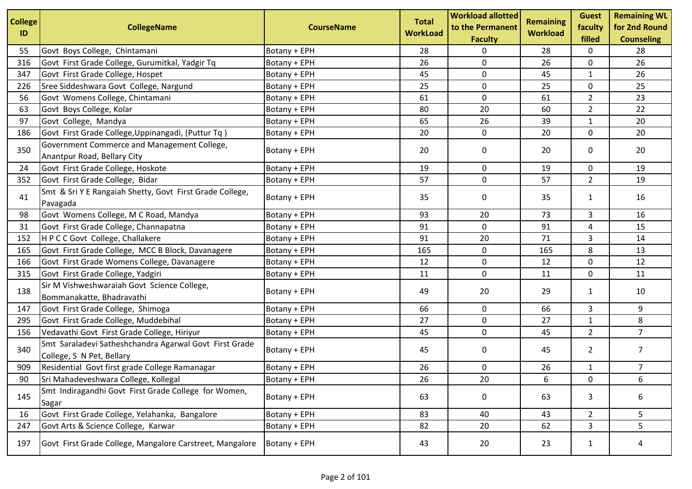| <b>College</b><br>ID | <b>CollegeName</b>                                                                  | <b>CourseName</b> | <b>Total</b><br><b>WorkLoad</b> | <b>Workload allotted</b><br>to the Permanent<br><b>Faculty</b> | <b>Remaining</b><br><b>Workload</b> | <b>Guest</b><br>faculty<br>filled | <b>Remaining WL</b><br>for 2nd Round<br><b>Counseling</b> |
|----------------------|-------------------------------------------------------------------------------------|-------------------|---------------------------------|----------------------------------------------------------------|-------------------------------------|-----------------------------------|-----------------------------------------------------------|
| 55                   | Govt Boys College, Chintamani                                                       | Botany + EPH      | 28                              | 0                                                              | 28                                  | 0                                 | 28                                                        |
| 316                  | Govt First Grade College, Gurumitkal, Yadgir Tq                                     | Botany + EPH      | 26                              | $\mathbf 0$                                                    | 26                                  | 0                                 | 26                                                        |
| 347                  | Govt First Grade College, Hospet                                                    | Botany + EPH      | 45                              | $\pmb{0}$                                                      | 45                                  | 1                                 | 26                                                        |
| 226                  | Sree Siddeshwara Govt College, Nargund                                              | Botany + EPH      | 25                              | 0                                                              | 25                                  | 0                                 | 25                                                        |
| 56                   | Govt Womens College, Chintamani                                                     | Botany + EPH      | 61                              | 0                                                              | 61                                  | $\overline{2}$                    | 23                                                        |
| 63                   | Govt Boys College, Kolar                                                            | Botany + EPH      | 80                              | 20                                                             | 60                                  | $\overline{2}$                    | 22                                                        |
| 97                   | Govt College, Mandya                                                                | Botany + EPH      | 65                              | 26                                                             | 39                                  | 1                                 | 20                                                        |
| 186                  | Govt First Grade College, Uppinangadi, (Puttur Tq)                                  | Botany + EPH      | 20                              | 0                                                              | 20                                  | $\mathbf 0$                       | 20                                                        |
| 350                  | Government Commerce and Management College,<br>Anantpur Road, Bellary City          | Botany + EPH      | 20                              | 0                                                              | 20                                  | 0                                 | 20                                                        |
| 24                   | Govt First Grade College, Hoskote                                                   | Botany + EPH      | 19                              | 0                                                              | 19                                  | 0                                 | 19                                                        |
| 352                  | Govt First Grade College, Bidar                                                     | Botany + EPH      | 57                              | 0                                                              | 57                                  | $\overline{2}$                    | 19                                                        |
| 41                   | Smt & Sri Y E Rangaiah Shetty, Govt First Grade College,<br>Pavagada                | Botany + EPH      | 35                              | 0                                                              | 35                                  | 1                                 | 16                                                        |
| 98                   | Govt Womens College, M C Road, Mandya                                               | Botany + EPH      | 93                              | 20                                                             | 73                                  | 3                                 | 16                                                        |
| 31                   | Govt First Grade College, Channapatna                                               | Botany + EPH      | 91                              | 0                                                              | 91                                  | 4                                 | 15                                                        |
| 152                  | H P C C Govt College, Challakere                                                    | Botany + EPH      | 91                              | 20                                                             | 71                                  | 3                                 | 14                                                        |
| 165                  | Govt First Grade College, MCC B Block, Davanagere                                   | Botany + EPH      | 165                             | 0                                                              | 165                                 | 8                                 | 13                                                        |
| 166                  | Govt First Grade Womens College, Davanagere                                         | Botany + EPH      | 12                              | 0                                                              | 12                                  | $\mathbf 0$                       | 12                                                        |
| 315                  | Govt First Grade College, Yadgiri                                                   | Botany + EPH      | 11                              | 0                                                              | 11                                  | 0                                 | 11                                                        |
| 138                  | Sir M Vishweshwaraiah Govt Science College,<br>Bommanakatte, Bhadravathi            | Botany + EPH      | 49                              | 20                                                             | 29                                  | 1                                 | 10                                                        |
| 147                  | Govt First Grade College, Shimoga                                                   | Botany + EPH      | 66                              | 0                                                              | 66                                  | 3                                 | 9                                                         |
| 295                  | Govt First Grade College, Muddebihal                                                | Botany + EPH      | 27                              | 0                                                              | 27                                  | $\mathbf{1}$                      | 8                                                         |
| 156                  | Vedavathi Govt First Grade College, Hiriyur                                         | Botany + EPH      | 45                              | 0                                                              | 45                                  | $\overline{2}$                    | $\overline{7}$                                            |
| 340                  | Smt Saraladevi Satheshchandra Agarwal Govt First Grade<br>College, S N Pet, Bellary | Botany + EPH      | 45                              | 0                                                              | 45                                  | $\overline{2}$                    | $\overline{7}$                                            |
| 909                  | Residential Govt first grade College Ramanagar                                      | Botany + EPH      | 26                              | 0                                                              | 26                                  | 1                                 | $\overline{7}$                                            |
| 90                   | Sri Mahadeveshwara College, Kollegal                                                | Botany + EPH      | 26                              | 20                                                             | 6                                   | 0                                 | 6                                                         |
| 145                  | Smt Indiragandhi Govt First Grade College for Women,<br>Sagar                       | Botany + EPH      | 63                              | 0                                                              | 63                                  | 3                                 | 6                                                         |
| 16                   | Govt First Grade College, Yelahanka, Bangalore                                      | Botany + EPH      | 83                              | 40                                                             | 43                                  | $\overline{2}$                    | 5                                                         |
| 247                  | Govt Arts & Science College, Karwar                                                 | Botany + EPH      | 82                              | 20                                                             | 62                                  | 3                                 | 5                                                         |
| 197                  | Govt First Grade College, Mangalore Carstreet, Mangalore                            | Botany + EPH      | 43                              | 20                                                             | 23                                  | $\mathbf{1}$                      | 4                                                         |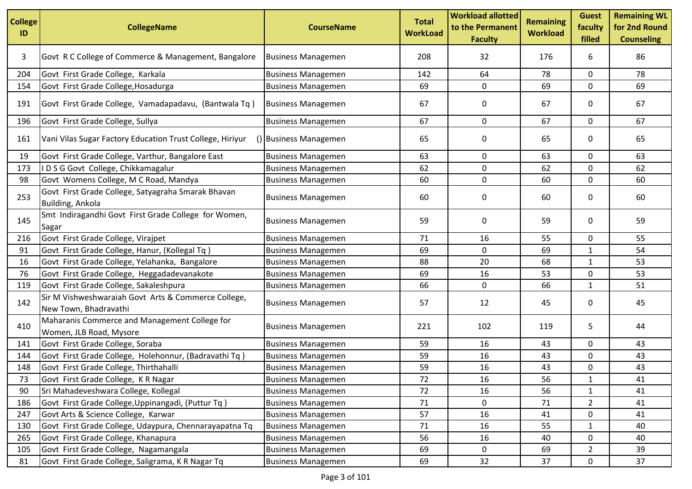| <b>College</b><br>ID | <b>CollegeName</b>                                                            | <b>CourseName</b>         | <b>Total</b><br><b>WorkLoad</b> | <b>Workload allotted</b><br>to the Permanent<br><b>Faculty</b> | <b>Remaining</b><br><b>Workload</b> | <b>Guest</b><br>faculty<br>filled | <b>Remaining WL</b><br>for 2nd Round<br><b>Counseling</b> |
|----------------------|-------------------------------------------------------------------------------|---------------------------|---------------------------------|----------------------------------------------------------------|-------------------------------------|-----------------------------------|-----------------------------------------------------------|
| 3                    | Govt R C College of Commerce & Management, Bangalore                          | <b>Business Managemen</b> | 208                             | 32                                                             | 176                                 | 6                                 | 86                                                        |
| 204                  | Govt First Grade College, Karkala                                             | <b>Business Managemen</b> | 142                             | 64                                                             | 78                                  | 0                                 | 78                                                        |
| 154                  | Govt First Grade College, Hosadurga                                           | <b>Business Managemen</b> | 69                              | 0                                                              | 69                                  | 0                                 | 69                                                        |
| 191                  | Govt First Grade College, Vamadapadavu, (Bantwala Tq)                         | <b>Business Managemen</b> | 67                              | 0                                                              | 67                                  | 0                                 | 67                                                        |
| 196                  | Govt First Grade College, Sullya                                              | <b>Business Managemen</b> | 67                              | 0                                                              | 67                                  | 0                                 | 67                                                        |
| 161                  | Vani Vilas Sugar Factory Education Trust College, Hiriyur                     | () Business Managemen     | 65                              | 0                                                              | 65                                  | 0                                 | 65                                                        |
| 19                   | Govt First Grade College, Varthur, Bangalore East                             | <b>Business Managemen</b> | 63                              | 0                                                              | 63                                  | 0                                 | 63                                                        |
| 173                  | IDSG Govt College, Chikkamagalur                                              | <b>Business Managemen</b> | 62                              | 0                                                              | 62                                  | 0                                 | 62                                                        |
| 98                   | Govt Womens College, M C Road, Mandya                                         | <b>Business Managemen</b> | 60                              | 0                                                              | 60                                  | 0                                 | 60                                                        |
| 253                  | Govt First Grade College, Satyagraha Smarak Bhavan<br><b>Building, Ankola</b> | <b>Business Managemen</b> | 60                              | 0                                                              | 60                                  | 0                                 | 60                                                        |
| 145                  | Smt Indiragandhi Govt First Grade College for Women,<br>Sagar                 | <b>Business Managemen</b> | 59                              | 0                                                              | 59                                  | 0                                 | 59                                                        |
| 216                  | Govt First Grade College, Virajpet                                            | <b>Business Managemen</b> | 71                              | 16                                                             | 55                                  | 0                                 | 55                                                        |
| 91                   | Govt First Grade College, Hanur, (Kollegal Tq)                                | <b>Business Managemen</b> | 69                              | $\mathbf 0$                                                    | 69                                  | $\mathbf{1}$                      | 54                                                        |
| 16                   | Govt First Grade College, Yelahanka, Bangalore                                | <b>Business Managemen</b> | 88                              | 20                                                             | 68                                  | 1                                 | 53                                                        |
| 76                   | Govt First Grade College, Heggadadevanakote                                   | <b>Business Managemen</b> | 69                              | 16                                                             | 53                                  | 0                                 | 53                                                        |
| 119                  | Govt First Grade College, Sakaleshpura                                        | <b>Business Managemen</b> | 66                              | 0                                                              | 66                                  | 1                                 | 51                                                        |
| 142                  | Sir M Vishweshwaraiah Govt Arts & Commerce College,<br>New Town, Bhadravathi  | <b>Business Managemen</b> | 57                              | 12                                                             | 45                                  | 0                                 | 45                                                        |
| 410                  | Maharanis Commerce and Management College for<br>Women, JLB Road, Mysore      | <b>Business Managemen</b> | 221                             | 102                                                            | 119                                 | 5                                 | 44                                                        |
| 141                  | Govt First Grade College, Soraba                                              | <b>Business Managemen</b> | 59                              | 16                                                             | 43                                  | 0                                 | 43                                                        |
| 144                  | Govt First Grade College, Holehonnur, (Badravathi Tq)                         | <b>Business Managemen</b> | 59                              | 16                                                             | 43                                  | 0                                 | 43                                                        |
| 148                  | Govt First Grade College, Thirthahalli                                        | <b>Business Managemen</b> | 59                              | 16                                                             | 43                                  | 0                                 | 43                                                        |
| 73                   | Govt First Grade College, KR Nagar                                            | <b>Business Managemen</b> | 72                              | 16                                                             | 56                                  | $\mathbf{1}$                      | 41                                                        |
| 90                   | Sri Mahadeveshwara College, Kollegal                                          | <b>Business Managemen</b> | 72                              | 16                                                             | 56                                  | 1                                 | 41                                                        |
| 186                  | Govt First Grade College, Uppinangadi, (Puttur Tq)                            | <b>Business Managemen</b> | 71                              | 0                                                              | 71                                  | $\overline{2}$                    | 41                                                        |
| 247                  | Govt Arts & Science College, Karwar                                           | <b>Business Managemen</b> | 57                              | 16                                                             | 41                                  | 0                                 | 41                                                        |
| 130                  | Govt First Grade College, Udaypura, Chennarayapatna Tq                        | <b>Business Managemen</b> | 71                              | 16                                                             | 55                                  | 1                                 | 40                                                        |
| 265                  | Govt First Grade College, Khanapura                                           | <b>Business Managemen</b> | 56                              | 16                                                             | 40                                  | 0                                 | 40                                                        |
| 105                  | Govt First Grade College, Nagamangala                                         | <b>Business Managemen</b> | 69                              | 0                                                              | 69                                  | $\overline{2}$                    | 39                                                        |
| 81                   | Govt First Grade College, Saligrama, K R Nagar Tq                             | <b>Business Managemen</b> | 69                              | 32                                                             | 37                                  | 0                                 | 37                                                        |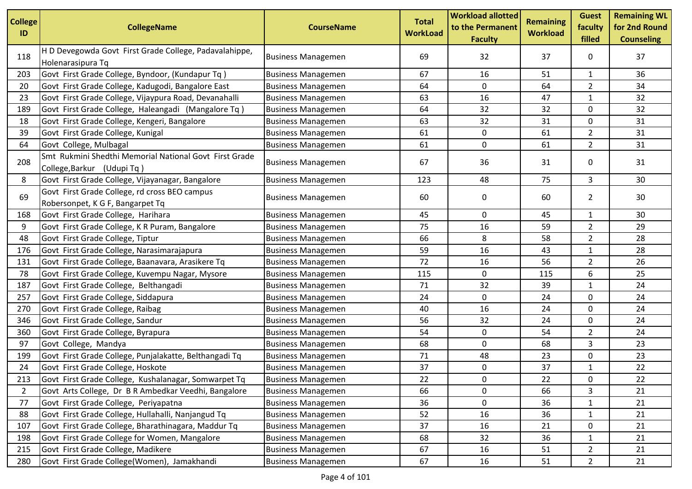| <b>College</b><br>ID | <b>CollegeName</b>                                                                   | <b>CourseName</b>         | <b>Total</b><br><b>WorkLoad</b> | <b>Workload allotted</b><br>to the Permanent<br><b>Faculty</b> | <b>Remaining</b><br><b>Workload</b> | <b>Guest</b><br>faculty<br>filled | <b>Remaining WL</b><br>for 2nd Round<br><b>Counseling</b> |
|----------------------|--------------------------------------------------------------------------------------|---------------------------|---------------------------------|----------------------------------------------------------------|-------------------------------------|-----------------------------------|-----------------------------------------------------------|
| 118                  | H D Devegowda Govt First Grade College, Padavalahippe,<br>Holenarasipura Tq          | <b>Business Managemen</b> | 69                              | 32                                                             | 37                                  | 0                                 | 37                                                        |
| 203                  | Govt First Grade College, Byndoor, (Kundapur Tq)                                     | <b>Business Managemen</b> | 67                              | 16                                                             | 51                                  | $\mathbf{1}$                      | 36                                                        |
| 20                   | Govt First Grade College, Kadugodi, Bangalore East                                   | <b>Business Managemen</b> | 64                              | 0                                                              | 64                                  | $\overline{2}$                    | 34                                                        |
| 23                   | Govt First Grade College, Vijaypura Road, Devanahalli                                | <b>Business Managemen</b> | 63                              | 16                                                             | 47                                  | $\mathbf{1}$                      | 32                                                        |
| 189                  | Govt First Grade College, Haleangadi (Mangalore Tq)                                  | <b>Business Managemen</b> | 64                              | 32                                                             | 32                                  | $\mathbf 0$                       | 32                                                        |
| 18                   | Govt First Grade College, Kengeri, Bangalore                                         | <b>Business Managemen</b> | 63                              | 32                                                             | 31                                  | 0                                 | 31                                                        |
| 39                   | Govt First Grade College, Kunigal                                                    | <b>Business Managemen</b> | 61                              | $\mathbf 0$                                                    | 61                                  | $\overline{2}$                    | 31                                                        |
| 64                   | Govt College, Mulbagal                                                               | <b>Business Managemen</b> | 61                              | 0                                                              | 61                                  | $\overline{2}$                    | 31                                                        |
| 208                  | Smt Rukmini Shedthi Memorial National Govt First Grade<br>College, Barkur (Udupi Tq) | <b>Business Managemen</b> | 67                              | 36                                                             | 31                                  | 0                                 | 31                                                        |
| 8                    | Govt First Grade College, Vijayanagar, Bangalore                                     | <b>Business Managemen</b> | 123                             | 48                                                             | 75                                  | 3                                 | 30                                                        |
| 69                   | Govt First Grade College, rd cross BEO campus<br>Robersonpet, K G F, Bangarpet Tq    | <b>Business Managemen</b> | 60                              | 0                                                              | 60                                  | $\overline{2}$                    | 30                                                        |
| 168                  | Govt First Grade College, Harihara                                                   | <b>Business Managemen</b> | 45                              | 0                                                              | 45                                  | $\mathbf{1}$                      | 30                                                        |
| 9                    | Govt First Grade College, K R Puram, Bangalore                                       | <b>Business Managemen</b> | 75                              | 16                                                             | 59                                  | $\overline{2}$                    | 29                                                        |
| 48                   | Govt First Grade College, Tiptur                                                     | <b>Business Managemen</b> | 66                              | 8                                                              | 58                                  | $\overline{2}$                    | 28                                                        |
| 176                  | Govt First Grade College, Narasimarajapura                                           | <b>Business Managemen</b> | 59                              | 16                                                             | 43                                  | $\mathbf{1}$                      | 28                                                        |
| 131                  | Govt First Grade College, Baanavara, Arasikere Tq                                    | <b>Business Managemen</b> | 72                              | 16                                                             | 56                                  | $\overline{2}$                    | 26                                                        |
| 78                   | Govt First Grade College, Kuvempu Nagar, Mysore                                      | <b>Business Managemen</b> | 115                             | 0                                                              | 115                                 | 6                                 | 25                                                        |
| 187                  | Govt First Grade College, Belthangadi                                                | <b>Business Managemen</b> | 71                              | 32                                                             | 39                                  | $\mathbf{1}$                      | 24                                                        |
| 257                  | Govt First Grade College, Siddapura                                                  | <b>Business Managemen</b> | 24                              | $\mathbf 0$                                                    | 24                                  | 0                                 | 24                                                        |
| 270                  | Govt First Grade College, Raibag                                                     | <b>Business Managemen</b> | 40                              | 16                                                             | 24                                  | 0                                 | 24                                                        |
| 346                  | Govt First Grade College, Sandur                                                     | <b>Business Managemen</b> | 56                              | 32                                                             | 24                                  | 0                                 | 24                                                        |
| 360                  | Govt First Grade College, Byrapura                                                   | <b>Business Managemen</b> | 54                              | 0                                                              | 54                                  | 2                                 | 24                                                        |
| 97                   | Govt College, Mandya                                                                 | <b>Business Managemen</b> | 68                              | $\mathbf 0$                                                    | 68                                  | 3                                 | 23                                                        |
| 199                  | Govt First Grade College, Punjalakatte, Belthangadi Tq                               | <b>Business Managemen</b> | 71                              | 48                                                             | 23                                  | 0                                 | 23                                                        |
| 24                   | Govt First Grade College, Hoskote                                                    | <b>Business Managemen</b> | 37                              | 0                                                              | 37                                  | $\mathbf{1}$                      | 22                                                        |
| 213                  | Govt First Grade College, Kushalanagar, Somwarpet Tq                                 | <b>Business Managemen</b> | 22                              | 0                                                              | 22                                  | 0                                 | 22                                                        |
| 2                    | Govt Arts College, Dr B R Ambedkar Veedhi, Bangalore                                 | <b>Business Managemen</b> | 66                              | 0                                                              | 66                                  | 3                                 | 21                                                        |
| 77                   | Govt First Grade College, Periyapatna                                                | <b>Business Managemen</b> | 36                              | $\mathbf 0$                                                    | 36                                  | $\mathbf{1}$                      | 21                                                        |
| 88                   | Govt First Grade College, Hullahalli, Nanjangud Tq                                   | <b>Business Managemen</b> | 52                              | 16                                                             | 36                                  | $\mathbf{1}$                      | 21                                                        |
| 107                  | Govt First Grade College, Bharathinagara, Maddur Tq                                  | <b>Business Managemen</b> | 37                              | 16                                                             | 21                                  | 0                                 | 21                                                        |
| 198                  | Govt First Grade College for Women, Mangalore                                        | <b>Business Managemen</b> | 68                              | 32                                                             | 36                                  | $\mathbf{1}$                      | 21                                                        |
| 215                  | Govt First Grade College, Madikere                                                   | <b>Business Managemen</b> | 67                              | 16                                                             | 51                                  | $\overline{2}$                    | 21                                                        |
| 280                  | Govt First Grade College(Women), Jamakhandi                                          | <b>Business Managemen</b> | 67                              | 16                                                             | 51                                  | $\overline{2}$                    | 21                                                        |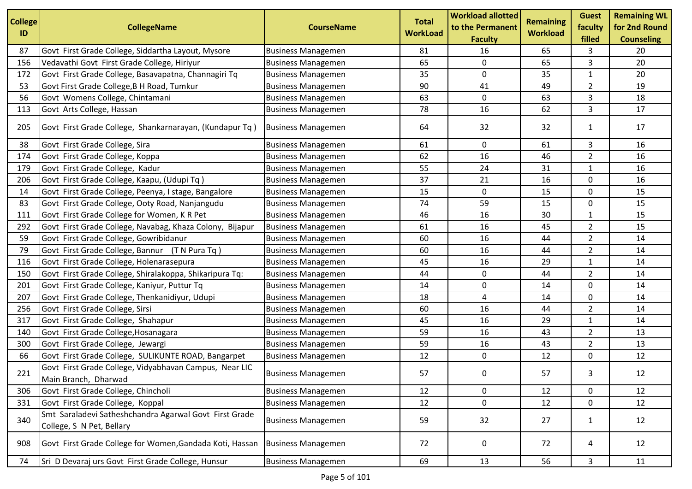| <b>College</b><br>ID | <b>CollegeName</b>                                                                  | <b>CourseName</b>         | <b>Total</b><br><b>WorkLoad</b> | <b>Workload allotted</b><br>to the Permanent<br><b>Faculty</b> | <b>Remaining</b><br><b>Workload</b> | <b>Guest</b><br>faculty<br>filled | <b>Remaining WL</b><br>for 2nd Round<br><b>Counseling</b> |
|----------------------|-------------------------------------------------------------------------------------|---------------------------|---------------------------------|----------------------------------------------------------------|-------------------------------------|-----------------------------------|-----------------------------------------------------------|
| 87                   | Govt First Grade College, Siddartha Layout, Mysore                                  | <b>Business Managemen</b> | 81                              | 16                                                             | 65                                  | 3                                 | 20                                                        |
| 156                  | Vedavathi Govt First Grade College, Hiriyur                                         | <b>Business Managemen</b> | 65                              | $\mathbf 0$                                                    | 65                                  | 3                                 | 20                                                        |
| 172                  | Govt First Grade College, Basavapatna, Channagiri Tq                                | <b>Business Managemen</b> | 35                              | $\pmb{0}$                                                      | 35                                  | $\mathbf{1}$                      | 20                                                        |
| 53                   | Govt First Grade College, B H Road, Tumkur                                          | <b>Business Managemen</b> | 90                              | 41                                                             | 49                                  | $\overline{2}$                    | 19                                                        |
| 56                   | Govt Womens College, Chintamani                                                     | <b>Business Managemen</b> | 63                              | $\pmb{0}$                                                      | 63                                  | 3                                 | 18                                                        |
| 113                  | Govt Arts College, Hassan                                                           | <b>Business Managemen</b> | 78                              | 16                                                             | 62                                  | 3                                 | 17                                                        |
| 205                  | Govt First Grade College, Shankarnarayan, (Kundapur Tq)                             | <b>Business Managemen</b> | 64                              | 32                                                             | 32                                  | $\mathbf{1}$                      | 17                                                        |
| 38                   | Govt First Grade College, Sira                                                      | <b>Business Managemen</b> | 61                              | 0                                                              | 61                                  | 3                                 | 16                                                        |
| 174                  | Govt First Grade College, Koppa                                                     | <b>Business Managemen</b> | 62                              | 16                                                             | 46                                  | $\overline{2}$                    | 16                                                        |
| 179                  | Govt First Grade College, Kadur                                                     | <b>Business Managemen</b> | 55                              | 24                                                             | 31                                  | $\mathbf{1}$                      | 16                                                        |
| 206                  | Govt First Grade College, Kaapu, (Udupi Tq)                                         | <b>Business Managemen</b> | 37                              | 21                                                             | 16                                  | 0                                 | 16                                                        |
| 14                   | Govt First Grade College, Peenya, I stage, Bangalore                                | <b>Business Managemen</b> | 15                              | 0                                                              | 15                                  | 0                                 | 15                                                        |
| 83                   | Govt First Grade College, Ooty Road, Nanjangudu                                     | <b>Business Managemen</b> | 74                              | 59                                                             | 15                                  | 0                                 | 15                                                        |
| 111                  | Govt First Grade College for Women, K R Pet                                         | <b>Business Managemen</b> | 46                              | 16                                                             | 30                                  | $\mathbf{1}$                      | 15                                                        |
| 292                  | Govt First Grade College, Navabag, Khaza Colony, Bijapur                            | <b>Business Managemen</b> | 61                              | 16                                                             | 45                                  | $\overline{2}$                    | 15                                                        |
| 59                   | Govt First Grade College, Gowribidanur                                              | <b>Business Managemen</b> | 60                              | 16                                                             | 44                                  | $\overline{2}$                    | 14                                                        |
| 79                   | Govt First Grade College, Bannur (T N Pura Tq)                                      | <b>Business Managemen</b> | 60                              | 16                                                             | 44                                  | $\overline{2}$                    | 14                                                        |
| 116                  | Govt First Grade College, Holenarasepura                                            | <b>Business Managemen</b> | 45                              | 16                                                             | 29                                  | $\mathbf{1}$                      | 14                                                        |
| 150                  | Govt First Grade College, Shiralakoppa, Shikaripura Tq:                             | <b>Business Managemen</b> | 44                              | 0                                                              | 44                                  | $\overline{2}$                    | 14                                                        |
| 201                  | Govt First Grade College, Kaniyur, Puttur Tq                                        | <b>Business Managemen</b> | 14                              | $\pmb{0}$                                                      | 14                                  | 0                                 | 14                                                        |
| 207                  | Govt First Grade College, Thenkanidiyur, Udupi                                      | <b>Business Managemen</b> | 18                              | 4                                                              | 14                                  | 0                                 | 14                                                        |
| 256                  | Govt First Grade College, Sirsi                                                     | <b>Business Managemen</b> | 60                              | 16                                                             | 44                                  | $\overline{2}$                    | 14                                                        |
| 317                  | Govt First Grade College, Shahapur                                                  | <b>Business Managemen</b> | 45                              | 16                                                             | 29                                  | $\mathbf{1}$                      | 14                                                        |
| 140                  | Govt First Grade College, Hosanagara                                                | <b>Business Managemen</b> | 59                              | 16                                                             | 43                                  | $\overline{2}$                    | 13                                                        |
| 300                  | Govt First Grade College, Jewargi                                                   | <b>Business Managemen</b> | 59                              | 16                                                             | 43                                  | $\overline{2}$                    | 13                                                        |
| 66                   | Govt First Grade College, SULIKUNTE ROAD, Bangarpet                                 | <b>Business Managemen</b> | 12                              | 0                                                              | 12                                  | 0                                 | 12                                                        |
| 221                  | Govt First Grade College, Vidyabhavan Campus, Near LIC<br>Main Branch, Dharwad      | <b>Business Managemen</b> | 57                              | 0                                                              | 57                                  | 3                                 | 12                                                        |
| 306                  | Govt First Grade College, Chincholi                                                 | <b>Business Managemen</b> | 12                              | 0                                                              | 12                                  | 0                                 | 12                                                        |
| 331                  | Govt First Grade College, Koppal                                                    | <b>Business Managemen</b> | 12                              | $\mathbf 0$                                                    | 12                                  | 0                                 | 12                                                        |
| 340                  | Smt Saraladevi Satheshchandra Agarwal Govt First Grade<br>College, S N Pet, Bellary | <b>Business Managemen</b> | 59                              | 32                                                             | 27                                  | $\mathbf{1}$                      | 12                                                        |
| 908                  | Govt First Grade College for Women, Gandada Koti, Hassan                            | <b>Business Managemen</b> | 72                              | 0                                                              | 72                                  | 4                                 | 12                                                        |
| 74                   | Sri D Devaraj urs Govt First Grade College, Hunsur                                  | <b>Business Managemen</b> | 69                              | 13                                                             | 56                                  | 3                                 | 11                                                        |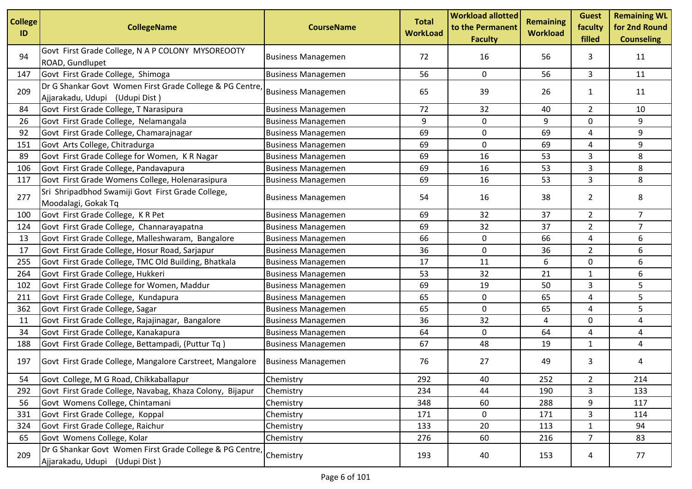| <b>College</b><br>ID | <b>CollegeName</b>                                                                         | <b>CourseName</b>         | <b>Total</b><br><b>WorkLoad</b> | <b>Workload allotted</b><br>to the Permanent<br><b>Faculty</b> | <b>Remaining</b><br><b>Workload</b> | <b>Guest</b><br>faculty<br>filled | <b>Remaining WL</b><br>for 2nd Round<br><b>Counseling</b> |
|----------------------|--------------------------------------------------------------------------------------------|---------------------------|---------------------------------|----------------------------------------------------------------|-------------------------------------|-----------------------------------|-----------------------------------------------------------|
| 94                   | Govt First Grade College, N A P COLONY MYSOREOOTY<br>ROAD, Gundlupet                       | <b>Business Managemen</b> | 72                              | 16                                                             | 56                                  | 3                                 | 11                                                        |
| 147                  | Govt First Grade College, Shimoga                                                          | <b>Business Managemen</b> | 56                              | $\mathbf 0$                                                    | 56                                  | 3                                 | 11                                                        |
| 209                  | Dr G Shankar Govt Women First Grade College & PG Centre<br>Ajjarakadu, Udupi (Udupi Dist)  | <b>Business Managemen</b> | 65                              | 39                                                             | 26                                  | 1                                 | 11                                                        |
| 84                   | Govt First Grade College, T Narasipura                                                     | <b>Business Managemen</b> | 72                              | 32                                                             | 40                                  | $\overline{2}$                    | 10                                                        |
| 26                   | Govt First Grade College, Nelamangala                                                      | <b>Business Managemen</b> | 9                               | 0                                                              | 9                                   | 0                                 | 9                                                         |
| 92                   | Govt First Grade College, Chamarajnagar                                                    | <b>Business Managemen</b> | 69                              | 0                                                              | 69                                  | 4                                 | 9                                                         |
| 151                  | Govt Arts College, Chitradurga                                                             | <b>Business Managemen</b> | 69                              | 0                                                              | 69                                  | 4                                 | 9                                                         |
| 89                   | Govt First Grade College for Women, KR Nagar                                               | <b>Business Managemen</b> | 69                              | 16                                                             | 53                                  | 3                                 | 8                                                         |
| 106                  | Govt First Grade College, Pandavapura                                                      | <b>Business Managemen</b> | 69                              | 16                                                             | 53                                  | 3                                 | 8                                                         |
| 117                  | Govt First Grade Womens College, Holenarasipura                                            | <b>Business Managemen</b> | 69                              | 16                                                             | 53                                  | 3                                 | 8                                                         |
| 277                  | Sri Shripadbhod Swamiji Govt First Grade College,<br>Moodalagi, Gokak Tq                   | <b>Business Managemen</b> | 54                              | 16                                                             | 38                                  | $\overline{2}$                    | 8                                                         |
| 100                  | Govt First Grade College, K R Pet                                                          | <b>Business Managemen</b> | 69                              | 32                                                             | 37                                  | $\overline{2}$                    | $7^{\circ}$                                               |
| 124                  | Govt First Grade College, Channarayapatna                                                  | <b>Business Managemen</b> | 69                              | 32                                                             | 37                                  | $\overline{2}$                    | $\overline{7}$                                            |
| 13                   | Govt First Grade College, Malleshwaram, Bangalore                                          | <b>Business Managemen</b> | 66                              | 0                                                              | 66                                  | 4                                 | 6                                                         |
| 17                   | Govt First Grade College, Hosur Road, Sarjapur                                             | <b>Business Managemen</b> | 36                              | 0                                                              | 36                                  | $\overline{2}$                    | 6                                                         |
| 255                  | Govt First Grade College, TMC Old Building, Bhatkala                                       | <b>Business Managemen</b> | 17                              | 11                                                             | 6                                   | $\mathsf{O}$                      | 6                                                         |
| 264                  | Govt First Grade College, Hukkeri                                                          | <b>Business Managemen</b> | 53                              | 32                                                             | 21                                  | 1                                 | 6                                                         |
| 102                  | Govt First Grade College for Women, Maddur                                                 | <b>Business Managemen</b> | 69                              | 19                                                             | 50                                  | 3                                 | 5                                                         |
| 211                  | Govt First Grade College, Kundapura                                                        | <b>Business Managemen</b> | 65                              | $\mathbf 0$                                                    | 65                                  | 4                                 | 5                                                         |
| 362                  | Govt First Grade College, Sagar                                                            | <b>Business Managemen</b> | 65                              | 0                                                              | 65                                  | 4                                 | 5                                                         |
| 11                   | Govt First Grade College, Rajajinagar, Bangalore                                           | <b>Business Managemen</b> | 36                              | 32                                                             | 4                                   | 0                                 | 4                                                         |
| 34                   | Govt First Grade College, Kanakapura                                                       | <b>Business Managemen</b> | 64                              | 0                                                              | 64                                  | 4                                 | 4                                                         |
| 188                  | Govt First Grade College, Bettampadi, (Puttur Tq)                                          | <b>Business Managemen</b> | 67                              | 48                                                             | 19                                  | $\mathbf{1}$                      | 4                                                         |
| 197                  | Govt First Grade College, Mangalore Carstreet, Mangalore                                   | <b>Business Managemen</b> | 76                              | 27                                                             | 49                                  | 3                                 | 4                                                         |
| 54                   | Govt College, M G Road, Chikkaballapur                                                     | Chemistry                 | 292                             | 40                                                             | 252                                 | $\overline{2}$                    | 214                                                       |
| 292                  | Govt First Grade College, Navabag, Khaza Colony, Bijapur                                   | Chemistry                 | 234                             | 44                                                             | 190                                 | 3                                 | 133                                                       |
| 56                   | Govt Womens College, Chintamani                                                            | Chemistry                 | 348                             | 60                                                             | 288                                 | 9                                 | 117                                                       |
| 331                  | Govt First Grade College, Koppal                                                           | Chemistry                 | 171                             | $\mathbf 0$                                                    | 171                                 | 3                                 | 114                                                       |
| 324                  | Govt First Grade College, Raichur                                                          | Chemistry                 | 133                             | 20                                                             | 113                                 | $\mathbf{1}$                      | 94                                                        |
| 65                   | Govt Womens College, Kolar                                                                 | Chemistry                 | 276                             | 60                                                             | 216                                 | $\overline{7}$                    | 83                                                        |
| 209                  | Dr G Shankar Govt Women First Grade College & PG Centre,<br>Ajjarakadu, Udupi (Udupi Dist) | Chemistry                 | 193                             | 40                                                             | 153                                 | 4                                 | 77                                                        |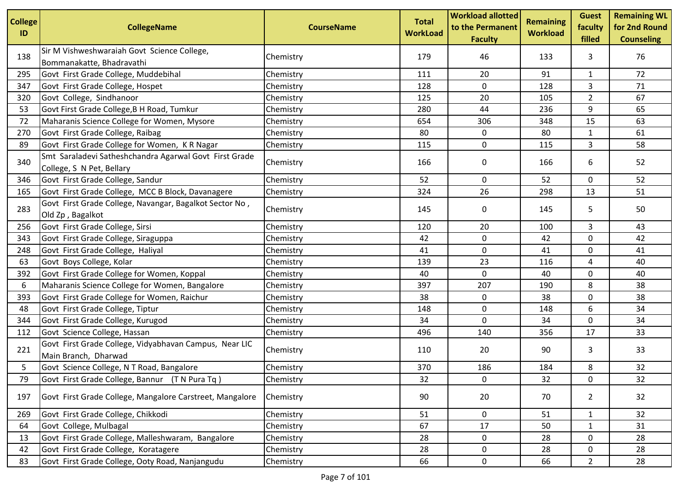| <b>College</b><br>ID | <b>CollegeName</b>                                                                  | <b>CourseName</b> | <b>Total</b><br><b>WorkLoad</b> | <b>Workload allotted</b><br>to the Permanent<br><b>Faculty</b> | <b>Remaining</b><br><b>Workload</b> | <b>Guest</b><br>faculty<br>filled | <b>Remaining WL</b><br>for 2nd Round<br><b>Counseling</b> |
|----------------------|-------------------------------------------------------------------------------------|-------------------|---------------------------------|----------------------------------------------------------------|-------------------------------------|-----------------------------------|-----------------------------------------------------------|
| 138                  | Sir M Vishweshwaraiah Govt Science College,<br>Bommanakatte, Bhadravathi            | Chemistry         | 179                             | 46                                                             | 133                                 | 3                                 | 76                                                        |
| 295                  | Govt First Grade College, Muddebihal                                                | Chemistry         | 111                             | 20                                                             | 91                                  | $\mathbf{1}$                      | 72                                                        |
| 347                  | Govt First Grade College, Hospet                                                    | Chemistry         | 128                             | 0                                                              | 128                                 | 3                                 | 71                                                        |
| 320                  | Govt College, Sindhanoor                                                            | Chemistry         | 125                             | 20                                                             | 105                                 | $\overline{2}$                    | 67                                                        |
| 53                   | Govt First Grade College, B H Road, Tumkur                                          | Chemistry         | 280                             | 44                                                             | 236                                 | 9                                 | 65                                                        |
| 72                   | Maharanis Science College for Women, Mysore                                         | Chemistry         | 654                             | 306                                                            | 348                                 | 15                                | 63                                                        |
| 270                  | Govt First Grade College, Raibag                                                    | Chemistry         | 80                              | $\mathbf 0$                                                    | 80                                  | $\mathbf{1}$                      | 61                                                        |
| 89                   | Govt First Grade College for Women, K R Nagar                                       | Chemistry         | 115                             | 0                                                              | 115                                 | 3                                 | 58                                                        |
| 340                  | Smt Saraladevi Satheshchandra Agarwal Govt First Grade<br>College, S N Pet, Bellary | Chemistry         | 166                             | 0                                                              | 166                                 | 6                                 | 52                                                        |
| 346                  | Govt First Grade College, Sandur                                                    | Chemistry         | 52                              | 0                                                              | 52                                  | 0                                 | 52                                                        |
| 165                  | Govt First Grade College, MCC B Block, Davanagere                                   | Chemistry         | 324                             | 26                                                             | 298                                 | 13                                | 51                                                        |
| 283                  | Govt First Grade College, Navangar, Bagalkot Sector No,<br>Old Zp, Bagalkot         | Chemistry         | 145                             | 0                                                              | 145                                 | 5                                 | 50                                                        |
| 256                  | Govt First Grade College, Sirsi                                                     | Chemistry         | 120                             | 20                                                             | 100                                 | 3                                 | 43                                                        |
| 343                  | Govt First Grade College, Siraguppa                                                 | Chemistry         | 42                              | 0                                                              | 42                                  | 0                                 | 42                                                        |
| 248                  | Govt First Grade College, Haliyal                                                   | Chemistry         | 41                              | 0                                                              | 41                                  | 0                                 | 41                                                        |
| 63                   | Govt Boys College, Kolar                                                            | Chemistry         | 139                             | 23                                                             | 116                                 | 4                                 | 40                                                        |
| 392                  | Govt First Grade College for Women, Koppal                                          | Chemistry         | 40                              | 0                                                              | 40                                  | 0                                 | 40                                                        |
| 6                    | Maharanis Science College for Women, Bangalore                                      | Chemistry         | 397                             | 207                                                            | 190                                 | 8                                 | 38                                                        |
| 393                  | Govt First Grade College for Women, Raichur                                         | Chemistry         | 38                              | 0                                                              | 38                                  | 0                                 | 38                                                        |
| 48                   | Govt First Grade College, Tiptur                                                    | Chemistry         | 148                             | 0                                                              | 148                                 | 6                                 | 34                                                        |
| 344                  | Govt First Grade College, Kurugod                                                   | Chemistry         | 34                              | 0                                                              | 34                                  | 0                                 | 34                                                        |
| 112                  | Govt Science College, Hassan                                                        | Chemistry         | 496                             | 140                                                            | 356                                 | 17                                | 33                                                        |
| 221                  | Govt First Grade College, Vidyabhavan Campus, Near LIC<br>Main Branch, Dharwad      | Chemistry         | 110                             | 20                                                             | 90                                  | 3                                 | 33                                                        |
| 5                    | Govt Science College, N T Road, Bangalore                                           | Chemistry         | 370                             | 186                                                            | 184                                 | 8                                 | 32                                                        |
| 79                   | Govt First Grade College, Bannur (T N Pura Tq)                                      | Chemistry         | 32                              | 0                                                              | 32                                  | $\mathbf 0$                       | 32                                                        |
| 197                  | Govt First Grade College, Mangalore Carstreet, Mangalore                            | Chemistry         | 90                              | 20                                                             | 70                                  | $\overline{2}$                    | 32                                                        |
| 269                  | Govt First Grade College, Chikkodi                                                  | Chemistry         | 51                              | $\mathbf 0$                                                    | 51                                  | $\mathbf{1}$                      | 32                                                        |
| 64                   | Govt College, Mulbagal                                                              | Chemistry         | 67                              | 17                                                             | 50                                  | 1                                 | 31                                                        |
| 13                   | Govt First Grade College, Malleshwaram, Bangalore                                   | Chemistry         | 28                              | 0                                                              | 28                                  | 0                                 | 28                                                        |
| 42                   | Govt First Grade College, Koratagere                                                | Chemistry         | 28                              | 0                                                              | 28                                  | 0                                 | 28                                                        |
| 83                   | Govt First Grade College, Ooty Road, Nanjangudu                                     | Chemistry         | 66                              | $\mathbf 0$                                                    | 66                                  | $\overline{2}$                    | 28                                                        |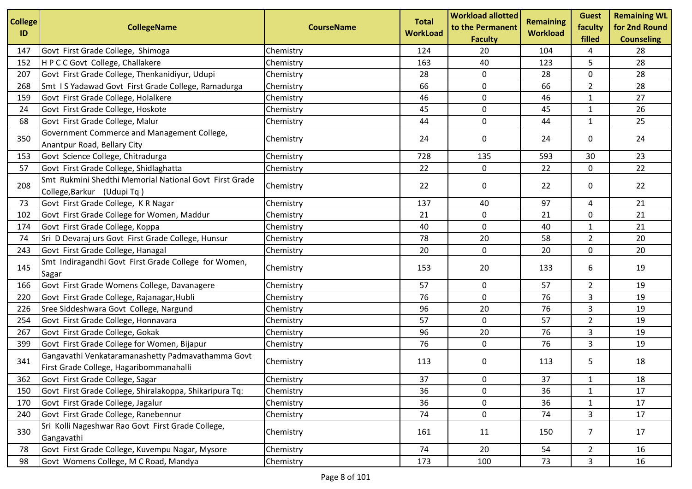| <b>College</b><br>ID | <b>CollegeName</b>                                                                           | <b>CourseName</b> | <b>Total</b><br><b>WorkLoad</b> | <b>Workload allotted</b><br>to the Permanent | <b>Remaining</b><br><b>Workload</b> | <b>Guest</b><br>faculty<br>filled | <b>Remaining WL</b><br>for 2nd Round |
|----------------------|----------------------------------------------------------------------------------------------|-------------------|---------------------------------|----------------------------------------------|-------------------------------------|-----------------------------------|--------------------------------------|
| 147                  | Govt First Grade College, Shimoga                                                            | Chemistry         | 124                             | <b>Faculty</b><br>20                         | 104                                 | 4                                 | <b>Counseling</b><br>28              |
| 152                  | H P C C Govt College, Challakere                                                             | Chemistry         | 163                             | 40                                           | 123                                 | 5                                 | 28                                   |
| 207                  | Govt First Grade College, Thenkanidiyur, Udupi                                               | Chemistry         | 28                              | 0                                            | 28                                  | 0                                 | 28                                   |
| 268                  | Smt IS Yadawad Govt First Grade College, Ramadurga                                           | Chemistry         | 66                              | 0                                            | 66                                  | $\overline{2}$                    | 28                                   |
| 159                  | Govt First Grade College, Holalkere                                                          | Chemistry         | 46                              | 0                                            | 46                                  | $\mathbf{1}$                      | 27                                   |
| 24                   | Govt First Grade College, Hoskote                                                            | Chemistry         | 45                              | $\pmb{0}$                                    | 45                                  | $\mathbf{1}$                      | 26                                   |
| 68                   | Govt First Grade College, Malur                                                              | Chemistry         | 44                              | 0                                            | 44                                  | 1                                 | 25                                   |
| 350                  | Government Commerce and Management College,<br>Anantpur Road, Bellary City                   | Chemistry         | 24                              | 0                                            | 24                                  | 0                                 | 24                                   |
| 153                  | Govt Science College, Chitradurga                                                            | Chemistry         | 728                             | 135                                          | 593                                 | 30                                | 23                                   |
| 57                   | Govt First Grade College, Shidlaghatta                                                       | Chemistry         | 22                              | 0                                            | 22                                  | $\mathbf 0$                       | 22                                   |
| 208                  | Smt Rukmini Shedthi Memorial National Govt First Grade<br>College, Barkur (Udupi Tq)         | Chemistry         | 22                              | 0                                            | 22                                  | 0                                 | 22                                   |
| 73                   | Govt First Grade College, K R Nagar                                                          | Chemistry         | 137                             | 40                                           | 97                                  | 4                                 | 21                                   |
| 102                  | Govt First Grade College for Women, Maddur                                                   | Chemistry         | 21                              | 0                                            | 21                                  | 0                                 | 21                                   |
| 174                  | Govt First Grade College, Koppa                                                              | Chemistry         | 40                              | 0                                            | 40                                  | $\mathbf{1}$                      | 21                                   |
| 74                   | Sri D Devaraj urs Govt First Grade College, Hunsur                                           | Chemistry         | 78                              | 20                                           | 58                                  | $\overline{2}$                    | 20                                   |
| 243                  | Govt First Grade College, Hanagal                                                            | Chemistry         | 20                              | $\mathbf 0$                                  | 20                                  | 0                                 | 20                                   |
| 145                  | Smt Indiragandhi Govt First Grade College for Women,<br>Sagar                                | Chemistry         | 153                             | 20                                           | 133                                 | 6                                 | 19                                   |
| 166                  | Govt First Grade Womens College, Davanagere                                                  | Chemistry         | 57                              | 0                                            | 57                                  | $\overline{2}$                    | 19                                   |
| 220                  | Govt First Grade College, Rajanagar, Hubli                                                   | Chemistry         | 76                              | 0                                            | 76                                  | 3                                 | 19                                   |
| 226                  | Sree Siddeshwara Govt College, Nargund                                                       | Chemistry         | 96                              | 20                                           | 76                                  | 3                                 | 19                                   |
| 254                  | Govt First Grade College, Honnavara                                                          | Chemistry         | 57                              | 0                                            | 57                                  | $\overline{2}$                    | 19                                   |
| 267                  | Govt First Grade College, Gokak                                                              | Chemistry         | 96                              | 20                                           | 76                                  | 3                                 | 19                                   |
| 399                  | Govt First Grade College for Women, Bijapur                                                  | Chemistry         | 76                              | 0                                            | 76                                  | 3                                 | 19                                   |
| 341                  | Gangavathi Venkataramanashetty Padmavathamma Govt<br>First Grade College, Hagaribommanahalli | Chemistry         | 113                             | 0                                            | 113                                 | 5                                 | 18                                   |
| 362                  | Govt First Grade College, Sagar                                                              | Chemistry         | 37                              | 0                                            | 37                                  | 1                                 | 18                                   |
| 150                  | Govt First Grade College, Shiralakoppa, Shikaripura Tq:                                      | Chemistry         | 36                              | 0                                            | 36                                  | 1                                 | 17                                   |
| 170                  | Govt First Grade College, Jagalur                                                            | Chemistry         | 36                              | 0                                            | 36                                  | $\mathbf{1}$                      | 17                                   |
| 240                  | Govt First Grade College, Ranebennur                                                         | Chemistry         | 74                              | $\pmb{0}$                                    | 74                                  | 3                                 | 17                                   |
| 330                  | Sri Kolli Nageshwar Rao Govt First Grade College,<br>Gangavathi                              | Chemistry         | 161                             | 11                                           | 150                                 | 7                                 | 17                                   |
| 78                   | Govt First Grade College, Kuvempu Nagar, Mysore                                              | Chemistry         | 74                              | 20                                           | 54                                  | $\overline{2}$                    | 16                                   |
| 98                   | Govt Womens College, M C Road, Mandya                                                        | Chemistry         | 173                             | 100                                          | 73                                  | 3                                 | 16                                   |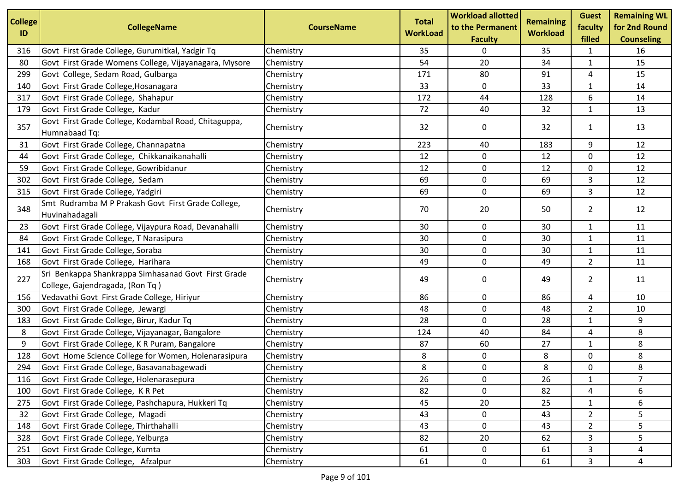| <b>College</b> |                                                                                        |                   | <b>Total</b>    | <b>Workload allotted</b>           | <b>Remaining</b> | <b>Guest</b>      | <b>Remaining WL</b>                |
|----------------|----------------------------------------------------------------------------------------|-------------------|-----------------|------------------------------------|------------------|-------------------|------------------------------------|
| ID             | <b>CollegeName</b>                                                                     | <b>CourseName</b> | <b>WorkLoad</b> | to the Permanent<br><b>Faculty</b> | <b>Workload</b>  | faculty<br>filled | for 2nd Round<br><b>Counseling</b> |
| 316            | Govt First Grade College, Gurumitkal, Yadgir Tq                                        | Chemistry         | 35              | 0                                  | 35               | 1                 | 16                                 |
| 80             | Govt First Grade Womens College, Vijayanagara, Mysore                                  | Chemistry         | 54              | 20                                 | 34               | $\mathbf{1}$      | 15                                 |
| 299            | Govt College, Sedam Road, Gulbarga                                                     | Chemistry         | 171             | 80                                 | 91               | 4                 | 15                                 |
| 140            | Govt First Grade College, Hosanagara                                                   | Chemistry         | 33              | 0                                  | 33               | 1                 | 14                                 |
| 317            | Govt First Grade College, Shahapur                                                     | Chemistry         | 172             | 44                                 | 128              | 6                 | 14                                 |
| 179            | Govt First Grade College, Kadur                                                        | Chemistry         | 72              | 40                                 | 32               | $\mathbf{1}$      | 13                                 |
|                | Govt First Grade College, Kodambal Road, Chitaguppa,                                   |                   |                 |                                    |                  |                   |                                    |
| 357            | Humnabaad Tq:                                                                          | Chemistry         | 32              | 0                                  | 32               | $\mathbf{1}$      | 13                                 |
| 31             | Govt First Grade College, Channapatna                                                  | Chemistry         | 223             | 40                                 | 183              | 9                 | 12                                 |
| 44             | Govt First Grade College, Chikkanaikanahalli                                           | Chemistry         | 12              | $\mathbf 0$                        | 12               | 0                 | 12                                 |
| 59             | Govt First Grade College, Gowribidanur                                                 | Chemistry         | 12              | $\pmb{0}$                          | 12               | $\mathbf 0$       | 12                                 |
| 302            | Govt First Grade College, Sedam                                                        | Chemistry         | 69              | 0                                  | 69               | 3                 | 12                                 |
| 315            | Govt First Grade College, Yadgiri                                                      | Chemistry         | 69              | $\mathbf 0$                        | 69               | 3                 | 12                                 |
| 348            | Smt Rudramba M P Prakash Govt First Grade College,<br>Huvinahadagali                   | Chemistry         | 70              | 20                                 | 50               | $\overline{2}$    | 12                                 |
| 23             | Govt First Grade College, Vijaypura Road, Devanahalli                                  | Chemistry         | 30              | 0                                  | 30               | $\mathbf{1}$      | 11                                 |
| 84             | Govt First Grade College, T Narasipura                                                 | Chemistry         | 30              | 0                                  | 30               | $\mathbf{1}$      | 11                                 |
| 141            | Govt First Grade College, Soraba                                                       | Chemistry         | 30              | 0                                  | 30               | $\mathbf{1}$      | 11                                 |
| 168            | Govt First Grade College, Harihara                                                     | Chemistry         | 49              | $\pmb{0}$                          | 49               | $\overline{2}$    | 11                                 |
| 227            | Sri Benkappa Shankrappa Simhasanad Govt First Grade<br>College, Gajendragada, (Ron Tq) | Chemistry         | 49              | 0                                  | 49               | $\overline{2}$    | 11                                 |
| 156            | Vedavathi Govt First Grade College, Hiriyur                                            | Chemistry         | 86              | 0                                  | 86               | 4                 | 10                                 |
| 300            | Govt First Grade College, Jewargi                                                      | Chemistry         | 48              | 0                                  | 48               | $\overline{2}$    | 10                                 |
| 183            | Govt First Grade College, Birur, Kadur Tq                                              | Chemistry         | 28              | $\pmb{0}$                          | 28               | $\mathbf{1}$      | 9                                  |
| 8              | Govt First Grade College, Vijayanagar, Bangalore                                       | Chemistry         | 124             | 40                                 | 84               | 4                 | 8                                  |
| 9              | Govt First Grade College, K R Puram, Bangalore                                         | Chemistry         | 87              | 60                                 | 27               | $\mathbf{1}$      | 8                                  |
| 128            | Govt Home Science College for Women, Holenarasipura                                    | Chemistry         | 8               | 0                                  | 8                | 0                 | 8                                  |
| 294            | Govt First Grade College, Basavanabagewadi                                             | Chemistry         | 8               | $\pmb{0}$                          | 8                | 0                 | 8                                  |
| 116            | Govt First Grade College, Holenarasepura                                               | Chemistry         | 26              | $\mathbf 0$                        | 26               | $\mathbf{1}$      | $\overline{7}$                     |
| 100            | Govt First Grade College, KR Pet                                                       | Chemistry         | 82              | 0                                  | 82               | 4                 | 6                                  |
| 275            | Govt First Grade College, Pashchapura, Hukkeri Tq                                      | Chemistry         | 45              | 20                                 | 25               | $\mathbf{1}$      | 6                                  |
| 32             | Govt First Grade College, Magadi                                                       | Chemistry         | 43              | $\pmb{0}$                          | 43               | $\overline{2}$    | 5                                  |
| 148            | Govt First Grade College, Thirthahalli                                                 | Chemistry         | 43              | 0                                  | 43               | $\overline{2}$    | 5                                  |
| 328            | Govt First Grade College, Yelburga                                                     | Chemistry         | 82              | 20                                 | 62               | 3                 | 5                                  |
| 251            | Govt First Grade College, Kumta                                                        | Chemistry         | 61              | $\mathbf 0$                        | 61               | 3                 | 4                                  |
| 303            | Govt First Grade College, Afzalpur                                                     | Chemistry         | 61              | $\mathbf 0$                        | 61               | 3                 | 4                                  |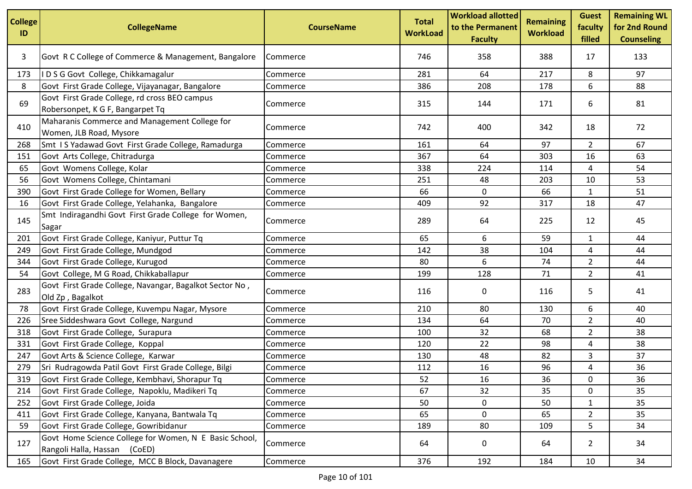| <b>College</b><br>ID | <b>CollegeName</b>                                                                     | <b>CourseName</b> | <b>Total</b><br><b>WorkLoad</b> | <b>Workload allotted</b><br>to the Permanent<br><b>Faculty</b> | <b>Remaining</b><br><b>Workload</b> | <b>Guest</b><br>faculty<br>filled | <b>Remaining WL</b><br>for 2nd Round<br><b>Counseling</b> |
|----------------------|----------------------------------------------------------------------------------------|-------------------|---------------------------------|----------------------------------------------------------------|-------------------------------------|-----------------------------------|-----------------------------------------------------------|
| 3                    | Govt R C College of Commerce & Management, Bangalore                                   | Commerce          | 746                             | 358                                                            | 388                                 | 17                                | 133                                                       |
| 173                  | IDSG Govt College, Chikkamagalur                                                       | Commerce          | 281                             | 64                                                             | 217                                 | 8                                 | 97                                                        |
| 8                    | Govt First Grade College, Vijayanagar, Bangalore                                       | Commerce          | 386                             | 208                                                            | 178                                 | 6                                 | 88                                                        |
| 69                   | Govt First Grade College, rd cross BEO campus<br>Robersonpet, K G F, Bangarpet Tq      | Commerce          | 315                             | 144                                                            | 171                                 | 6                                 | 81                                                        |
| 410                  | Maharanis Commerce and Management College for<br>Women, JLB Road, Mysore               | Commerce          | 742                             | 400                                                            | 342                                 | 18                                | 72                                                        |
| 268                  | Smt IS Yadawad Govt First Grade College, Ramadurga                                     | Commerce          | 161                             | 64                                                             | 97                                  | $\overline{2}$                    | 67                                                        |
| 151                  | Govt Arts College, Chitradurga                                                         | Commerce          | 367                             | 64                                                             | 303                                 | 16                                | 63                                                        |
| 65                   | Govt Womens College, Kolar                                                             | Commerce          | 338                             | 224                                                            | 114                                 | 4                                 | 54                                                        |
| 56                   | Govt Womens College, Chintamani                                                        | Commerce          | 251                             | 48                                                             | 203                                 | 10                                | 53                                                        |
| 390                  | Govt First Grade College for Women, Bellary                                            | Commerce          | 66                              | 0                                                              | 66                                  | $\mathbf{1}$                      | 51                                                        |
| 16                   | Govt First Grade College, Yelahanka, Bangalore                                         | Commerce          | 409                             | 92                                                             | 317                                 | 18                                | 47                                                        |
| 145                  | Smt Indiragandhi Govt First Grade College for Women,<br>Sagar                          | Commerce          | 289                             | 64                                                             | 225                                 | 12                                | 45                                                        |
| 201                  | Govt First Grade College, Kaniyur, Puttur Tq                                           | Commerce          | 65                              | 6                                                              | 59                                  | 1                                 | 44                                                        |
| 249                  | Govt First Grade College, Mundgod                                                      | Commerce          | 142                             | 38                                                             | 104                                 | 4                                 | 44                                                        |
| 344                  | Govt First Grade College, Kurugod                                                      | Commerce          | 80                              | 6                                                              | 74                                  | $\overline{2}$                    | 44                                                        |
| 54                   | Govt College, M G Road, Chikkaballapur                                                 | Commerce          | 199                             | 128                                                            | 71                                  | $\overline{2}$                    | 41                                                        |
| 283                  | Govt First Grade College, Navangar, Bagalkot Sector No,<br>Old Zp, Bagalkot            | Commerce          | 116                             | 0                                                              | 116                                 | 5                                 | 41                                                        |
| 78                   | Govt First Grade College, Kuvempu Nagar, Mysore                                        | Commerce          | 210                             | 80                                                             | 130                                 | 6                                 | 40                                                        |
| 226                  | Sree Siddeshwara Govt College, Nargund                                                 | Commerce          | 134                             | 64                                                             | 70                                  | $\overline{2}$                    | 40                                                        |
| 318                  | Govt First Grade College, Surapura                                                     | Commerce          | 100                             | 32                                                             | 68                                  | $\overline{2}$                    | 38                                                        |
| 331                  | Govt First Grade College, Koppal                                                       | Commerce          | 120                             | 22                                                             | 98                                  | 4                                 | 38                                                        |
| 247                  | Govt Arts & Science College, Karwar                                                    | Commerce          | 130                             | 48                                                             | 82                                  | 3                                 | 37                                                        |
| 279                  | Sri Rudragowda Patil Govt First Grade College, Bilgi                                   | Commerce          | 112                             | 16                                                             | 96                                  | 4                                 | 36                                                        |
| 319                  | Govt First Grade College, Kembhavi, Shorapur Tq                                        | Commerce          | 52                              | 16                                                             | 36                                  | 0                                 | 36                                                        |
| 214                  | Govt First Grade College, Napoklu, Madikeri Tq                                         | Commerce          | 67                              | 32                                                             | 35                                  | 0                                 | 35                                                        |
| 252                  | Govt First Grade College, Joida                                                        | Commerce          | 50                              | 0                                                              | 50                                  | $\mathbf{1}$                      | 35                                                        |
| 411                  | Govt First Grade College, Kanyana, Bantwala Tq                                         | Commerce          | 65                              | 0                                                              | 65                                  | $\overline{a}$                    | 35                                                        |
| 59                   | Govt First Grade College, Gowribidanur                                                 | Commerce          | 189                             | 80                                                             | 109                                 | 5                                 | 34                                                        |
| 127                  | Govt Home Science College for Women, N E Basic School,<br>Rangoli Halla, Hassan (CoED) | Commerce          | 64                              | 0                                                              | 64                                  | $\overline{2}$                    | 34                                                        |
| 165                  | Govt First Grade College, MCC B Block, Davanagere                                      | Commerce          | 376                             | 192                                                            | 184                                 | 10                                | 34                                                        |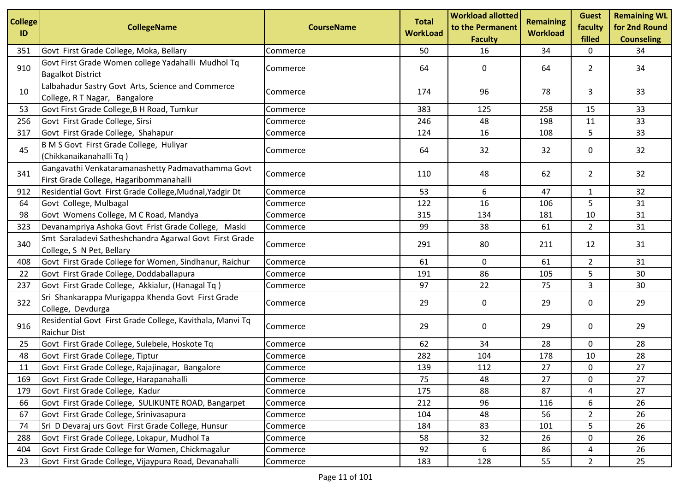| <b>College</b><br>ID | <b>CollegeName</b>                                                                           | <b>CourseName</b> | <b>Total</b><br><b>WorkLoad</b> | <b>Workload allotted</b><br>to the Permanent<br><b>Faculty</b> | <b>Remaining</b><br><b>Workload</b> | <b>Guest</b><br>faculty<br>filled | <b>Remaining WL</b><br>for 2nd Round<br><b>Counseling</b> |
|----------------------|----------------------------------------------------------------------------------------------|-------------------|---------------------------------|----------------------------------------------------------------|-------------------------------------|-----------------------------------|-----------------------------------------------------------|
| 351                  | Govt First Grade College, Moka, Bellary                                                      | Commerce          | 50                              | 16                                                             | 34                                  | 0                                 | 34                                                        |
| 910                  | Govt First Grade Women college Yadahalli Mudhol Tq<br><b>Bagalkot District</b>               | Commerce          | 64                              | 0                                                              | 64                                  | $\overline{2}$                    | 34                                                        |
| 10                   | Lalbahadur Sastry Govt Arts, Science and Commerce<br>College, R T Nagar, Bangalore           | Commerce          | 174                             | 96                                                             | 78                                  | 3                                 | 33                                                        |
| 53                   | Govt First Grade College, B H Road, Tumkur                                                   | Commerce          | 383                             | 125                                                            | 258                                 | 15                                | 33                                                        |
| 256                  | Govt First Grade College, Sirsi                                                              | Commerce          | 246                             | 48                                                             | 198                                 | 11                                | 33                                                        |
| 317                  | Govt First Grade College, Shahapur                                                           | Commerce          | 124                             | 16                                                             | 108                                 | 5                                 | 33                                                        |
| 45                   | B M S Govt First Grade College, Huliyar<br>(Chikkanaikanahalli Tq)                           | Commerce          | 64                              | 32                                                             | 32                                  | 0                                 | 32                                                        |
| 341                  | Gangavathi Venkataramanashetty Padmavathamma Govt<br>First Grade College, Hagaribommanahalli | Commerce          | 110                             | 48                                                             | 62                                  | $\overline{2}$                    | 32                                                        |
| 912                  | Residential Govt First Grade College, Mudnal, Yadgir Dt                                      | Commerce          | 53                              | 6                                                              | 47                                  | $\mathbf{1}$                      | 32                                                        |
| 64                   | Govt College, Mulbagal                                                                       | Commerce          | 122                             | 16                                                             | 106                                 | 5                                 | 31                                                        |
| 98                   | Govt Womens College, M C Road, Mandya                                                        | Commerce          | 315                             | 134                                                            | 181                                 | 10                                | 31                                                        |
| 323                  | Devanampriya Ashoka Govt Frist Grade College, Maski                                          | Commerce          | 99                              | 38                                                             | 61                                  | $\overline{2}$                    | 31                                                        |
| 340                  | Smt Saraladevi Satheshchandra Agarwal Govt First Grade<br>College, S N Pet, Bellary          | Commerce          | 291                             | 80                                                             | 211                                 | 12                                | 31                                                        |
| 408                  | Govt First Grade College for Women, Sindhanur, Raichur                                       | Commerce          | 61                              | $\mathbf 0$                                                    | 61                                  | $\overline{2}$                    | 31                                                        |
| 22                   | Govt First Grade College, Doddaballapura                                                     | Commerce          | 191                             | 86                                                             | 105                                 | 5                                 | 30                                                        |
| 237                  | Govt First Grade College, Akkialur, (Hanagal Tq)                                             | Commerce          | 97                              | 22                                                             | 75                                  | 3                                 | 30                                                        |
| 322                  | Sri Shankarappa Murigappa Khenda Govt First Grade<br>College, Devdurga                       | Commerce          | 29                              | 0                                                              | 29                                  | 0                                 | 29                                                        |
| 916                  | Residential Govt First Grade College, Kavithala, Manvi Tq<br><b>Raichur Dist</b>             | Commerce          | 29                              | 0                                                              | 29                                  | 0                                 | 29                                                        |
| 25                   | Govt First Grade College, Sulebele, Hoskote Tq                                               | Commerce          | 62                              | 34                                                             | 28                                  | 0                                 | 28                                                        |
| 48                   | Govt First Grade College, Tiptur                                                             | Commerce          | 282                             | 104                                                            | 178                                 | 10                                | 28                                                        |
| 11                   | Govt First Grade College, Rajajinagar, Bangalore                                             | Commerce          | 139                             | 112                                                            | 27                                  | 0                                 | 27                                                        |
| 169                  | Govt First Grade College, Harapanahalli                                                      | Commerce          | 75                              | 48                                                             | 27                                  | 0                                 | 27                                                        |
| 179                  | Govt First Grade College, Kadur                                                              | Commerce          | 175                             | 88                                                             | 87                                  | 4                                 | 27                                                        |
| 66                   | Govt First Grade College, SULIKUNTE ROAD, Bangarpet                                          | Commerce          | 212                             | 96                                                             | 116                                 | 6                                 | 26                                                        |
| 67                   | Govt First Grade College, Srinivasapura                                                      | Commerce          | 104                             | 48                                                             | 56                                  | $\overline{2}$                    | 26                                                        |
| 74                   | Sri D Devaraj urs Govt First Grade College, Hunsur                                           | Commerce          | 184                             | 83                                                             | 101                                 | 5                                 | 26                                                        |
| 288                  | Govt First Grade College, Lokapur, Mudhol Ta                                                 | Commerce          | 58                              | 32                                                             | 26                                  | 0                                 | 26                                                        |
| 404                  | Govt First Grade College for Women, Chickmagalur                                             | Commerce          | 92                              | 6                                                              | 86                                  | 4                                 | 26                                                        |
| 23                   | Govt First Grade College, Vijaypura Road, Devanahalli                                        | Commerce          | 183                             | 128                                                            | 55                                  | $\overline{2}$                    | 25                                                        |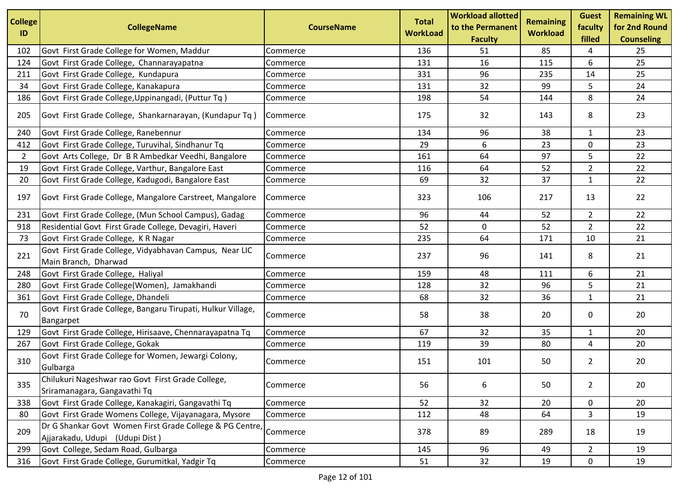| <b>College</b> |                                                                                            |                   | <b>Total</b>    | <b>Workload allotted</b> | <b>Remaining</b> | <b>Guest</b>   | <b>Remaining WL</b> |
|----------------|--------------------------------------------------------------------------------------------|-------------------|-----------------|--------------------------|------------------|----------------|---------------------|
| ID             | <b>CollegeName</b>                                                                         | <b>CourseName</b> | <b>WorkLoad</b> | to the Permanent         | <b>Workload</b>  | faculty        | for 2nd Round       |
|                |                                                                                            |                   |                 | <b>Faculty</b>           |                  | filled         | <b>Counseling</b>   |
| 102            | Govt First Grade College for Women, Maddur                                                 | Commerce          | 136             | 51                       | 85               | 4              | 25                  |
| 124            | Govt First Grade College, Channarayapatna                                                  | Commerce          | 131             | 16                       | 115              | 6              | 25                  |
| 211            | Govt First Grade College, Kundapura                                                        | Commerce          | 331             | 96                       | 235              | 14             | 25                  |
| 34             | Govt First Grade College, Kanakapura                                                       | Commerce          | 131             | 32                       | 99               | 5              | 24                  |
| 186            | Govt First Grade College, Uppinangadi, (Puttur Tq)                                         | Commerce          | 198             | 54                       | 144              | 8              | 24                  |
| 205            | Govt First Grade College, Shankarnarayan, (Kundapur Tq)                                    | Commerce          | 175             | 32                       | 143              | 8              | 23                  |
| 240            | Govt First Grade College, Ranebennur                                                       | Commerce          | 134             | 96                       | 38               | $\mathbf{1}$   | 23                  |
| 412            | Govt First Grade College, Turuvihal, Sindhanur Tq                                          | Commerce          | 29              | 6                        | 23               | 0              | 23                  |
| $\overline{2}$ | Govt Arts College, Dr B R Ambedkar Veedhi, Bangalore                                       | Commerce          | 161             | 64                       | 97               | 5              | 22                  |
| 19             | Govt First Grade College, Varthur, Bangalore East                                          | Commerce          | 116             | 64                       | 52               | $\overline{2}$ | 22                  |
| 20             | Govt First Grade College, Kadugodi, Bangalore East                                         | Commerce          | 69              | 32                       | 37               | $\mathbf{1}$   | 22                  |
| 197            | Govt First Grade College, Mangalore Carstreet, Mangalore                                   | Commerce          | 323             | 106                      | 217              | 13             | 22                  |
| 231            | Govt First Grade College, (Mun School Campus), Gadag                                       | Commerce          | 96              | 44                       | 52               | $\overline{2}$ | 22                  |
| 918            | Residential Govt First Grade College, Devagiri, Haveri                                     | Commerce          | 52              | 0                        | 52               | $\overline{2}$ | 22                  |
| 73             | Govt First Grade College, KR Nagar                                                         | Commerce          | 235             | 64                       | 171              | 10             | 21                  |
| 221            | Govt First Grade College, Vidyabhavan Campus, Near LIC<br>Main Branch, Dharwad             | Commerce          | 237             | 96                       | 141              | 8              | 21                  |
| 248            | Govt First Grade College, Haliyal                                                          | Commerce          | 159             | 48                       | 111              | 6              | 21                  |
| 280            | Govt First Grade College(Women), Jamakhandi                                                | Commerce          | 128             | 32                       | 96               | 5              | 21                  |
| 361            | Govt First Grade College, Dhandeli                                                         | Commerce          | 68              | 32                       | 36               | $\mathbf{1}$   | 21                  |
| 70             | Govt First Grade College, Bangaru Tirupati, Hulkur Village,<br>Bangarpet                   | Commerce          | 58              | 38                       | 20               | 0              | 20                  |
| 129            | Govt First Grade College, Hirisaave, Chennarayapatna Tq                                    | Commerce          | 67              | 32                       | 35               | $\mathbf{1}$   | 20                  |
| 267            | Govt First Grade College, Gokak                                                            | Commerce          | 119             | 39                       | 80               | 4              | 20                  |
| 310            | Govt First Grade College for Women, Jewargi Colony,<br>Gulbarga                            | Commerce          | 151             | 101                      | 50               | $\overline{2}$ | 20                  |
| 335            | Chilukuri Nageshwar rao Govt First Grade College,<br>Sriramanagara, Gangavathi Tq          | Commerce          | 56              | 6                        | 50               | $\overline{2}$ | 20                  |
| 338            | Govt First Grade College, Kanakagiri, Gangavathi Tq                                        | Commerce          | 52              | 32                       | 20               | 0              | 20                  |
| 80             | Govt First Grade Womens College, Vijayanagara, Mysore                                      | Commerce          | 112             | 48                       | 64               | 3              | 19                  |
| 209            | Dr G Shankar Govt Women First Grade College & PG Centre,<br>Ajjarakadu, Udupi (Udupi Dist) | Commerce          | 378             | 89                       | 289              | 18             | 19                  |
| 299            | Govt College, Sedam Road, Gulbarga                                                         | Commerce          | 145             | 96                       | 49               | $\overline{2}$ | 19                  |
| 316            | Govt First Grade College, Gurumitkal, Yadgir Tq                                            | Commerce          | 51              | 32                       | 19               | 0              | 19                  |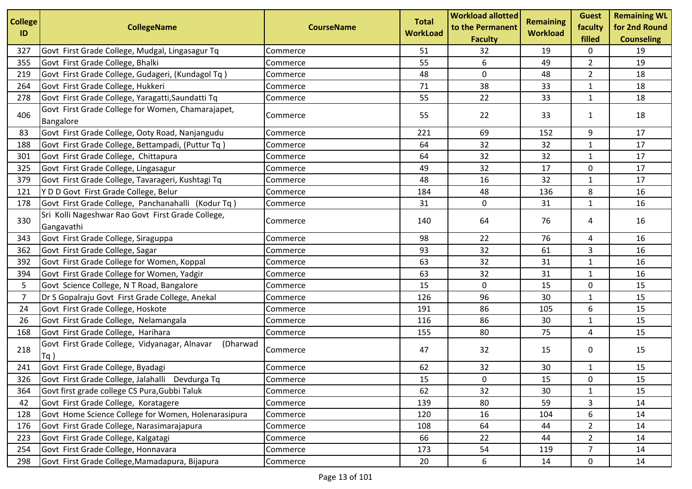| <b>College</b> |                                                                  |                   | <b>Total</b>    | <b>Workload allotted</b>           | Remaining       | <b>Guest</b>      | <b>Remaining WL</b>                |
|----------------|------------------------------------------------------------------|-------------------|-----------------|------------------------------------|-----------------|-------------------|------------------------------------|
| ID             | <b>CollegeName</b>                                               | <b>CourseName</b> | <b>WorkLoad</b> | to the Permanent<br><b>Faculty</b> | <b>Workload</b> | faculty<br>filled | for 2nd Round<br><b>Counseling</b> |
| 327            | Govt First Grade College, Mudgal, Lingasagur Tq                  | Commerce          | 51              | 32                                 | 19              | 0                 | 19                                 |
| 355            | Govt First Grade College, Bhalki                                 | Commerce          | 55              | 6                                  | 49              | $\overline{2}$    | 19                                 |
| 219            | Govt First Grade College, Gudageri, (Kundagol Tq)                | Commerce          | 48              | $\mathbf 0$                        | 48              | $\overline{2}$    | 18                                 |
| 264            | Govt First Grade College, Hukkeri                                | Commerce          | 71              | 38                                 | 33              | $\mathbf{1}$      | 18                                 |
| 278            | Govt First Grade College, Yaragatti, Saundatti Tq                | Commerce          | 55              | 22                                 | 33              | $\mathbf{1}$      | 18                                 |
| 406            | Govt First Grade College for Women, Chamarajapet,<br>Bangalore   | Commerce          | 55              | 22                                 | 33              | $\mathbf{1}$      | 18                                 |
| 83             | Govt First Grade College, Ooty Road, Nanjangudu                  | Commerce          | 221             | 69                                 | 152             | 9                 | 17                                 |
| 188            | Govt First Grade College, Bettampadi, (Puttur Tq)                | Commerce          | 64              | 32                                 | 32              | $\mathbf{1}$      | 17                                 |
| 301            | Govt First Grade College, Chittapura                             | Commerce          | 64              | 32                                 | 32              | $\mathbf{1}$      | 17                                 |
| 325            | Govt First Grade College, Lingasagur                             | Commerce          | 49              | 32                                 | 17              | $\pmb{0}$         | 17                                 |
| 379            | Govt First Grade College, Tavarageri, Kushtagi Tq                | Commerce          | 48              | 16                                 | 32              | 1                 | 17                                 |
| 121            | Y D D Govt First Grade College, Belur                            | Commerce          | 184             | 48                                 | 136             | 8                 | 16                                 |
| 178            | Govt First Grade College, Panchanahalli (Kodur Tq)               | Commerce          | 31              | 0                                  | 31              | $\mathbf{1}$      | 16                                 |
| 330            | Sri Kolli Nageshwar Rao Govt First Grade College,<br>Gangavathi  | Commerce          | 140             | 64                                 | 76              | 4                 | 16                                 |
| 343            | Govt First Grade College, Siraguppa                              | Commerce          | 98              | 22                                 | 76              | 4                 | 16                                 |
| 362            | Govt First Grade College, Sagar                                  | Commerce          | 93              | 32                                 | 61              | 3                 | 16                                 |
| 392            | Govt First Grade College for Women, Koppal                       | Commerce          | 63              | 32                                 | 31              | $\mathbf{1}$      | 16                                 |
| 394            | Govt First Grade College for Women, Yadgir                       | Commerce          | 63              | 32                                 | 31              | $\mathbf{1}$      | 16                                 |
| 5              | Govt Science College, N T Road, Bangalore                        | Commerce          | 15              | $\mathbf 0$                        | 15              | 0                 | 15                                 |
| 7              | Dr S Gopalraju Govt First Grade College, Anekal                  | Commerce          | 126             | 96                                 | 30              | $\mathbf{1}$      | 15                                 |
| 24             | Govt First Grade College, Hoskote                                | Commerce          | 191             | 86                                 | 105             | 6                 | 15                                 |
| 26             | Govt First Grade College, Nelamangala                            | Commerce          | 116             | 86                                 | 30              | $\mathbf{1}$      | 15                                 |
| 168            | Govt First Grade College, Harihara                               | Commerce          | 155             | 80                                 | 75              | 4                 | 15                                 |
| 218            | Govt First Grade College, Vidyanagar, Alnavar<br>(Dharwad<br>Tq) | Commerce          | 47              | 32                                 | 15              | 0                 | 15                                 |
| 241            | Govt First Grade College, Byadagi                                | Commerce          | 62              | 32                                 | 30              | $\mathbf{1}$      | 15                                 |
| 326            | Govt First Grade College, Jalahalli Devdurga Tq                  | Commerce          | 15              | 0                                  | 15              | 0                 | 15                                 |
| 364            | Govt first grade college CS Pura, Gubbi Taluk                    | Commerce          | 62              | 32                                 | 30              | 1                 | 15                                 |
| 42             | Govt First Grade College, Koratagere                             | Commerce          | 139             | 80                                 | 59              | 3                 | 14                                 |
| 128            | Govt Home Science College for Women, Holenarasipura              | Commerce          | 120             | 16                                 | 104             | 6                 | 14                                 |
| 176            | Govt First Grade College, Narasimarajapura                       | Commerce          | 108             | 64                                 | 44              | $\overline{2}$    | 14                                 |
| 223            | Govt First Grade College, Kalgatagi                              | Commerce          | 66              | 22                                 | 44              | $\overline{2}$    | 14                                 |
| 254            | Govt First Grade College, Honnavara                              | Commerce          | 173             | 54                                 | 119             | $\overline{7}$    | 14                                 |
| 298            | Govt First Grade College, Mamadapura, Bijapura                   | Commerce          | 20              | 6                                  | 14              | 0                 | 14                                 |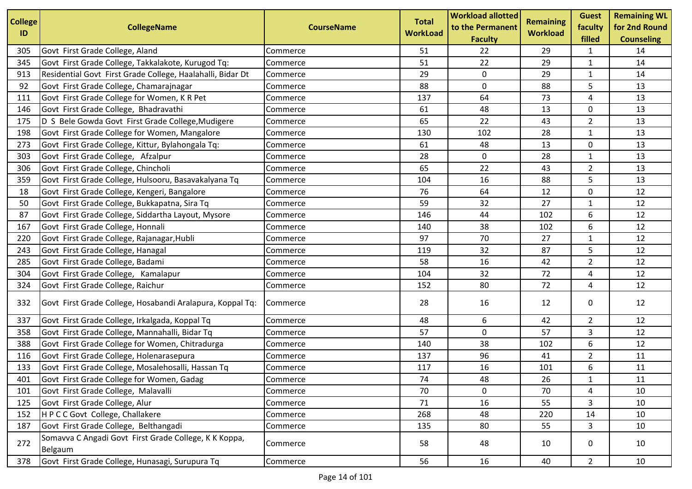| <b>College</b> | <b>CollegeName</b>                                               | <b>CourseName</b> | <b>Total</b>    | <b>Workload allotted</b><br>to the Permanent | <b>Remaining</b> | <b>Guest</b><br>faculty | <b>Remaining WL</b><br>for 2nd Round |
|----------------|------------------------------------------------------------------|-------------------|-----------------|----------------------------------------------|------------------|-------------------------|--------------------------------------|
| ID             |                                                                  |                   | <b>WorkLoad</b> | <b>Faculty</b>                               | <b>Workload</b>  | filled                  | <b>Counseling</b>                    |
| 305            | Govt First Grade College, Aland                                  | Commerce          | 51              | 22                                           | 29               | 1                       | 14                                   |
| 345            | Govt First Grade College, Takkalakote, Kurugod Tq:               | Commerce          | 51              | 22                                           | 29               | 1                       | 14                                   |
| 913            | Residential Govt First Grade College, Haalahalli, Bidar Dt       | Commerce          | 29              | $\mathbf 0$                                  | 29               | 1                       | 14                                   |
| 92             | Govt First Grade College, Chamarajnagar                          | Commerce          | 88              | 0                                            | 88               | 5                       | 13                                   |
| 111            | Govt First Grade College for Women, K R Pet                      | Commerce          | 137             | 64                                           | 73               | 4                       | 13                                   |
| 146            | Govt First Grade College, Bhadravathi                            | Commerce          | 61              | 48                                           | 13               | 0                       | 13                                   |
| 175            | D S Bele Gowda Govt First Grade College, Mudigere                | Commerce          | 65              | 22                                           | 43               | $\overline{2}$          | 13                                   |
| 198            | Govt First Grade College for Women, Mangalore                    | Commerce          | 130             | 102                                          | 28               | $\mathbf{1}$            | 13                                   |
| 273            | Govt First Grade College, Kittur, Bylahongala Tq:                | Commerce          | 61              | 48                                           | 13               | 0                       | 13                                   |
| 303            | Govt First Grade College, Afzalpur                               | Commerce          | 28              | 0                                            | 28               | $\mathbf{1}$            | 13                                   |
| 306            | Govt First Grade College, Chincholi                              | Commerce          | 65              | 22                                           | 43               | $\overline{2}$          | 13                                   |
| 359            | Govt First Grade College, Hulsooru, Basavakalyana Tq             | Commerce          | 104             | 16                                           | 88               | 5                       | 13                                   |
| 18             | Govt First Grade College, Kengeri, Bangalore                     | Commerce          | 76              | 64                                           | 12               | 0                       | 12                                   |
| 50             | Govt First Grade College, Bukkapatna, Sira Tq                    | Commerce          | 59              | 32                                           | 27               | 1                       | 12                                   |
| 87             | Govt First Grade College, Siddartha Layout, Mysore               | Commerce          | 146             | 44                                           | 102              | 6                       | 12                                   |
| 167            | Govt First Grade College, Honnali                                | Commerce          | 140             | 38                                           | 102              | 6                       | 12                                   |
| 220            | Govt First Grade College, Rajanagar, Hubli                       | Commerce          | 97              | 70                                           | 27               | 1                       | 12                                   |
| 243            | Govt First Grade College, Hanagal                                | Commerce          | 119             | 32                                           | 87               | 5                       | 12                                   |
| 285            | Govt First Grade College, Badami                                 | Commerce          | 58              | 16                                           | 42               | $\overline{2}$          | 12                                   |
| 304            | Govt First Grade College, Kamalapur                              | Commerce          | 104             | 32                                           | 72               | 4                       | 12                                   |
| 324            | Govt First Grade College, Raichur                                | Commerce          | 152             | 80                                           | 72               | 4                       | 12                                   |
| 332            | Govt First Grade College, Hosabandi Aralapura, Koppal Tq:        | Commerce          | 28              | 16                                           | 12               | 0                       | 12                                   |
| 337            | Govt First Grade College, Irkalgada, Koppal Tq                   | Commerce          | 48              | 6                                            | 42               | $\overline{2}$          | 12                                   |
| 358            | Govt First Grade College, Mannahalli, Bidar Tq                   | Commerce          | 57              | 0                                            | 57               | 3                       | 12                                   |
| 388            | Govt First Grade College for Women, Chitradurga                  | Commerce          | 140             | 38                                           | 102              | 6                       | 12                                   |
| 116            | Govt First Grade College, Holenarasepura                         | Commerce          | 137             | 96                                           | 41               | $\overline{2}$          | 11                                   |
| 133            | Govt First Grade College, Mosalehosalli, Hassan Tq               | Commerce          | 117             | 16                                           | 101              | 6                       | 11                                   |
| 401            | Govt First Grade College for Women, Gadag                        | Commerce          | 74              | 48                                           | 26               | $\mathbf{1}$            | 11                                   |
| 101            | Govt First Grade College, Malavalli                              | Commerce          | 70              | 0                                            | 70               | 4                       | 10                                   |
| 125            | Govt First Grade College, Alur                                   | Commerce          | 71              | 16                                           | 55               | 3                       | 10                                   |
| 152            | HPCC Govt College, Challakere                                    | Commerce          | 268             | 48                                           | 220              | 14                      | 10                                   |
| 187            | Govt First Grade College, Belthangadi                            | Commerce          | 135             | 80                                           | 55               | 3                       | 10                                   |
| 272            | Somavva C Angadi Govt First Grade College, K K Koppa,<br>Belgaum | Commerce          | 58              | 48                                           | 10               | 0                       | 10                                   |
| 378            | Govt First Grade College, Hunasagi, Surupura Tq                  | Commerce          | 56              | 16                                           | 40               | $\overline{2}$          | 10                                   |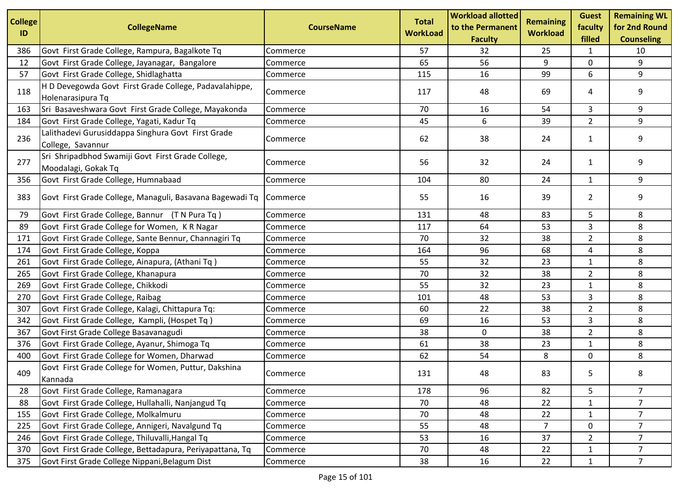| <b>College</b><br>ID | <b>CollegeName</b>                                                          | <b>CourseName</b> | <b>Total</b><br><b>WorkLoad</b> | <b>Workload allotted</b><br>to the Permanent<br><b>Faculty</b> | <b>Remaining</b><br><b>Workload</b> | <b>Guest</b><br>faculty<br>filled | <b>Remaining WL</b><br>for 2nd Round<br><b>Counseling</b> |
|----------------------|-----------------------------------------------------------------------------|-------------------|---------------------------------|----------------------------------------------------------------|-------------------------------------|-----------------------------------|-----------------------------------------------------------|
| 386                  | Govt First Grade College, Rampura, Bagalkote Tq                             | Commerce          | 57                              | 32                                                             | 25                                  | 1                                 | 10                                                        |
| 12                   | Govt First Grade College, Jayanagar, Bangalore                              | Commerce          | 65                              | 56                                                             | 9                                   | 0                                 | 9                                                         |
| 57                   | Govt First Grade College, Shidlaghatta                                      | Commerce          | 115                             | 16                                                             | 99                                  | 6                                 | 9                                                         |
| 118                  | H D Devegowda Govt First Grade College, Padavalahippe,<br>Holenarasipura Tq | Commerce          | 117                             | 48                                                             | 69                                  | 4                                 | 9                                                         |
| 163                  | Sri Basaveshwara Govt First Grade College, Mayakonda                        | Commerce          | 70                              | 16                                                             | 54                                  | 3                                 | 9                                                         |
| 184                  | Govt First Grade College, Yagati, Kadur Tq                                  | Commerce          | 45                              | 6                                                              | 39                                  | $\overline{2}$                    | 9                                                         |
| 236                  | Lalithadevi Gurusiddappa Singhura Govt First Grade<br>College, Savannur     | Commerce          | 62                              | 38                                                             | 24                                  | $\mathbf{1}$                      | 9                                                         |
| 277                  | Sri Shripadbhod Swamiji Govt First Grade College,<br>Moodalagi, Gokak Tq    | Commerce          | 56                              | 32                                                             | 24                                  | $\mathbf{1}$                      | 9                                                         |
| 356                  | Govt First Grade College, Humnabaad                                         | Commerce          | 104                             | 80                                                             | 24                                  | $\mathbf{1}$                      | 9                                                         |
| 383                  | Govt First Grade College, Managuli, Basavana Bagewadi Tq                    | Commerce          | 55                              | 16                                                             | 39                                  | $\overline{2}$                    | 9                                                         |
| 79                   | Govt First Grade College, Bannur (T N Pura Tq)                              | Commerce          | 131                             | 48                                                             | 83                                  | 5                                 | 8                                                         |
| 89                   | Govt First Grade College for Women, KR Nagar                                | Commerce          | 117                             | 64                                                             | 53                                  | 3                                 | 8                                                         |
| 171                  | Govt First Grade College, Sante Bennur, Channagiri Tq                       | Commerce          | 70                              | 32                                                             | 38                                  | $\overline{2}$                    | 8                                                         |
| 174                  | Govt First Grade College, Koppa                                             | Commerce          | 164                             | 96                                                             | 68                                  | 4                                 | 8                                                         |
| 261                  | Govt First Grade College, Ainapura, (Athani Tq)                             | Commerce          | 55                              | 32                                                             | 23                                  | $\mathbf{1}$                      | 8                                                         |
| 265                  | Govt First Grade College, Khanapura                                         | Commerce          | 70                              | 32                                                             | 38                                  | $\overline{2}$                    | 8                                                         |
| 269                  | Govt First Grade College, Chikkodi                                          | Commerce          | 55                              | 32                                                             | 23                                  | $\mathbf{1}$                      | 8                                                         |
| 270                  | Govt First Grade College, Raibag                                            | Commerce          | 101                             | 48                                                             | 53                                  | 3                                 | 8                                                         |
| 307                  | Govt First Grade College, Kalagi, Chittapura Tq:                            | Commerce          | 60                              | 22                                                             | 38                                  | $\overline{2}$                    | 8                                                         |
| 342                  | Govt First Grade College, Kampli, (Hospet Tq)                               | Commerce          | 69                              | 16                                                             | 53                                  | 3                                 | 8                                                         |
| 367                  | Govt First Grade College Basavanagudi                                       | Commerce          | 38                              | 0                                                              | 38                                  | $\overline{2}$                    | 8                                                         |
| 376                  | Govt First Grade College, Ayanur, Shimoga Tq                                | Commerce          | 61                              | 38                                                             | 23                                  | $\mathbf{1}$                      | 8                                                         |
| 400                  | Govt First Grade College for Women, Dharwad                                 | Commerce          | 62                              | 54                                                             | 8                                   | $\mathbf 0$                       | 8                                                         |
| 409                  | Govt First Grade College for Women, Puttur, Dakshina<br>Kannada             | Commerce          | 131                             | 48                                                             | 83                                  | 5                                 | 8                                                         |
| 28                   | Govt First Grade College, Ramanagara                                        | Commerce          | 178                             | 96                                                             | 82                                  | 5                                 | 7                                                         |
| 88                   | Govt First Grade College, Hullahalli, Nanjangud Tq                          | Commerce          | 70                              | 48                                                             | 22                                  | $\mathbf{1}$                      | $\overline{7}$                                            |
| 155                  | Govt First Grade College, Molkalmuru                                        | Commerce          | 70                              | 48                                                             | 22                                  | $\mathbf{1}$                      | $\overline{7}$                                            |
| 225                  | Govt First Grade College, Annigeri, Navalgund Tq                            | Commerce          | 55                              | 48                                                             | 7                                   | 0                                 | $\overline{7}$                                            |
| 246                  | Govt First Grade College, Thiluvalli, Hangal Tq                             | Commerce          | 53                              | 16                                                             | 37                                  | $\overline{2}$                    | 7                                                         |
| 370                  | Govt First Grade College, Bettadapura, Periyapattana, Tq                    | Commerce          | 70                              | 48                                                             | 22                                  | $\mathbf{1}$                      | $\overline{7}$                                            |
| 375                  | Govt First Grade College Nippani, Belagum Dist                              | Commerce          | 38                              | 16                                                             | 22                                  | $\mathbf{1}$                      | $\overline{7}$                                            |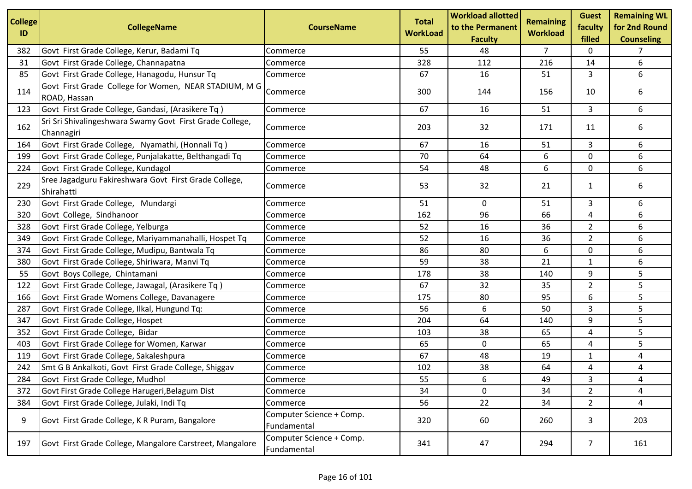| <b>College</b><br>ID | <b>CollegeName</b>                                                     | <b>CourseName</b>                       | <b>Total</b><br><b>WorkLoad</b> | <b>Workload allotted</b><br>to the Permanent<br><b>Faculty</b> | Remaining<br><b>Workload</b> | <b>Guest</b><br>faculty<br>filled | <b>Remaining WL</b><br>for 2nd Round<br><b>Counseling</b> |
|----------------------|------------------------------------------------------------------------|-----------------------------------------|---------------------------------|----------------------------------------------------------------|------------------------------|-----------------------------------|-----------------------------------------------------------|
| 382                  | Govt First Grade College, Kerur, Badami Tq                             | Commerce                                | 55                              | 48                                                             | 7                            | 0                                 | 7                                                         |
| 31                   | Govt First Grade College, Channapatna                                  | Commerce                                | 328                             | 112                                                            | 216                          | 14                                | 6                                                         |
| 85                   | Govt First Grade College, Hanagodu, Hunsur Tq                          | Commerce                                | 67                              | 16                                                             | 51                           | 3                                 | 6                                                         |
| 114                  | Govt First Grade College for Women, NEAR STADIUM, M G<br>ROAD, Hassan  | Commerce                                | 300                             | 144                                                            | 156                          | 10                                | 6                                                         |
| 123                  | Govt First Grade College, Gandasi, (Arasikere Tq)                      | Commerce                                | 67                              | 16                                                             | 51                           | 3                                 | 6                                                         |
| 162                  | Sri Sri Shivalingeshwara Swamy Govt First Grade College,<br>Channagiri | Commerce                                | 203                             | 32                                                             | 171                          | 11                                | 6                                                         |
| 164                  | Govt First Grade College, Nyamathi, (Honnali Tq)                       | Commerce                                | 67                              | 16                                                             | 51                           | 3                                 | 6                                                         |
| 199                  | Govt First Grade College, Punjalakatte, Belthangadi Tq                 | Commerce                                | 70                              | 64                                                             | 6                            | 0                                 | 6                                                         |
| 224                  | Govt First Grade College, Kundagol                                     | Commerce                                | 54                              | 48                                                             | 6                            | 0                                 | 6                                                         |
| 229                  | Sree Jagadguru Fakireshwara Govt First Grade College,<br>Shirahatti    | Commerce                                | 53                              | 32                                                             | 21                           | $\mathbf{1}$                      | 6                                                         |
| 230                  | Govt First Grade College, Mundargi                                     | Commerce                                | 51                              | 0                                                              | 51                           | 3                                 | 6                                                         |
| 320                  | Govt College, Sindhanoor                                               | Commerce                                | 162                             | 96                                                             | 66                           | 4                                 | 6                                                         |
| 328                  | Govt First Grade College, Yelburga                                     | Commerce                                | 52                              | 16                                                             | 36                           | $\overline{2}$                    | 6                                                         |
| 349                  | Govt First Grade College, Mariyammanahalli, Hospet Tq                  | Commerce                                | 52                              | 16                                                             | 36                           | $\overline{2}$                    | 6                                                         |
| 374                  | Govt First Grade College, Mudipu, Bantwala Tq                          | Commerce                                | 86                              | 80                                                             | 6                            | 0                                 | 6                                                         |
| 380                  | Govt First Grade College, Shiriwara, Manvi Tq                          | Commerce                                | 59                              | 38                                                             | 21                           | $\mathbf{1}$                      | 6                                                         |
| 55                   | Govt Boys College, Chintamani                                          | Commerce                                | 178                             | 38                                                             | 140                          | 9                                 | 5                                                         |
| 122                  | Govt First Grade College, Jawagal, (Arasikere Tq)                      | Commerce                                | 67                              | 32                                                             | 35                           | $\overline{2}$                    | 5                                                         |
| 166                  | Govt First Grade Womens College, Davanagere                            | Commerce                                | 175                             | 80                                                             | 95                           | 6                                 | 5                                                         |
| 287                  | Govt First Grade College, Ilkal, Hungund Tq:                           | Commerce                                | 56                              | 6                                                              | 50                           | 3                                 | 5                                                         |
| 347                  | Govt First Grade College, Hospet                                       | Commerce                                | 204                             | 64                                                             | 140                          | 9                                 | 5                                                         |
| 352                  | Govt First Grade College, Bidar                                        | Commerce                                | 103                             | 38                                                             | 65                           | 4                                 | 5                                                         |
| 403                  | Govt First Grade College for Women, Karwar                             | Commerce                                | 65                              | 0                                                              | 65                           | 4                                 | 5                                                         |
| 119                  | Govt First Grade College, Sakaleshpura                                 | Commerce                                | 67                              | 48                                                             | 19                           | $\mathbf{1}$                      | 4                                                         |
| 242                  | Smt G B Ankalkoti, Govt First Grade College, Shiggav                   | Commerce                                | 102                             | 38                                                             | 64                           | 4                                 | 4                                                         |
| 284                  | Govt First Grade College, Mudhol                                       | Commerce                                | 55                              | 6                                                              | 49                           | 3                                 | 4                                                         |
| 372                  | Govt First Grade College Harugeri, Belagum Dist                        | Commerce                                | 34                              | 0                                                              | 34                           | $\overline{2}$                    | 4                                                         |
| 384                  | Govt First Grade College, Julaki, Indi Tq                              | Commerce                                | 56                              | 22                                                             | 34                           | $\overline{2}$                    | 4                                                         |
| 9                    | Govt First Grade College, K R Puram, Bangalore                         | Computer Science + Comp.<br>Fundamental | 320                             | 60                                                             | 260                          | 3                                 | 203                                                       |
| 197                  | Govt First Grade College, Mangalore Carstreet, Mangalore               | Computer Science + Comp.<br>Fundamental | 341                             | 47                                                             | 294                          | $\overline{7}$                    | 161                                                       |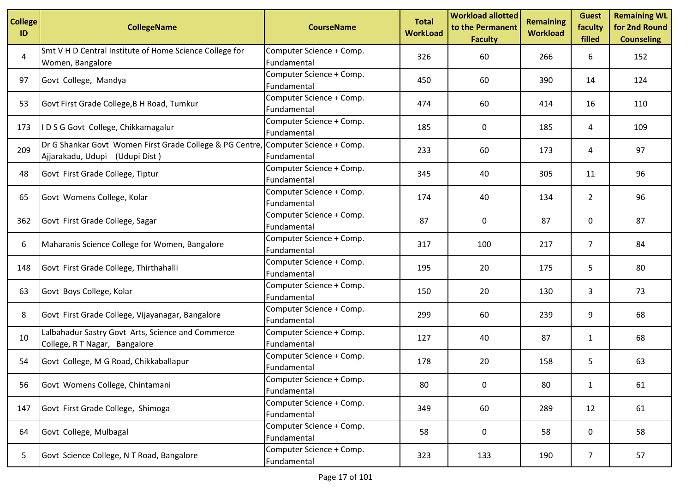| <b>College</b><br>ID | <b>CollegeName</b>                                                                         | <b>CourseName</b>                       | <b>Total</b><br><b>WorkLoad</b> | <b>Workload allotted</b><br>to the Permanent<br><b>Faculty</b> | <b>Remaining</b><br><b>Workload</b> | <b>Guest</b><br>faculty<br>filled | <b>Remaining WL</b><br>for 2nd Round<br><b>Counseling</b> |
|----------------------|--------------------------------------------------------------------------------------------|-----------------------------------------|---------------------------------|----------------------------------------------------------------|-------------------------------------|-----------------------------------|-----------------------------------------------------------|
| 4                    | Smt V H D Central Institute of Home Science College for<br>Women, Bangalore                | Computer Science + Comp.<br>Fundamental | 326                             | 60                                                             | 266                                 | 6                                 | 152                                                       |
| 97                   | Govt College, Mandya                                                                       | Computer Science + Comp.<br>Fundamental | 450                             | 60                                                             | 390                                 | 14                                | 124                                                       |
| 53                   | Govt First Grade College, B H Road, Tumkur                                                 | Computer Science + Comp.<br>Fundamental | 474                             | 60                                                             | 414                                 | 16                                | 110                                                       |
| 173                  | I D S G Govt College, Chikkamagalur                                                        | Computer Science + Comp.<br>Fundamental | 185                             | 0                                                              | 185                                 | 4                                 | 109                                                       |
| 209                  | Dr G Shankar Govt Women First Grade College & PG Centre,<br>Ajjarakadu, Udupi (Udupi Dist) | Computer Science + Comp.<br>Fundamental | 233                             | 60                                                             | 173                                 | 4                                 | 97                                                        |
| 48                   | Govt First Grade College, Tiptur                                                           | Computer Science + Comp.<br>Fundamental | 345                             | 40                                                             | 305                                 | 11                                | 96                                                        |
| 65                   | Govt Womens College, Kolar                                                                 | Computer Science + Comp.<br>Fundamental | 174                             | 40                                                             | 134                                 | $\overline{2}$                    | 96                                                        |
| 362                  | Govt First Grade College, Sagar                                                            | Computer Science + Comp.<br>Fundamental | 87                              | 0                                                              | 87                                  | 0                                 | 87                                                        |
| 6                    | Maharanis Science College for Women, Bangalore                                             | Computer Science + Comp.<br>Fundamental | 317                             | 100                                                            | 217                                 | $\overline{7}$                    | 84                                                        |
| 148                  | Govt First Grade College, Thirthahalli                                                     | Computer Science + Comp.<br>Fundamental | 195                             | 20                                                             | 175                                 | 5                                 | 80                                                        |
| 63                   | Govt Boys College, Kolar                                                                   | Computer Science + Comp.<br>Fundamental | 150                             | 20                                                             | 130                                 | 3                                 | 73                                                        |
| 8                    | Govt First Grade College, Vijayanagar, Bangalore                                           | Computer Science + Comp.<br>Fundamental | 299                             | 60                                                             | 239                                 | 9                                 | 68                                                        |
| 10                   | Lalbahadur Sastry Govt Arts, Science and Commerce<br>College, R T Nagar, Bangalore         | Computer Science + Comp.<br>Fundamental | 127                             | 40                                                             | 87                                  | $\mathbf{1}$                      | 68                                                        |
| 54                   | Govt College, M G Road, Chikkaballapur                                                     | Computer Science + Comp.<br>Fundamental | 178                             | 20                                                             | 158                                 | 5                                 | 63                                                        |
| 56                   | Govt Womens College, Chintamani                                                            | Computer Science + Comp.<br>Fundamental | 80                              | $\mathbf 0$                                                    | 80                                  | $\mathbf{1}$                      | 61                                                        |
| 147                  | Govt First Grade College, Shimoga                                                          | Computer Science + Comp.<br>Fundamental | 349                             | 60                                                             | 289                                 | 12                                | 61                                                        |
| 64                   | Govt College, Mulbagal                                                                     | Computer Science + Comp.<br>Fundamental | 58                              | 0                                                              | 58                                  | 0                                 | 58                                                        |
| 5                    | Govt Science College, N T Road, Bangalore                                                  | Computer Science + Comp.<br>Fundamental | 323                             | 133                                                            | 190                                 | $\overline{7}$                    | 57                                                        |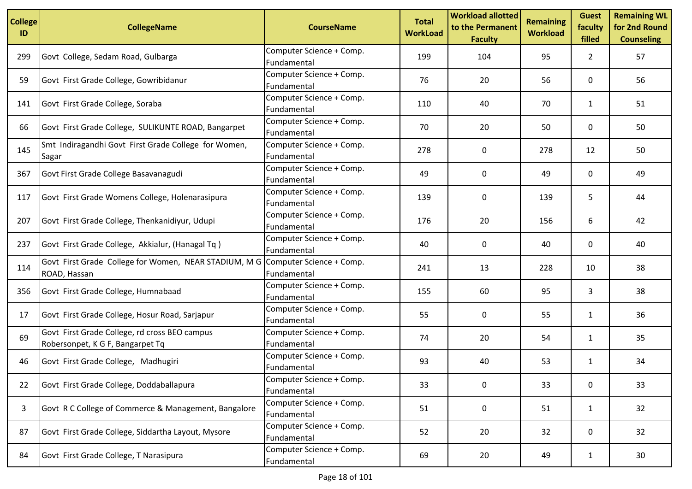| <b>College</b><br>ID | <b>CollegeName</b>                                                                             | <b>CourseName</b>                       | <b>Total</b><br><b>WorkLoad</b> | <b>Workload allotted</b><br>to the Permanent<br><b>Faculty</b> | <b>Remaining</b><br><b>Workload</b> | <b>Guest</b><br>faculty<br>filled | <b>Remaining WL</b><br>for 2nd Round<br><b>Counseling</b> |
|----------------------|------------------------------------------------------------------------------------------------|-----------------------------------------|---------------------------------|----------------------------------------------------------------|-------------------------------------|-----------------------------------|-----------------------------------------------------------|
| 299                  | Govt College, Sedam Road, Gulbarga                                                             | Computer Science + Comp.<br>Fundamental | 199                             | 104                                                            | 95                                  | $\mathbf{2}$                      | 57                                                        |
| 59                   | Govt First Grade College, Gowribidanur                                                         | Computer Science + Comp.<br>Fundamental | 76                              | 20                                                             | 56                                  | 0                                 | 56                                                        |
| 141                  | Govt First Grade College, Soraba                                                               | Computer Science + Comp.<br>Fundamental | 110                             | 40                                                             | 70                                  | $\mathbf{1}$                      | 51                                                        |
| 66                   | Govt First Grade College, SULIKUNTE ROAD, Bangarpet                                            | Computer Science + Comp.<br>Fundamental | 70                              | 20                                                             | 50                                  | 0                                 | 50                                                        |
| 145                  | Smt Indiragandhi Govt First Grade College for Women,<br>Sagar                                  | Computer Science + Comp.<br>Fundamental | 278                             | 0                                                              | 278                                 | 12                                | 50                                                        |
| 367                  | Govt First Grade College Basavanagudi                                                          | Computer Science + Comp.<br>Fundamental | 49                              | 0                                                              | 49                                  | 0                                 | 49                                                        |
| 117                  | Govt First Grade Womens College, Holenarasipura                                                | Computer Science + Comp.<br>Fundamental | 139                             | 0                                                              | 139                                 | 5                                 | 44                                                        |
| 207                  | Govt First Grade College, Thenkanidiyur, Udupi                                                 | Computer Science + Comp.<br>Fundamental | 176                             | 20                                                             | 156                                 | 6                                 | 42                                                        |
| 237                  | Govt First Grade College, Akkialur, (Hanagal Tq)                                               | Computer Science + Comp.<br>Fundamental | 40                              | 0                                                              | 40                                  | 0                                 | 40                                                        |
| 114                  | Govt First Grade College for Women, NEAR STADIUM, M G Computer Science + Comp.<br>ROAD, Hassan | Fundamental                             | 241                             | 13                                                             | 228                                 | 10                                | 38                                                        |
| 356                  | Govt First Grade College, Humnabaad                                                            | Computer Science + Comp.<br>Fundamental | 155                             | 60                                                             | 95                                  | 3                                 | 38                                                        |
| 17                   | Govt First Grade College, Hosur Road, Sarjapur                                                 | Computer Science + Comp.<br>Fundamental | 55                              | 0                                                              | 55                                  | $\mathbf{1}$                      | 36                                                        |
| 69                   | Govt First Grade College, rd cross BEO campus<br>Robersonpet, K G F, Bangarpet Tq              | Computer Science + Comp.<br>Fundamental | 74                              | 20                                                             | 54                                  | 1                                 | 35                                                        |
| 46                   | Govt First Grade College, Madhugiri                                                            | Computer Science + Comp.<br>Fundamental | 93                              | 40                                                             | 53                                  | $\mathbf{1}$                      | 34                                                        |
| 22                   | Govt First Grade College, Doddaballapura                                                       | Computer Science + Comp.<br>Fundamental | 33                              | $\mathbf 0$                                                    | 33                                  | $\mathbf 0$                       | 33                                                        |
| 3                    | Govt R C College of Commerce & Management, Bangalore                                           | Computer Science + Comp.<br>Fundamental | 51                              | 0                                                              | 51                                  | $\mathbf{1}$                      | 32                                                        |
| 87                   | Govt First Grade College, Siddartha Layout, Mysore                                             | Computer Science + Comp.<br>Fundamental | 52                              | 20                                                             | 32                                  | 0                                 | 32                                                        |
| 84                   | Govt First Grade College, T Narasipura                                                         | Computer Science + Comp.<br>Fundamental | 69                              | 20                                                             | 49                                  | $\mathbf{1}$                      | 30 <sup>°</sup>                                           |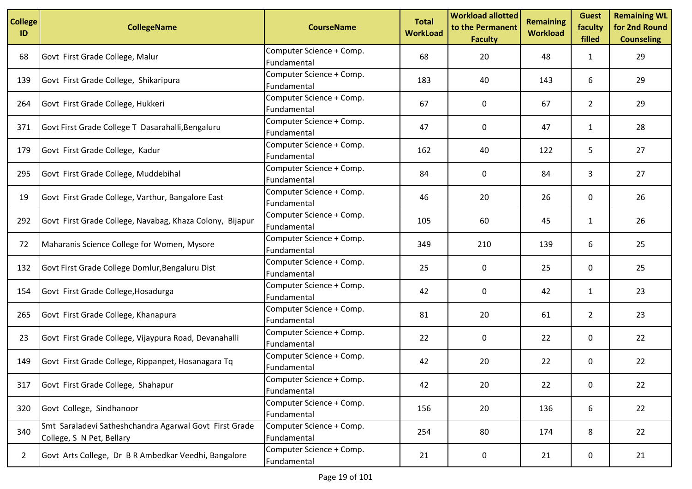| <b>College</b><br>ID | <b>CollegeName</b>                                                                  | <b>CourseName</b>                       | <b>Total</b><br><b>WorkLoad</b> | <b>Workload allotted</b><br>to the Permanent<br><b>Faculty</b> | <b>Remaining</b><br><b>Workload</b> | <b>Guest</b><br>faculty<br>filled | <b>Remaining WL</b><br>for 2nd Round<br><b>Counseling</b> |
|----------------------|-------------------------------------------------------------------------------------|-----------------------------------------|---------------------------------|----------------------------------------------------------------|-------------------------------------|-----------------------------------|-----------------------------------------------------------|
| 68                   | Govt First Grade College, Malur                                                     | Computer Science + Comp.<br>Fundamental | 68                              | 20                                                             | 48                                  | 1                                 | 29                                                        |
| 139                  | Govt First Grade College, Shikaripura                                               | Computer Science + Comp.<br>Fundamental | 183                             | 40                                                             | 143                                 | 6                                 | 29                                                        |
| 264                  | Govt First Grade College, Hukkeri                                                   | Computer Science + Comp.<br>Fundamental | 67                              | $\mathbf{0}$                                                   | 67                                  | $\overline{2}$                    | 29                                                        |
| 371                  | Govt First Grade College T Dasarahalli, Bengaluru                                   | Computer Science + Comp.<br>Fundamental | 47                              | 0                                                              | 47                                  | 1                                 | 28                                                        |
| 179                  | Govt First Grade College, Kadur                                                     | Computer Science + Comp.<br>Fundamental | 162                             | 40                                                             | 122                                 | 5                                 | 27                                                        |
| 295                  | Govt First Grade College, Muddebihal                                                | Computer Science + Comp.<br>Fundamental | 84                              | 0                                                              | 84                                  | 3                                 | 27                                                        |
| 19                   | Govt First Grade College, Varthur, Bangalore East                                   | Computer Science + Comp.<br>Fundamental | 46                              | 20                                                             | 26                                  | 0                                 | 26                                                        |
| 292                  | Govt First Grade College, Navabag, Khaza Colony, Bijapur                            | Computer Science + Comp.<br>Fundamental | 105                             | 60                                                             | 45                                  | $\mathbf{1}$                      | 26                                                        |
| 72                   | Maharanis Science College for Women, Mysore                                         | Computer Science + Comp.<br>Fundamental | 349                             | 210                                                            | 139                                 | 6                                 | 25                                                        |
| 132                  | Govt First Grade College Domlur, Bengaluru Dist                                     | Computer Science + Comp.<br>Fundamental | 25                              | 0                                                              | 25                                  | 0                                 | 25                                                        |
| 154                  | Govt First Grade College, Hosadurga                                                 | Computer Science + Comp.<br>Fundamental | 42                              | $\Omega$                                                       | 42                                  | $\mathbf{1}$                      | 23                                                        |
| 265                  | Govt First Grade College, Khanapura                                                 | Computer Science + Comp.<br>Fundamental | 81                              | 20                                                             | 61                                  | $\overline{2}$                    | 23                                                        |
| 23                   | Govt First Grade College, Vijaypura Road, Devanahalli                               | Computer Science + Comp.<br>Fundamental | 22                              | 0                                                              | 22                                  | 0                                 | 22                                                        |
| 149                  | Govt First Grade College, Rippanpet, Hosanagara Tq                                  | Computer Science + Comp.<br>Fundamental | 42                              | 20                                                             | 22                                  | 0                                 | 22                                                        |
| 317                  | Govt First Grade College, Shahapur                                                  | Computer Science + Comp.<br>Fundamental | 42                              | 20                                                             | 22                                  | 0                                 | 22                                                        |
| 320                  | Govt College, Sindhanoor                                                            | Computer Science + Comp.<br>Fundamental | 156                             | 20                                                             | 136                                 | 6                                 | 22                                                        |
| 340                  | Smt Saraladevi Satheshchandra Agarwal Govt First Grade<br>College, S N Pet, Bellary | Computer Science + Comp.<br>Fundamental | 254                             | 80                                                             | 174                                 | 8                                 | 22                                                        |
| $\overline{2}$       | Govt Arts College, Dr B R Ambedkar Veedhi, Bangalore                                | Computer Science + Comp.<br>Fundamental | 21                              | 0                                                              | 21                                  | 0                                 | 21                                                        |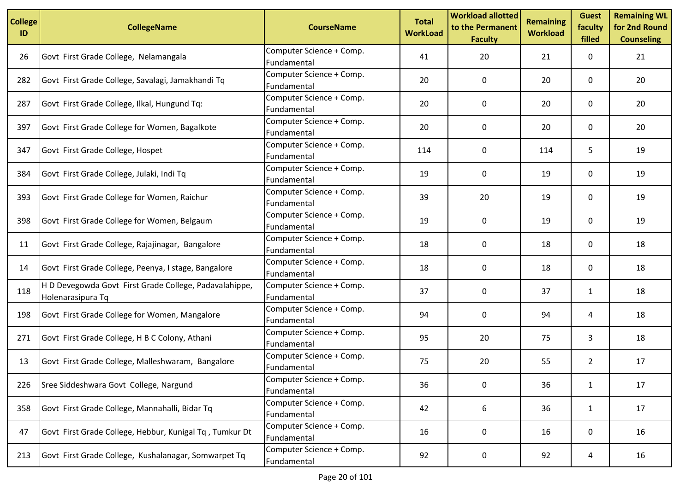| <b>College</b><br>ID | <b>CollegeName</b>                                                          | <b>CourseName</b>                       | <b>Total</b><br><b>WorkLoad</b> | <b>Workload allotted</b><br>to the Permanent<br><b>Faculty</b> | <b>Remaining</b><br><b>Workload</b> | <b>Guest</b><br>faculty<br>filled | <b>Remaining WL</b><br>for 2nd Round<br><b>Counseling</b> |
|----------------------|-----------------------------------------------------------------------------|-----------------------------------------|---------------------------------|----------------------------------------------------------------|-------------------------------------|-----------------------------------|-----------------------------------------------------------|
| 26                   | Govt First Grade College, Nelamangala                                       | Computer Science + Comp.<br>Fundamental | 41                              | 20                                                             | 21                                  | 0                                 | 21                                                        |
| 282                  | Govt First Grade College, Savalagi, Jamakhandi Tq                           | Computer Science + Comp.<br>Fundamental | 20                              | 0                                                              | 20                                  | 0                                 | 20                                                        |
| 287                  | Govt First Grade College, Ilkal, Hungund Tq:                                | Computer Science + Comp.<br>Fundamental | 20                              | 0                                                              | 20                                  | 0                                 | 20                                                        |
| 397                  | Govt First Grade College for Women, Bagalkote                               | Computer Science + Comp.<br>Fundamental | 20                              | 0                                                              | 20                                  | 0                                 | 20                                                        |
| 347                  | Govt First Grade College, Hospet                                            | Computer Science + Comp.<br>Fundamental | 114                             | 0                                                              | 114                                 | 5                                 | 19                                                        |
| 384                  | Govt First Grade College, Julaki, Indi Tq                                   | Computer Science + Comp.<br>Fundamental | 19                              | 0                                                              | 19                                  | 0                                 | 19                                                        |
| 393                  | Govt First Grade College for Women, Raichur                                 | Computer Science + Comp.<br>Fundamental | 39                              | 20                                                             | 19                                  | 0                                 | 19                                                        |
| 398                  | Govt First Grade College for Women, Belgaum                                 | Computer Science + Comp.<br>Fundamental | 19                              | 0                                                              | 19                                  | $\mathbf{0}$                      | 19                                                        |
| 11                   | Govt First Grade College, Rajajinagar, Bangalore                            | Computer Science + Comp.<br>Fundamental | 18                              | 0                                                              | 18                                  | 0                                 | 18                                                        |
| 14                   | Govt First Grade College, Peenya, I stage, Bangalore                        | Computer Science + Comp.<br>Fundamental | 18                              | 0                                                              | 18                                  | 0                                 | 18                                                        |
| 118                  | H D Devegowda Govt First Grade College, Padavalahippe,<br>Holenarasipura Tq | Computer Science + Comp.<br>Fundamental | 37                              | 0                                                              | 37                                  | 1                                 | 18                                                        |
| 198                  | Govt First Grade College for Women, Mangalore                               | Computer Science + Comp.<br>Fundamental | 94                              | 0                                                              | 94                                  | 4                                 | 18                                                        |
| 271                  | Govt First Grade College, H B C Colony, Athani                              | Computer Science + Comp.<br>Fundamental | 95                              | 20                                                             | 75                                  | 3                                 | 18                                                        |
| 13                   | Govt First Grade College, Malleshwaram, Bangalore                           | Computer Science + Comp.<br>Fundamental | 75                              | 20                                                             | 55                                  | $\overline{2}$                    | 17                                                        |
| 226                  | Sree Siddeshwara Govt College, Nargund                                      | Computer Science + Comp.<br>Fundamental | 36                              | 0                                                              | 36                                  | $\mathbf{1}$                      | 17                                                        |
| 358                  | Govt First Grade College, Mannahalli, Bidar Tq                              | Computer Science + Comp.<br>Fundamental | 42                              | 6                                                              | 36                                  | $\mathbf{1}$                      | 17                                                        |
| 47                   | Govt First Grade College, Hebbur, Kunigal Tq, Tumkur Dt                     | Computer Science + Comp.<br>Fundamental | 16                              | 0                                                              | 16                                  | 0                                 | 16                                                        |
| 213                  | Govt First Grade College, Kushalanagar, Somwarpet Tq                        | Computer Science + Comp.<br>Fundamental | 92                              | 0                                                              | 92                                  | 4                                 | 16                                                        |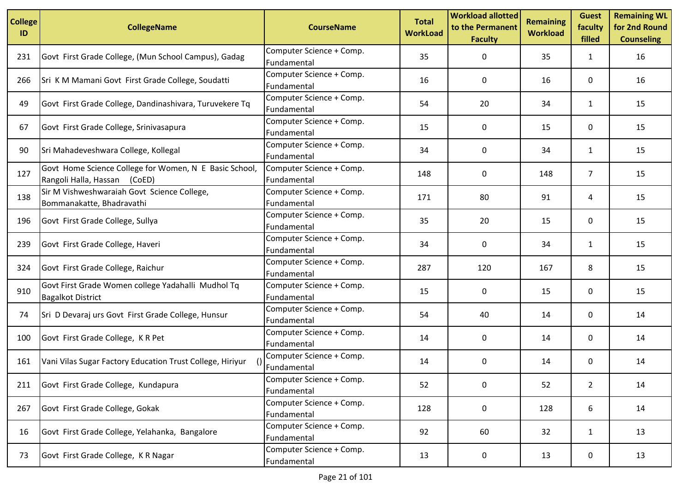| <b>College</b><br>ID | <b>CollegeName</b>                                                                        | <b>CourseName</b>                       | <b>Total</b><br><b>WorkLoad</b> | <b>Workload allotted</b><br>to the Permanent<br><b>Faculty</b> | <b>Remaining</b><br><b>Workload</b> | <b>Guest</b><br>faculty<br>filled | <b>Remaining WL</b><br>for 2nd Round<br><b>Counseling</b> |
|----------------------|-------------------------------------------------------------------------------------------|-----------------------------------------|---------------------------------|----------------------------------------------------------------|-------------------------------------|-----------------------------------|-----------------------------------------------------------|
| 231                  | Govt First Grade College, (Mun School Campus), Gadag                                      | Computer Science + Comp.<br>Fundamental | 35                              | 0                                                              | 35                                  | 1                                 | 16                                                        |
| 266                  | Sri K M Mamani Govt First Grade College, Soudatti                                         | Computer Science + Comp.<br>Fundamental | 16                              | 0                                                              | 16                                  | 0                                 | 16                                                        |
| 49                   | Govt First Grade College, Dandinashivara, Turuvekere Tq                                   | Computer Science + Comp.<br>Fundamental | 54                              | 20                                                             | 34                                  | $\mathbf{1}$                      | 15                                                        |
| 67                   | Govt First Grade College, Srinivasapura                                                   | Computer Science + Comp.<br>Fundamental | 15                              | 0                                                              | 15                                  | 0                                 | 15                                                        |
| 90                   | Sri Mahadeveshwara College, Kollegal                                                      | Computer Science + Comp.<br>Fundamental | 34                              | 0                                                              | 34                                  | $\mathbf{1}$                      | 15                                                        |
| 127                  | Govt Home Science College for Women, N E Basic School,<br>Rangoli Halla, Hassan<br>(CoED) | Computer Science + Comp.<br>Fundamental | 148                             | 0                                                              | 148                                 | $\overline{7}$                    | 15                                                        |
| 138                  | Sir M Vishweshwaraiah Govt Science College,<br>Bommanakatte, Bhadravathi                  | Computer Science + Comp.<br>Fundamental | 171                             | 80                                                             | 91                                  | 4                                 | 15                                                        |
| 196                  | Govt First Grade College, Sullya                                                          | Computer Science + Comp.<br>Fundamental | 35                              | 20                                                             | 15                                  | 0                                 | 15                                                        |
| 239                  | Govt First Grade College, Haveri                                                          | Computer Science + Comp.<br>Fundamental | 34                              | 0                                                              | 34                                  | $\mathbf{1}$                      | 15                                                        |
| 324                  | Govt First Grade College, Raichur                                                         | Computer Science + Comp.<br>Fundamental | 287                             | 120                                                            | 167                                 | 8                                 | 15                                                        |
| 910                  | Govt First Grade Women college Yadahalli Mudhol Tq<br><b>Bagalkot District</b>            | Computer Science + Comp.<br>Fundamental | 15                              | 0                                                              | 15                                  | 0                                 | 15                                                        |
| 74                   | Sri D Devaraj urs Govt First Grade College, Hunsur                                        | Computer Science + Comp.<br>Fundamental | 54                              | 40                                                             | 14                                  | 0                                 | 14                                                        |
| 100                  | Govt First Grade College, K R Pet                                                         | Computer Science + Comp.<br>Fundamental | 14                              | 0                                                              | 14                                  | 0                                 | 14                                                        |
| 161                  | Vani Vilas Sugar Factory Education Trust College, Hiriyur                                 | Computer Science + Comp.<br>Fundamental | 14                              | 0                                                              | 14                                  | 0                                 | 14                                                        |
| 211                  | Govt First Grade College, Kundapura                                                       | Computer Science + Comp.<br>Fundamental | 52                              | $\mathbf 0$                                                    | 52                                  | $\overline{2}$                    | 14                                                        |
| 267                  | Govt First Grade College, Gokak                                                           | Computer Science + Comp.<br>Fundamental | 128                             | 0                                                              | 128                                 | 6                                 | 14                                                        |
| 16                   | Govt First Grade College, Yelahanka, Bangalore                                            | Computer Science + Comp.<br>Fundamental | 92                              | 60                                                             | 32                                  | $\mathbf{1}$                      | 13                                                        |
| 73                   | Govt First Grade College, K R Nagar                                                       | Computer Science + Comp.<br>Fundamental | 13                              | 0                                                              | 13                                  | 0                                 | 13                                                        |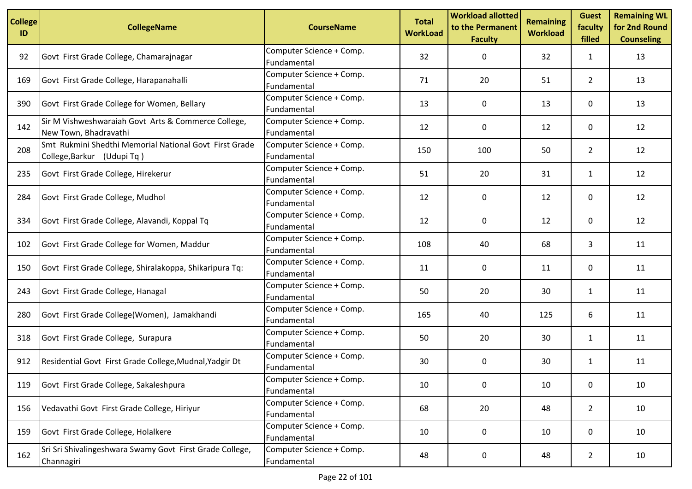| <b>College</b><br>ID | <b>CollegeName</b>                                                                   | <b>CourseName</b>                       | <b>Total</b><br><b>WorkLoad</b> | <b>Workload allotted</b><br>to the Permanent<br><b>Faculty</b> | <b>Remaining</b><br><b>Workload</b> | <b>Guest</b><br>faculty<br>filled | <b>Remaining WL</b><br>for 2nd Round<br><b>Counseling</b> |
|----------------------|--------------------------------------------------------------------------------------|-----------------------------------------|---------------------------------|----------------------------------------------------------------|-------------------------------------|-----------------------------------|-----------------------------------------------------------|
| 92                   | Govt First Grade College, Chamarajnagar                                              | Computer Science + Comp.<br>Fundamental | 32                              | 0                                                              | 32                                  | $\mathbf{1}$                      | 13                                                        |
| 169                  | Govt First Grade College, Harapanahalli                                              | Computer Science + Comp.<br>Fundamental | 71                              | 20                                                             | 51                                  | $\overline{2}$                    | 13                                                        |
| 390                  | Govt First Grade College for Women, Bellary                                          | Computer Science + Comp.<br>Fundamental | 13                              | 0                                                              | 13                                  | 0                                 | 13                                                        |
| 142                  | Sir M Vishweshwaraiah Govt Arts & Commerce College,<br>New Town, Bhadravathi         | Computer Science + Comp.<br>Fundamental | 12                              | 0                                                              | 12                                  | 0                                 | 12                                                        |
| 208                  | Smt Rukmini Shedthi Memorial National Govt First Grade<br>College, Barkur (Udupi Tq) | Computer Science + Comp.<br>Fundamental | 150                             | 100                                                            | 50                                  | $\overline{2}$                    | 12                                                        |
| 235                  | Govt First Grade College, Hirekerur                                                  | Computer Science + Comp.<br>Fundamental | 51                              | 20                                                             | 31                                  | $\mathbf{1}$                      | 12                                                        |
| 284                  | Govt First Grade College, Mudhol                                                     | Computer Science + Comp.<br>Fundamental | 12                              | 0                                                              | 12                                  | 0                                 | 12                                                        |
| 334                  | Govt First Grade College, Alavandi, Koppal Tq                                        | Computer Science + Comp.<br>Fundamental | 12                              | 0                                                              | 12                                  | 0                                 | 12                                                        |
| 102                  | Govt First Grade College for Women, Maddur                                           | Computer Science + Comp.<br>Fundamental | 108                             | 40                                                             | 68                                  | 3                                 | 11                                                        |
| 150                  | Govt First Grade College, Shiralakoppa, Shikaripura Tq:                              | Computer Science + Comp.<br>Fundamental | 11                              | 0                                                              | 11                                  | 0                                 | 11                                                        |
| 243                  | Govt First Grade College, Hanagal                                                    | Computer Science + Comp.<br>Fundamental | 50                              | 20                                                             | 30                                  | 1                                 | 11                                                        |
| 280                  | Govt First Grade College(Women), Jamakhandi                                          | Computer Science + Comp.<br>Fundamental | 165                             | 40                                                             | 125                                 | 6                                 | 11                                                        |
| 318                  | Govt First Grade College, Surapura                                                   | Computer Science + Comp.<br>Fundamental | 50                              | 20                                                             | 30                                  | 1                                 | 11                                                        |
| 912                  | Residential Govt First Grade College, Mudnal, Yadgir Dt                              | Computer Science + Comp.<br>Fundamental | 30                              | 0                                                              | 30                                  | $\mathbf{1}$                      | 11                                                        |
| 119                  | Govt First Grade College, Sakaleshpura                                               | Computer Science + Comp.<br>Fundamental | 10                              | $\mathbf 0$                                                    | $10\,$                              | 0                                 | 10                                                        |
| 156                  | Vedavathi Govt First Grade College, Hiriyur                                          | Computer Science + Comp.<br>Fundamental | 68                              | 20                                                             | 48                                  | $2^{\circ}$                       | 10                                                        |
| 159                  | Govt First Grade College, Holalkere                                                  | Computer Science + Comp.<br>Fundamental | 10                              | 0                                                              | 10                                  | 0                                 | 10                                                        |
| 162                  | Sri Sri Shivalingeshwara Swamy Govt First Grade College,<br>Channagiri               | Computer Science + Comp.<br>Fundamental | 48                              | 0                                                              | 48                                  | $\overline{2}$                    | 10                                                        |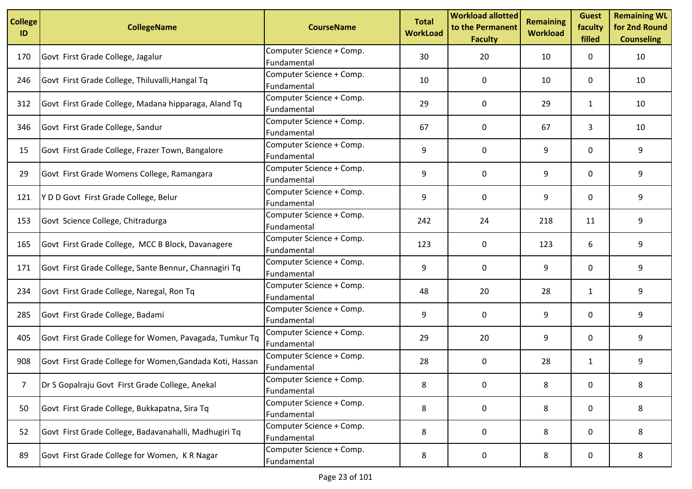| <b>College</b><br>ID | <b>CollegeName</b>                                       | <b>CourseName</b>                       | <b>Total</b><br><b>WorkLoad</b> | <b>Workload allotted</b><br>to the Permanent<br><b>Faculty</b> | <b>Remaining</b><br><b>Workload</b> | <b>Guest</b><br>faculty<br>filled | <b>Remaining WL</b><br>for 2nd Round<br><b>Counseling</b> |
|----------------------|----------------------------------------------------------|-----------------------------------------|---------------------------------|----------------------------------------------------------------|-------------------------------------|-----------------------------------|-----------------------------------------------------------|
| 170                  | Govt First Grade College, Jagalur                        | Computer Science + Comp.<br>Fundamental | 30                              | 20                                                             | 10                                  | 0                                 | 10                                                        |
| 246                  | Govt First Grade College, Thiluvalli, Hangal Tq          | Computer Science + Comp.<br>Fundamental | 10                              | 0                                                              | 10                                  | 0                                 | 10                                                        |
| 312                  | Govt First Grade College, Madana hipparaga, Aland Tq     | Computer Science + Comp.<br>Fundamental | 29                              | 0                                                              | 29                                  | $\mathbf{1}$                      | 10                                                        |
| 346                  | Govt First Grade College, Sandur                         | Computer Science + Comp.<br>Fundamental | 67                              | 0                                                              | 67                                  | 3                                 | 10                                                        |
| 15                   | Govt First Grade College, Frazer Town, Bangalore         | Computer Science + Comp.<br>Fundamental | 9                               | 0                                                              | 9                                   | 0                                 | 9                                                         |
| 29                   | Govt First Grade Womens College, Ramangara               | Computer Science + Comp.<br>Fundamental | 9                               | 0                                                              | 9                                   | 0                                 | 9                                                         |
| 121                  | IY D D Govt First Grade College, Belur                   | Computer Science + Comp.<br>Fundamental | 9                               | 0                                                              | 9                                   | 0                                 | 9                                                         |
| 153                  | Govt Science College, Chitradurga                        | Computer Science + Comp.<br>Fundamental | 242                             | 24                                                             | 218                                 | 11                                | 9                                                         |
| 165                  | Govt First Grade College, MCC B Block, Davanagere        | Computer Science + Comp.<br>Fundamental | 123                             | 0                                                              | 123                                 | 6                                 | 9                                                         |
| 171                  | Govt First Grade College, Sante Bennur, Channagiri Tq    | Computer Science + Comp.<br>Fundamental | 9                               | 0                                                              | 9                                   | 0                                 | 9                                                         |
| 234                  | Govt First Grade College, Naregal, Ron Tq                | Computer Science + Comp.<br>Fundamental | 48                              | 20                                                             | 28                                  | $\mathbf{1}$                      | 9                                                         |
| 285                  | Govt First Grade College, Badami                         | Computer Science + Comp.<br>Fundamental | 9                               | 0                                                              | 9                                   | 0                                 | 9                                                         |
| 405                  | Govt First Grade College for Women, Pavagada, Tumkur Tq  | Computer Science + Comp.<br>Fundamental | 29                              | 20                                                             | 9                                   | 0                                 | 9                                                         |
| 908                  | Govt First Grade College for Women, Gandada Koti, Hassan | Computer Science + Comp.<br>Fundamental | 28                              | 0                                                              | 28                                  | $\mathbf{1}$                      | 9                                                         |
| $\overline{7}$       | Dr S Gopalraju Govt First Grade College, Anekal          | Computer Science + Comp.<br>Fundamental | 8                               | 0                                                              | 8                                   | $\mathbf 0$                       | 8                                                         |
| 50                   | Govt First Grade College, Bukkapatna, Sira Tq            | Computer Science + Comp.<br>Fundamental | 8                               | 0                                                              | 8                                   | 0                                 | 8                                                         |
| 52                   | Govt First Grade College, Badavanahalli, Madhugiri Tq    | Computer Science + Comp.<br>Fundamental | 8                               | 0                                                              | 8                                   | 0                                 | 8                                                         |
| 89                   | Govt First Grade College for Women, KR Nagar             | Computer Science + Comp.<br>Fundamental | 8                               | 0                                                              | 8                                   | 0                                 | 8                                                         |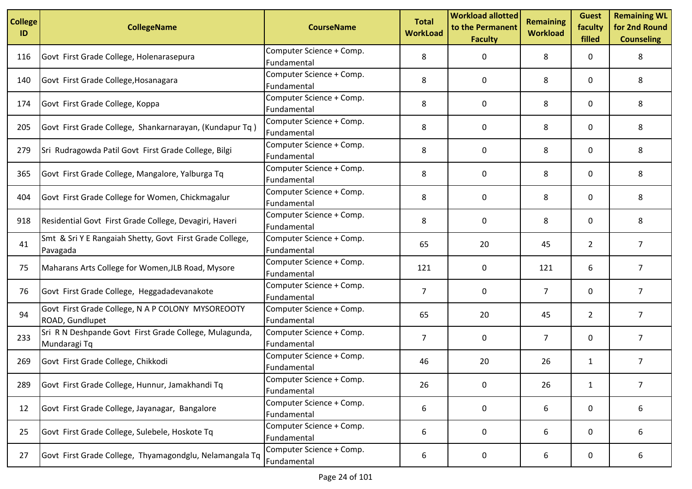| <b>College</b><br>ID | <b>CollegeName</b>                                                     | <b>CourseName</b>                       | <b>Total</b><br><b>WorkLoad</b> | <b>Workload allotted</b><br>to the Permanent<br><b>Faculty</b> | <b>Remaining</b><br><b>Workload</b> | <b>Guest</b><br>faculty<br>filled | <b>Remaining WL</b><br>for 2nd Round<br><b>Counseling</b> |
|----------------------|------------------------------------------------------------------------|-----------------------------------------|---------------------------------|----------------------------------------------------------------|-------------------------------------|-----------------------------------|-----------------------------------------------------------|
| 116                  | Govt First Grade College, Holenarasepura                               | Computer Science + Comp.<br>Fundamental | 8                               | 0                                                              | 8                                   | 0                                 | 8                                                         |
| 140                  | Govt First Grade College, Hosanagara                                   | Computer Science + Comp.<br>Fundamental | 8                               | 0                                                              | 8                                   | 0                                 | 8                                                         |
| 174                  | Govt First Grade College, Koppa                                        | Computer Science + Comp.<br>Fundamental | 8                               | 0                                                              | 8                                   | 0                                 | 8                                                         |
| 205                  | Govt First Grade College, Shankarnarayan, (Kundapur Tq)                | Computer Science + Comp.<br>Fundamental | 8                               | 0                                                              | 8                                   | 0                                 | 8                                                         |
| 279                  | Sri Rudragowda Patil Govt First Grade College, Bilgi                   | Computer Science + Comp.<br>Fundamental | 8                               | 0                                                              | 8                                   | 0                                 | 8                                                         |
| 365                  | Govt First Grade College, Mangalore, Yalburga Tq                       | Computer Science + Comp.<br>Fundamental | 8                               | $\Omega$                                                       | 8                                   | $\mathbf{0}$                      | 8                                                         |
| 404                  | Govt First Grade College for Women, Chickmagalur                       | Computer Science + Comp.<br>Fundamental | 8                               | 0                                                              | 8                                   | 0                                 | 8                                                         |
| 918                  | Residential Govt First Grade College, Devagiri, Haveri                 | Computer Science + Comp.<br>Fundamental | 8                               | 0                                                              | 8                                   | $\mathbf{0}$                      | 8                                                         |
| 41                   | Smt & Sri Y E Rangaiah Shetty, Govt First Grade College,<br>Pavagada   | Computer Science + Comp.<br>Fundamental | 65                              | 20                                                             | 45                                  | $\overline{2}$                    | $\overline{7}$                                            |
| 75                   | Maharans Arts College for Women, JLB Road, Mysore                      | Computer Science + Comp.<br>Fundamental | 121                             | 0                                                              | 121                                 | 6                                 | $\overline{7}$                                            |
| 76                   | Govt First Grade College, Heggadadevanakote                            | Computer Science + Comp.<br>Fundamental | $\overline{7}$                  | 0                                                              | $\overline{7}$                      | 0                                 | $\overline{7}$                                            |
| 94                   | Govt First Grade College, N A P COLONY MYSOREOOTY<br>ROAD, Gundlupet   | Computer Science + Comp.<br>Fundamental | 65                              | 20                                                             | 45                                  | $\overline{2}$                    | $\overline{7}$                                            |
| 233                  | Sri R N Deshpande Govt First Grade College, Mulagunda,<br>Mundaragi Tq | Computer Science + Comp.<br>Fundamental | 7                               | 0                                                              | 7                                   | 0                                 | $\overline{7}$                                            |
| 269                  | Govt First Grade College, Chikkodi                                     | Computer Science + Comp.<br>Fundamental | 46                              | 20                                                             | 26                                  | $\mathbf{1}$                      | $\overline{7}$                                            |
| 289                  | Govt First Grade College, Hunnur, Jamakhandi Tq                        | Computer Science + Comp.<br>Fundamental | 26                              | $\mathbf 0$                                                    | 26                                  | $\mathbf{1}$                      | 7                                                         |
| 12                   | Govt First Grade College, Jayanagar, Bangalore                         | Computer Science + Comp.<br>Fundamental | 6                               | 0                                                              | 6                                   | 0                                 | 6                                                         |
| 25                   | Govt First Grade College, Sulebele, Hoskote Tq                         | Computer Science + Comp.<br>Fundamental | 6                               | 0                                                              | 6                                   | 0                                 | 6                                                         |
| 27                   | Govt First Grade College, Thyamagondglu, Nelamangala Tq                | Computer Science + Comp.<br>Fundamental | 6                               | 0                                                              | 6                                   | 0                                 | 6                                                         |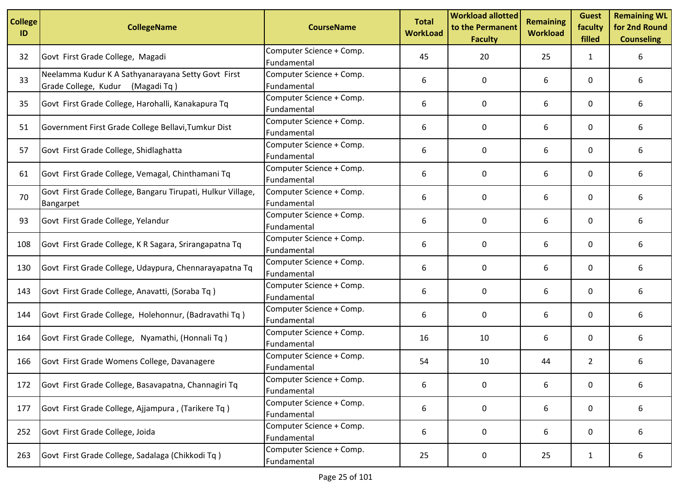| <b>College</b><br>ID | <b>CollegeName</b>                                                                     | <b>CourseName</b>                       | <b>Total</b><br><b>WorkLoad</b> | <b>Workload allotted</b><br>to the Permanent<br><b>Faculty</b> | <b>Remaining</b><br><b>Workload</b> | <b>Guest</b><br>faculty<br>filled | <b>Remaining WL</b><br>for 2nd Round<br><b>Counseling</b> |
|----------------------|----------------------------------------------------------------------------------------|-----------------------------------------|---------------------------------|----------------------------------------------------------------|-------------------------------------|-----------------------------------|-----------------------------------------------------------|
| 32                   | Govt First Grade College, Magadi                                                       | Computer Science + Comp.<br>Fundamental | 45                              | 20                                                             | 25                                  | 1                                 | 6                                                         |
| 33                   | Neelamma Kudur K A Sathyanarayana Setty Govt First<br>Grade College, Kudur (Magadi Tq) | Computer Science + Comp.<br>Fundamental | 6                               | 0                                                              | 6                                   | 0                                 | 6                                                         |
| 35                   | Govt First Grade College, Harohalli, Kanakapura Tq                                     | Computer Science + Comp.<br>Fundamental | 6                               | 0                                                              | 6                                   | 0                                 | 6                                                         |
| 51                   | Government First Grade College Bellavi, Tumkur Dist                                    | Computer Science + Comp.<br>Fundamental | 6                               | 0                                                              | 6                                   | 0                                 | 6                                                         |
| 57                   | Govt First Grade College, Shidlaghatta                                                 | Computer Science + Comp.<br>Fundamental | 6                               | 0                                                              | 6                                   | 0                                 | 6                                                         |
| 61                   | Govt First Grade College, Vemagal, Chinthamani Tq                                      | Computer Science + Comp.<br>Fundamental | 6                               | $\mathbf{0}$                                                   | 6                                   | 0                                 | 6                                                         |
| 70                   | Govt First Grade College, Bangaru Tirupati, Hulkur Village,<br>Bangarpet               | Computer Science + Comp.<br>Fundamental | 6                               | 0                                                              | 6                                   | 0                                 | 6                                                         |
| 93                   | Govt First Grade College, Yelandur                                                     | Computer Science + Comp.<br>Fundamental | 6                               | 0                                                              | 6                                   | $\mathbf{0}$                      | 6                                                         |
| 108                  | Govt First Grade College, K R Sagara, Srirangapatna Tq                                 | Computer Science + Comp.<br>Fundamental | 6                               | 0                                                              | 6                                   | 0                                 | 6                                                         |
| 130                  | Govt First Grade College, Udaypura, Chennarayapatna Tq                                 | Computer Science + Comp.<br>Fundamental | 6                               | 0                                                              | 6                                   | 0                                 | 6                                                         |
| 143                  | Govt First Grade College, Anavatti, (Soraba Tq)                                        | Computer Science + Comp.<br>Fundamental | 6                               | $\mathbf 0$                                                    | 6                                   | 0                                 | 6                                                         |
| 144                  | Govt First Grade College, Holehonnur, (Badravathi Tq)                                  | Computer Science + Comp.<br>Fundamental | 6                               | 0                                                              | 6                                   | 0                                 | 6                                                         |
| 164                  | Govt First Grade College, Nyamathi, (Honnali Tq)                                       | Computer Science + Comp.<br>Fundamental | 16                              | 10                                                             | 6                                   | 0                                 | 6                                                         |
| 166                  | Govt First Grade Womens College, Davanagere                                            | Computer Science + Comp.<br>Fundamental | 54                              | 10                                                             | 44                                  | $\overline{2}$                    | 6                                                         |
| 172                  | Govt First Grade College, Basavapatna, Channagiri Tq                                   | Computer Science + Comp.<br>Fundamental | 6                               | 0                                                              | 6                                   | 0                                 | 6                                                         |
| 177                  | Govt First Grade College, Ajjampura, (Tarikere Tq)                                     | Computer Science + Comp.<br>Fundamental | 6                               | 0                                                              | 6                                   | 0                                 | 6                                                         |
| 252                  | Govt First Grade College, Joida                                                        | Computer Science + Comp.<br>Fundamental | 6                               | 0                                                              | 6                                   | 0                                 | 6                                                         |
| 263                  | Govt First Grade College, Sadalaga (Chikkodi Tq)                                       | Computer Science + Comp.<br>Fundamental | 25                              | 0                                                              | 25                                  | $\mathbf{1}$                      | 6                                                         |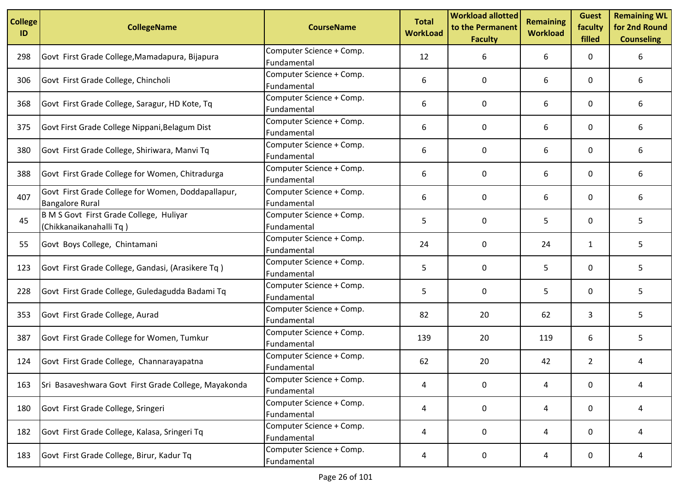| <b>College</b><br>ID | <b>CollegeName</b>                                                           | <b>CourseName</b>                       | <b>Total</b><br><b>WorkLoad</b> | <b>Workload allotted</b><br>to the Permanent<br><b>Faculty</b> | <b>Remaining</b><br><b>Workload</b> | <b>Guest</b><br>faculty<br>filled | <b>Remaining WL</b><br>for 2nd Round<br><b>Counseling</b> |
|----------------------|------------------------------------------------------------------------------|-----------------------------------------|---------------------------------|----------------------------------------------------------------|-------------------------------------|-----------------------------------|-----------------------------------------------------------|
| 298                  | Govt First Grade College, Mamadapura, Bijapura                               | Computer Science + Comp.<br>Fundamental | 12                              | 6                                                              | 6                                   | 0                                 | 6                                                         |
| 306                  | Govt First Grade College, Chincholi                                          | Computer Science + Comp.<br>Fundamental | 6                               | 0                                                              | 6                                   | 0                                 | 6                                                         |
| 368                  | Govt First Grade College, Saragur, HD Kote, Tq                               | Computer Science + Comp.<br>Fundamental | 6                               | 0                                                              | 6                                   | 0                                 | 6                                                         |
| 375                  | Govt First Grade College Nippani, Belagum Dist                               | Computer Science + Comp.<br>Fundamental | 6                               | 0                                                              | 6                                   | 0                                 | 6                                                         |
| 380                  | Govt First Grade College, Shiriwara, Manvi Tq                                | Computer Science + Comp.<br>Fundamental | 6                               | 0                                                              | 6                                   | 0                                 | 6                                                         |
| 388                  | Govt First Grade College for Women, Chitradurga                              | Computer Science + Comp.<br>Fundamental | 6                               | $\Omega$                                                       | 6                                   | $\mathbf{0}$                      | 6                                                         |
| 407                  | Govt First Grade College for Women, Doddapallapur,<br><b>Bangalore Rural</b> | Computer Science + Comp.<br>Fundamental | 6                               | 0                                                              | 6                                   | 0                                 | 6                                                         |
| 45                   | B M S Govt First Grade College, Huliyar<br>(Chikkanaikanahalli Tq)           | Computer Science + Comp.<br>Fundamental | 5                               | 0                                                              | 5                                   | $\mathbf{0}$                      | 5                                                         |
| 55                   | Govt Boys College, Chintamani                                                | Computer Science + Comp.<br>Fundamental | 24                              | 0                                                              | 24                                  | $\mathbf{1}$                      | 5                                                         |
| 123                  | Govt First Grade College, Gandasi, (Arasikere Tq)                            | Computer Science + Comp.<br>Fundamental | 5                               | 0                                                              | 5                                   | 0                                 | 5                                                         |
| 228                  | Govt First Grade College, Guledagudda Badami Tq                              | Computer Science + Comp.<br>Fundamental | 5                               | 0                                                              | 5                                   | 0                                 | 5                                                         |
| 353                  | Govt First Grade College, Aurad                                              | Computer Science + Comp.<br>Fundamental | 82                              | 20                                                             | 62                                  | 3                                 | 5                                                         |
| 387                  | Govt First Grade College for Women, Tumkur                                   | Computer Science + Comp.<br>Fundamental | 139                             | 20                                                             | 119                                 | 6                                 | 5                                                         |
| 124                  | Govt First Grade College, Channarayapatna                                    | Computer Science + Comp.<br>Fundamental | 62                              | 20                                                             | 42                                  | $\overline{2}$                    | 4                                                         |
| 163                  | Sri Basaveshwara Govt First Grade College, Mayakonda                         | Computer Science + Comp.<br>Fundamental | 4                               | 0                                                              | 4                                   | 0                                 | 4                                                         |
| 180                  | Govt First Grade College, Sringeri                                           | Computer Science + Comp.<br>Fundamental | 4                               | 0                                                              | 4                                   | 0                                 | 4                                                         |
| 182                  | Govt First Grade College, Kalasa, Sringeri Tq                                | Computer Science + Comp.<br>Fundamental | 4                               | 0                                                              | 4                                   | 0                                 | 4                                                         |
| 183                  | Govt First Grade College, Birur, Kadur Tq                                    | Computer Science + Comp.<br>Fundamental | 4                               | 0                                                              | 4                                   | 0                                 | 4                                                         |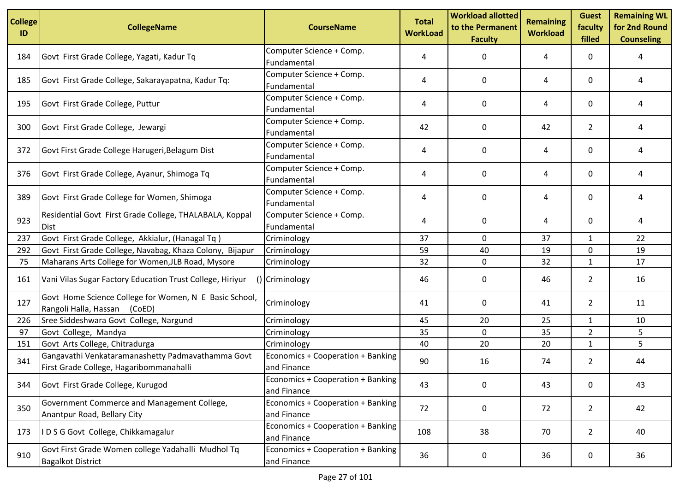| <b>College</b><br>ID | <b>CollegeName</b>                                                                           | <b>CourseName</b>                                | <b>Total</b><br><b>WorkLoad</b> | <b>Workload allotted</b><br>to the Permanent<br><b>Faculty</b> | <b>Remaining</b><br><b>Workload</b> | <b>Guest</b><br>faculty<br>filled | <b>Remaining WL</b><br>for 2nd Round<br><b>Counseling</b> |
|----------------------|----------------------------------------------------------------------------------------------|--------------------------------------------------|---------------------------------|----------------------------------------------------------------|-------------------------------------|-----------------------------------|-----------------------------------------------------------|
| 184                  | Govt First Grade College, Yagati, Kadur Tq                                                   | Computer Science + Comp.<br>Fundamental          | 4                               | 0                                                              | 4                                   | 0                                 | 4                                                         |
| 185                  | Govt First Grade College, Sakarayapatna, Kadur Tq:                                           | Computer Science + Comp.<br>Fundamental          | 4                               | 0                                                              | 4                                   | 0                                 | 4                                                         |
| 195                  | Govt First Grade College, Puttur                                                             | Computer Science + Comp.<br>Fundamental          | 4                               | 0                                                              | 4                                   | 0                                 | 4                                                         |
| 300                  | Govt First Grade College, Jewargi                                                            | Computer Science + Comp.<br>Fundamental          | 42                              | 0                                                              | 42                                  | $\overline{2}$                    | 4                                                         |
| 372                  | Govt First Grade College Harugeri, Belagum Dist                                              | Computer Science + Comp.<br>Fundamental          | 4                               | 0                                                              | 4                                   | 0                                 | 4                                                         |
| 376                  | Govt First Grade College, Ayanur, Shimoga Tq                                                 | Computer Science + Comp.<br>Fundamental          | 4                               | 0                                                              | 4                                   | 0                                 | 4                                                         |
| 389                  | Govt First Grade College for Women, Shimoga                                                  | Computer Science + Comp.<br>Fundamental          | 4                               | 0                                                              | 4                                   | 0                                 | 4                                                         |
| 923                  | Residential Govt First Grade College, THALABALA, Koppal<br>Dist                              | Computer Science + Comp.<br>Fundamental          | 4                               | 0                                                              | 4                                   | 0                                 | 4                                                         |
| 237                  | Govt First Grade College, Akkialur, (Hanagal Tq)                                             | Criminology                                      | 37                              | 0                                                              | 37                                  | 1                                 | 22                                                        |
| 292                  | Govt First Grade College, Navabag, Khaza Colony, Bijapur                                     | Criminology                                      | 59                              | 40                                                             | 19                                  | 0                                 | 19                                                        |
| 75                   | Maharans Arts College for Women, JLB Road, Mysore                                            | Criminology                                      | 32                              | 0                                                              | 32                                  | $\mathbf{1}$                      | 17                                                        |
| 161                  | Vani Vilas Sugar Factory Education Trust College, Hiriyur                                    | () Criminology                                   | 46                              | 0                                                              | 46                                  | $\overline{2}$                    | 16                                                        |
| 127                  | Govt Home Science College for Women, N E Basic School,<br>Rangoli Halla, Hassan<br>(CoED)    | Criminology                                      | 41                              | 0                                                              | 41                                  | $\overline{2}$                    | 11                                                        |
| 226                  | Sree Siddeshwara Govt College, Nargund                                                       | Criminology                                      | 45                              | 20                                                             | 25                                  | $\mathbf{1}$                      | 10                                                        |
| 97                   | Govt College, Mandya                                                                         | Criminology                                      | 35                              | 0                                                              | 35                                  | $\overline{2}$                    | 5                                                         |
| 151                  | Govt Arts College, Chitradurga                                                               | Criminology                                      | 40                              | 20                                                             | 20                                  | $\mathbf{1}$                      | 5                                                         |
| 341                  | Gangavathi Venkataramanashetty Padmavathamma Govt<br>First Grade College, Hagaribommanahalli | Economics + Cooperation + Banking<br>and Finance | 90                              | 16                                                             | 74                                  | $\overline{2}$                    | 44                                                        |
| 344                  | Govt First Grade College, Kurugod                                                            | Economics + Cooperation + Banking<br>and Finance | 43                              | $\mathbf 0$                                                    | 43                                  | 0                                 | 43                                                        |
| 350                  | Government Commerce and Management College,<br>Anantpur Road, Bellary City                   | Economics + Cooperation + Banking<br>and Finance | 72                              | 0                                                              | 72                                  | $2^{\circ}$                       | 42                                                        |
| 173                  | IDSG Govt College, Chikkamagalur                                                             | Economics + Cooperation + Banking<br>and Finance | 108                             | 38                                                             | 70                                  | $\overline{2}$                    | 40                                                        |
| 910                  | Govt First Grade Women college Yadahalli Mudhol Tq<br><b>Bagalkot District</b>               | Economics + Cooperation + Banking<br>and Finance | 36                              | 0                                                              | 36                                  | 0                                 | 36                                                        |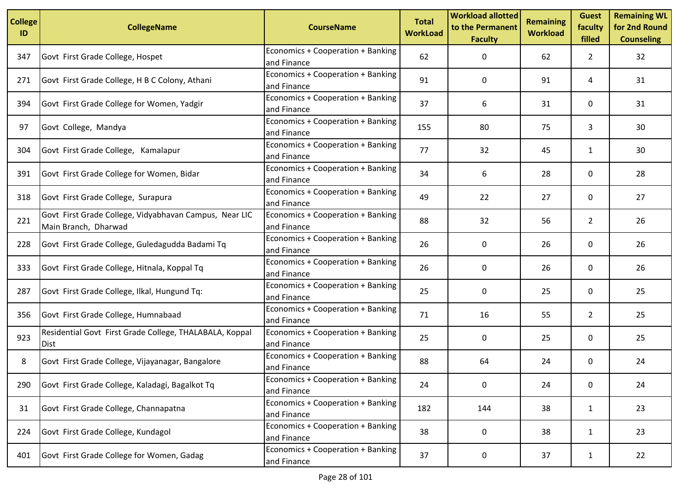| <b>College</b><br>ID | <b>CollegeName</b>                                                             | <b>CourseName</b>                                | <b>Total</b><br><b>WorkLoad</b> | <b>Workload allotted</b><br>to the Permanent<br><b>Faculty</b> | <b>Remaining</b><br><b>Workload</b> | <b>Guest</b><br>faculty<br>filled | <b>Remaining WL</b><br>for 2nd Round<br><b>Counseling</b> |
|----------------------|--------------------------------------------------------------------------------|--------------------------------------------------|---------------------------------|----------------------------------------------------------------|-------------------------------------|-----------------------------------|-----------------------------------------------------------|
| 347                  | Govt First Grade College, Hospet                                               | Economics + Cooperation + Banking<br>and Finance | 62                              | 0                                                              | 62                                  | $\mathbf{2}$                      | 32                                                        |
| 271                  | Govt First Grade College, H B C Colony, Athani                                 | Economics + Cooperation + Banking<br>and Finance | 91                              | 0                                                              | 91                                  | 4                                 | 31                                                        |
| 394                  | Govt First Grade College for Women, Yadgir                                     | Economics + Cooperation + Banking<br>and Finance | 37                              | 6                                                              | 31                                  | 0                                 | 31                                                        |
| 97                   | Govt College, Mandya                                                           | Economics + Cooperation + Banking<br>and Finance | 155                             | 80                                                             | 75                                  | 3                                 | 30                                                        |
| 304                  | Govt First Grade College, Kamalapur                                            | Economics + Cooperation + Banking<br>and Finance | 77                              | 32                                                             | 45                                  | $\mathbf{1}$                      | 30                                                        |
| 391                  | Govt First Grade College for Women, Bidar                                      | Economics + Cooperation + Banking<br>and Finance | 34                              | 6                                                              | 28                                  | 0                                 | 28                                                        |
| 318                  | Govt First Grade College, Surapura                                             | Economics + Cooperation + Banking<br>and Finance | 49                              | 22                                                             | 27                                  | 0                                 | 27                                                        |
| 221                  | Govt First Grade College, Vidyabhavan Campus, Near LIC<br>Main Branch, Dharwad | Economics + Cooperation + Banking<br>and Finance | 88                              | 32                                                             | 56                                  | $\overline{2}$                    | 26                                                        |
| 228                  | Govt First Grade College, Guledagudda Badami Tq                                | Economics + Cooperation + Banking<br>and Finance | 26                              | 0                                                              | 26                                  | 0                                 | 26                                                        |
| 333                  | Govt First Grade College, Hitnala, Koppal Tq                                   | Economics + Cooperation + Banking<br>and Finance | 26                              | 0                                                              | 26                                  | 0                                 | 26                                                        |
| 287                  | Govt First Grade College, Ilkal, Hungund Tq:                                   | Economics + Cooperation + Banking<br>and Finance | 25                              | 0                                                              | 25                                  | 0                                 | 25                                                        |
| 356                  | Govt First Grade College, Humnabaad                                            | Economics + Cooperation + Banking<br>and Finance | 71                              | 16                                                             | 55                                  | $\overline{2}$                    | 25                                                        |
| 923                  | Residential Govt First Grade College, THALABALA, Koppal<br><b>Dist</b>         | Economics + Cooperation + Banking<br>and Finance | 25                              | 0                                                              | 25                                  | 0                                 | 25                                                        |
| 8                    | Govt First Grade College, Vijayanagar, Bangalore                               | Economics + Cooperation + Banking<br>and Finance | 88                              | 64                                                             | 24                                  | 0                                 | 24                                                        |
| 290                  | Govt First Grade College, Kaladagi, Bagalkot Tq                                | Economics + Cooperation + Banking<br>and Finance | 24                              | $\mathbf 0$                                                    | 24                                  | 0                                 | 24                                                        |
| 31                   | Govt First Grade College, Channapatna                                          | Economics + Cooperation + Banking<br>and Finance | 182                             | 144                                                            | 38                                  | $\mathbf{1}$                      | 23                                                        |
| 224                  | Govt First Grade College, Kundagol                                             | Economics + Cooperation + Banking<br>and Finance | 38                              | 0                                                              | 38                                  | 1                                 | 23                                                        |
| 401                  | Govt First Grade College for Women, Gadag                                      | Economics + Cooperation + Banking<br>and Finance | 37                              | 0                                                              | 37                                  | $\mathbf{1}$                      | 22                                                        |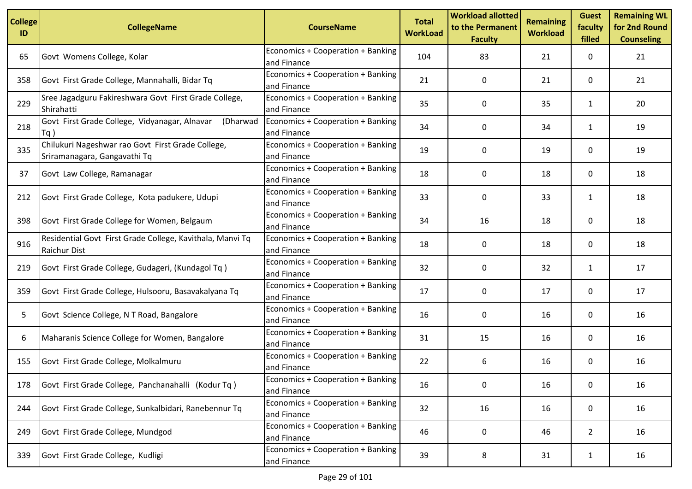| <b>College</b><br>ID | <b>CollegeName</b>                                                                | <b>CourseName</b>                                | <b>Total</b><br><b>WorkLoad</b> | <b>Workload allotted</b><br>to the Permanent<br><b>Faculty</b> | <b>Remaining</b><br><b>Workload</b> | <b>Guest</b><br>faculty<br>filled | <b>Remaining WL</b><br>for 2nd Round<br><b>Counseling</b> |
|----------------------|-----------------------------------------------------------------------------------|--------------------------------------------------|---------------------------------|----------------------------------------------------------------|-------------------------------------|-----------------------------------|-----------------------------------------------------------|
| 65                   | Govt Womens College, Kolar                                                        | Economics + Cooperation + Banking<br>and Finance | 104                             | 83                                                             | 21                                  | 0                                 | 21                                                        |
| 358                  | Govt First Grade College, Mannahalli, Bidar Tq                                    | Economics + Cooperation + Banking<br>and Finance | 21                              | 0                                                              | 21                                  | 0                                 | 21                                                        |
| 229                  | Sree Jagadguru Fakireshwara Govt First Grade College,<br>Shirahatti               | Economics + Cooperation + Banking<br>and Finance | 35                              | 0                                                              | 35                                  | $\mathbf{1}$                      | 20                                                        |
| 218                  | Govt First Grade College, Vidyanagar, Alnavar<br>(Dharwad<br> Tq                  | Economics + Cooperation + Banking<br>and Finance | 34                              | 0                                                              | 34                                  | 1                                 | 19                                                        |
| 335                  | Chilukuri Nageshwar rao Govt First Grade College,<br>Sriramanagara, Gangavathi Tq | Economics + Cooperation + Banking<br>and Finance | 19                              | 0                                                              | 19                                  | 0                                 | 19                                                        |
| 37                   | Govt Law College, Ramanagar                                                       | Economics + Cooperation + Banking<br>and Finance | 18                              | 0                                                              | 18                                  | 0                                 | 18                                                        |
| 212                  | Govt First Grade College, Kota padukere, Udupi                                    | Economics + Cooperation + Banking<br>and Finance | 33                              | 0                                                              | 33                                  | $\mathbf{1}$                      | 18                                                        |
| 398                  | Govt First Grade College for Women, Belgaum                                       | Economics + Cooperation + Banking<br>and Finance | 34                              | 16                                                             | 18                                  | 0                                 | 18                                                        |
| 916                  | Residential Govt First Grade College, Kavithala, Manvi Tq<br>Raichur Dist         | Economics + Cooperation + Banking<br>and Finance | 18                              | 0                                                              | 18                                  | 0                                 | 18                                                        |
| 219                  | Govt First Grade College, Gudageri, (Kundagol Tq)                                 | Economics + Cooperation + Banking<br>and Finance | 32                              | 0                                                              | 32                                  | $\mathbf{1}$                      | 17                                                        |
| 359                  | Govt First Grade College, Hulsooru, Basavakalyana Tq                              | Economics + Cooperation + Banking<br>and Finance | 17                              | 0                                                              | 17                                  | 0                                 | 17                                                        |
| 5                    | Govt Science College, N T Road, Bangalore                                         | Economics + Cooperation + Banking<br>and Finance | 16                              | 0                                                              | 16                                  | 0                                 | 16                                                        |
| 6                    | Maharanis Science College for Women, Bangalore                                    | Economics + Cooperation + Banking<br>and Finance | 31                              | 15                                                             | 16                                  | 0                                 | 16                                                        |
| 155                  | Govt First Grade College, Molkalmuru                                              | Economics + Cooperation + Banking<br>and Finance | 22                              | 6                                                              | 16                                  | 0                                 | 16                                                        |
| 178                  | Govt First Grade College, Panchanahalli (Kodur Tq)                                | Economics + Cooperation + Banking<br>and Finance | 16                              | $\mathbf 0$                                                    | 16                                  | 0                                 | 16                                                        |
| 244                  | Govt First Grade College, Sunkalbidari, Ranebennur Tq                             | Economics + Cooperation + Banking<br>and Finance | 32                              | 16                                                             | 16                                  | 0                                 | 16                                                        |
| 249                  | Govt First Grade College, Mundgod                                                 | Economics + Cooperation + Banking<br>and Finance | 46                              | 0                                                              | 46                                  | $\overline{2}$                    | 16                                                        |
| 339                  | Govt First Grade College, Kudligi                                                 | Economics + Cooperation + Banking<br>and Finance | 39                              | 8                                                              | 31                                  | $\mathbf{1}$                      | 16                                                        |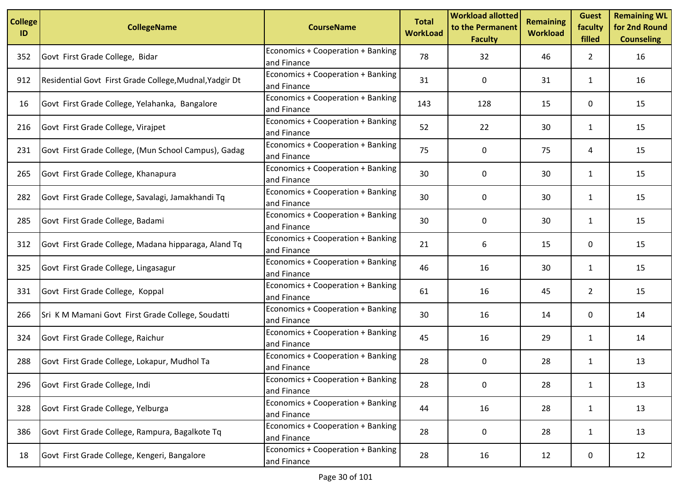| <b>College</b><br>ID | <b>CollegeName</b>                                      | <b>CourseName</b>                                | <b>Total</b><br><b>WorkLoad</b> | <b>Workload allotted</b><br>to the Permanent<br><b>Faculty</b> | <b>Remaining</b><br><b>Workload</b> | <b>Guest</b><br>faculty<br>filled | <b>Remaining WL</b><br>for 2nd Round<br><b>Counseling</b> |
|----------------------|---------------------------------------------------------|--------------------------------------------------|---------------------------------|----------------------------------------------------------------|-------------------------------------|-----------------------------------|-----------------------------------------------------------|
| 352                  | Govt First Grade College, Bidar                         | Economics + Cooperation + Banking<br>and Finance | 78                              | 32                                                             | 46                                  | $\overline{2}$                    | 16                                                        |
| 912                  | Residential Govt First Grade College, Mudnal, Yadgir Dt | Economics + Cooperation + Banking<br>and Finance | 31                              | 0                                                              | 31                                  | $\mathbf{1}$                      | 16                                                        |
| 16                   | Govt First Grade College, Yelahanka, Bangalore          | Economics + Cooperation + Banking<br>and Finance | 143                             | 128                                                            | 15                                  | 0                                 | 15                                                        |
| 216                  | Govt First Grade College, Virajpet                      | Economics + Cooperation + Banking<br>and Finance | 52                              | 22                                                             | 30                                  | $\mathbf{1}$                      | 15                                                        |
| 231                  | Govt First Grade College, (Mun School Campus), Gadag    | Economics + Cooperation + Banking<br>and Finance | 75                              | 0                                                              | 75                                  | 4                                 | 15                                                        |
| 265                  | Govt First Grade College, Khanapura                     | Economics + Cooperation + Banking<br>and Finance | 30                              | $\Omega$                                                       | 30                                  | $\mathbf{1}$                      | 15                                                        |
| 282                  | Govt First Grade College, Savalagi, Jamakhandi Tq       | Economics + Cooperation + Banking<br>and Finance | 30                              | 0                                                              | 30                                  | $\mathbf{1}$                      | 15                                                        |
| 285                  | Govt First Grade College, Badami                        | Economics + Cooperation + Banking<br>and Finance | 30                              | $\Omega$                                                       | 30                                  | $\mathbf{1}$                      | 15                                                        |
| 312                  | Govt First Grade College, Madana hipparaga, Aland Tq    | Economics + Cooperation + Banking<br>and Finance | 21                              | 6                                                              | 15                                  | 0                                 | 15                                                        |
| 325                  | Govt First Grade College, Lingasagur                    | Economics + Cooperation + Banking<br>and Finance | 46                              | 16                                                             | 30                                  | $\mathbf{1}$                      | 15                                                        |
| 331                  | Govt First Grade College, Koppal                        | Economics + Cooperation + Banking<br>and Finance | 61                              | 16                                                             | 45                                  | $\overline{2}$                    | 15                                                        |
| 266                  | Sri K M Mamani Govt First Grade College, Soudatti       | Economics + Cooperation + Banking<br>and Finance | 30                              | 16                                                             | 14                                  | 0                                 | 14                                                        |
| 324                  | Govt First Grade College, Raichur                       | Economics + Cooperation + Banking<br>and Finance | 45                              | 16                                                             | 29                                  | 1                                 | 14                                                        |
| 288                  | Govt First Grade College, Lokapur, Mudhol Ta            | Economics + Cooperation + Banking<br>and Finance | 28                              | 0                                                              | 28                                  | $\mathbf{1}$                      | 13                                                        |
| 296                  | Govt First Grade College, Indi                          | Economics + Cooperation + Banking<br>and Finance | 28                              | $\pmb{0}$                                                      | 28                                  | $\mathbf{1}$                      | 13                                                        |
| 328                  | Govt First Grade College, Yelburga                      | Economics + Cooperation + Banking<br>and Finance | 44                              | 16                                                             | 28                                  | $\mathbf{1}$                      | 13                                                        |
| 386                  | Govt First Grade College, Rampura, Bagalkote Tq         | Economics + Cooperation + Banking<br>and Finance | 28                              | 0                                                              | 28                                  | 1                                 | 13                                                        |
| 18                   | Govt First Grade College, Kengeri, Bangalore            | Economics + Cooperation + Banking<br>and Finance | 28                              | 16                                                             | 12                                  | 0                                 | 12                                                        |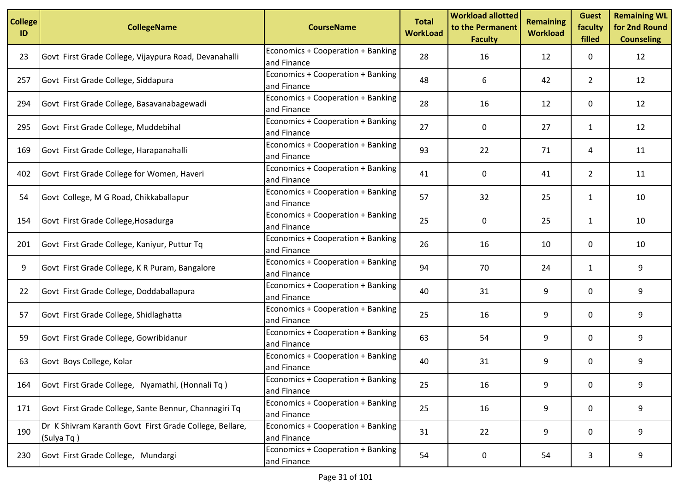| <b>College</b><br>ID | <b>CollegeName</b>                                                    | <b>CourseName</b>                                | <b>Total</b><br><b>WorkLoad</b> | <b>Workload allotted</b><br>to the Permanent<br><b>Faculty</b> | <b>Remaining</b><br><b>Workload</b> | <b>Guest</b><br>faculty<br>filled | <b>Remaining WL</b><br>for 2nd Round<br><b>Counseling</b> |
|----------------------|-----------------------------------------------------------------------|--------------------------------------------------|---------------------------------|----------------------------------------------------------------|-------------------------------------|-----------------------------------|-----------------------------------------------------------|
| 23                   | Govt First Grade College, Vijaypura Road, Devanahalli                 | Economics + Cooperation + Banking<br>and Finance | 28                              | 16                                                             | 12                                  | 0                                 | 12                                                        |
| 257                  | Govt First Grade College, Siddapura                                   | Economics + Cooperation + Banking<br>and Finance | 48                              | 6                                                              | 42                                  | $\overline{2}$                    | 12                                                        |
| 294                  | Govt First Grade College, Basavanabagewadi                            | Economics + Cooperation + Banking<br>and Finance | 28                              | 16                                                             | 12                                  | 0                                 | 12                                                        |
| 295                  | Govt First Grade College, Muddebihal                                  | Economics + Cooperation + Banking<br>and Finance | 27                              | 0                                                              | 27                                  | $\mathbf{1}$                      | 12                                                        |
| 169                  | Govt First Grade College, Harapanahalli                               | Economics + Cooperation + Banking<br>and Finance | 93                              | 22                                                             | 71                                  | 4                                 | 11                                                        |
| 402                  | Govt First Grade College for Women, Haveri                            | Economics + Cooperation + Banking<br>and Finance | 41                              | 0                                                              | 41                                  | $\overline{2}$                    | 11                                                        |
| 54                   | Govt College, M G Road, Chikkaballapur                                | Economics + Cooperation + Banking<br>and Finance | 57                              | 32                                                             | 25                                  | $\mathbf{1}$                      | 10                                                        |
| 154                  | Govt First Grade College, Hosadurga                                   | Economics + Cooperation + Banking<br>and Finance | 25                              | $\Omega$                                                       | 25                                  | $\mathbf{1}$                      | 10                                                        |
| 201                  | Govt First Grade College, Kaniyur, Puttur Tq                          | Economics + Cooperation + Banking<br>and Finance | 26                              | 16                                                             | 10                                  | 0                                 | 10                                                        |
| 9                    | Govt First Grade College, K R Puram, Bangalore                        | Economics + Cooperation + Banking<br>and Finance | 94                              | 70                                                             | 24                                  | $\mathbf{1}$                      | 9                                                         |
| 22                   | Govt First Grade College, Doddaballapura                              | Economics + Cooperation + Banking<br>and Finance | 40                              | 31                                                             | 9                                   | 0                                 | 9                                                         |
| 57                   | Govt First Grade College, Shidlaghatta                                | Economics + Cooperation + Banking<br>and Finance | 25                              | 16                                                             | 9                                   | 0                                 | 9                                                         |
| 59                   | Govt First Grade College, Gowribidanur                                | Economics + Cooperation + Banking<br>and Finance | 63                              | 54                                                             | 9                                   | 0                                 | 9                                                         |
| 63                   | Govt Boys College, Kolar                                              | Economics + Cooperation + Banking<br>and Finance | 40                              | 31                                                             | 9                                   | 0                                 | 9                                                         |
| 164                  | Govt First Grade College, Nyamathi, (Honnali Tq)                      | Economics + Cooperation + Banking<br>and Finance | 25                              | 16                                                             | 9                                   | 0                                 | 9                                                         |
| 171                  | Govt First Grade College, Sante Bennur, Channagiri Tq                 | Economics + Cooperation + Banking<br>and Finance | 25                              | 16                                                             | 9                                   | 0                                 | 9                                                         |
| 190                  | Dr K Shivram Karanth Govt First Grade College, Bellare,<br>(Sulya Tq) | Economics + Cooperation + Banking<br>and Finance | 31                              | 22                                                             | 9                                   | 0                                 | 9                                                         |
| 230                  | Govt First Grade College, Mundargi                                    | Economics + Cooperation + Banking<br>and Finance | 54                              | 0                                                              | 54                                  | 3                                 | 9                                                         |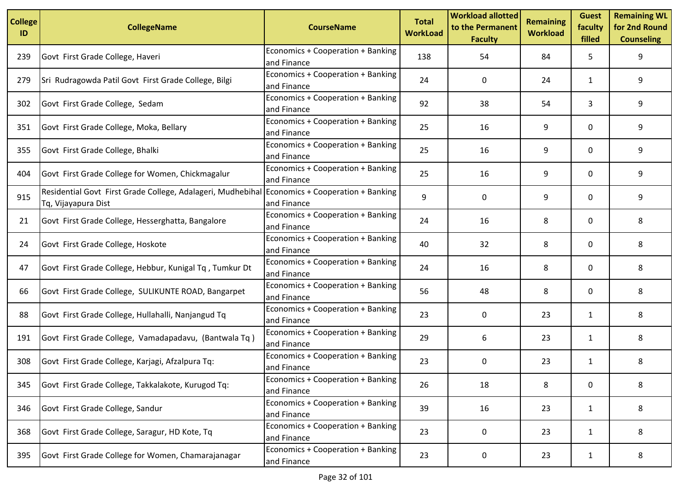| <b>College</b><br>ID | <b>CollegeName</b>                                                                                                   | <b>CourseName</b>                                | <b>Total</b><br><b>WorkLoad</b> | <b>Workload allotted</b><br>to the Permanent<br><b>Faculty</b> | <b>Remaining</b><br><b>Workload</b> | <b>Guest</b><br>faculty<br>filled | <b>Remaining WL</b><br>for 2nd Round<br><b>Counseling</b> |
|----------------------|----------------------------------------------------------------------------------------------------------------------|--------------------------------------------------|---------------------------------|----------------------------------------------------------------|-------------------------------------|-----------------------------------|-----------------------------------------------------------|
| 239                  | Govt First Grade College, Haveri                                                                                     | Economics + Cooperation + Banking<br>and Finance | 138                             | 54                                                             | 84                                  | 5                                 | 9                                                         |
| 279                  | Sri Rudragowda Patil Govt First Grade College, Bilgi                                                                 | Economics + Cooperation + Banking<br>and Finance | 24                              | 0                                                              | 24                                  | $\mathbf{1}$                      | 9                                                         |
| 302                  | Govt First Grade College, Sedam                                                                                      | Economics + Cooperation + Banking<br>and Finance | 92                              | 38                                                             | 54                                  | 3                                 | 9                                                         |
| 351                  | Govt First Grade College, Moka, Bellary                                                                              | Economics + Cooperation + Banking<br>and Finance | 25                              | 16                                                             | 9                                   | 0                                 | 9                                                         |
| 355                  | Govt First Grade College, Bhalki                                                                                     | Economics + Cooperation + Banking<br>and Finance | 25                              | 16                                                             | 9                                   | 0                                 | 9                                                         |
| 404                  | Govt First Grade College for Women, Chickmagalur                                                                     | Economics + Cooperation + Banking<br>and Finance | 25                              | 16                                                             | 9                                   | 0                                 | 9                                                         |
| 915                  | Residential Govt First Grade College, Adalageri, Mudhebihal Economics + Cooperation + Banking<br>Tq, Vijayapura Dist | and Finance                                      | 9                               | 0                                                              | 9                                   | 0                                 | 9                                                         |
| 21                   | Govt First Grade College, Hesserghatta, Bangalore                                                                    | Economics + Cooperation + Banking<br>and Finance | 24                              | 16                                                             | 8                                   | 0                                 | 8                                                         |
| 24                   | Govt First Grade College, Hoskote                                                                                    | Economics + Cooperation + Banking<br>and Finance | 40                              | 32                                                             | 8                                   | 0                                 | 8                                                         |
| 47                   | Govt First Grade College, Hebbur, Kunigal Tq, Tumkur Dt                                                              | Economics + Cooperation + Banking<br>and Finance | 24                              | 16                                                             | 8                                   | 0                                 | 8                                                         |
| 66                   | Govt First Grade College, SULIKUNTE ROAD, Bangarpet                                                                  | Economics + Cooperation + Banking<br>and Finance | 56                              | 48                                                             | 8                                   | 0                                 | 8                                                         |
| 88                   | Govt First Grade College, Hullahalli, Nanjangud Tq                                                                   | Economics + Cooperation + Banking<br>and Finance | 23                              | 0                                                              | 23                                  | $\mathbf{1}$                      | 8                                                         |
| 191                  | Govt First Grade College, Vamadapadavu, (Bantwala Tq)                                                                | Economics + Cooperation + Banking<br>and Finance | 29                              | 6                                                              | 23                                  | 1                                 | 8                                                         |
| 308                  | Govt First Grade College, Karjagi, Afzalpura Tq:                                                                     | Economics + Cooperation + Banking<br>and Finance | 23                              | 0                                                              | 23                                  | $\mathbf{1}$                      | 8                                                         |
| 345                  | Govt First Grade College, Takkalakote, Kurugod Tq:                                                                   | Economics + Cooperation + Banking<br>and Finance | 26                              | 18                                                             | 8                                   | 0                                 | 8                                                         |
| 346                  | Govt First Grade College, Sandur                                                                                     | Economics + Cooperation + Banking<br>and Finance | 39                              | 16                                                             | 23                                  | 1                                 | 8                                                         |
| 368                  | Govt First Grade College, Saragur, HD Kote, Tq                                                                       | Economics + Cooperation + Banking<br>and Finance | 23                              | 0                                                              | 23                                  | 1                                 | 8                                                         |
| 395                  | Govt First Grade College for Women, Chamarajanagar                                                                   | Economics + Cooperation + Banking<br>and Finance | 23                              | 0                                                              | 23                                  | $\mathbf{1}$                      | 8                                                         |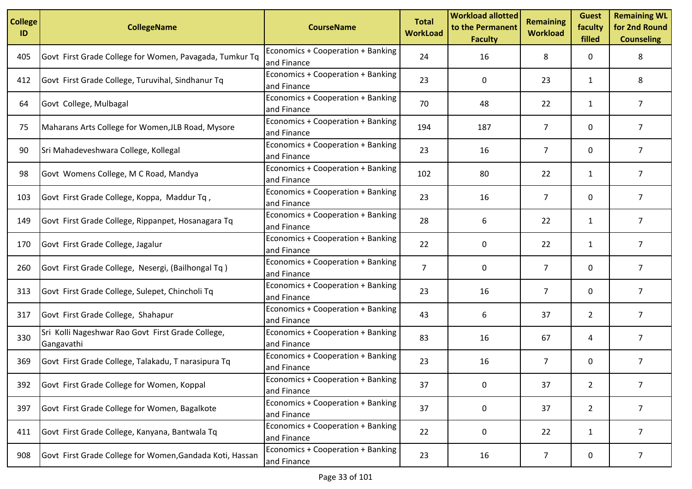| <b>College</b><br>ID | <b>CollegeName</b>                                              | <b>CourseName</b>                                | <b>Total</b><br><b>WorkLoad</b> | <b>Workload allotted</b><br>to the Permanent<br><b>Faculty</b> | <b>Remaining</b><br><b>Workload</b> | <b>Guest</b><br>faculty<br>filled | <b>Remaining WL</b><br>for 2nd Round<br><b>Counseling</b> |
|----------------------|-----------------------------------------------------------------|--------------------------------------------------|---------------------------------|----------------------------------------------------------------|-------------------------------------|-----------------------------------|-----------------------------------------------------------|
| 405                  | Govt First Grade College for Women, Pavagada, Tumkur Tq         | Economics + Cooperation + Banking<br>and Finance | 24                              | 16                                                             | 8                                   | 0                                 | 8                                                         |
| 412                  | Govt First Grade College, Turuvihal, Sindhanur Tq               | Economics + Cooperation + Banking<br>and Finance | 23                              | 0                                                              | 23                                  | $\mathbf{1}$                      | 8                                                         |
| 64                   | Govt College, Mulbagal                                          | Economics + Cooperation + Banking<br>and Finance | 70                              | 48                                                             | 22                                  | $\mathbf{1}$                      | $\overline{7}$                                            |
| 75                   | Maharans Arts College for Women, JLB Road, Mysore               | Economics + Cooperation + Banking<br>and Finance | 194                             | 187                                                            | $\overline{7}$                      | 0                                 | $\overline{7}$                                            |
| 90                   | Sri Mahadeveshwara College, Kollegal                            | Economics + Cooperation + Banking<br>and Finance | 23                              | 16                                                             | 7                                   | 0                                 | $\overline{7}$                                            |
| 98                   | Govt Womens College, M C Road, Mandya                           | Economics + Cooperation + Banking<br>and Finance | 102                             | 80                                                             | 22                                  | $\mathbf{1}$                      | $\overline{7}$                                            |
| 103                  | Govt First Grade College, Koppa, Maddur Tq,                     | Economics + Cooperation + Banking<br>and Finance | 23                              | 16                                                             | $\overline{7}$                      | 0                                 | $\overline{7}$                                            |
| 149                  | Govt First Grade College, Rippanpet, Hosanagara Tq              | Economics + Cooperation + Banking<br>and Finance | 28                              | 6                                                              | 22                                  | $\mathbf{1}$                      | $\overline{7}$                                            |
| 170                  | Govt First Grade College, Jagalur                               | Economics + Cooperation + Banking<br>and Finance | 22                              | 0                                                              | 22                                  | $\mathbf{1}$                      | $\overline{7}$                                            |
| 260                  | Govt First Grade College, Nesergi, (Bailhongal Tq)              | Economics + Cooperation + Banking<br>and Finance | $\overline{7}$                  | 0                                                              | 7                                   | 0                                 | $\overline{7}$                                            |
| 313                  | Govt First Grade College, Sulepet, Chincholi Tq                 | Economics + Cooperation + Banking<br>and Finance | 23                              | 16                                                             | $\overline{7}$                      | $\mathbf{0}$                      | $\overline{7}$                                            |
| 317                  | Govt First Grade College, Shahapur                              | Economics + Cooperation + Banking<br>and Finance | 43                              | 6                                                              | 37                                  | $\overline{2}$                    | $\overline{7}$                                            |
| 330                  | Sri Kolli Nageshwar Rao Govt First Grade College,<br>Gangavathi | Economics + Cooperation + Banking<br>and Finance | 83                              | 16                                                             | 67                                  | 4                                 | $\overline{7}$                                            |
| 369                  | Govt First Grade College, Talakadu, T narasipura Tq             | Economics + Cooperation + Banking<br>and Finance | 23                              | 16                                                             | 7                                   | 0                                 | $\overline{7}$                                            |
| 392                  | Govt First Grade College for Women, Koppal                      | Economics + Cooperation + Banking<br>and Finance | 37                              | 0                                                              | 37                                  | $\overline{2}$                    | 7                                                         |
| 397                  | Govt First Grade College for Women, Bagalkote                   | Economics + Cooperation + Banking<br>and Finance | 37                              | 0                                                              | 37                                  | $2^{\circ}$                       | $\overline{7}$                                            |
| 411                  | Govt First Grade College, Kanyana, Bantwala Tq                  | Economics + Cooperation + Banking<br>and Finance | 22                              | 0                                                              | 22                                  | $\mathbf{1}$                      | $\overline{7}$                                            |
| 908                  | Govt First Grade College for Women, Gandada Koti, Hassan        | Economics + Cooperation + Banking<br>and Finance | 23                              | 16                                                             | $\overline{7}$                      | 0                                 | 7                                                         |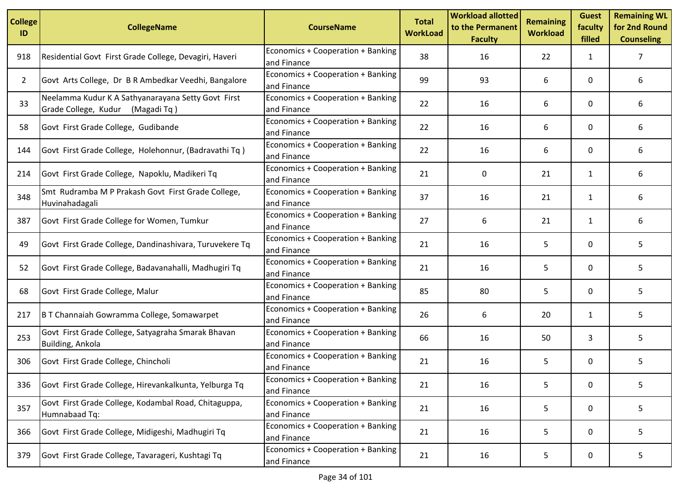| <b>College</b><br>ID | <b>CollegeName</b>                                                                     | <b>CourseName</b>                                | <b>Total</b><br><b>WorkLoad</b> | <b>Workload allotted</b><br>to the Permanent<br><b>Faculty</b> | <b>Remaining</b><br><b>Workload</b> | <b>Guest</b><br>faculty<br>filled | <b>Remaining WL</b><br>for 2nd Round<br><b>Counseling</b> |
|----------------------|----------------------------------------------------------------------------------------|--------------------------------------------------|---------------------------------|----------------------------------------------------------------|-------------------------------------|-----------------------------------|-----------------------------------------------------------|
| 918                  | Residential Govt First Grade College, Devagiri, Haveri                                 | Economics + Cooperation + Banking<br>and Finance | 38                              | 16                                                             | 22                                  | 1                                 | 7                                                         |
| 2                    | Govt Arts College, Dr B R Ambedkar Veedhi, Bangalore                                   | Economics + Cooperation + Banking<br>and Finance | 99                              | 93                                                             | 6                                   | 0                                 | 6                                                         |
| 33                   | Neelamma Kudur K A Sathyanarayana Setty Govt First<br>Grade College, Kudur (Magadi Tq) | Economics + Cooperation + Banking<br>and Finance | 22                              | 16                                                             | 6                                   | 0                                 | 6                                                         |
| 58                   | Govt First Grade College, Gudibande                                                    | Economics + Cooperation + Banking<br>and Finance | 22                              | 16                                                             | 6                                   | 0                                 | 6                                                         |
| 144                  | Govt First Grade College, Holehonnur, (Badravathi Tq)                                  | Economics + Cooperation + Banking<br>and Finance | 22                              | 16                                                             | 6                                   | 0                                 | 6                                                         |
| 214                  | Govt First Grade College, Napoklu, Madikeri Tq                                         | Economics + Cooperation + Banking<br>and Finance | 21                              | 0                                                              | 21                                  | $\mathbf{1}$                      | 6                                                         |
| 348                  | Smt Rudramba M P Prakash Govt First Grade College,<br>Huvinahadagali                   | Economics + Cooperation + Banking<br>and Finance | 37                              | 16                                                             | 21                                  | 1                                 | 6                                                         |
| 387                  | Govt First Grade College for Women, Tumkur                                             | Economics + Cooperation + Banking<br>and Finance | 27                              | 6                                                              | 21                                  | $\mathbf{1}$                      | 6                                                         |
| 49                   | Govt First Grade College, Dandinashivara, Turuvekere Tq                                | Economics + Cooperation + Banking<br>and Finance | 21                              | 16                                                             | 5                                   | 0                                 | 5                                                         |
| 52                   | Govt First Grade College, Badavanahalli, Madhugiri Tq                                  | Economics + Cooperation + Banking<br>and Finance | 21                              | 16                                                             | 5                                   | 0                                 | 5                                                         |
| 68                   | Govt First Grade College, Malur                                                        | Economics + Cooperation + Banking<br>and Finance | 85                              | 80                                                             | 5                                   | 0                                 | 5                                                         |
| 217                  | B T Channaiah Gowramma College, Somawarpet                                             | Economics + Cooperation + Banking<br>and Finance | 26                              | 6                                                              | 20                                  | $\mathbf{1}$                      | 5                                                         |
| 253                  | Govt First Grade College, Satyagraha Smarak Bhavan<br>Building, Ankola                 | Economics + Cooperation + Banking<br>and Finance | 66                              | 16                                                             | 50                                  | 3                                 | 5                                                         |
| 306                  | Govt First Grade College, Chincholi                                                    | Economics + Cooperation + Banking<br>and Finance | 21                              | 16                                                             | 5                                   | 0                                 | 5                                                         |
| 336                  | Govt First Grade College, Hirevankalkunta, Yelburga Tq                                 | Economics + Cooperation + Banking<br>and Finance | 21                              | 16                                                             | 5                                   | 0                                 | 5                                                         |
| 357                  | Govt First Grade College, Kodambal Road, Chitaguppa,<br>Humnabaad Tq:                  | Economics + Cooperation + Banking<br>and Finance | 21                              | 16                                                             | 5                                   | 0                                 | 5                                                         |
| 366                  | Govt First Grade College, Midigeshi, Madhugiri Tq                                      | Economics + Cooperation + Banking<br>and Finance | 21                              | 16                                                             | 5                                   | 0                                 | 5                                                         |
| 379                  | Govt First Grade College, Tavarageri, Kushtagi Tq                                      | Economics + Cooperation + Banking<br>and Finance | 21                              | 16                                                             | 5                                   | 0                                 | 5                                                         |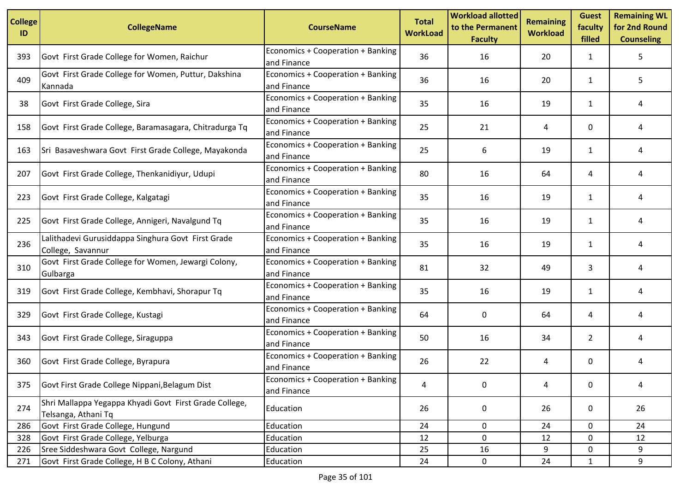| <b>College</b><br>ID | <b>CollegeName</b>                                                            | <b>CourseName</b>                                | <b>Total</b><br><b>WorkLoad</b> | <b>Workload allotted</b><br>to the Permanent<br><b>Faculty</b> | <b>Remaining</b><br><b>Workload</b> | <b>Guest</b><br>faculty<br>filled | <b>Remaining WL</b><br>for 2nd Round<br><b>Counseling</b> |
|----------------------|-------------------------------------------------------------------------------|--------------------------------------------------|---------------------------------|----------------------------------------------------------------|-------------------------------------|-----------------------------------|-----------------------------------------------------------|
| 393                  | Govt First Grade College for Women, Raichur                                   | Economics + Cooperation + Banking<br>and Finance | 36                              | 16                                                             | 20                                  | 1                                 | 5.                                                        |
| 409                  | Govt First Grade College for Women, Puttur, Dakshina<br>Kannada               | Economics + Cooperation + Banking<br>and Finance | 36                              | 16                                                             | 20                                  | $\mathbf{1}$                      | 5.                                                        |
| 38                   | Govt First Grade College, Sira                                                | Economics + Cooperation + Banking<br>and Finance | 35                              | 16                                                             | 19                                  | $\mathbf{1}$                      | 4                                                         |
| 158                  | Govt First Grade College, Baramasagara, Chitradurga Tq                        | Economics + Cooperation + Banking<br>and Finance | 25                              | 21                                                             | 4                                   | 0                                 | 4                                                         |
| 163                  | Sri Basaveshwara Govt First Grade College, Mayakonda                          | Economics + Cooperation + Banking<br>and Finance | 25                              | 6                                                              | 19                                  | 1                                 | 4                                                         |
| 207                  | Govt First Grade College, Thenkanidiyur, Udupi                                | Economics + Cooperation + Banking<br>and Finance | 80                              | 16                                                             | 64                                  | 4                                 | 4                                                         |
| 223                  | Govt First Grade College, Kalgatagi                                           | Economics + Cooperation + Banking<br>and Finance | 35                              | 16                                                             | 19                                  | 1                                 | 4                                                         |
| 225                  | Govt First Grade College, Annigeri, Navalgund Tq                              | Economics + Cooperation + Banking<br>and Finance | 35                              | 16                                                             | 19                                  | $\mathbf{1}$                      | 4                                                         |
| 236                  | Lalithadevi Gurusiddappa Singhura Govt First Grade<br>College, Savannur       | Economics + Cooperation + Banking<br>and Finance | 35                              | 16                                                             | 19                                  | $\mathbf{1}$                      | 4                                                         |
| 310                  | Govt First Grade College for Women, Jewargi Colony,<br>Gulbarga               | Economics + Cooperation + Banking<br>and Finance | 81                              | 32                                                             | 49                                  | 3                                 | 4                                                         |
| 319                  | Govt First Grade College, Kembhavi, Shorapur Tq                               | Economics + Cooperation + Banking<br>and Finance | 35                              | 16                                                             | 19                                  | 1                                 | 4                                                         |
| 329                  | Govt First Grade College, Kustagi                                             | Economics + Cooperation + Banking<br>and Finance | 64                              | 0                                                              | 64                                  | 4                                 | 4                                                         |
| 343                  | Govt First Grade College, Siraguppa                                           | Economics + Cooperation + Banking<br>and Finance | 50                              | 16                                                             | 34                                  | $\overline{2}$                    | 4                                                         |
| 360                  | Govt First Grade College, Byrapura                                            | Economics + Cooperation + Banking<br>and Finance | 26                              | 22                                                             | 4                                   | 0                                 | 4                                                         |
| 375                  | Govt First Grade College Nippani, Belagum Dist                                | Economics + Cooperation + Banking<br>and Finance | 4                               | 0                                                              | 4                                   | $\mathbf 0$                       | 4                                                         |
| 274                  | Shri Mallappa Yegappa Khyadi Govt First Grade College,<br>Telsanga, Athani Tq | Education                                        | 26                              | 0                                                              | 26                                  | 0                                 | 26                                                        |
| 286                  | Govt First Grade College, Hungund                                             | Education                                        | 24                              | 0                                                              | 24                                  | 0                                 | 24                                                        |
| 328                  | Govt First Grade College, Yelburga                                            | Education                                        | 12                              | 0                                                              | 12                                  | $\mathbf 0$                       | 12                                                        |
| 226                  | Sree Siddeshwara Govt College, Nargund                                        | Education                                        | 25                              | 16                                                             | 9                                   | 0                                 | 9                                                         |
| 271                  | Govt First Grade College, H B C Colony, Athani                                | Education                                        | 24                              | $\mathbf 0$                                                    | 24                                  | $\mathbf{1}$                      | 9                                                         |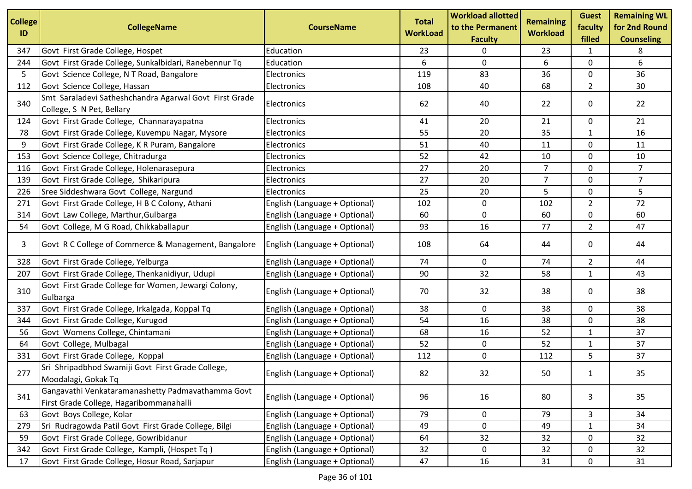| <b>College</b><br>ID | <b>CollegeName</b>                                                                           | <b>CourseName</b>             | <b>Total</b><br><b>WorkLoad</b> | <b>Workload allotted</b><br>to the Permanent<br><b>Faculty</b> | <b>Remaining</b><br><b>Workload</b> | <b>Guest</b><br>faculty<br>filled | <b>Remaining WL</b><br>for 2nd Round<br><b>Counseling</b> |
|----------------------|----------------------------------------------------------------------------------------------|-------------------------------|---------------------------------|----------------------------------------------------------------|-------------------------------------|-----------------------------------|-----------------------------------------------------------|
| 347                  | Govt First Grade College, Hospet                                                             | Education                     | 23                              | 0                                                              | 23                                  | 1                                 | 8                                                         |
| 244                  | Govt First Grade College, Sunkalbidari, Ranebennur Tq                                        | Education                     | 6                               | 0                                                              | 6                                   | 0                                 | 6                                                         |
| 5                    | Govt Science College, N T Road, Bangalore                                                    | Electronics                   | 119                             | 83                                                             | 36                                  | 0                                 | 36                                                        |
| 112                  | Govt Science College, Hassan                                                                 | Electronics                   | 108                             | 40                                                             | 68                                  | $\overline{2}$                    | 30                                                        |
| 340                  | Smt Saraladevi Satheshchandra Agarwal Govt First Grade<br>College, S N Pet, Bellary          | Electronics                   | 62                              | 40                                                             | 22                                  | 0                                 | 22                                                        |
| 124                  | Govt First Grade College, Channarayapatna                                                    | Electronics                   | 41                              | 20                                                             | 21                                  | 0                                 | 21                                                        |
| 78                   | Govt First Grade College, Kuvempu Nagar, Mysore                                              | Electronics                   | 55                              | 20                                                             | 35                                  | $\mathbf{1}$                      | 16                                                        |
| 9                    | Govt First Grade College, K R Puram, Bangalore                                               | Electronics                   | 51                              | 40                                                             | 11                                  | 0                                 | 11                                                        |
| 153                  | Govt Science College, Chitradurga                                                            | Electronics                   | 52                              | 42                                                             | 10                                  | $\mathbf 0$                       | 10                                                        |
| 116                  | Govt First Grade College, Holenarasepura                                                     | Electronics                   | 27                              | 20                                                             | $\overline{7}$                      | $\mathbf 0$                       | $\overline{7}$                                            |
| 139                  | Govt First Grade College, Shikaripura                                                        | Electronics                   | 27                              | 20                                                             | $\overline{7}$                      | 0                                 | $\overline{7}$                                            |
| 226                  | Sree Siddeshwara Govt College, Nargund                                                       | Electronics                   | 25                              | 20                                                             | 5                                   | $\mathbf 0$                       | 5                                                         |
| 271                  | Govt First Grade College, H B C Colony, Athani                                               | English (Language + Optional) | 102                             | 0                                                              | 102                                 | $\overline{2}$                    | 72                                                        |
| 314                  | Govt Law College, Marthur, Gulbarga                                                          | English (Language + Optional) | 60                              | 0                                                              | 60                                  | 0                                 | 60                                                        |
| 54                   | Govt College, M G Road, Chikkaballapur                                                       | English (Language + Optional) | 93                              | 16                                                             | 77                                  | $\overline{2}$                    | 47                                                        |
| 3                    | Govt R C College of Commerce & Management, Bangalore                                         | English (Language + Optional) | 108                             | 64                                                             | 44                                  | 0                                 | 44                                                        |
| 328                  | Govt First Grade College, Yelburga                                                           | English (Language + Optional) | 74                              | 0                                                              | 74                                  | $\overline{2}$                    | 44                                                        |
| 207                  | Govt First Grade College, Thenkanidiyur, Udupi                                               | English (Language + Optional) | 90                              | 32                                                             | 58                                  | 1                                 | 43                                                        |
| 310                  | Govt First Grade College for Women, Jewargi Colony,<br>Gulbarga                              | English (Language + Optional) | 70                              | 32                                                             | 38                                  | 0                                 | 38                                                        |
| 337                  | Govt First Grade College, Irkalgada, Koppal Tq                                               | English (Language + Optional) | 38                              | 0                                                              | 38                                  | 0                                 | 38                                                        |
| 344                  | Govt First Grade College, Kurugod                                                            | English (Language + Optional) | 54                              | 16                                                             | 38                                  | $\mathbf 0$                       | 38                                                        |
| 56                   | Govt Womens College, Chintamani                                                              | English (Language + Optional) | 68                              | 16                                                             | 52                                  | 1                                 | 37                                                        |
| 64                   | Govt College, Mulbagal                                                                       | English (Language + Optional) | 52                              | 0                                                              | 52                                  | $\mathbf{1}$                      | 37                                                        |
| 331                  | Govt First Grade College, Koppal                                                             | English (Language + Optional) | 112                             | 0                                                              | 112                                 | 5                                 | 37                                                        |
| 277                  | Sri Shripadbhod Swamiji Govt First Grade College,<br>Moodalagi, Gokak Tq                     | English (Language + Optional) | 82                              | 32                                                             | 50                                  | 1                                 | 35                                                        |
| 341                  | Gangavathi Venkataramanashetty Padmavathamma Govt<br>First Grade College, Hagaribommanahalli | English (Language + Optional) | 96                              | 16                                                             | 80                                  | 3                                 | 35                                                        |
| 63                   | Govt Boys College, Kolar                                                                     | English (Language + Optional) | 79                              | 0                                                              | 79                                  | 3                                 | 34                                                        |
| 279                  | Sri Rudragowda Patil Govt First Grade College, Bilgi                                         | English (Language + Optional) | 49                              | 0                                                              | 49                                  | 1                                 | 34                                                        |
| 59                   | Govt First Grade College, Gowribidanur                                                       | English (Language + Optional) | 64                              | 32                                                             | 32                                  | 0                                 | 32                                                        |
| 342                  | Govt First Grade College, Kampli, (Hospet Tq)                                                | English (Language + Optional) | 32                              | 0                                                              | 32                                  | 0                                 | 32                                                        |
| 17                   | Govt First Grade College, Hosur Road, Sarjapur                                               | English (Language + Optional) | 47                              | 16                                                             | 31                                  | 0                                 | 31                                                        |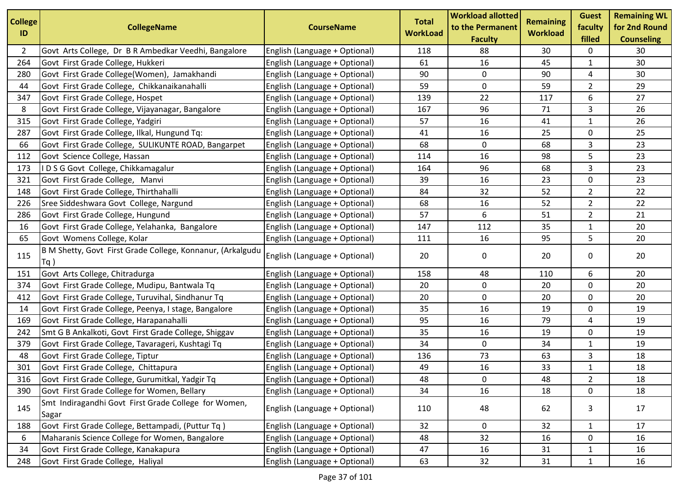| <b>College</b><br>ID | <b>CollegeName</b>                                                   | <b>CourseName</b>             | <b>Total</b><br><b>WorkLoad</b> | <b>Workload allotted</b><br>to the Permanent<br><b>Faculty</b> | <b>Remaining</b><br><b>Workload</b> | <b>Guest</b><br>faculty<br>filled | <b>Remaining WL</b><br>for 2nd Round<br><b>Counseling</b> |
|----------------------|----------------------------------------------------------------------|-------------------------------|---------------------------------|----------------------------------------------------------------|-------------------------------------|-----------------------------------|-----------------------------------------------------------|
| 2                    | Govt Arts College, Dr B R Ambedkar Veedhi, Bangalore                 | English (Language + Optional) | 118                             | 88                                                             | 30                                  | 0                                 | 30                                                        |
| 264                  | Govt First Grade College, Hukkeri                                    | English (Language + Optional) | 61                              | 16                                                             | 45                                  | $\mathbf{1}$                      | 30                                                        |
| 280                  | Govt First Grade College(Women), Jamakhandi                          | English (Language + Optional) | 90                              | $\mathbf 0$                                                    | 90                                  | 4                                 | 30                                                        |
| 44                   | Govt First Grade College, Chikkanaikanahalli                         | English (Language + Optional) | 59                              | 0                                                              | 59                                  | $\overline{2}$                    | 29                                                        |
| 347                  | Govt First Grade College, Hospet                                     | English (Language + Optional) | 139                             | 22                                                             | 117                                 | 6                                 | 27                                                        |
| 8                    | Govt First Grade College, Vijayanagar, Bangalore                     | English (Language + Optional) | 167                             | 96                                                             | 71                                  | 3                                 | 26                                                        |
| 315                  | Govt First Grade College, Yadgiri                                    | English (Language + Optional) | 57                              | 16                                                             | 41                                  | $\mathbf{1}$                      | 26                                                        |
| 287                  | Govt First Grade College, Ilkal, Hungund Tq:                         | English (Language + Optional) | 41                              | 16                                                             | 25                                  | 0                                 | 25                                                        |
| 66                   | Govt First Grade College, SULIKUNTE ROAD, Bangarpet                  | English (Language + Optional) | 68                              | 0                                                              | 68                                  | 3                                 | 23                                                        |
| 112                  | Govt Science College, Hassan                                         | English (Language + Optional) | 114                             | 16                                                             | 98                                  | 5                                 | 23                                                        |
| 173                  | IDSGGovt College, Chikkamagalur                                      | English (Language + Optional) | 164                             | 96                                                             | 68                                  | 3                                 | 23                                                        |
| 321                  | Govt First Grade College, Manvi                                      | English (Language + Optional) | 39                              | 16                                                             | 23                                  | 0                                 | 23                                                        |
| 148                  | Govt First Grade College, Thirthahalli                               | English (Language + Optional) | 84                              | 32                                                             | 52                                  | $\overline{2}$                    | 22                                                        |
| 226                  | Sree Siddeshwara Govt College, Nargund                               | English (Language + Optional) | 68                              | 16                                                             | 52                                  | $\overline{2}$                    | 22                                                        |
| 286                  | Govt First Grade College, Hungund                                    | English (Language + Optional) | 57                              | 6                                                              | 51                                  | $\overline{2}$                    | 21                                                        |
| 16                   | Govt First Grade College, Yelahanka, Bangalore                       | English (Language + Optional) | 147                             | 112                                                            | 35                                  | $\mathbf{1}$                      | 20                                                        |
| 65                   | Govt Womens College, Kolar                                           | English (Language + Optional) | 111                             | 16                                                             | 95                                  | 5                                 | 20                                                        |
| 115                  | B M Shetty, Govt First Grade College, Konnanur, (Arkalgudu<br>$Tq$ ) | English (Language + Optional) | 20                              | 0                                                              | 20                                  | 0                                 | 20                                                        |
| 151                  | Govt Arts College, Chitradurga                                       | English (Language + Optional) | 158                             | 48                                                             | 110                                 | 6                                 | 20                                                        |
| 374                  | Govt First Grade College, Mudipu, Bantwala Tq                        | English (Language + Optional) | 20                              | $\mathbf 0$                                                    | 20                                  | $\mathbf 0$                       | 20                                                        |
| 412                  | Govt First Grade College, Turuvihal, Sindhanur Tq                    | English (Language + Optional) | 20                              | 0                                                              | 20                                  | 0                                 | 20                                                        |
| 14                   | Govt First Grade College, Peenya, I stage, Bangalore                 | English (Language + Optional) | 35                              | 16                                                             | 19                                  | 0                                 | 19                                                        |
| 169                  | Govt First Grade College, Harapanahalli                              | English (Language + Optional) | 95                              | 16                                                             | 79                                  | 4                                 | 19                                                        |
| 242                  | Smt G B Ankalkoti, Govt First Grade College, Shiggav                 | English (Language + Optional) | 35                              | 16                                                             | 19                                  | 0                                 | 19                                                        |
| 379                  | Govt First Grade College, Tavarageri, Kushtagi Tq                    | English (Language + Optional) | 34                              | $\mathbf 0$                                                    | 34                                  | $\mathbf{1}$                      | 19                                                        |
| 48                   | Govt First Grade College, Tiptur                                     | English (Language + Optional) | 136                             | 73                                                             | 63                                  | 3                                 | 18                                                        |
| 301                  | Govt First Grade College, Chittapura                                 | English (Language + Optional) | 49                              | 16                                                             | 33                                  | 1                                 | 18                                                        |
| 316                  | Govt First Grade College, Gurumitkal, Yadgir Tq                      | English (Language + Optional) | 48                              | 0                                                              | 48                                  | $\overline{2}$                    | 18                                                        |
| 390                  | Govt First Grade College for Women, Bellary                          | English (Language + Optional) | 34                              | 16                                                             | 18                                  | 0                                 | 18                                                        |
| 145                  | Smt Indiragandhi Govt First Grade College for Women,<br>Sagar        | English (Language + Optional) | 110                             | 48                                                             | 62                                  | 3                                 | 17                                                        |
| 188                  | Govt First Grade College, Bettampadi, (Puttur Tq)                    | English (Language + Optional) | 32                              | $\mathbf 0$                                                    | 32                                  | 1                                 | 17                                                        |
| 6                    | Maharanis Science College for Women, Bangalore                       | English (Language + Optional) | 48                              | 32                                                             | 16                                  | $\mathbf 0$                       | 16                                                        |
| 34                   | Govt First Grade College, Kanakapura                                 | English (Language + Optional) | 47                              | 16                                                             | 31                                  | 1                                 | 16                                                        |
| 248                  | Govt First Grade College, Haliyal                                    | English (Language + Optional) | 63                              | 32                                                             | 31                                  | $\mathbf{1}$                      | 16                                                        |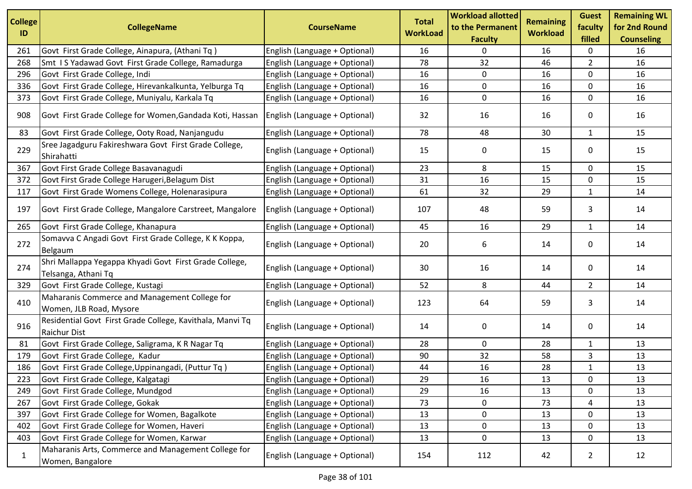| <b>College</b><br>ID | <b>CollegeName</b>                                                            | <b>CourseName</b>             | <b>Total</b><br><b>WorkLoad</b> | <b>Workload allotted</b><br>to the Permanent<br><b>Faculty</b> | <b>Remaining</b><br><b>Workload</b> | <b>Guest</b><br>faculty<br>filled | <b>Remaining WL</b><br>for 2nd Round<br><b>Counseling</b> |
|----------------------|-------------------------------------------------------------------------------|-------------------------------|---------------------------------|----------------------------------------------------------------|-------------------------------------|-----------------------------------|-----------------------------------------------------------|
| 261                  | Govt First Grade College, Ainapura, (Athani Tq)                               | English (Language + Optional) | 16                              | 0                                                              | 16                                  | 0                                 | 16                                                        |
| 268                  | Smt IS Yadawad Govt First Grade College, Ramadurga                            | English (Language + Optional) | 78                              | 32                                                             | 46                                  | $\overline{2}$                    | 16                                                        |
| 296                  | Govt First Grade College, Indi                                                | English (Language + Optional) | 16                              | 0                                                              | 16                                  | $\mathbf 0$                       | 16                                                        |
| 336                  | Govt First Grade College, Hirevankalkunta, Yelburga Tq                        | English (Language + Optional) | 16                              | 0                                                              | 16                                  | 0                                 | 16                                                        |
| 373                  | Govt First Grade College, Muniyalu, Karkala Tq                                | English (Language + Optional) | 16                              | 0                                                              | 16                                  | 0                                 | 16                                                        |
| 908                  | Govt First Grade College for Women, Gandada Koti, Hassan                      | English (Language + Optional) | 32                              | 16                                                             | 16                                  | 0                                 | 16                                                        |
| 83                   | Govt First Grade College, Ooty Road, Nanjangudu                               | English (Language + Optional) | 78                              | 48                                                             | 30                                  | $\mathbf{1}$                      | 15                                                        |
| 229                  | Sree Jagadguru Fakireshwara Govt First Grade College,<br>Shirahatti           | English (Language + Optional) | 15                              | 0                                                              | 15                                  | 0                                 | 15                                                        |
| 367                  | Govt First Grade College Basavanagudi                                         | English (Language + Optional) | 23                              | 8                                                              | 15                                  | 0                                 | 15                                                        |
| 372                  | Govt First Grade College Harugeri, Belagum Dist                               | English (Language + Optional) | 31                              | 16                                                             | 15                                  | 0                                 | 15                                                        |
| 117                  | Govt First Grade Womens College, Holenarasipura                               | English (Language + Optional) | 61                              | 32                                                             | 29                                  | $\mathbf{1}$                      | 14                                                        |
| 197                  | Govt First Grade College, Mangalore Carstreet, Mangalore                      | English (Language + Optional) | 107                             | 48                                                             | 59                                  | 3                                 | 14                                                        |
| 265                  | Govt First Grade College, Khanapura                                           | English (Language + Optional) | 45                              | 16                                                             | 29                                  | $\mathbf{1}$                      | 14                                                        |
| 272                  | Somavva C Angadi Govt First Grade College, K K Koppa,<br>Belgaum              | English (Language + Optional) | 20                              | 6                                                              | 14                                  | 0                                 | 14                                                        |
| 274                  | Shri Mallappa Yegappa Khyadi Govt First Grade College,<br>Telsanga, Athani Tq | English (Language + Optional) | 30                              | 16                                                             | 14                                  | 0                                 | 14                                                        |
| 329                  | Govt First Grade College, Kustagi                                             | English (Language + Optional) | 52                              | 8                                                              | 44                                  | $\overline{2}$                    | 14                                                        |
| 410                  | Maharanis Commerce and Management College for<br>Women, JLB Road, Mysore      | English (Language + Optional) | 123                             | 64                                                             | 59                                  | 3                                 | 14                                                        |
| 916                  | Residential Govt First Grade College, Kavithala, Manvi Tq<br>Raichur Dist     | English (Language + Optional) | 14                              | 0                                                              | 14                                  | 0                                 | 14                                                        |
| 81                   | Govt First Grade College, Saligrama, K R Nagar Tq                             | English (Language + Optional) | 28                              | 0                                                              | 28                                  | $\mathbf{1}$                      | 13                                                        |
| 179                  | Govt First Grade College, Kadur                                               | English (Language + Optional) | 90                              | 32                                                             | 58                                  | 3                                 | 13                                                        |
| 186                  | Govt First Grade College, Uppinangadi, (Puttur Tq)                            | English (Language + Optional) | 44                              | 16                                                             | 28                                  | $\mathbf{1}$                      | 13                                                        |
| 223                  | Govt First Grade College, Kalgatagi                                           | English (Language + Optional) | 29                              | 16                                                             | 13                                  | 0                                 | 13                                                        |
| 249                  | Govt First Grade College, Mundgod                                             | English (Language + Optional) | 29                              | 16                                                             | 13                                  | 0                                 | 13                                                        |
| 267                  | Govt First Grade College, Gokak                                               | English (Language + Optional) | 73                              | 0                                                              | 73                                  | 4                                 | 13                                                        |
| 397                  | Govt First Grade College for Women, Bagalkote                                 | English (Language + Optional) | 13                              | 0                                                              | 13                                  | 0                                 | 13                                                        |
| 402                  | Govt First Grade College for Women, Haveri                                    | English (Language + Optional) | 13                              | 0                                                              | 13                                  | 0                                 | 13                                                        |
| 403                  | Govt First Grade College for Women, Karwar                                    | English (Language + Optional) | 13                              | 0                                                              | 13                                  | 0                                 | 13                                                        |
| $\mathbf{1}$         | Maharanis Arts, Commerce and Management College for<br>Women, Bangalore       | English (Language + Optional) | 154                             | 112                                                            | 42                                  | $\overline{2}$                    | 12                                                        |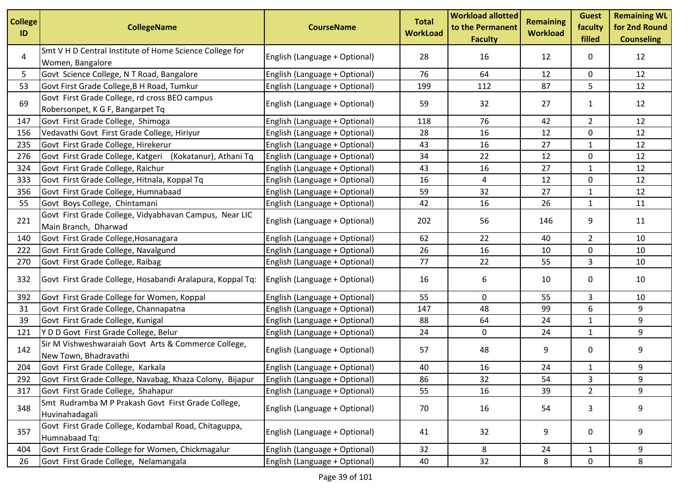| <b>College</b><br>ID | <b>CollegeName</b>                                                                | <b>CourseName</b>             | <b>Total</b><br><b>WorkLoad</b> | <b>Workload allotted</b><br>to the Permanent<br><b>Faculty</b> | <b>Remaining</b><br><b>Workload</b> | <b>Guest</b><br>faculty<br>filled | <b>Remaining WL</b><br>for 2nd Round<br><b>Counseling</b> |
|----------------------|-----------------------------------------------------------------------------------|-------------------------------|---------------------------------|----------------------------------------------------------------|-------------------------------------|-----------------------------------|-----------------------------------------------------------|
| 4                    | Smt V H D Central Institute of Home Science College for<br>Women, Bangalore       | English (Language + Optional) | 28                              | 16                                                             | 12                                  | 0                                 | 12                                                        |
| 5                    | Govt Science College, N T Road, Bangalore                                         | English (Language + Optional) | 76                              | 64                                                             | 12                                  | 0                                 | 12                                                        |
| 53                   | Govt First Grade College, B H Road, Tumkur                                        | English (Language + Optional) | 199                             | 112                                                            | 87                                  | 5                                 | 12                                                        |
| 69                   | Govt First Grade College, rd cross BEO campus<br>Robersonpet, K G F, Bangarpet Tq | English (Language + Optional) | 59                              | 32                                                             | 27                                  | $\mathbf{1}$                      | 12                                                        |
| 147                  | Govt First Grade College, Shimoga                                                 | English (Language + Optional) | 118                             | 76                                                             | 42                                  | $\overline{2}$                    | 12                                                        |
| 156                  | Vedavathi Govt First Grade College, Hiriyur                                       | English (Language + Optional) | 28                              | 16                                                             | 12                                  | 0                                 | 12                                                        |
| 235                  | Govt First Grade College, Hirekerur                                               | English (Language + Optional) | 43                              | 16                                                             | 27                                  | 1                                 | 12                                                        |
| 276                  | Govt First Grade College, Katgeri (Kokatanur), Athani Tq                          | English (Language + Optional) | 34                              | 22                                                             | 12                                  | 0                                 | 12                                                        |
| 324                  | Govt First Grade College, Raichur                                                 | English (Language + Optional) | 43                              | 16                                                             | 27                                  | $\mathbf{1}$                      | 12                                                        |
| 333                  | Govt First Grade College, Hitnala, Koppal Tq                                      | English (Language + Optional) | 16                              | 4                                                              | 12                                  | 0                                 | 12                                                        |
| 356                  | Govt First Grade College, Humnabaad                                               | English (Language + Optional) | 59                              | 32                                                             | 27                                  | $\mathbf{1}$                      | 12                                                        |
| 55                   | Govt Boys College, Chintamani                                                     | English (Language + Optional) | 42                              | 16                                                             | 26                                  | $\mathbf{1}$                      | 11                                                        |
| 221                  | Govt First Grade College, Vidyabhavan Campus, Near LIC<br>Main Branch, Dharwad    | English (Language + Optional) | 202                             | 56                                                             | 146                                 | 9                                 | 11                                                        |
| 140                  | Govt First Grade College, Hosanagara                                              | English (Language + Optional) | 62                              | 22                                                             | 40                                  | $\overline{2}$                    | 10                                                        |
| 222                  | Govt First Grade College, Navalgund                                               | English (Language + Optional) | 26                              | 16                                                             | 10                                  | 0                                 | 10                                                        |
| 270                  | Govt First Grade College, Raibag                                                  | English (Language + Optional) | 77                              | 22                                                             | 55                                  | 3                                 | 10                                                        |
| 332                  | Govt First Grade College, Hosabandi Aralapura, Koppal Tq:                         | English (Language + Optional) | 16                              | 6                                                              | 10                                  | 0                                 | 10                                                        |
| 392                  | Govt First Grade College for Women, Koppal                                        | English (Language + Optional) | 55                              | 0                                                              | 55                                  | 3                                 | 10                                                        |
| 31                   | Govt First Grade College, Channapatna                                             | English (Language + Optional) | 147                             | 48                                                             | 99                                  | 6                                 | 9                                                         |
| 39                   | Govt First Grade College, Kunigal                                                 | English (Language + Optional) | 88                              | 64                                                             | 24                                  | $\mathbf{1}$                      | 9                                                         |
| 121                  | Y D D Govt First Grade College, Belur                                             | English (Language + Optional) | 24                              | 0                                                              | 24                                  | $\mathbf{1}$                      | 9                                                         |
| 142                  | Sir M Vishweshwaraiah Govt Arts & Commerce College,<br>New Town, Bhadravathi      | English (Language + Optional) | 57                              | 48                                                             | 9                                   | 0                                 | 9                                                         |
| 204                  | Govt First Grade College, Karkala                                                 | English (Language + Optional) | 40                              | 16                                                             | 24                                  | 1                                 | 9                                                         |
| 292                  | Govt First Grade College, Navabag, Khaza Colony, Bijapur                          | English (Language + Optional) | 86                              | 32                                                             | 54                                  | 3                                 | 9                                                         |
| 317                  | Govt First Grade College, Shahapur                                                | English (Language + Optional) | 55                              | 16                                                             | 39                                  | $\overline{2}$                    | 9                                                         |
| 348                  | Smt Rudramba M P Prakash Govt First Grade College,<br>Huvinahadagali              | English (Language + Optional) | 70                              | 16                                                             | 54                                  | 3                                 | 9                                                         |
| 357                  | Govt First Grade College, Kodambal Road, Chitaguppa,<br>Humnabaad Tq:             | English (Language + Optional) | 41                              | 32                                                             | 9                                   | 0                                 | 9                                                         |
| 404                  | Govt First Grade College for Women, Chickmagalur                                  | English (Language + Optional) | 32                              | 8                                                              | 24                                  | $\mathbf{1}$                      | 9                                                         |
| 26                   | Govt First Grade College, Nelamangala                                             | English (Language + Optional) | 40                              | 32                                                             | 8                                   | $\mathbf 0$                       | 8                                                         |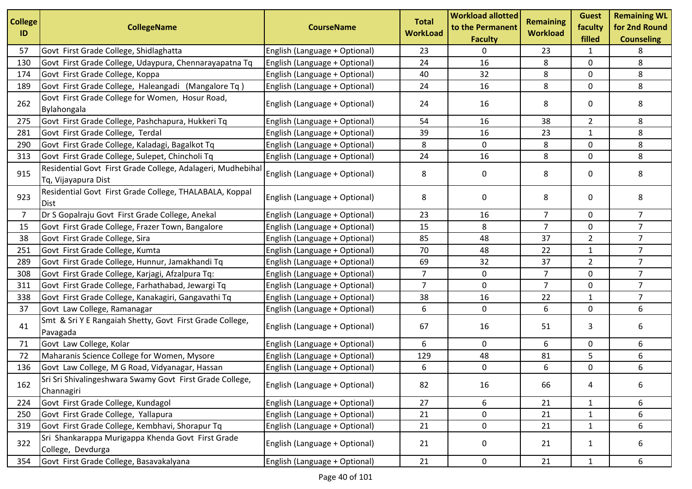| <b>College</b><br>ID | <b>CollegeName</b>                                                                 | <b>CourseName</b>             | <b>Total</b><br><b>WorkLoad</b> | <b>Workload allotted</b><br>to the Permanent<br><b>Faculty</b> | <b>Remaining</b><br><b>Workload</b> | <b>Guest</b><br>faculty<br>filled | <b>Remaining WL</b><br>for 2nd Round<br><b>Counseling</b> |
|----------------------|------------------------------------------------------------------------------------|-------------------------------|---------------------------------|----------------------------------------------------------------|-------------------------------------|-----------------------------------|-----------------------------------------------------------|
| 57                   | Govt First Grade College, Shidlaghatta                                             | English (Language + Optional) | 23                              | 0                                                              | 23                                  | 1                                 | 8                                                         |
| 130                  | Govt First Grade College, Udaypura, Chennarayapatna Tq                             | English (Language + Optional) | 24                              | 16                                                             | 8                                   | $\mathbf 0$                       | 8                                                         |
| 174                  | Govt First Grade College, Koppa                                                    | English (Language + Optional) | 40                              | 32                                                             | 8                                   | 0                                 | 8                                                         |
| 189                  | Govt First Grade College, Haleangadi (Mangalore Tq)                                | English (Language + Optional) | 24                              | 16                                                             | 8                                   | 0                                 | 8                                                         |
| 262                  | Govt First Grade College for Women, Hosur Road,<br>Bylahongala                     | English (Language + Optional) | 24                              | 16                                                             | 8                                   | 0                                 | 8                                                         |
| 275                  | Govt First Grade College, Pashchapura, Hukkeri Tq                                  | English (Language + Optional) | 54                              | 16                                                             | 38                                  | $\overline{2}$                    | 8                                                         |
| 281                  | Govt First Grade College, Terdal                                                   | English (Language + Optional) | 39                              | 16                                                             | 23                                  | $\mathbf{1}$                      | 8                                                         |
| 290                  | Govt First Grade College, Kaladagi, Bagalkot Tq                                    | English (Language + Optional) | 8                               | 0                                                              | 8                                   | 0                                 | 8                                                         |
| 313                  | Govt First Grade College, Sulepet, Chincholi Tq                                    | English (Language + Optional) | 24                              | 16                                                             | 8                                   | 0                                 | 8                                                         |
| 915                  | Residential Govt First Grade College, Adalageri, Mudhebihal<br>Tq, Vijayapura Dist | English (Language + Optional) | 8                               | 0                                                              | 8                                   | 0                                 | 8                                                         |
| 923                  | Residential Govt First Grade College, THALABALA, Koppal<br><b>IDist</b>            | English (Language + Optional) | 8                               | 0                                                              | 8                                   | 0                                 | 8                                                         |
| $\overline{7}$       | Dr S Gopalraju Govt First Grade College, Anekal                                    | English (Language + Optional) | 23                              | 16                                                             | $\overline{7}$                      | 0                                 | 7 <sup>1</sup>                                            |
| 15                   | Govt First Grade College, Frazer Town, Bangalore                                   | English (Language + Optional) | 15                              | 8                                                              | $\overline{7}$                      | $\mathbf 0$                       | $\overline{7}$                                            |
| 38                   | Govt First Grade College, Sira                                                     | English (Language + Optional) | 85                              | 48                                                             | 37                                  | $\overline{2}$                    | $\overline{7}$                                            |
| 251                  | Govt First Grade College, Kumta                                                    | English (Language + Optional) | 70                              | 48                                                             | 22                                  | $\mathbf{1}$                      | $\overline{7}$                                            |
| 289                  | Govt First Grade College, Hunnur, Jamakhandi Tq                                    | English (Language + Optional) | 69                              | 32                                                             | 37                                  | $\overline{2}$                    | $\overline{7}$                                            |
| 308                  | Govt First Grade College, Karjagi, Afzalpura Tq:                                   | English (Language + Optional) | $\overline{7}$                  | 0                                                              | $\overline{7}$                      | 0                                 | $\overline{7}$                                            |
| 311                  | Govt First Grade College, Farhathabad, Jewargi Tq                                  | English (Language + Optional) | $\overline{7}$                  | $\pmb{0}$                                                      | $\overline{7}$                      | $\mathbf 0$                       | $\overline{7}$                                            |
| 338                  | Govt First Grade College, Kanakagiri, Gangavathi Tq                                | English (Language + Optional) | 38                              | 16                                                             | 22                                  | $\mathbf{1}$                      | $\overline{7}$                                            |
| 37                   | Govt Law College, Ramanagar                                                        | English (Language + Optional) | 6                               | $\mathbf 0$                                                    | 6                                   | 0                                 | 6                                                         |
| 41                   | Smt & Sri Y E Rangaiah Shetty, Govt First Grade College,<br>Pavagada               | English (Language + Optional) | 67                              | 16                                                             | 51                                  | 3                                 | 6                                                         |
| 71                   | Govt Law College, Kolar                                                            | English (Language + Optional) | 6                               | 0                                                              | 6                                   | $\mathsf{O}$                      | 6                                                         |
| 72                   | Maharanis Science College for Women, Mysore                                        | English (Language + Optional) | 129                             | 48                                                             | 81                                  | 5                                 | 6                                                         |
| 136                  | Govt Law College, M G Road, Vidyanagar, Hassan                                     | English (Language + Optional) | 6                               | 0                                                              | 6                                   | 0                                 | 6                                                         |
| 162                  | Sri Sri Shivalingeshwara Swamy Govt First Grade College,<br>Channagiri             | English (Language + Optional) | 82                              | 16                                                             | 66                                  | 4                                 | 6                                                         |
| 224                  | Govt First Grade College, Kundagol                                                 | English (Language + Optional) | 27                              | 6                                                              | 21                                  | $\mathbf{1}$                      | 6                                                         |
| 250                  | Govt First Grade College, Yallapura                                                | English (Language + Optional) | 21                              | 0                                                              | 21                                  | 1                                 | 6                                                         |
| 319                  | Govt First Grade College, Kembhavi, Shorapur Tq                                    | English (Language + Optional) | 21                              | 0                                                              | 21                                  | $\mathbf{1}$                      | 6                                                         |
| 322                  | Sri Shankarappa Murigappa Khenda Govt First Grade<br>College, Devdurga             | English (Language + Optional) | 21                              | 0                                                              | 21                                  | $\mathbf{1}$                      | 6                                                         |
| 354                  | Govt First Grade College, Basavakalyana                                            | English (Language + Optional) | 21                              | 0                                                              | 21                                  | $\mathbf{1}$                      | 6                                                         |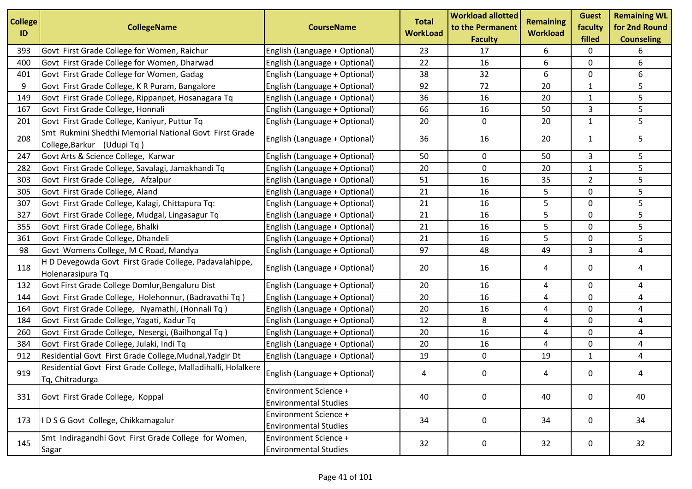| <b>College</b><br>ID | <b>CollegeName</b>                                                                   | <b>CourseName</b>                                            | <b>Total</b><br><b>WorkLoad</b> | <b>Workload allotted</b><br>to the Permanent<br><b>Faculty</b> | <b>Remaining</b><br><b>Workload</b> | <b>Guest</b><br>faculty<br>filled | <b>Remaining WL</b><br>for 2nd Round<br><b>Counseling</b> |
|----------------------|--------------------------------------------------------------------------------------|--------------------------------------------------------------|---------------------------------|----------------------------------------------------------------|-------------------------------------|-----------------------------------|-----------------------------------------------------------|
| 393                  | Govt First Grade College for Women, Raichur                                          | English (Language + Optional)                                | 23                              | 17                                                             | 6                                   | 0                                 | 6                                                         |
| 400                  | Govt First Grade College for Women, Dharwad                                          | English (Language + Optional)                                | 22                              | 16                                                             | 6                                   | 0                                 | 6                                                         |
| 401                  | Govt First Grade College for Women, Gadag                                            | English (Language + Optional)                                | 38                              | 32                                                             | 6                                   | $\mathbf 0$                       | 6                                                         |
| 9                    | Govt First Grade College, K R Puram, Bangalore                                       | English (Language + Optional)                                | 92                              | 72                                                             | 20                                  | 1                                 | 5                                                         |
| 149                  | Govt First Grade College, Rippanpet, Hosanagara Tq                                   | English (Language + Optional)                                | 36                              | 16                                                             | 20                                  | $\mathbf{1}$                      | 5                                                         |
| 167                  | Govt First Grade College, Honnali                                                    | English (Language + Optional)                                | 66                              | 16                                                             | 50                                  | 3                                 | 5                                                         |
| 201                  | Govt First Grade College, Kaniyur, Puttur Tq                                         | English (Language + Optional)                                | 20                              | 0                                                              | 20                                  | 1                                 | 5                                                         |
| 208                  | Smt Rukmini Shedthi Memorial National Govt First Grade<br>College, Barkur (Udupi Tq) | English (Language + Optional)                                | 36                              | 16                                                             | 20                                  | $\mathbf{1}$                      | 5                                                         |
| 247                  | Govt Arts & Science College, Karwar                                                  | English (Language + Optional)                                | 50                              | 0                                                              | 50                                  | 3                                 | 5                                                         |
| 282                  | Govt First Grade College, Savalagi, Jamakhandi Tq                                    | English (Language + Optional)                                | 20                              | $\mathbf 0$                                                    | 20                                  | $\mathbf{1}$                      | 5                                                         |
| 303                  | Govt First Grade College, Afzalpur                                                   | English (Language + Optional)                                | 51                              | 16                                                             | 35                                  | $\overline{2}$                    | 5                                                         |
| 305                  | Govt First Grade College, Aland                                                      | English (Language + Optional)                                | 21                              | 16                                                             | 5                                   | $\mathbf 0$                       | 5                                                         |
| 307                  | Govt First Grade College, Kalagi, Chittapura Tq:                                     | English (Language + Optional)                                | 21                              | 16                                                             | 5                                   | 0                                 | 5                                                         |
| 327                  | Govt First Grade College, Mudgal, Lingasagur Tq                                      | English (Language + Optional)                                | 21                              | 16                                                             | 5                                   | 0                                 | 5                                                         |
| 355                  | Govt First Grade College, Bhalki                                                     | English (Language + Optional)                                | 21                              | 16                                                             | 5                                   | $\mathbf 0$                       | 5                                                         |
| 361                  | Govt First Grade College, Dhandeli                                                   | English (Language + Optional)                                | 21                              | 16                                                             | 5                                   | $\mathbf 0$                       | 5                                                         |
| 98                   | Govt Womens College, M C Road, Mandya                                                | English (Language + Optional)                                | 97                              | 48                                                             | 49                                  | 3                                 | 4                                                         |
| 118                  | H D Devegowda Govt First Grade College, Padavalahippe,<br>Holenarasipura Tq          | English (Language + Optional)                                | 20                              | 16                                                             | 4                                   | 0                                 | 4                                                         |
| 132                  | Govt First Grade College Domlur, Bengaluru Dist                                      | English (Language + Optional)                                | 20                              | 16                                                             | 4                                   | 0                                 | 4                                                         |
| 144                  | Govt First Grade College, Holehonnur, (Badravathi Tq)                                | English (Language + Optional)                                | 20                              | 16                                                             | 4                                   | $\mathbf 0$                       | 4                                                         |
| 164                  | Govt First Grade College, Nyamathi, (Honnali Tq)                                     | English (Language + Optional)                                | 20                              | 16                                                             | 4                                   | 0                                 | 4                                                         |
| 184                  | Govt First Grade College, Yagati, Kadur Tq                                           | English (Language + Optional)                                | 12                              | 8                                                              | 4                                   | $\mathbf 0$                       | 4                                                         |
| 260                  | Govt First Grade College, Nesergi, (Bailhongal Tq)                                   | English (Language + Optional)                                | 20                              | 16                                                             | 4                                   | 0                                 | 4                                                         |
| 384                  | Govt First Grade College, Julaki, Indi Tq                                            | English (Language + Optional)                                | 20                              | 16                                                             | 4                                   | 0                                 | 4                                                         |
| 912                  | Residential Govt First Grade College, Mudnal, Yadgir Dt                              | English (Language + Optional)                                | 19                              | $\mathbf 0$                                                    | 19                                  | $\mathbf{1}$                      | 4                                                         |
| 919                  | Residential Govt First Grade College, Malladihalli, Holalkere<br>Tq, Chitradurga     | English (Language + Optional)                                | 4                               | 0                                                              | 4                                   | 0                                 |                                                           |
| 331                  | Govt First Grade College, Koppal                                                     | <b>Environment Science +</b><br><b>Environmental Studies</b> | 40                              | 0                                                              | 40                                  | $\mathbf{0}$                      | 40                                                        |
| 173                  | IDSG Govt College, Chikkamagalur                                                     | <b>Environment Science +</b><br><b>Environmental Studies</b> | 34                              | 0                                                              | 34                                  | 0                                 | 34                                                        |
| 145                  | Smt Indiragandhi Govt First Grade College for Women,<br>Sagar                        | <b>Environment Science +</b><br><b>Environmental Studies</b> | 32                              | 0                                                              | 32                                  | 0                                 | 32                                                        |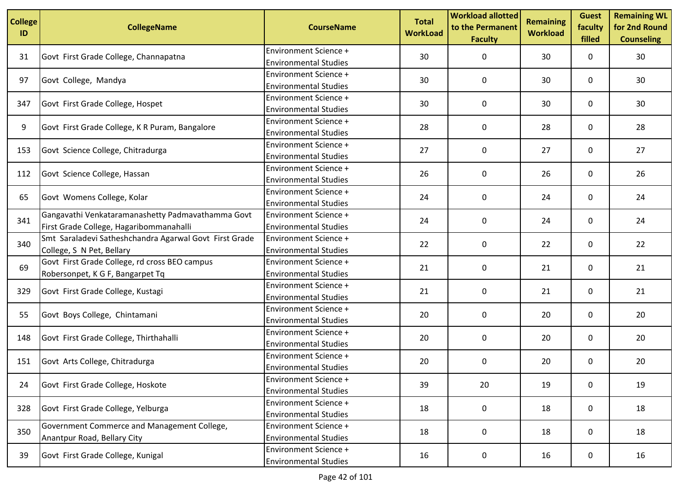| <b>College</b><br>ID | <b>CollegeName</b>                                                         | <b>CourseName</b>                                            | <b>Total</b><br><b>WorkLoad</b> | <b>Workload allotted</b><br>to the Permanent<br><b>Faculty</b> | <b>Remaining</b><br><b>Workload</b> | <b>Guest</b><br>faculty<br>filled | <b>Remaining WL</b><br>for 2nd Round<br><b>Counseling</b> |
|----------------------|----------------------------------------------------------------------------|--------------------------------------------------------------|---------------------------------|----------------------------------------------------------------|-------------------------------------|-----------------------------------|-----------------------------------------------------------|
| 31                   | Govt First Grade College, Channapatna                                      | <b>Environment Science +</b>                                 | 30                              | 0                                                              | 30                                  | 0                                 | 30                                                        |
|                      |                                                                            | <b>Environmental Studies</b>                                 |                                 |                                                                |                                     |                                   |                                                           |
| 97                   | Govt College, Mandya                                                       | Environment Science +                                        | 30                              | 0                                                              | 30                                  | 0                                 | 30                                                        |
|                      |                                                                            | <b>Environmental Studies</b>                                 |                                 |                                                                |                                     |                                   |                                                           |
| 347                  | Govt First Grade College, Hospet                                           | <b>Environment Science +</b>                                 | 30                              | 0                                                              | 30                                  | 0                                 | 30                                                        |
|                      |                                                                            | <b>Environmental Studies</b>                                 |                                 |                                                                |                                     |                                   |                                                           |
| 9                    | Govt First Grade College, K R Puram, Bangalore                             | <b>Environment Science +</b>                                 | 28                              | 0                                                              | 28                                  | 0                                 | 28                                                        |
|                      |                                                                            | <b>Environmental Studies</b>                                 |                                 |                                                                |                                     |                                   |                                                           |
| 153                  | Govt Science College, Chitradurga                                          | Environment Science +                                        | 27                              | $\mathbf 0$                                                    | 27                                  | 0                                 | 27                                                        |
|                      |                                                                            | <b>Environmental Studies</b>                                 |                                 |                                                                |                                     |                                   |                                                           |
| 112                  | Govt Science College, Hassan                                               | <b>Environment Science +</b>                                 | 26                              | 0                                                              | 26                                  | 0                                 | 26                                                        |
|                      |                                                                            | <b>Environmental Studies</b>                                 |                                 |                                                                |                                     |                                   |                                                           |
| 65                   | Govt Womens College, Kolar                                                 | <b>Environment Science +</b>                                 | 24                              | 0                                                              | 24                                  | 0                                 | 24                                                        |
|                      |                                                                            | <b>Environmental Studies</b>                                 |                                 |                                                                |                                     |                                   |                                                           |
| 341                  | Gangavathi Venkataramanashetty Padmavathamma Govt                          | <b>Environment Science +</b>                                 | 24                              | 0                                                              | 24                                  | 0                                 | 24                                                        |
|                      | First Grade College, Hagaribommanahalli                                    | <b>Environmental Studies</b>                                 |                                 |                                                                |                                     |                                   |                                                           |
| 340                  | Smt Saraladevi Satheshchandra Agarwal Govt First Grade                     | <b>Environment Science +</b><br><b>Environmental Studies</b> | 22                              | 0                                                              | 22                                  | 0                                 | 22                                                        |
|                      | College, S N Pet, Bellary<br>Govt First Grade College, rd cross BEO campus | <b>Environment Science +</b>                                 |                                 |                                                                |                                     |                                   |                                                           |
| 69                   |                                                                            | <b>Environmental Studies</b>                                 | 21                              | 0                                                              | 21                                  | 0                                 | 21                                                        |
|                      | Robersonpet, K G F, Bangarpet Tq                                           | <b>Environment Science +</b>                                 |                                 |                                                                |                                     |                                   |                                                           |
| 329                  | Govt First Grade College, Kustagi                                          | <b>Environmental Studies</b>                                 | 21                              | 0                                                              | 21                                  | 0                                 | 21                                                        |
|                      |                                                                            | <b>Environment Science +</b>                                 |                                 |                                                                |                                     |                                   |                                                           |
| 55                   | Govt Boys College, Chintamani                                              | <b>Environmental Studies</b>                                 | 20                              | 0                                                              | 20                                  | 0                                 | 20                                                        |
|                      |                                                                            | <b>Environment Science +</b>                                 |                                 |                                                                |                                     |                                   |                                                           |
| 148                  | Govt First Grade College, Thirthahalli                                     | <b>Environmental Studies</b>                                 | 20                              | 0                                                              | 20                                  | 0                                 | 20                                                        |
|                      |                                                                            | <b>Environment Science +</b>                                 |                                 |                                                                |                                     |                                   |                                                           |
| 151                  | Govt Arts College, Chitradurga                                             | <b>Environmental Studies</b>                                 | 20                              | 0                                                              | 20                                  | 0                                 | 20                                                        |
|                      |                                                                            | <b>Environment Science +</b>                                 |                                 |                                                                |                                     |                                   |                                                           |
| 24                   | Govt First Grade College, Hoskote                                          | <b>Environmental Studies</b>                                 | 39                              | 20                                                             | 19                                  | 0                                 | 19                                                        |
|                      |                                                                            | <b>Environment Science +</b>                                 |                                 |                                                                |                                     |                                   |                                                           |
| 328                  | Govt First Grade College, Yelburga                                         | <b>Environmental Studies</b>                                 | 18                              | 0                                                              | 18                                  | 0                                 | 18                                                        |
|                      | Government Commerce and Management College,                                | <b>Environment Science +</b>                                 |                                 |                                                                |                                     |                                   |                                                           |
| 350                  | Anantpur Road, Bellary City                                                | <b>Environmental Studies</b>                                 | 18                              | 0                                                              | 18                                  | 0                                 | 18                                                        |
|                      |                                                                            | Environment Science +                                        |                                 |                                                                |                                     |                                   |                                                           |
| 39                   | Govt First Grade College, Kunigal                                          | <b>Environmental Studies</b>                                 | 16                              | 0                                                              | 16                                  | 0                                 | 16                                                        |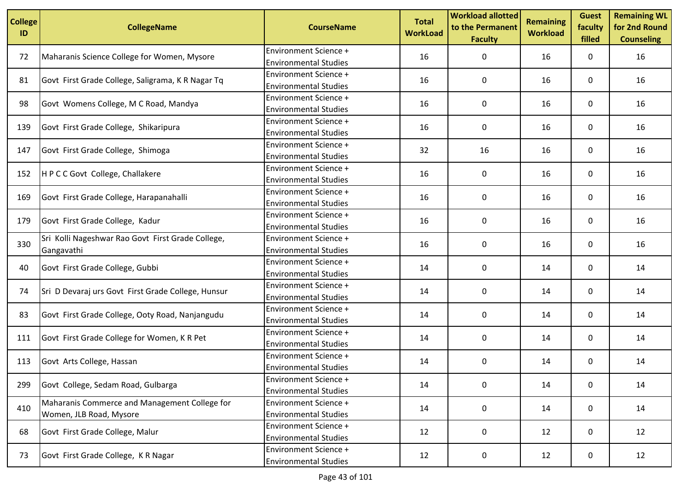| <b>College</b><br>ID | <b>CollegeName</b>                                                       | <b>CourseName</b>                                            | <b>Total</b><br><b>WorkLoad</b> | <b>Workload allotted</b><br>to the Permanent<br><b>Faculty</b> | <b>Remaining</b><br><b>Workload</b> | <b>Guest</b><br>faculty<br>filled | <b>Remaining WL</b><br>for 2nd Round<br><b>Counseling</b> |
|----------------------|--------------------------------------------------------------------------|--------------------------------------------------------------|---------------------------------|----------------------------------------------------------------|-------------------------------------|-----------------------------------|-----------------------------------------------------------|
| 72                   | Maharanis Science College for Women, Mysore                              | <b>Environment Science +</b><br><b>Environmental Studies</b> | 16                              | 0                                                              | 16                                  | 0                                 | 16                                                        |
| 81                   | Govt First Grade College, Saligrama, K R Nagar Tq                        | Environment Science +<br><b>Environmental Studies</b>        | 16                              | 0                                                              | 16                                  | 0                                 | 16                                                        |
| 98                   | Govt Womens College, M C Road, Mandya                                    | <b>Environment Science +</b><br><b>Environmental Studies</b> | 16                              | 0                                                              | 16                                  | 0                                 | 16                                                        |
| 139                  | Govt First Grade College, Shikaripura                                    | Environment Science +<br><b>Environmental Studies</b>        | 16                              | 0                                                              | 16                                  | 0                                 | 16                                                        |
| 147                  | Govt First Grade College, Shimoga                                        | Environment Science +<br><b>Environmental Studies</b>        | 32                              | 16                                                             | 16                                  | 0                                 | 16                                                        |
| 152                  | H P C C Govt College, Challakere                                         | <b>Environment Science +</b><br><b>Environmental Studies</b> | 16                              | 0                                                              | 16                                  | 0                                 | 16                                                        |
| 169                  | Govt First Grade College, Harapanahalli                                  | Environment Science +<br><b>Environmental Studies</b>        | 16                              | 0                                                              | 16                                  | 0                                 | 16                                                        |
| 179                  | Govt First Grade College, Kadur                                          | <b>Environment Science +</b><br><b>Environmental Studies</b> | 16                              | 0                                                              | 16                                  | 0                                 | 16                                                        |
| 330                  | Sri Kolli Nageshwar Rao Govt First Grade College,<br>Gangavathi          | <b>Environment Science +</b><br><b>Environmental Studies</b> | 16                              | 0                                                              | 16                                  | 0                                 | 16                                                        |
| 40                   | Govt First Grade College, Gubbi                                          | <b>Environment Science +</b><br><b>Environmental Studies</b> | 14                              | 0                                                              | 14                                  | 0                                 | 14                                                        |
| 74                   | Sri D Devaraj urs Govt First Grade College, Hunsur                       | <b>Environment Science +</b><br><b>Environmental Studies</b> | 14                              | 0                                                              | 14                                  | 0                                 | 14                                                        |
| 83                   | Govt First Grade College, Ooty Road, Nanjangudu                          | <b>Environment Science +</b><br><b>Environmental Studies</b> | 14                              | 0                                                              | 14                                  | 0                                 | 14                                                        |
| 111                  | Govt First Grade College for Women, K R Pet                              | <b>Environment Science +</b><br><b>Environmental Studies</b> | 14                              | 0                                                              | 14                                  | 0                                 | 14                                                        |
| 113                  | Govt Arts College, Hassan                                                | <b>Environment Science +</b><br><b>Environmental Studies</b> | 14                              | 0                                                              | 14                                  | 0                                 | 14                                                        |
| 299                  | Govt College, Sedam Road, Gulbarga                                       | <b>Environment Science +</b><br><b>Environmental Studies</b> | 14                              | $\mathbf 0$                                                    | 14                                  | 0                                 | 14                                                        |
| 410                  | Maharanis Commerce and Management College for<br>Women, JLB Road, Mysore | <b>Environment Science +</b><br><b>Environmental Studies</b> | 14                              | 0                                                              | 14                                  | 0                                 | 14                                                        |
| 68                   | Govt First Grade College, Malur                                          | <b>Environment Science +</b><br><b>Environmental Studies</b> | 12                              | 0                                                              | 12                                  | 0                                 | 12                                                        |
| 73                   | Govt First Grade College, KR Nagar                                       | <b>Environment Science +</b><br><b>Environmental Studies</b> | 12                              | 0                                                              | 12                                  | 0                                 | 12                                                        |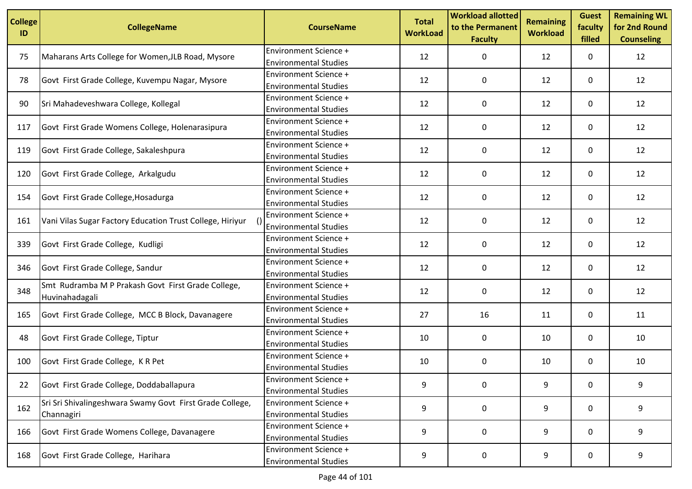| <b>College</b><br>ID | <b>CollegeName</b>                                                     | <b>CourseName</b>                                            | <b>Total</b><br><b>WorkLoad</b> | <b>Workload allotted</b><br>to the Permanent<br><b>Faculty</b> | <b>Remaining</b><br><b>Workload</b> | <b>Guest</b><br>faculty<br>filled | <b>Remaining WL</b><br>for 2nd Round<br><b>Counseling</b> |
|----------------------|------------------------------------------------------------------------|--------------------------------------------------------------|---------------------------------|----------------------------------------------------------------|-------------------------------------|-----------------------------------|-----------------------------------------------------------|
| 75                   | Maharans Arts College for Women, JLB Road, Mysore                      | <b>Environment Science +</b><br><b>Environmental Studies</b> | 12                              | 0                                                              | 12                                  | 0                                 | 12                                                        |
| 78                   | Govt First Grade College, Kuvempu Nagar, Mysore                        | Environment Science +<br><b>Environmental Studies</b>        | 12                              | 0                                                              | 12                                  | 0                                 | 12                                                        |
| 90                   | Sri Mahadeveshwara College, Kollegal                                   | <b>Environment Science +</b><br><b>Environmental Studies</b> | 12                              | 0                                                              | 12                                  | 0                                 | 12                                                        |
| 117                  | Govt First Grade Womens College, Holenarasipura                        | Environment Science +<br><b>Environmental Studies</b>        | 12                              | 0                                                              | 12                                  | 0                                 | 12                                                        |
| 119                  | Govt First Grade College, Sakaleshpura                                 | Environment Science +<br><b>Environmental Studies</b>        | 12                              | 0                                                              | 12                                  | 0                                 | 12                                                        |
| 120                  | Govt First Grade College, Arkalgudu                                    | <b>Environment Science +</b><br><b>Environmental Studies</b> | 12                              | 0                                                              | 12                                  | 0                                 | 12                                                        |
| 154                  | Govt First Grade College, Hosadurga                                    | Environment Science +<br><b>Environmental Studies</b>        | 12                              | 0                                                              | 12                                  | 0                                 | 12                                                        |
| 161                  | Vani Vilas Sugar Factory Education Trust College, Hiriyur              | <b>Environment Science +</b><br><b>Environmental Studies</b> | 12                              | 0                                                              | 12                                  | 0                                 | 12                                                        |
| 339                  | Govt First Grade College, Kudligi                                      | <b>Environment Science +</b><br><b>Environmental Studies</b> | 12                              | 0                                                              | 12                                  | 0                                 | 12                                                        |
| 346                  | Govt First Grade College, Sandur                                       | <b>Environment Science +</b><br><b>Environmental Studies</b> | 12                              | 0                                                              | 12                                  | 0                                 | 12                                                        |
| 348                  | Smt Rudramba M P Prakash Govt First Grade College,<br>Huvinahadagali   | <b>Environment Science +</b><br><b>Environmental Studies</b> | 12                              | 0                                                              | 12                                  | 0                                 | 12                                                        |
| 165                  | Govt First Grade College, MCC B Block, Davanagere                      | <b>Environment Science +</b><br><b>Environmental Studies</b> | 27                              | 16                                                             | 11                                  | 0                                 | 11                                                        |
| 48                   | Govt First Grade College, Tiptur                                       | <b>Environment Science +</b><br><b>Environmental Studies</b> | 10                              | 0                                                              | 10                                  | 0                                 | 10                                                        |
| 100                  | Govt First Grade College, K R Pet                                      | <b>Environment Science +</b><br><b>Environmental Studies</b> | 10                              | 0                                                              | 10                                  | 0                                 | 10                                                        |
| 22                   | Govt First Grade College, Doddaballapura                               | <b>Environment Science +</b><br><b>Environmental Studies</b> | 9                               | $\mathbf 0$                                                    | 9                                   | 0                                 | 9                                                         |
| 162                  | Sri Sri Shivalingeshwara Swamy Govt First Grade College,<br>Channagiri | <b>Environment Science +</b><br><b>Environmental Studies</b> | 9                               | 0                                                              | 9                                   | 0                                 | 9                                                         |
| 166                  | Govt First Grade Womens College, Davanagere                            | <b>Environment Science +</b><br><b>Environmental Studies</b> | 9                               | 0                                                              | 9                                   | 0                                 | 9                                                         |
| 168                  | Govt First Grade College, Harihara                                     | <b>Environment Science +</b><br><b>Environmental Studies</b> | 9                               | 0                                                              | 9                                   | 0                                 | 9                                                         |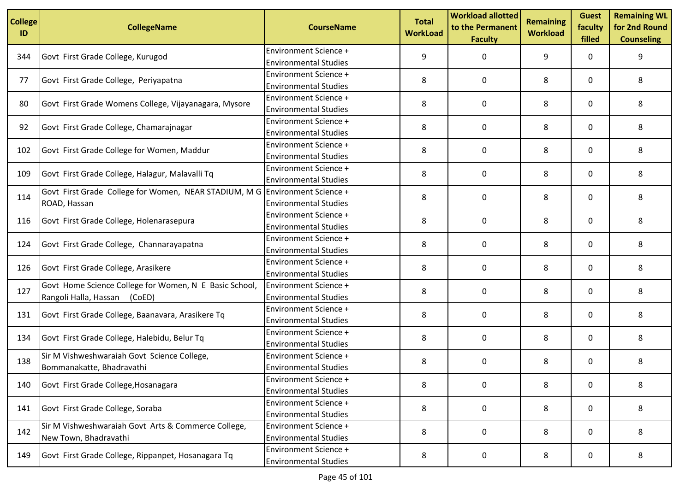| <b>College</b><br>ID | <b>CollegeName</b>                                                          | <b>CourseName</b>                                            | <b>Total</b><br><b>WorkLoad</b> | <b>Workload allotted</b><br>to the Permanent<br><b>Faculty</b> | <b>Remaining</b><br><b>Workload</b> | <b>Guest</b><br>faculty<br>filled | <b>Remaining WL</b><br>for 2nd Round<br><b>Counseling</b> |
|----------------------|-----------------------------------------------------------------------------|--------------------------------------------------------------|---------------------------------|----------------------------------------------------------------|-------------------------------------|-----------------------------------|-----------------------------------------------------------|
| 344                  | Govt First Grade College, Kurugod                                           | <b>Environment Science +</b>                                 | 9                               | 0                                                              | 9                                   | 0                                 | 9                                                         |
|                      |                                                                             | <b>Environmental Studies</b>                                 |                                 |                                                                |                                     |                                   |                                                           |
| 77                   | Govt First Grade College, Periyapatna                                       | Environment Science +                                        | 8                               | 0                                                              | 8                                   | 0                                 | 8                                                         |
|                      |                                                                             | <b>Environmental Studies</b>                                 |                                 |                                                                |                                     |                                   |                                                           |
| 80                   | Govt First Grade Womens College, Vijayanagara, Mysore                       | <b>Environment Science +</b>                                 | 8                               | 0                                                              | 8                                   | 0                                 | 8                                                         |
|                      |                                                                             | <b>Environmental Studies</b>                                 |                                 |                                                                |                                     |                                   |                                                           |
| 92                   | Govt First Grade College, Chamarajnagar                                     | Environment Science +                                        | 8                               | 0                                                              | 8                                   | 0                                 | 8                                                         |
|                      |                                                                             | <b>Environmental Studies</b>                                 |                                 |                                                                |                                     |                                   |                                                           |
| 102                  | Govt First Grade College for Women, Maddur                                  | Environment Science +                                        | 8                               | 0                                                              | 8                                   | 0                                 | 8                                                         |
|                      |                                                                             | <b>Environmental Studies</b>                                 |                                 |                                                                |                                     |                                   |                                                           |
| 109                  | Govt First Grade College, Halagur, Malavalli Tq                             | <b>Environment Science +</b>                                 | 8                               | 0                                                              | 8                                   | 0                                 | 8                                                         |
|                      |                                                                             | <b>Environmental Studies</b>                                 |                                 |                                                                |                                     |                                   |                                                           |
| 114                  | Govt First Grade College for Women, NEAR STADIUM, M G Environment Science + |                                                              | 8                               | 0                                                              | 8                                   | 0                                 | 8                                                         |
|                      | ROAD, Hassan                                                                | <b>Environmental Studies</b>                                 |                                 |                                                                |                                     |                                   |                                                           |
| 116                  | Govt First Grade College, Holenarasepura                                    | <b>Environment Science +</b>                                 | 8                               | 0                                                              | 8                                   | 0                                 | 8                                                         |
|                      |                                                                             | <b>Environmental Studies</b><br><b>Environment Science +</b> |                                 |                                                                |                                     |                                   |                                                           |
| 124                  | Govt First Grade College, Channarayapatna                                   | <b>Environmental Studies</b>                                 | 8                               | 0                                                              | 8                                   | 0                                 | 8                                                         |
|                      |                                                                             | <b>Environment Science +</b>                                 |                                 |                                                                |                                     |                                   |                                                           |
| 126                  | Govt First Grade College, Arasikere                                         | <b>Environmental Studies</b>                                 | 8                               | 0                                                              | 8                                   | 0                                 | 8                                                         |
|                      | Govt Home Science College for Women, N E Basic School,                      | <b>Environment Science +</b>                                 |                                 |                                                                |                                     |                                   |                                                           |
| 127                  | Rangoli Halla, Hassan<br>(CoED)                                             | <b>Environmental Studies</b>                                 | 8                               | 0                                                              | 8                                   | 0                                 | 8                                                         |
|                      |                                                                             | <b>Environment Science +</b>                                 |                                 |                                                                |                                     |                                   |                                                           |
| 131                  | Govt First Grade College, Baanavara, Arasikere Tq                           | <b>Environmental Studies</b>                                 | 8                               | 0                                                              | 8                                   | 0                                 | 8                                                         |
|                      |                                                                             | <b>Environment Science +</b>                                 |                                 |                                                                |                                     |                                   |                                                           |
| 134                  | Govt First Grade College, Halebidu, Belur Tq                                | <b>Environmental Studies</b>                                 | 8                               | 0                                                              | 8                                   | 0                                 | 8                                                         |
|                      | Sir M Vishweshwaraiah Govt Science College,                                 | <b>Environment Science +</b>                                 |                                 |                                                                |                                     |                                   |                                                           |
| 138                  | Bommanakatte, Bhadravathi                                                   | <b>Environmental Studies</b>                                 | 8                               | 0                                                              | 8                                   | 0                                 | 8                                                         |
|                      |                                                                             | <b>Environment Science +</b>                                 |                                 |                                                                |                                     |                                   |                                                           |
| 140                  | Govt First Grade College, Hosanagara                                        | <b>Environmental Studies</b>                                 | 8                               | $\mathbf 0$                                                    | 8                                   | 0                                 | 8                                                         |
|                      |                                                                             | <b>Environment Science +</b>                                 |                                 |                                                                |                                     |                                   |                                                           |
| 141                  | Govt First Grade College, Soraba                                            | <b>Environmental Studies</b>                                 | 8                               | 0                                                              | 8                                   | 0                                 | 8                                                         |
|                      | Sir M Vishweshwaraiah Govt Arts & Commerce College,                         | <b>Environment Science +</b>                                 |                                 |                                                                |                                     |                                   |                                                           |
| 142                  | New Town, Bhadravathi                                                       | <b>Environmental Studies</b>                                 | 8                               | 0                                                              | 8                                   | 0                                 | 8                                                         |
|                      |                                                                             | <b>Environment Science +</b>                                 |                                 |                                                                |                                     |                                   |                                                           |
| 149                  | Govt First Grade College, Rippanpet, Hosanagara Tq                          | <b>Environmental Studies</b>                                 | 8                               | 0                                                              | 8                                   | 0                                 | 8                                                         |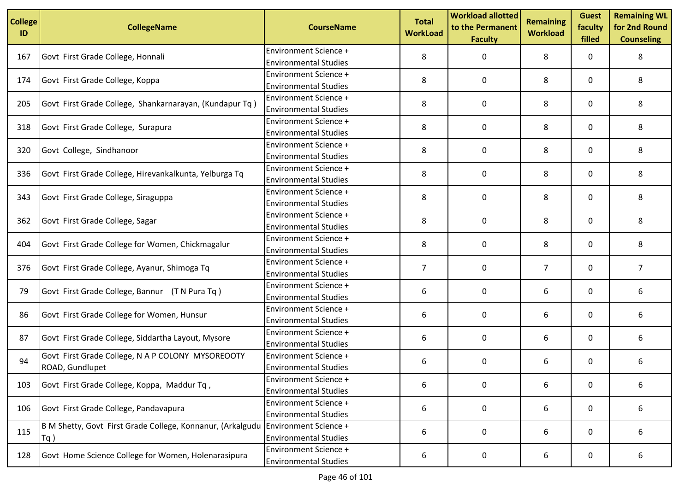| <b>College</b><br>ID | <b>CollegeName</b>                                                   | <b>CourseName</b>                                                                     | <b>Total</b><br><b>WorkLoad</b> | <b>Workload allotted</b><br>to the Permanent<br><b>Faculty</b> | <b>Remaining</b><br><b>Workload</b> | <b>Guest</b><br>faculty<br>filled | <b>Remaining WL</b><br>for 2nd Round<br><b>Counseling</b> |
|----------------------|----------------------------------------------------------------------|---------------------------------------------------------------------------------------|---------------------------------|----------------------------------------------------------------|-------------------------------------|-----------------------------------|-----------------------------------------------------------|
| 167                  | Govt First Grade College, Honnali                                    | <b>Environment Science +</b>                                                          | 8                               | 0                                                              | 8                                   | 0                                 | 8                                                         |
| 174                  | Govt First Grade College, Koppa                                      | <b>Environmental Studies</b><br>Environment Science +<br><b>Environmental Studies</b> | 8                               | 0                                                              | 8                                   | 0                                 | 8                                                         |
| 205                  | Govt First Grade College, Shankarnarayan, (Kundapur Tq)              | <b>Environment Science +</b><br><b>Environmental Studies</b>                          | 8                               | 0                                                              | 8                                   | 0                                 | 8                                                         |
| 318                  | Govt First Grade College, Surapura                                   | <b>Environment Science +</b><br><b>Environmental Studies</b>                          | 8                               | 0                                                              | 8                                   | 0                                 | 8                                                         |
| 320                  | Govt College, Sindhanoor                                             | Environment Science +<br><b>Environmental Studies</b>                                 | 8                               | 0                                                              | 8                                   | 0                                 | 8                                                         |
| 336                  | Govt First Grade College, Hirevankalkunta, Yelburga Tq               | <b>Environment Science +</b><br><b>Environmental Studies</b>                          | 8                               | 0                                                              | 8                                   | 0                                 | 8                                                         |
| 343                  | Govt First Grade College, Siraguppa                                  | <b>Environment Science +</b><br><b>Environmental Studies</b>                          | 8                               | 0                                                              | 8                                   | 0                                 | 8                                                         |
| 362                  | Govt First Grade College, Sagar                                      | <b>Environment Science +</b><br><b>Environmental Studies</b>                          | 8                               | 0                                                              | 8                                   | 0                                 | 8                                                         |
| 404                  | Govt First Grade College for Women, Chickmagalur                     | <b>Environment Science +</b><br><b>Environmental Studies</b>                          | 8                               | 0                                                              | 8                                   | 0                                 | 8                                                         |
| 376                  | Govt First Grade College, Ayanur, Shimoga Tq                         | <b>Environment Science +</b><br><b>Environmental Studies</b>                          | $\overline{7}$                  | 0                                                              | $\overline{7}$                      | 0                                 | 7                                                         |
| 79                   | Govt First Grade College, Bannur (T N Pura Tq)                       | <b>Environment Science +</b><br><b>Environmental Studies</b>                          | 6                               | 0                                                              | 6                                   | 0                                 | 6                                                         |
| 86                   | Govt First Grade College for Women, Hunsur                           | <b>Environment Science +</b><br><b>Environmental Studies</b>                          | 6                               | 0                                                              | 6                                   | 0                                 | 6                                                         |
| 87                   | Govt First Grade College, Siddartha Layout, Mysore                   | <b>Environment Science +</b><br><b>Environmental Studies</b>                          | 6                               | 0                                                              | 6                                   | 0                                 | 6                                                         |
| 94                   | Govt First Grade College, N A P COLONY MYSOREOOTY<br>ROAD, Gundlupet | <b>Environment Science +</b><br><b>Environmental Studies</b>                          | 6                               | 0                                                              | 6                                   | 0                                 | 6                                                         |
| 103                  | Govt First Grade College, Koppa, Maddur Tq,                          | <b>Environment Science +</b><br><b>Environmental Studies</b>                          | 6                               | $\mathbf 0$                                                    | 6                                   | 0                                 | 6                                                         |
| 106                  | Govt First Grade College, Pandavapura                                | <b>Environment Science +</b><br><b>Environmental Studies</b>                          | 6                               | 0                                                              | 6                                   | 0                                 | 6                                                         |
| 115                  | B M Shetty, Govt First Grade College, Konnanur, (Arkalgudu<br>$Tq$ ) | <b>Environment Science +</b><br><b>Environmental Studies</b>                          | 6                               | 0                                                              | 6                                   | 0                                 | 6                                                         |
| 128                  | Govt Home Science College for Women, Holenarasipura                  | <b>Environment Science +</b><br><b>Environmental Studies</b>                          | 6                               | 0                                                              | 6                                   | 0                                 | 6                                                         |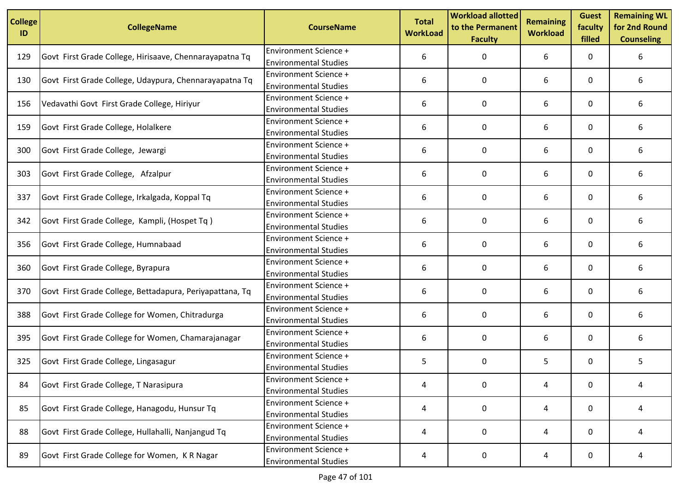| <b>College</b><br>ID | <b>CollegeName</b>                                       | <b>CourseName</b>                                            | <b>Total</b><br><b>WorkLoad</b> | <b>Workload allotted</b><br>to the Permanent<br><b>Faculty</b> | <b>Remaining</b><br><b>Workload</b> | <b>Guest</b><br>faculty<br>filled | <b>Remaining WL</b><br>for 2nd Round<br><b>Counseling</b> |
|----------------------|----------------------------------------------------------|--------------------------------------------------------------|---------------------------------|----------------------------------------------------------------|-------------------------------------|-----------------------------------|-----------------------------------------------------------|
| 129                  | Govt First Grade College, Hirisaave, Chennarayapatna Tq  | <b>Environment Science +</b><br><b>Environmental Studies</b> | 6                               | 0                                                              | 6                                   | 0                                 | 6                                                         |
| 130                  | Govt First Grade College, Udaypura, Chennarayapatna Tq   | Environment Science +<br><b>Environmental Studies</b>        | 6                               | 0                                                              | 6                                   | 0                                 | 6                                                         |
| 156                  | Vedavathi Govt First Grade College, Hiriyur              | Environment Science +<br><b>Environmental Studies</b>        | 6                               | 0                                                              | 6                                   | 0                                 | 6                                                         |
| 159                  | Govt First Grade College, Holalkere                      | <b>Environment Science +</b><br><b>Environmental Studies</b> | 6                               | 0                                                              | 6                                   | 0                                 | 6                                                         |
| 300                  | Govt First Grade College, Jewargi                        | <b>Environment Science +</b><br><b>Environmental Studies</b> | 6                               | 0                                                              | 6                                   | 0                                 | 6                                                         |
| 303                  | Govt First Grade College, Afzalpur                       | <b>Environment Science +</b><br><b>Environmental Studies</b> | 6                               | 0                                                              | 6                                   | 0                                 | 6                                                         |
| 337                  | Govt First Grade College, Irkalgada, Koppal Tq           | Environment Science +<br><b>Environmental Studies</b>        | 6                               | 0                                                              | 6                                   | 0                                 | 6                                                         |
| 342                  | Govt First Grade College, Kampli, (Hospet Tq)            | <b>Environment Science +</b><br><b>Environmental Studies</b> | 6                               | 0                                                              | 6                                   | 0                                 | 6                                                         |
| 356                  | Govt First Grade College, Humnabaad                      | Environment Science +<br><b>Environmental Studies</b>        | 6                               | 0                                                              | 6                                   | 0                                 | 6                                                         |
| 360                  | Govt First Grade College, Byrapura                       | <b>Environment Science +</b><br><b>Environmental Studies</b> | 6                               | 0                                                              | 6                                   | 0                                 | 6                                                         |
| 370                  | Govt First Grade College, Bettadapura, Periyapattana, Tq | <b>Environment Science +</b><br><b>Environmental Studies</b> | 6                               | 0                                                              | 6                                   | 0                                 | 6                                                         |
| 388                  | Govt First Grade College for Women, Chitradurga          | <b>Environment Science +</b><br><b>Environmental Studies</b> | 6                               | 0                                                              | 6                                   | 0                                 | 6                                                         |
| 395                  | Govt First Grade College for Women, Chamarajanagar       | <b>Environment Science +</b><br><b>Environmental Studies</b> | 6                               | 0                                                              | 6                                   | 0                                 | 6                                                         |
| 325                  | Govt First Grade College, Lingasagur                     | <b>Environment Science +</b><br><b>Environmental Studies</b> | 5                               | 0                                                              | 5                                   | 0                                 | 5                                                         |
| 84                   | Govt First Grade College, T Narasipura                   | Environment Science +<br><b>Environmental Studies</b>        | 4                               | 0                                                              | 4                                   | $\mathbf 0$                       | 4                                                         |
| 85                   | Govt First Grade College, Hanagodu, Hunsur Tq            | <b>Environment Science +</b><br><b>Environmental Studies</b> | 4                               | 0                                                              | 4                                   | 0                                 | 4                                                         |
| 88                   | Govt First Grade College, Hullahalli, Nanjangud Tq       | <b>Environment Science +</b><br><b>Environmental Studies</b> | 4                               | 0                                                              | 4                                   | 0                                 | 4                                                         |
| 89                   | Govt First Grade College for Women, KR Nagar             | Environment Science +<br><b>Environmental Studies</b>        | 4                               | 0                                                              | 4                                   | 0                                 | 4                                                         |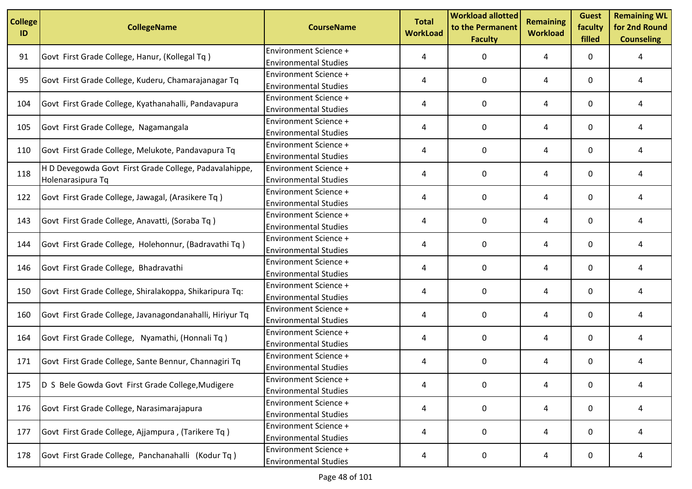| <b>College</b><br>ID | <b>CollegeName</b>                                                          | <b>CourseName</b>                                            | <b>Total</b><br><b>WorkLoad</b> | <b>Workload allotted</b><br>to the Permanent<br><b>Faculty</b> | <b>Remaining</b><br><b>Workload</b> | <b>Guest</b><br>faculty<br>filled | <b>Remaining WL</b><br>for 2nd Round<br><b>Counseling</b> |
|----------------------|-----------------------------------------------------------------------------|--------------------------------------------------------------|---------------------------------|----------------------------------------------------------------|-------------------------------------|-----------------------------------|-----------------------------------------------------------|
| 91                   | Govt First Grade College, Hanur, (Kollegal Tq)                              | <b>Environment Science +</b><br><b>Environmental Studies</b> | 4                               | 0                                                              | 4                                   | 0                                 | 4                                                         |
| 95                   | Govt First Grade College, Kuderu, Chamarajanagar Tq                         | Environment Science +<br><b>Environmental Studies</b>        | 4                               | 0                                                              | 4                                   | 0                                 | 4                                                         |
| 104                  | Govt First Grade College, Kyathanahalli, Pandavapura                        | <b>Environment Science +</b><br><b>Environmental Studies</b> | 4                               | 0                                                              | 4                                   | 0                                 | 4                                                         |
| 105                  | Govt First Grade College, Nagamangala                                       | <b>Environment Science +</b><br><b>Environmental Studies</b> | 4                               | 0                                                              | 4                                   | 0                                 | 4                                                         |
| 110                  | Govt First Grade College, Melukote, Pandavapura Tq                          | Environment Science +<br><b>Environmental Studies</b>        | 4                               | 0                                                              | 4                                   | 0                                 | 4                                                         |
| 118                  | H D Devegowda Govt First Grade College, Padavalahippe,<br>Holenarasipura Tq | <b>Environment Science +</b><br><b>Environmental Studies</b> | 4                               | 0                                                              | 4                                   | 0                                 | 4                                                         |
| 122                  | Govt First Grade College, Jawagal, (Arasikere Tq)                           | Environment Science +<br><b>Environmental Studies</b>        | 4                               | 0                                                              | 4                                   | 0                                 | 4                                                         |
| 143                  | Govt First Grade College, Anavatti, (Soraba Tq)                             | Environment Science +<br><b>Environmental Studies</b>        | 4                               | 0                                                              | 4                                   | 0                                 | 4                                                         |
| 144                  | Govt First Grade College, Holehonnur, (Badravathi Tq)                       | Environment Science +<br><b>Environmental Studies</b>        | 4                               | 0                                                              | 4                                   | 0                                 | 4                                                         |
| 146                  | Govt First Grade College, Bhadravathi                                       | <b>Environment Science +</b><br><b>Environmental Studies</b> | 4                               | 0                                                              | 4                                   | 0                                 | 4                                                         |
| 150                  | Govt First Grade College, Shiralakoppa, Shikaripura Tq:                     | <b>Environment Science +</b><br><b>Environmental Studies</b> | 4                               | 0                                                              | 4                                   | 0                                 | 4                                                         |
| 160                  | Govt First Grade College, Javanagondanahalli, Hiriyur Tq                    | <b>Environment Science +</b><br><b>Environmental Studies</b> | 4                               | 0                                                              | 4                                   | 0                                 | 4                                                         |
| 164                  | Govt First Grade College, Nyamathi, (Honnali Tq)                            | <b>Environment Science +</b><br><b>Environmental Studies</b> | 4                               | 0                                                              | 4                                   | 0                                 | 4                                                         |
| 171                  | Govt First Grade College, Sante Bennur, Channagiri Tq                       | <b>Environment Science +</b><br><b>Environmental Studies</b> | 4                               | 0                                                              | 4                                   | 0                                 | 4                                                         |
| 175                  | D S Bele Gowda Govt First Grade College, Mudigere                           | <b>Environment Science +</b><br><b>Environmental Studies</b> | 4                               | 0                                                              | 4                                   | 0                                 | 4                                                         |
| 176                  | Govt First Grade College, Narasimarajapura                                  | <b>Environment Science +</b><br><b>Environmental Studies</b> | 4                               | 0                                                              | 4                                   | 0                                 | 4                                                         |
| 177                  | Govt First Grade College, Ajjampura, (Tarikere Tq)                          | <b>Environment Science +</b><br><b>Environmental Studies</b> | 4                               | 0                                                              | 4                                   | 0                                 | 4                                                         |
| 178                  | Govt First Grade College, Panchanahalli (Kodur Tq)                          | <b>Environment Science +</b><br><b>Environmental Studies</b> | 4                               | 0                                                              | 4                                   | 0                                 | 4                                                         |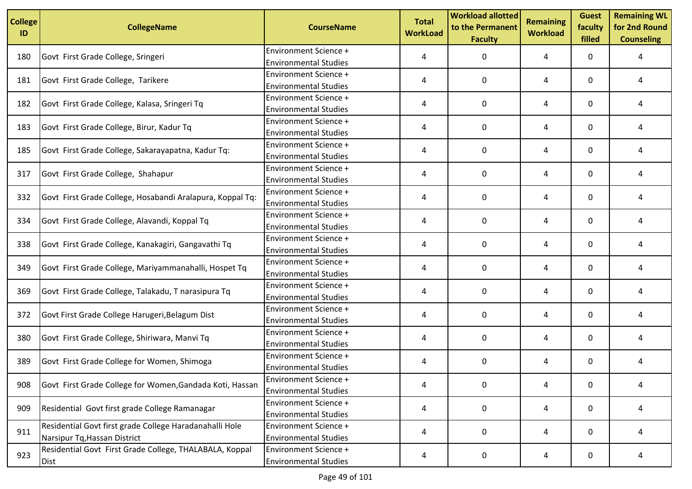| <b>College</b><br>ID | <b>CollegeName</b>                                        | <b>CourseName</b>            | <b>Total</b><br><b>WorkLoad</b> | <b>Workload allotted</b><br>to the Permanent<br><b>Faculty</b> | <b>Remaining</b><br><b>Workload</b> | <b>Guest</b><br>faculty<br>filled | <b>Remaining WL</b><br>for 2nd Round<br><b>Counseling</b> |
|----------------------|-----------------------------------------------------------|------------------------------|---------------------------------|----------------------------------------------------------------|-------------------------------------|-----------------------------------|-----------------------------------------------------------|
| 180                  | Govt First Grade College, Sringeri                        | <b>Environment Science +</b> | 4                               | 0                                                              | 4                                   | 0                                 | 4                                                         |
|                      |                                                           | <b>Environmental Studies</b> |                                 |                                                                |                                     |                                   |                                                           |
| 181                  | Govt First Grade College, Tarikere                        | <b>Environment Science +</b> | 4                               | 0                                                              | 4                                   | 0                                 | 4                                                         |
|                      |                                                           | <b>Environmental Studies</b> |                                 |                                                                |                                     |                                   |                                                           |
| 182                  | Govt First Grade College, Kalasa, Sringeri Tq             | <b>Environment Science +</b> | 4                               | 0                                                              | 4                                   | 0                                 | 4                                                         |
|                      |                                                           | <b>Environmental Studies</b> |                                 |                                                                |                                     |                                   |                                                           |
| 183                  | Govt First Grade College, Birur, Kadur Tq                 | Environment Science +        | 4                               | 0                                                              | 4                                   | 0                                 | 4                                                         |
|                      |                                                           | <b>Environmental Studies</b> |                                 |                                                                |                                     |                                   |                                                           |
| 185                  | Govt First Grade College, Sakarayapatna, Kadur Tq:        | <b>Environment Science +</b> | 4                               | 0                                                              | 4                                   | 0                                 | 4                                                         |
|                      |                                                           | <b>Environmental Studies</b> |                                 |                                                                |                                     |                                   |                                                           |
| 317                  | Govt First Grade College, Shahapur                        | <b>Environment Science +</b> | 4                               | $\Omega$                                                       | 4                                   | 0                                 | 4                                                         |
|                      |                                                           | <b>Environmental Studies</b> |                                 |                                                                |                                     |                                   |                                                           |
| 332                  | Govt First Grade College, Hosabandi Aralapura, Koppal Tq: | Environment Science +        | 4                               | 0                                                              | 4                                   | 0                                 | 4                                                         |
|                      |                                                           | <b>Environmental Studies</b> |                                 |                                                                |                                     |                                   |                                                           |
| 334                  | Govt First Grade College, Alavandi, Koppal Tq             | <b>Environment Science +</b> | 4                               | 0                                                              | 4                                   | 0                                 | 4                                                         |
|                      |                                                           | <b>Environmental Studies</b> |                                 |                                                                |                                     |                                   |                                                           |
| 338                  | Govt First Grade College, Kanakagiri, Gangavathi Tq       | <b>Environment Science +</b> | 4                               | 0                                                              | 4                                   | 0                                 | 4                                                         |
|                      |                                                           | <b>Environmental Studies</b> |                                 |                                                                |                                     |                                   |                                                           |
| 349                  | Govt First Grade College, Mariyammanahalli, Hospet Tq     | Environment Science +        | 4                               | 0                                                              | 4                                   | 0                                 | 4                                                         |
|                      |                                                           | <b>Environmental Studies</b> |                                 |                                                                |                                     |                                   |                                                           |
| 369                  | Govt First Grade College, Talakadu, T narasipura Tq       | <b>Environment Science +</b> | 4                               | 0                                                              | 4                                   | 0                                 | 4                                                         |
|                      |                                                           | <b>Environmental Studies</b> |                                 |                                                                |                                     |                                   |                                                           |
| 372                  | Govt First Grade College Harugeri, Belagum Dist           | <b>Environment Science +</b> | 4                               | 0                                                              | 4                                   | 0                                 | 4                                                         |
|                      |                                                           | <b>Environmental Studies</b> |                                 |                                                                |                                     |                                   |                                                           |
| 380                  | Govt First Grade College, Shiriwara, Manvi Tq             | <b>Environment Science +</b> | 4                               | 0                                                              | 4                                   | 0                                 | 4                                                         |
|                      |                                                           | <b>Environmental Studies</b> |                                 |                                                                |                                     |                                   |                                                           |
| 389                  | Govt First Grade College for Women, Shimoga               | <b>Environment Science +</b> | 4                               | 0                                                              | 4                                   | 0                                 | 4                                                         |
|                      |                                                           | <b>Environmental Studies</b> |                                 |                                                                |                                     |                                   |                                                           |
| 908                  | Govt First Grade College for Women, Gandada Koti, Hassan  | <b>Environment Science +</b> | 4                               | 0                                                              | 4                                   | 0                                 | 4                                                         |
|                      |                                                           | <b>Environmental Studies</b> |                                 |                                                                |                                     |                                   |                                                           |
| 909                  | Residential Govt first grade College Ramanagar            | <b>Environment Science +</b> | 4                               | 0                                                              | 4                                   | 0                                 | 4                                                         |
|                      |                                                           | <b>Environmental Studies</b> |                                 |                                                                |                                     |                                   |                                                           |
| 911                  | Residential Govt first grade College Haradanahalli Hole   | <b>Environment Science +</b> | 4                               | 0                                                              | 4                                   | 0                                 | 4                                                         |
|                      | Narsipur Tq, Hassan District                              | <b>Environmental Studies</b> |                                 |                                                                |                                     |                                   |                                                           |
| 923                  | Residential Govt First Grade College, THALABALA, Koppal   | <b>Environment Science +</b> | 4                               | 0                                                              | 4                                   | 0                                 | 4                                                         |
|                      | Dist                                                      | <b>Environmental Studies</b> |                                 |                                                                |                                     |                                   |                                                           |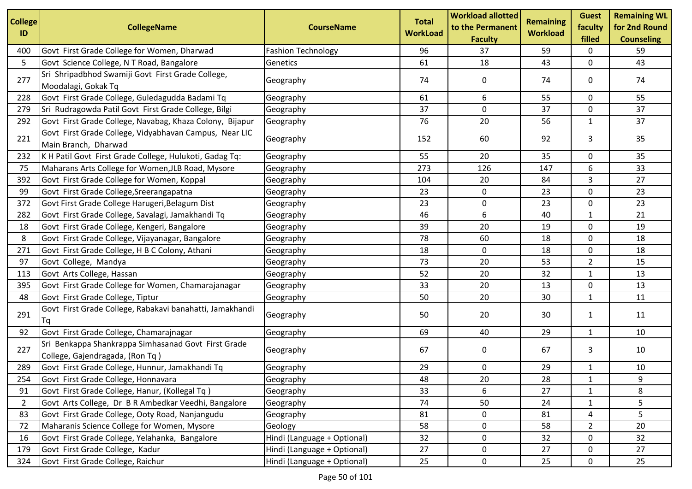| <b>College</b><br>ID | <b>CollegeName</b>                                                                     | <b>CourseName</b>           | <b>Total</b><br><b>WorkLoad</b> | <b>Workload allotted</b><br>to the Permanent<br><b>Faculty</b> | <b>Remaining</b><br><b>Workload</b> | <b>Guest</b><br>faculty<br>filled | <b>Remaining WL</b><br>for 2nd Round<br><b>Counseling</b> |
|----------------------|----------------------------------------------------------------------------------------|-----------------------------|---------------------------------|----------------------------------------------------------------|-------------------------------------|-----------------------------------|-----------------------------------------------------------|
| 400                  | Govt First Grade College for Women, Dharwad                                            | <b>Fashion Technology</b>   | 96                              | 37                                                             | 59                                  | 0                                 | 59                                                        |
| 5                    | Govt Science College, N T Road, Bangalore                                              | Genetics                    | 61                              | 18                                                             | 43                                  | 0                                 | 43                                                        |
| 277                  | Sri Shripadbhod Swamiji Govt First Grade College,<br>Moodalagi, Gokak Tq               | Geography                   | 74                              | 0                                                              | 74                                  | 0                                 | 74                                                        |
| 228                  | Govt First Grade College, Guledagudda Badami Tq                                        | Geography                   | 61                              | 6                                                              | 55                                  | 0                                 | 55                                                        |
| 279                  | Sri Rudragowda Patil Govt First Grade College, Bilgi                                   | Geography                   | 37                              | 0                                                              | 37                                  | 0                                 | 37                                                        |
| 292                  | Govt First Grade College, Navabag, Khaza Colony, Bijapur                               | Geography                   | 76                              | 20                                                             | 56                                  | $\mathbf{1}$                      | 37                                                        |
| 221                  | Govt First Grade College, Vidyabhavan Campus, Near LIC<br>Main Branch, Dharwad         | Geography                   | 152                             | 60                                                             | 92                                  | 3                                 | 35                                                        |
| 232                  | K H Patil Govt First Grade College, Hulukoti, Gadag Tq:                                | Geography                   | 55                              | 20                                                             | 35                                  | 0                                 | 35                                                        |
| 75                   | Maharans Arts College for Women, JLB Road, Mysore                                      | Geography                   | 273                             | 126                                                            | 147                                 | 6                                 | 33                                                        |
| 392                  | Govt First Grade College for Women, Koppal                                             | Geography                   | 104                             | 20                                                             | 84                                  | 3                                 | 27                                                        |
| 99                   | Govt First Grade College, Sreerangapatna                                               | Geography                   | 23                              | 0                                                              | 23                                  | 0                                 | 23                                                        |
| 372                  | Govt First Grade College Harugeri, Belagum Dist                                        | Geography                   | 23                              | 0                                                              | 23                                  | 0                                 | 23                                                        |
| 282                  | Govt First Grade College, Savalagi, Jamakhandi Tq                                      | Geography                   | 46                              | 6                                                              | 40                                  | $\mathbf{1}$                      | 21                                                        |
| 18                   | Govt First Grade College, Kengeri, Bangalore                                           | Geography                   | 39                              | 20                                                             | 19                                  | 0                                 | 19                                                        |
| 8                    | Govt First Grade College, Vijayanagar, Bangalore                                       | Geography                   | 78                              | 60                                                             | 18                                  | 0                                 | 18                                                        |
| 271                  | Govt First Grade College, H B C Colony, Athani                                         | Geography                   | 18                              | $\mathbf 0$                                                    | 18                                  | 0                                 | 18                                                        |
| 97                   | Govt College, Mandya                                                                   | Geography                   | 73                              | 20                                                             | 53                                  | $\overline{2}$                    | 15                                                        |
| 113                  | Govt Arts College, Hassan                                                              | Geography                   | 52                              | 20                                                             | 32                                  | 1                                 | 13                                                        |
| 395                  | Govt First Grade College for Women, Chamarajanagar                                     | Geography                   | 33                              | 20                                                             | 13                                  | 0                                 | 13                                                        |
| 48                   | Govt First Grade College, Tiptur                                                       | Geography                   | 50                              | 20                                                             | 30                                  | 1                                 | 11                                                        |
| 291                  | Govt First Grade College, Rabakavi banahatti, Jamakhandi<br>1q                         | Geography                   | 50                              | 20                                                             | 30                                  | $\mathbf{1}$                      | 11                                                        |
| 92                   | Govt First Grade College, Chamarajnagar                                                | Geography                   | 69                              | 40                                                             | 29                                  | 1                                 | 10                                                        |
| 227                  | Sri Benkappa Shankrappa Simhasanad Govt First Grade<br>College, Gajendragada, (Ron Tq) | Geography                   | 67                              | 0                                                              | 67                                  | 3                                 | 10                                                        |
| 289                  | Govt First Grade College, Hunnur, Jamakhandi Tq                                        | Geography                   | 29                              | 0                                                              | 29                                  | 1                                 | 10                                                        |
| 254                  | Govt First Grade College, Honnavara                                                    | Geography                   | 48                              | $20\,$                                                         | 28                                  | 1                                 | 9                                                         |
| 91                   | Govt First Grade College, Hanur, (Kollegal Tq)                                         | Geography                   | 33                              | 6                                                              | 27                                  | $\mathbf{1}$                      | 8                                                         |
| $\overline{2}$       | Govt Arts College, Dr B R Ambedkar Veedhi, Bangalore                                   | Geography                   | 74                              | 50                                                             | 24                                  | $\mathbf{1}$                      | 5                                                         |
| 83                   | Govt First Grade College, Ooty Road, Nanjangudu                                        | Geography                   | 81                              | 0                                                              | 81                                  | 4                                 | 5                                                         |
| 72                   | Maharanis Science College for Women, Mysore                                            | Geology                     | 58                              | 0                                                              | 58                                  | $\overline{2}$                    | 20                                                        |
| 16                   | Govt First Grade College, Yelahanka, Bangalore                                         | Hindi (Language + Optional) | 32                              | 0                                                              | 32                                  | 0                                 | 32                                                        |
| 179                  | Govt First Grade College, Kadur                                                        | Hindi (Language + Optional) | 27                              | 0                                                              | 27                                  | 0                                 | 27                                                        |
| 324                  | Govt First Grade College, Raichur                                                      | Hindi (Language + Optional) | 25                              | 0                                                              | 25                                  | 0                                 | 25                                                        |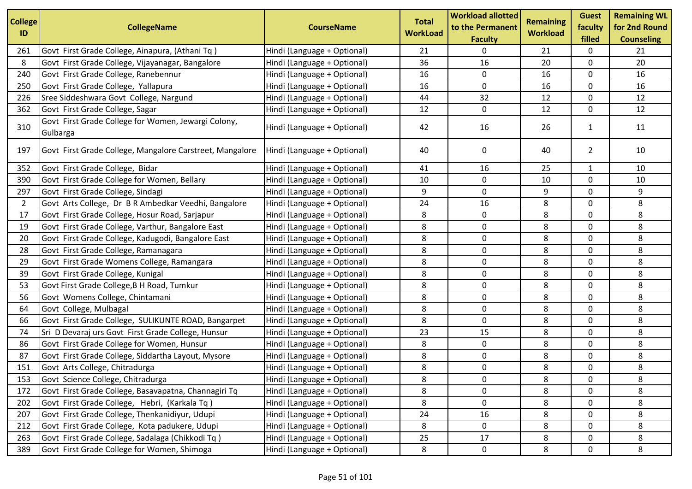| <b>College</b><br>ID | <b>CollegeName</b>                                              | <b>CourseName</b>           | <b>Total</b><br><b>WorkLoad</b> | <b>Workload allotted</b><br>to the Permanent<br><b>Faculty</b> | <b>Remaining</b><br><b>Workload</b> | <b>Guest</b><br>faculty<br>filled | <b>Remaining WL</b><br>for 2nd Round<br><b>Counseling</b> |
|----------------------|-----------------------------------------------------------------|-----------------------------|---------------------------------|----------------------------------------------------------------|-------------------------------------|-----------------------------------|-----------------------------------------------------------|
| 261                  | Govt First Grade College, Ainapura, (Athani Tq)                 | Hindi (Language + Optional) | 21                              | 0                                                              | 21                                  | 0                                 | 21                                                        |
| 8                    | Govt First Grade College, Vijayanagar, Bangalore                | Hindi (Language + Optional) | 36                              | 16                                                             | 20                                  | 0                                 | 20                                                        |
| 240                  | Govt First Grade College, Ranebennur                            | Hindi (Language + Optional) | 16                              | 0                                                              | 16                                  | 0                                 | 16                                                        |
| 250                  | Govt First Grade College, Yallapura                             | Hindi (Language + Optional) | 16                              | 0                                                              | 16                                  | 0                                 | 16                                                        |
| 226                  | Sree Siddeshwara Govt College, Nargund                          | Hindi (Language + Optional) | 44                              | 32                                                             | 12                                  | $\mathbf 0$                       | 12                                                        |
| 362                  | Govt First Grade College, Sagar                                 | Hindi (Language + Optional) | 12                              | $\mathbf 0$                                                    | 12                                  | 0                                 | 12                                                        |
| 310                  | Govt First Grade College for Women, Jewargi Colony,<br>Gulbarga | Hindi (Language + Optional) | 42                              | 16                                                             | 26                                  | $\mathbf{1}$                      | 11                                                        |
| 197                  | Govt First Grade College, Mangalore Carstreet, Mangalore        | Hindi (Language + Optional) | 40                              | 0                                                              | 40                                  | $\overline{2}$                    | 10                                                        |
| 352                  | Govt First Grade College, Bidar                                 | Hindi (Language + Optional) | 41                              | 16                                                             | 25                                  | $\mathbf{1}$                      | 10                                                        |
| 390                  | Govt First Grade College for Women, Bellary                     | Hindi (Language + Optional) | 10                              | 0                                                              | 10                                  | 0                                 | 10                                                        |
| 297                  | Govt First Grade College, Sindagi                               | Hindi (Language + Optional) | 9                               | 0                                                              | 9                                   | 0                                 | 9                                                         |
| $\overline{2}$       | Govt Arts College, Dr B R Ambedkar Veedhi, Bangalore            | Hindi (Language + Optional) | 24                              | 16                                                             | 8                                   | 0                                 | 8                                                         |
| 17                   | Govt First Grade College, Hosur Road, Sarjapur                  | Hindi (Language + Optional) | 8                               | 0                                                              | 8                                   | 0                                 | 8                                                         |
| 19                   | Govt First Grade College, Varthur, Bangalore East               | Hindi (Language + Optional) | 8                               | $\pmb{0}$                                                      | 8                                   | 0                                 | 8                                                         |
| 20                   | Govt First Grade College, Kadugodi, Bangalore East              | Hindi (Language + Optional) | 8                               | 0                                                              | 8                                   | 0                                 | 8                                                         |
| 28                   | Govt First Grade College, Ramanagara                            | Hindi (Language + Optional) | 8                               | 0                                                              | 8                                   | 0                                 | 8                                                         |
| 29                   | Govt First Grade Womens College, Ramangara                      | Hindi (Language + Optional) | 8                               | 0                                                              | 8                                   | 0                                 | 8                                                         |
| 39                   | Govt First Grade College, Kunigal                               | Hindi (Language + Optional) | 8                               | 0                                                              | 8                                   | 0                                 | 8                                                         |
| 53                   | Govt First Grade College, B H Road, Tumkur                      | Hindi (Language + Optional) | 8                               | 0                                                              | 8                                   | 0                                 | 8                                                         |
| 56                   | Govt Womens College, Chintamani                                 | Hindi (Language + Optional) | 8                               | 0                                                              | 8                                   | 0                                 | 8                                                         |
| 64                   | Govt College, Mulbagal                                          | Hindi (Language + Optional) | 8                               | 0                                                              | 8                                   | 0                                 | 8                                                         |
| 66                   | Govt First Grade College, SULIKUNTE ROAD, Bangarpet             | Hindi (Language + Optional) | 8                               | $\pmb{0}$                                                      | 8                                   | 0                                 | 8                                                         |
| 74                   | Sri D Devaraj urs Govt First Grade College, Hunsur              | Hindi (Language + Optional) | 23                              | 15                                                             | 8                                   | 0                                 | 8                                                         |
| 86                   | Govt First Grade College for Women, Hunsur                      | Hindi (Language + Optional) | 8                               | 0                                                              | 8                                   | 0                                 | 8                                                         |
| 87                   | Govt First Grade College, Siddartha Layout, Mysore              | Hindi (Language + Optional) | 8                               | $\mathbf 0$                                                    | 8                                   | 0                                 | 8                                                         |
| 151                  | Govt Arts College, Chitradurga                                  | Hindi (Language + Optional) | 8                               | $\pmb{0}$                                                      | 8                                   | 0                                 | 8                                                         |
| 153                  | Govt Science College, Chitradurga                               | Hindi (Language + Optional) | 8                               | 0                                                              | 8                                   | 0                                 | 8                                                         |
| 172                  | Govt First Grade College, Basavapatna, Channagiri Tq            | Hindi (Language + Optional) | 8                               | 0                                                              | 8                                   | 0                                 | 8                                                         |
| 202                  | Govt First Grade College, Hebri, (Karkala Tq)                   | Hindi (Language + Optional) | 8                               | $\pmb{0}$                                                      | 8                                   | 0                                 | 8                                                         |
| 207                  | Govt First Grade College, Thenkanidiyur, Udupi                  | Hindi (Language + Optional) | 24                              | 16                                                             | 8                                   | 0                                 | 8                                                         |
| 212                  | Govt First Grade College, Kota padukere, Udupi                  | Hindi (Language + Optional) | 8                               | 0                                                              | 8                                   | 0                                 | 8                                                         |
| 263                  | Govt First Grade College, Sadalaga (Chikkodi Tq)                | Hindi (Language + Optional) | 25                              | 17                                                             | 8                                   | 0                                 | 8                                                         |
| 389                  | Govt First Grade College for Women, Shimoga                     | Hindi (Language + Optional) | 8                               | 0                                                              | 8                                   | 0                                 | 8                                                         |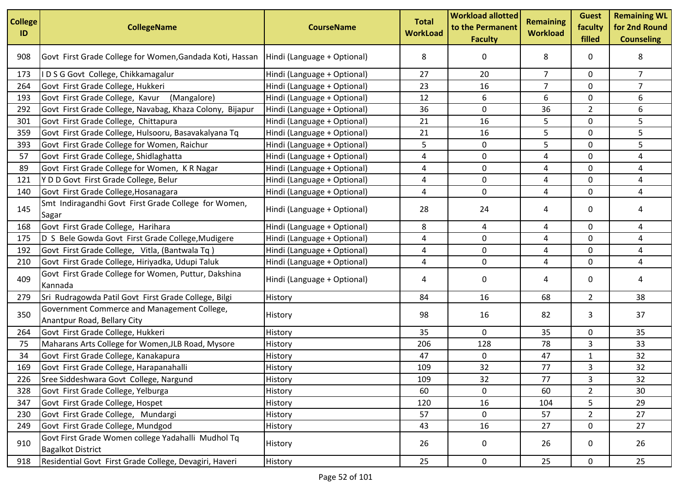| <b>College</b><br>ID | <b>CollegeName</b>                                                             | <b>CourseName</b>           | <b>Total</b><br><b>WorkLoad</b> | <b>Workload allotted</b><br>to the Permanent<br><b>Faculty</b> | <b>Remaining</b><br><b>Workload</b> | <b>Guest</b><br>faculty<br>filled | <b>Remaining WL</b><br>for 2nd Round<br><b>Counseling</b> |
|----------------------|--------------------------------------------------------------------------------|-----------------------------|---------------------------------|----------------------------------------------------------------|-------------------------------------|-----------------------------------|-----------------------------------------------------------|
| 908                  | Govt First Grade College for Women, Gandada Koti, Hassan                       | Hindi (Language + Optional) | 8                               | 0                                                              | 8                                   | 0                                 | 8                                                         |
| 173                  | IDSG Govt College, Chikkamagalur                                               | Hindi (Language + Optional) | 27                              | 20                                                             | $\overline{7}$                      | 0                                 | $7^{\circ}$                                               |
| 264                  | Govt First Grade College, Hukkeri                                              | Hindi (Language + Optional) | 23                              | 16                                                             | 7                                   | 0                                 | $\overline{7}$                                            |
| 193                  | Govt First Grade College, Kavur (Mangalore)                                    | Hindi (Language + Optional) | 12                              | 6                                                              | 6                                   | 0                                 | 6                                                         |
| 292                  | Govt First Grade College, Navabag, Khaza Colony, Bijapur                       | Hindi (Language + Optional) | 36                              | 0                                                              | 36                                  | $\overline{2}$                    | 6                                                         |
| 301                  | Govt First Grade College, Chittapura                                           | Hindi (Language + Optional) | 21                              | 16                                                             | 5                                   | 0                                 | 5                                                         |
| 359                  | Govt First Grade College, Hulsooru, Basavakalyana Tq                           | Hindi (Language + Optional) | 21                              | 16                                                             | 5                                   | 0                                 | 5                                                         |
| 393                  | Govt First Grade College for Women, Raichur                                    | Hindi (Language + Optional) | 5                               | 0                                                              | 5                                   | 0                                 | 5                                                         |
| 57                   | Govt First Grade College, Shidlaghatta                                         | Hindi (Language + Optional) | 4                               | $\mathbf 0$                                                    | 4                                   | 0                                 | 4                                                         |
| 89                   | Govt First Grade College for Women, K R Nagar                                  | Hindi (Language + Optional) | 4                               | 0                                                              | 4                                   | 0                                 | 4                                                         |
| 121                  | Y D D Govt First Grade College, Belur                                          | Hindi (Language + Optional) | 4                               | 0                                                              | 4                                   | 0                                 | 4                                                         |
| 140                  | Govt First Grade College, Hosanagara                                           | Hindi (Language + Optional) | 4                               | 0                                                              | 4                                   | 0                                 | 4                                                         |
| 145                  | Smt Indiragandhi Govt First Grade College for Women,<br>Sagar                  | Hindi (Language + Optional) | 28                              | 24                                                             | 4                                   | 0                                 | 4                                                         |
| 168                  | Govt First Grade College, Harihara                                             | Hindi (Language + Optional) | 8                               | 4                                                              | 4                                   | 0                                 | 4                                                         |
| 175                  | D S Bele Gowda Govt First Grade College, Mudigere                              | Hindi (Language + Optional) | 4                               | 0                                                              | 4                                   | 0                                 | 4                                                         |
| 192                  | Govt First Grade College, Vitla, (Bantwala Tq)                                 | Hindi (Language + Optional) | 4                               | $\mathbf 0$                                                    | 4                                   | 0                                 | 4                                                         |
| 210                  | Govt First Grade College, Hiriyadka, Udupi Taluk                               | Hindi (Language + Optional) | 4                               | 0                                                              | 4                                   | 0                                 | 4                                                         |
| 409                  | Govt First Grade College for Women, Puttur, Dakshina<br>Kannada                | Hindi (Language + Optional) | 4                               | 0                                                              | 4                                   | 0                                 | 4                                                         |
| 279                  | Sri Rudragowda Patil Govt First Grade College, Bilgi                           | History                     | 84                              | 16                                                             | 68                                  | $\overline{2}$                    | 38                                                        |
| 350                  | Government Commerce and Management College,<br>Anantpur Road, Bellary City     | History                     | 98                              | 16                                                             | 82                                  | 3                                 | 37                                                        |
| 264                  | Govt First Grade College, Hukkeri                                              | History                     | 35                              | 0                                                              | 35                                  | 0                                 | 35                                                        |
| 75                   | Maharans Arts College for Women, JLB Road, Mysore                              | History                     | 206                             | 128                                                            | 78                                  | 3                                 | 33                                                        |
| 34                   | Govt First Grade College, Kanakapura                                           | History                     | 47                              | 0                                                              | 47                                  | $\mathbf{1}$                      | 32                                                        |
| 169                  | Govt First Grade College, Harapanahalli                                        | History                     | 109                             | 32                                                             | 77                                  | 3                                 | 32                                                        |
| 226                  | Sree Siddeshwara Govt College, Nargund                                         | History                     | 109                             | 32                                                             | $77$                                | 3                                 | 32                                                        |
| 328                  | Govt First Grade College, Yelburga                                             | History                     | 60                              | 0                                                              | 60                                  | $\overline{2}$                    | 30                                                        |
| 347                  | Govt First Grade College, Hospet                                               | History                     | 120                             | 16                                                             | 104                                 | 5                                 | 29                                                        |
| 230                  | Govt First Grade College, Mundargi                                             | History                     | 57                              | $\pmb{0}$                                                      | 57                                  | $\overline{2}$                    | 27                                                        |
| 249                  | Govt First Grade College, Mundgod                                              | History                     | 43                              | 16                                                             | 27                                  | 0                                 | 27                                                        |
| 910                  | Govt First Grade Women college Yadahalli Mudhol Tq<br><b>Bagalkot District</b> | History                     | 26                              | 0                                                              | 26                                  | 0                                 | 26                                                        |
| 918                  | Residential Govt First Grade College, Devagiri, Haveri                         | History                     | 25                              | $\mathbf 0$                                                    | 25                                  | $\mathbf 0$                       | 25                                                        |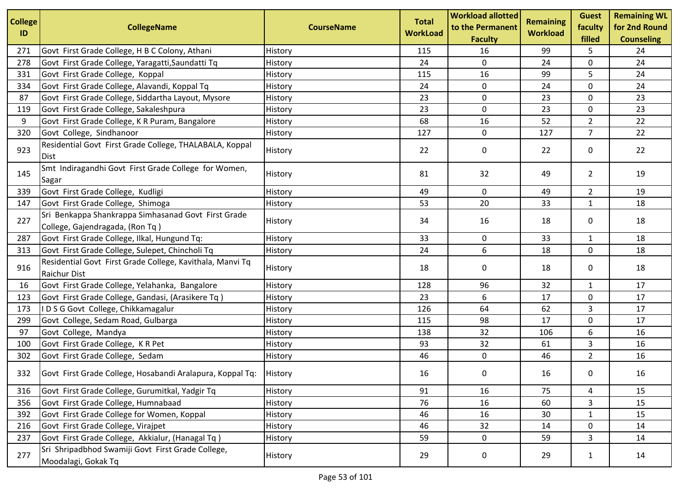| <b>College</b> |                                                                                        |                   | <b>Total</b>    | <b>Workload allotted</b>           | <b>Remaining</b> | <b>Guest</b>      | <b>Remaining WL</b><br>for 2nd Round |
|----------------|----------------------------------------------------------------------------------------|-------------------|-----------------|------------------------------------|------------------|-------------------|--------------------------------------|
| ID             | <b>CollegeName</b>                                                                     | <b>CourseName</b> | <b>WorkLoad</b> | to the Permanent<br><b>Faculty</b> | <b>Workload</b>  | faculty<br>filled | <b>Counseling</b>                    |
| 271            | Govt First Grade College, H B C Colony, Athani                                         | History           | 115             | 16                                 | 99               | 5                 | 24                                   |
| 278            | Govt First Grade College, Yaragatti, Saundatti Tq                                      | History           | 24              | $\mathbf 0$                        | 24               | 0                 | 24                                   |
| 331            | Govt First Grade College, Koppal                                                       | History           | 115             | 16                                 | 99               | 5                 | 24                                   |
| 334            | Govt First Grade College, Alavandi, Koppal Tq                                          | History           | 24              | 0                                  | 24               | 0                 | 24                                   |
| 87             | Govt First Grade College, Siddartha Layout, Mysore                                     | History           | 23              | $\mathbf 0$                        | 23               | $\mathbf 0$       | 23                                   |
| 119            | Govt First Grade College, Sakaleshpura                                                 | History           | 23              | $\pmb{0}$                          | 23               | 0                 | 23                                   |
| 9              | Govt First Grade College, K R Puram, Bangalore                                         | History           | 68              | 16                                 | 52               | $\overline{2}$    | 22                                   |
| 320            | Govt College, Sindhanoor                                                               | History           | 127             | $\mathbf 0$                        | 127              | $\overline{7}$    | 22                                   |
| 923            | Residential Govt First Grade College, THALABALA, Koppal<br>Dist                        | History           | 22              | 0                                  | 22               | 0                 | 22                                   |
| 145            | Smt Indiragandhi Govt First Grade College for Women,<br>Sagar                          | History           | 81              | 32                                 | 49               | $\overline{2}$    | 19                                   |
| 339            | Govt First Grade College, Kudligi                                                      | History           | 49              | 0                                  | 49               | $\overline{2}$    | 19                                   |
| 147            | Govt First Grade College, Shimoga                                                      | History           | 53              | 20                                 | 33               | $\mathbf{1}$      | 18                                   |
| 227            | Sri Benkappa Shankrappa Simhasanad Govt First Grade<br>College, Gajendragada, (Ron Tq) | History           | 34              | 16                                 | 18               | 0                 | 18                                   |
| 287            | Govt First Grade College, Ilkal, Hungund Tq:                                           | History           | 33              | 0                                  | 33               | $\mathbf{1}$      | 18                                   |
| 313            | Govt First Grade College, Sulepet, Chincholi Tq                                        | History           | 24              | 6                                  | 18               | 0                 | 18                                   |
| 916            | Residential Govt First Grade College, Kavithala, Manvi Tq<br><b>Raichur Dist</b>       | History           | 18              | 0                                  | 18               | 0                 | 18                                   |
| 16             | Govt First Grade College, Yelahanka, Bangalore                                         | History           | 128             | 96                                 | 32               | $\mathbf{1}$      | 17                                   |
| 123            | Govt First Grade College, Gandasi, (Arasikere Tq)                                      | History           | 23              | 6                                  | 17               | 0                 | 17                                   |
| 173            | IDSG Govt College, Chikkamagalur                                                       | History           | 126             | 64                                 | 62               | 3                 | 17                                   |
| 299            | Govt College, Sedam Road, Gulbarga                                                     | History           | 115             | 98                                 | 17               | $\mathbf 0$       | 17                                   |
| 97             | Govt College, Mandya                                                                   | History           | 138             | 32                                 | 106              | 6                 | 16                                   |
| 100            | Govt First Grade College, KR Pet                                                       | History           | 93              | 32                                 | 61               | 3                 | 16                                   |
| 302            | Govt First Grade College, Sedam                                                        | History           | 46              | $\pmb{0}$                          | 46               | $\overline{2}$    | 16                                   |
| 332            | Govt First Grade College, Hosabandi Aralapura, Koppal Tq:                              | History           | 16              | 0                                  | 16               | 0                 | 16                                   |
| 316            | Govt First Grade College, Gurumitkal, Yadgir Tq                                        | History           | 91              | 16                                 | 75               | 4                 | 15                                   |
| 356            | Govt First Grade College, Humnabaad                                                    | History           | 76              | 16                                 | 60               | 3                 | 15                                   |
| 392            | Govt First Grade College for Women, Koppal                                             | History           | 46              | 16                                 | 30               | $\mathbf 1$       | 15                                   |
| 216            | Govt First Grade College, Virajpet                                                     | History           | 46              | 32                                 | 14               | 0                 | 14                                   |
| 237            | Govt First Grade College, Akkialur, (Hanagal Tq)                                       | History           | 59              | $\pmb{0}$                          | 59               | $\mathbf{3}$      | 14                                   |
| 277            | Sri Shripadbhod Swamiji Govt First Grade College,<br>Moodalagi, Gokak Tq               | History           | 29              | 0                                  | 29               | $\mathbf{1}$      | 14                                   |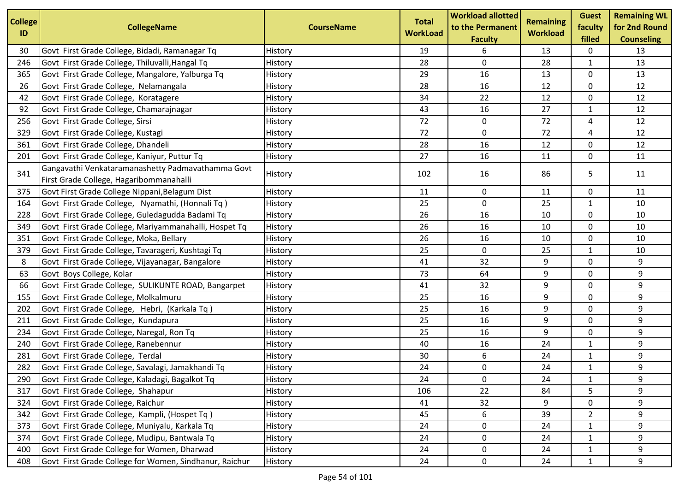| <b>College</b> | <b>CollegeName</b>                                                                           | <b>CourseName</b> | <b>Total</b>    | <b>Workload allotted</b><br>to the Permanent | <b>Remaining</b> | <b>Guest</b><br>faculty | <b>Remaining WL</b><br>for 2nd Round |
|----------------|----------------------------------------------------------------------------------------------|-------------------|-----------------|----------------------------------------------|------------------|-------------------------|--------------------------------------|
| ID             |                                                                                              |                   | <b>WorkLoad</b> | <b>Faculty</b>                               | <b>Workload</b>  | filled                  | <b>Counseling</b>                    |
| 30             | Govt First Grade College, Bidadi, Ramanagar Tq                                               | History           | 19              | 6                                            | 13               | 0                       | 13                                   |
| 246            | Govt First Grade College, Thiluvalli, Hangal Tq                                              | History           | 28              | 0                                            | 28               | $\mathbf{1}$            | 13                                   |
| 365            | Govt First Grade College, Mangalore, Yalburga Tq                                             | History           | 29              | 16                                           | 13               | 0                       | 13                                   |
| 26             | Govt First Grade College, Nelamangala                                                        | History           | 28              | 16                                           | 12               | 0                       | 12                                   |
| 42             | Govt First Grade College, Koratagere                                                         | History           | 34              | 22                                           | 12               | 0                       | 12                                   |
| 92             | Govt First Grade College, Chamarajnagar                                                      | History           | 43              | 16                                           | 27               | $\mathbf{1}$            | 12                                   |
| 256            | Govt First Grade College, Sirsi                                                              | History           | 72              | 0                                            | 72               | 4                       | 12                                   |
| 329            | Govt First Grade College, Kustagi                                                            | History           | 72              | $\pmb{0}$                                    | 72               | 4                       | 12                                   |
| 361            | Govt First Grade College, Dhandeli                                                           | History           | 28              | 16                                           | 12               | 0                       | 12                                   |
| 201            | Govt First Grade College, Kaniyur, Puttur Tq                                                 | History           | 27              | 16                                           | 11               | 0                       | 11                                   |
| 341            | Gangavathi Venkataramanashetty Padmavathamma Govt<br>First Grade College, Hagaribommanahalli | History           | 102             | 16                                           | 86               | 5                       | 11                                   |
| 375            | Govt First Grade College Nippani, Belagum Dist                                               | History           | 11              | 0                                            | 11               | 0                       | 11                                   |
| 164            | Govt First Grade College, Nyamathi, (Honnali Tq)                                             | History           | 25              | 0                                            | 25               | 1                       | 10                                   |
| 228            | Govt First Grade College, Guledagudda Badami Tq                                              | History           | 26              | 16                                           | 10               | 0                       | 10                                   |
| 349            | Govt First Grade College, Mariyammanahalli, Hospet Tq                                        | History           | 26              | 16                                           | 10               | 0                       | 10                                   |
| 351            | Govt First Grade College, Moka, Bellary                                                      | History           | 26              | 16                                           | 10               | 0                       | 10                                   |
| 379            | Govt First Grade College, Tavarageri, Kushtagi Tq                                            | History           | 25              | $\mathbf 0$                                  | 25               | $\mathbf{1}$            | 10                                   |
| 8              | Govt First Grade College, Vijayanagar, Bangalore                                             | History           | 41              | 32                                           | 9                | 0                       | 9                                    |
| 63             | Govt Boys College, Kolar                                                                     | History           | 73              | 64                                           | 9                | 0                       | 9                                    |
| 66             | Govt First Grade College, SULIKUNTE ROAD, Bangarpet                                          | History           | 41              | 32                                           | 9                | 0                       | 9                                    |
| 155            | Govt First Grade College, Molkalmuru                                                         | History           | 25              | 16                                           | 9                | 0                       | 9                                    |
| 202            | Govt First Grade College, Hebri, (Karkala Tq)                                                | History           | 25              | 16                                           | 9                | 0                       | 9                                    |
| 211            | Govt First Grade College, Kundapura                                                          | History           | 25              | 16                                           | 9                | 0                       | 9                                    |
| 234            | Govt First Grade College, Naregal, Ron Tq                                                    | History           | 25              | 16                                           | 9                | 0                       | 9                                    |
| 240            | Govt First Grade College, Ranebennur                                                         | History           | 40              | 16                                           | 24               | $\mathbf{1}$            | 9                                    |
| 281            | Govt First Grade College, Terdal                                                             | History           | 30              | 6                                            | 24               | $\mathbf{1}$            | 9                                    |
| 282            | Govt First Grade College, Savalagi, Jamakhandi Tq                                            | History           | 24              | 0                                            | 24               | $\mathbf{1}$            | 9                                    |
| 290            | Govt First Grade College, Kaladagi, Bagalkot Tq                                              | History           | 24              | 0                                            | 24               | $\mathbf{1}$            | 9                                    |
| 317            | Govt First Grade College, Shahapur                                                           | History           | 106             | 22                                           | 84               | 5                       | 9                                    |
| 324            | Govt First Grade College, Raichur                                                            | History           | 41              | 32                                           | 9                | 0                       | 9                                    |
| 342            | Govt First Grade College, Kampli, (Hospet Tq)                                                | History           | 45              | 6                                            | 39               | $\overline{2}$          | 9                                    |
| 373            | Govt First Grade College, Muniyalu, Karkala Tq                                               | History           | 24              | 0                                            | 24               | $\mathbf{1}$            | 9                                    |
| 374            | Govt First Grade College, Mudipu, Bantwala Tq                                                | History           | 24              | $\pmb{0}$                                    | 24               | $\mathbf{1}$            | 9                                    |
| 400            | Govt First Grade College for Women, Dharwad                                                  | History           | 24              | 0                                            | 24               | 1                       | 9                                    |
| 408            | Govt First Grade College for Women, Sindhanur, Raichur                                       | History           | 24              | 0                                            | 24               | $\mathbf{1}$            | 9                                    |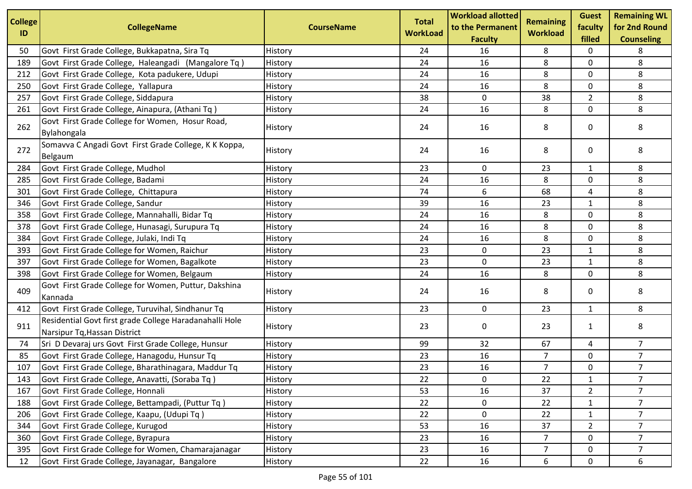| <b>College</b> |                                                         |                   | <b>Total</b>    | <b>Workload allotted</b>           | <b>Remaining</b> | <b>Guest</b>      | <b>Remaining WL</b>                |
|----------------|---------------------------------------------------------|-------------------|-----------------|------------------------------------|------------------|-------------------|------------------------------------|
| ID             | <b>CollegeName</b>                                      | <b>CourseName</b> | <b>WorkLoad</b> | to the Permanent<br><b>Faculty</b> | <b>Workload</b>  | faculty<br>filled | for 2nd Round<br><b>Counseling</b> |
| 50             | Govt First Grade College, Bukkapatna, Sira Tq           | History           | 24              | 16                                 | 8                | 0                 | 8                                  |
| 189            | Govt First Grade College, Haleangadi (Mangalore Tq)     | History           | 24              | 16                                 | 8                | 0                 | 8                                  |
| 212            | Govt First Grade College, Kota padukere, Udupi          | History           | 24              | 16                                 | 8                | $\mathbf 0$       | 8                                  |
| 250            | Govt First Grade College, Yallapura                     | History           | 24              | 16                                 | 8                | 0                 | 8                                  |
| 257            | Govt First Grade College, Siddapura                     | History           | 38              | $\mathbf 0$                        | 38               | $\overline{2}$    | 8                                  |
| 261            | Govt First Grade College, Ainapura, (Athani Tq)         | History           | 24              | 16                                 | 8                | 0                 | 8                                  |
|                | Govt First Grade College for Women, Hosur Road,         |                   |                 |                                    |                  |                   |                                    |
| 262            | Bylahongala                                             | History           | 24              | 16                                 | 8                | 0                 | 8                                  |
| 272            | Somavva C Angadi Govt First Grade College, K K Koppa,   | History           | 24              | 16                                 | 8                | 0                 | 8                                  |
|                | Belgaum                                                 |                   |                 |                                    |                  |                   |                                    |
| 284            | Govt First Grade College, Mudhol                        | History           | 23              | 0                                  | 23               | $\mathbf{1}$      | 8                                  |
| 285            | Govt First Grade College, Badami                        | History           | 24              | 16                                 | 8                | 0                 | 8                                  |
| 301            | Govt First Grade College, Chittapura                    | History           | 74              | 6                                  | 68               | 4                 | 8                                  |
| 346            | Govt First Grade College, Sandur                        | History           | 39              | 16                                 | 23               | $\mathbf{1}$      | 8                                  |
| 358            | Govt First Grade College, Mannahalli, Bidar Tq          | History           | 24              | 16                                 | 8                | 0                 | 8                                  |
| 378            | Govt First Grade College, Hunasagi, Surupura Tq         | History           | 24              | 16                                 | 8                | 0                 | 8                                  |
| 384            | Govt First Grade College, Julaki, Indi Tq               | History           | 24              | 16                                 | 8                | 0                 | 8                                  |
| 393            | Govt First Grade College for Women, Raichur             | History           | 23              | 0                                  | 23               | $\mathbf{1}$      | 8                                  |
| 397            | Govt First Grade College for Women, Bagalkote           | History           | 23              | $\pmb{0}$                          | 23               | $\mathbf{1}$      | 8                                  |
| 398            | Govt First Grade College for Women, Belgaum             | History           | 24              | 16                                 | 8                | 0                 | 8                                  |
| 409            | Govt First Grade College for Women, Puttur, Dakshina    | History           | 24              | 16                                 | 8                | 0                 | 8                                  |
|                | Kannada                                                 |                   |                 |                                    |                  |                   |                                    |
| 412            | Govt First Grade College, Turuvihal, Sindhanur Tq       | History           | 23              | 0                                  | 23               | $\mathbf{1}$      | 8                                  |
| 911            | Residential Govt first grade College Haradanahalli Hole | History           | 23              | 0                                  | 23               | $\mathbf{1}$      | 8                                  |
|                | Narsipur Tq, Hassan District                            |                   |                 |                                    |                  |                   |                                    |
| 74             | Sri D Devaraj urs Govt First Grade College, Hunsur      | History           | 99              | 32                                 | 67               | 4                 | $\overline{7}$                     |
| 85             | Govt First Grade College, Hanagodu, Hunsur Tq           | History           | 23              | 16                                 | $\overline{7}$   | 0                 | $\overline{7}$                     |
| 107            | Govt First Grade College, Bharathinagara, Maddur Tq     | History           | 23              | 16                                 | $\overline{7}$   | 0                 | $\overline{7}$                     |
| 143            | Govt First Grade College, Anavatti, (Soraba Tq)         | History           | 22              | 0                                  | 22               | $\mathbf{1}$      | $\overline{7}$                     |
| 167            | Govt First Grade College, Honnali                       | History           | 53              | 16                                 | 37               | $\overline{2}$    | $\overline{7}$                     |
| 188            | Govt First Grade College, Bettampadi, (Puttur Tq)       | History           | 22              | $\pmb{0}$                          | 22               | $\mathbf{1}$      | $\overline{7}$                     |
| 206            | Govt First Grade College, Kaapu, (Udupi Tq)             | History           | 22              | $\pmb{0}$                          | 22               | $\mathbf{1}$      | $\overline{7}$                     |
| 344            | Govt First Grade College, Kurugod                       | History           | 53              | 16                                 | 37               | $\overline{2}$    | $\overline{7}$                     |
| 360            | Govt First Grade College, Byrapura                      | History           | 23              | 16                                 | $\overline{7}$   | $\mathbf 0$       | $\overline{7}$                     |
| 395            | Govt First Grade College for Women, Chamarajanagar      | History           | 23              | 16                                 | $\overline{7}$   | 0                 | $\overline{7}$                     |
| 12             | Govt First Grade College, Jayanagar, Bangalore          | History           | 22              | 16                                 | 6                | $\mathbf 0$       | 6                                  |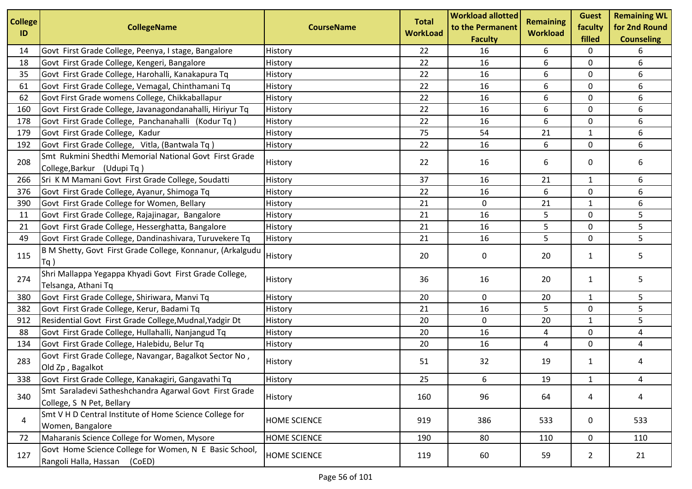| <b>College</b><br>ID | <b>CollegeName</b>                                                                        | <b>CourseName</b>   | <b>Total</b><br><b>WorkLoad</b> | <b>Workload allotted</b><br>to the Permanent<br><b>Faculty</b> | <b>Remaining</b><br><b>Workload</b> | <b>Guest</b><br>faculty<br>filled | <b>Remaining WL</b><br>for 2nd Round<br><b>Counseling</b> |
|----------------------|-------------------------------------------------------------------------------------------|---------------------|---------------------------------|----------------------------------------------------------------|-------------------------------------|-----------------------------------|-----------------------------------------------------------|
| 14                   | Govt First Grade College, Peenya, I stage, Bangalore                                      | History             | 22                              | 16                                                             | 6                                   | 0                                 | 6                                                         |
| 18                   | Govt First Grade College, Kengeri, Bangalore                                              | History             | 22                              | 16                                                             | 6                                   | 0                                 | 6                                                         |
| 35                   | Govt First Grade College, Harohalli, Kanakapura Tq                                        | History             | 22                              | 16                                                             | 6                                   | $\mathbf 0$                       | 6                                                         |
| 61                   | Govt First Grade College, Vemagal, Chinthamani Tq                                         | History             | 22                              | 16                                                             | 6                                   | 0                                 | 6                                                         |
| 62                   | Govt First Grade womens College, Chikkaballapur                                           | History             | 22                              | 16                                                             | 6                                   | $\mathbf 0$                       | 6                                                         |
| 160                  | Govt First Grade College, Javanagondanahalli, Hiriyur Tq                                  | History             | 22                              | 16                                                             | 6                                   | $\mathbf 0$                       | 6                                                         |
| 178                  | Govt First Grade College, Panchanahalli (Kodur Tq)                                        | History             | 22                              | 16                                                             | 6                                   | $\mathbf 0$                       | 6                                                         |
| 179                  | Govt First Grade College, Kadur                                                           | History             | 75                              | 54                                                             | 21                                  | $\mathbf{1}$                      | 6                                                         |
| 192                  | Govt First Grade College, Vitla, (Bantwala Tq)                                            | History             | 22                              | 16                                                             | 6                                   | 0                                 | 6                                                         |
| 208                  | Smt Rukmini Shedthi Memorial National Govt First Grade<br>College, Barkur (Udupi Tq)      | History             | 22                              | 16                                                             | 6                                   | 0                                 | 6                                                         |
| 266                  | Sri K M Mamani Govt First Grade College, Soudatti                                         | History             | 37                              | 16                                                             | 21                                  | 1                                 | 6                                                         |
| 376                  | Govt First Grade College, Ayanur, Shimoga Tq                                              | History             | 22                              | 16                                                             | 6                                   | $\mathbf 0$                       | 6                                                         |
| 390                  | Govt First Grade College for Women, Bellary                                               | History             | 21                              | 0                                                              | 21                                  | 1                                 | 6                                                         |
| 11                   | Govt First Grade College, Rajajinagar, Bangalore                                          | History             | 21                              | 16                                                             | 5                                   | 0                                 | 5                                                         |
| 21                   | Govt First Grade College, Hesserghatta, Bangalore                                         | History             | 21                              | 16                                                             | 5                                   | $\mathbf 0$                       | 5                                                         |
| 49                   | Govt First Grade College, Dandinashivara, Turuvekere Tq                                   | History             | 21                              | 16                                                             | 5                                   | 0                                 | 5                                                         |
| 115                  | B M Shetty, Govt First Grade College, Konnanur, (Arkalgudu<br>Tq                          | History             | 20                              | 0                                                              | 20                                  | 1                                 | 5.                                                        |
| 274                  | Shri Mallappa Yegappa Khyadi Govt First Grade College,<br>Telsanga, Athani Tq             | History             | 36                              | 16                                                             | 20                                  | $\mathbf{1}$                      | 5                                                         |
| 380                  | Govt First Grade College, Shiriwara, Manvi Tq                                             | History             | 20                              | 0                                                              | 20                                  | 1                                 | 5                                                         |
| 382                  | Govt First Grade College, Kerur, Badami Tq                                                | History             | 21                              | 16                                                             | 5                                   | 0                                 | 5                                                         |
| 912                  | Residential Govt First Grade College, Mudnal, Yadgir Dt                                   | History             | 20                              | 0                                                              | 20                                  | 1                                 | 5                                                         |
| 88                   | Govt First Grade College, Hullahalli, Nanjangud Tq                                        | History             | 20                              | 16                                                             | 4                                   | 0                                 | 4                                                         |
| 134                  | Govt First Grade College, Halebidu, Belur Tq                                              | History             | 20                              | 16                                                             | 4                                   | 0                                 | 4                                                         |
| 283                  | Govt First Grade College, Navangar, Bagalkot Sector No,<br>Old Zp, Bagalkot               | History             | 51                              | 32                                                             | 19                                  | $\mathbf{1}$                      | 4                                                         |
| 338                  | Govt First Grade College, Kanakagiri, Gangavathi Tq                                       | History             | 25                              | 6                                                              | 19                                  | $\mathbf{1}$                      | 4                                                         |
| 340                  | Smt Saraladevi Satheshchandra Agarwal Govt First Grade<br>College, S N Pet, Bellary       | History             | 160                             | 96                                                             | 64                                  | 4                                 | 4                                                         |
| 4                    | Smt V H D Central Institute of Home Science College for<br>Women, Bangalore               | <b>HOME SCIENCE</b> | 919                             | 386                                                            | 533                                 | 0                                 | 533                                                       |
| 72                   | Maharanis Science College for Women, Mysore                                               | HOME SCIENCE        | 190                             | 80                                                             | 110                                 | 0                                 | 110                                                       |
| 127                  | Govt Home Science College for Women, N E Basic School,<br>Rangoli Halla, Hassan<br>(CoED) | <b>HOME SCIENCE</b> | 119                             | 60                                                             | 59                                  | $\overline{2}$                    | 21                                                        |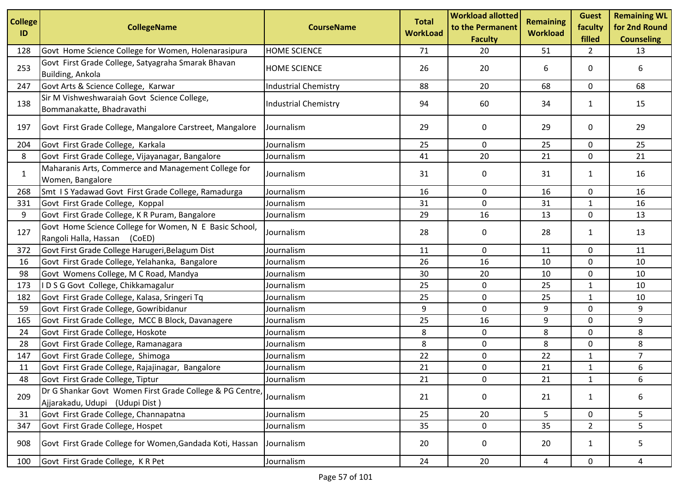| <b>College</b><br>ID | <b>CollegeName</b>                                                                         | <b>CourseName</b>           | <b>Total</b><br><b>WorkLoad</b> | <b>Workload allotted</b><br>to the Permanent<br><b>Faculty</b> | <b>Remaining</b><br><b>Workload</b> | <b>Guest</b><br>faculty<br>filled | <b>Remaining WL</b><br>for 2nd Round<br><b>Counseling</b> |
|----------------------|--------------------------------------------------------------------------------------------|-----------------------------|---------------------------------|----------------------------------------------------------------|-------------------------------------|-----------------------------------|-----------------------------------------------------------|
| 128                  | Govt Home Science College for Women, Holenarasipura                                        | <b>HOME SCIENCE</b>         | 71                              | 20                                                             | 51                                  | $\overline{2}$                    | 13                                                        |
| 253                  | Govt First Grade College, Satyagraha Smarak Bhavan<br>Building, Ankola                     | <b>HOME SCIENCE</b>         | 26                              | 20                                                             | 6                                   | 0                                 | 6                                                         |
| 247                  | Govt Arts & Science College, Karwar                                                        | <b>Industrial Chemistry</b> | 88                              | 20                                                             | 68                                  | 0                                 | 68                                                        |
| 138                  | Sir M Vishweshwaraiah Govt Science College,<br>Bommanakatte, Bhadravathi                   | <b>Industrial Chemistry</b> | 94                              | 60                                                             | 34                                  | $\mathbf{1}$                      | 15                                                        |
| 197                  | Govt First Grade College, Mangalore Carstreet, Mangalore                                   | Journalism                  | 29                              | 0                                                              | 29                                  | 0                                 | 29                                                        |
| 204                  | Govt First Grade College, Karkala                                                          | Journalism                  | 25                              | 0                                                              | 25                                  | 0                                 | 25                                                        |
| 8                    | Govt First Grade College, Vijayanagar, Bangalore                                           | Journalism                  | 41                              | 20                                                             | 21                                  | 0                                 | 21                                                        |
| $\mathbf{1}$         | Maharanis Arts, Commerce and Management College for<br>Women, Bangalore                    | Journalism                  | 31                              | 0                                                              | 31                                  | $\mathbf{1}$                      | 16                                                        |
| 268                  | Smt IS Yadawad Govt First Grade College, Ramadurga                                         | Journalism                  | 16                              | $\mathbf 0$                                                    | 16                                  | 0                                 | 16                                                        |
| 331                  | Govt First Grade College, Koppal                                                           | Journalism                  | 31                              | 0                                                              | 31                                  | $\mathbf{1}$                      | 16                                                        |
| 9                    | Govt First Grade College, K R Puram, Bangalore                                             | Journalism                  | 29                              | 16                                                             | 13                                  | 0                                 | 13                                                        |
| 127                  | Govt Home Science College for Women, N E Basic School,<br>Rangoli Halla, Hassan<br>(CoED)  | Journalism                  | 28                              | 0                                                              | 28                                  | 1                                 | 13                                                        |
| 372                  | Govt First Grade College Harugeri, Belagum Dist                                            | Journalism                  | 11                              | 0                                                              | 11                                  | 0                                 | 11                                                        |
| 16                   | Govt First Grade College, Yelahanka, Bangalore                                             | Journalism                  | 26                              | 16                                                             | 10                                  | $\mathbf 0$                       | 10                                                        |
| 98                   | Govt Womens College, M C Road, Mandya                                                      | Journalism                  | 30                              | 20                                                             | 10                                  | 0                                 | 10                                                        |
| 173                  | IDSG Govt College, Chikkamagalur                                                           | Journalism                  | 25                              | $\mathbf 0$                                                    | 25                                  | $\mathbf{1}$                      | 10                                                        |
| 182                  | Govt First Grade College, Kalasa, Sringeri Tq                                              | Journalism                  | 25                              | 0                                                              | 25                                  | $\mathbf{1}$                      | 10                                                        |
| 59                   | Govt First Grade College, Gowribidanur                                                     | Journalism                  | 9                               | 0                                                              | $\boldsymbol{9}$                    | 0                                 | 9                                                         |
| 165                  | Govt First Grade College, MCC B Block, Davanagere                                          | Journalism                  | 25                              | 16                                                             | 9                                   | $\mathbf 0$                       | 9                                                         |
| 24                   | Govt First Grade College, Hoskote                                                          | Journalism                  | 8                               | 0                                                              | 8                                   | 0                                 | 8                                                         |
| 28                   | Govt First Grade College, Ramanagara                                                       | Journalism                  | 8                               | 0                                                              | 8                                   | 0                                 | 8                                                         |
| 147                  | Govt First Grade College, Shimoga                                                          | Journalism                  | 22                              | $\mathbf 0$                                                    | 22                                  | $\mathbf 1$                       | $\overline{7}$                                            |
| 11                   | Govt First Grade College, Rajajinagar, Bangalore                                           | Journalism                  | 21                              | 0                                                              | 21                                  | 1                                 | 6                                                         |
| 48                   | Govt First Grade College, Tiptur                                                           | Journalism                  | 21                              | 0                                                              | 21                                  | $\mathbf 1$                       | 6                                                         |
| 209                  | Dr G Shankar Govt Women First Grade College & PG Centre,<br>Ajjarakadu, Udupi (Udupi Dist) | Journalism                  | 21                              | 0                                                              | 21                                  | 1                                 | 6                                                         |
| 31                   | Govt First Grade College, Channapatna                                                      | Journalism                  | 25                              | 20                                                             | 5                                   | 0                                 | 5                                                         |
| 347                  | Govt First Grade College, Hospet                                                           | Journalism                  | 35                              | 0                                                              | 35                                  | $\overline{2}$                    | 5.                                                        |
| 908                  | Govt First Grade College for Women, Gandada Koti, Hassan                                   | Journalism                  | 20                              | 0                                                              | 20                                  | 1                                 | 5                                                         |
| 100                  | Govt First Grade College, KR Pet                                                           | Journalism                  | 24                              | 20                                                             | 4                                   | $\mathbf 0$                       | 4                                                         |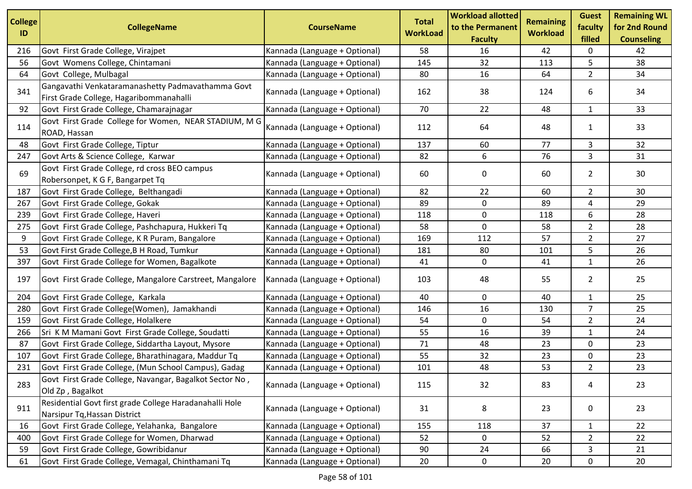| <b>College</b> | <b>CollegeName</b>                                                                      | <b>CourseName</b>             | <b>Total</b>    | <b>Workload allotted</b><br>to the Permanent | <b>Remaining</b> | <b>Guest</b><br>faculty | <b>Remaining WL</b><br>for 2nd Round |
|----------------|-----------------------------------------------------------------------------------------|-------------------------------|-----------------|----------------------------------------------|------------------|-------------------------|--------------------------------------|
| ID             |                                                                                         |                               | <b>WorkLoad</b> | <b>Faculty</b>                               | <b>Workload</b>  | filled                  | <b>Counseling</b>                    |
| 216            | Govt First Grade College, Virajpet                                                      | Kannada (Language + Optional) | 58              | 16                                           | 42               | 0                       | 42                                   |
| 56             | Govt Womens College, Chintamani                                                         | Kannada (Language + Optional) | 145             | 32                                           | 113              | 5                       | 38                                   |
| 64             | Govt College, Mulbagal                                                                  | Kannada (Language + Optional) | 80              | 16                                           | 64               | $\overline{2}$          | 34                                   |
|                | Gangavathi Venkataramanashetty Padmavathamma Govt                                       |                               |                 |                                              |                  |                         |                                      |
| 341            | First Grade College, Hagaribommanahalli                                                 | Kannada (Language + Optional) | 162             | 38                                           | 124              | 6                       | 34                                   |
| 92             | Govt First Grade College, Chamarajnagar                                                 | Kannada (Language + Optional) | 70              | 22                                           | 48               | $\mathbf{1}$            | 33                                   |
|                | Govt First Grade College for Women, NEAR STADIUM, M G                                   |                               |                 |                                              |                  |                         |                                      |
| 114            | ROAD, Hassan                                                                            | Kannada (Language + Optional) | 112             | 64                                           | 48               | 1                       | 33                                   |
| 48             | Govt First Grade College, Tiptur                                                        | Kannada (Language + Optional) | 137             | 60                                           | 77               | 3                       | 32                                   |
| 247            | Govt Arts & Science College, Karwar                                                     | Kannada (Language + Optional) | 82              | 6                                            | 76               | 3                       | 31                                   |
| 69             | Govt First Grade College, rd cross BEO campus                                           |                               |                 |                                              |                  |                         |                                      |
|                | Robersonpet, K G F, Bangarpet Tq                                                        | Kannada (Language + Optional) | 60              | 0                                            | 60               | $2^{\circ}$             | 30                                   |
| 187            | Govt First Grade College, Belthangadi                                                   | Kannada (Language + Optional) | 82              | 22                                           | 60               | $\overline{2}$          | 30                                   |
| 267            | Govt First Grade College, Gokak                                                         | Kannada (Language + Optional) | 89              | 0                                            | 89               | 4                       | 29                                   |
| 239            | Govt First Grade College, Haveri                                                        | Kannada (Language + Optional) | 118             | 0                                            | 118              | 6                       | 28                                   |
| 275            | Govt First Grade College, Pashchapura, Hukkeri Tq                                       | Kannada (Language + Optional) | 58              | $\mathbf 0$                                  | 58               | $\overline{2}$          | 28                                   |
| 9              | Govt First Grade College, K R Puram, Bangalore                                          | Kannada (Language + Optional) | 169             | 112                                          | 57               | $\overline{2}$          | 27                                   |
| 53             | Govt First Grade College, B H Road, Tumkur                                              | Kannada (Language + Optional) | 181             | 80                                           | 101              | 5                       | 26                                   |
| 397            | Govt First Grade College for Women, Bagalkote                                           | Kannada (Language + Optional) | 41              | 0                                            | 41               | $\mathbf{1}$            | 26                                   |
| 197            | Govt First Grade College, Mangalore Carstreet, Mangalore                                | Kannada (Language + Optional) | 103             | 48                                           | 55               | $\overline{2}$          | 25                                   |
| 204            | Govt First Grade College, Karkala                                                       | Kannada (Language + Optional) | 40              | 0                                            | 40               | $\mathbf{1}$            | 25                                   |
| 280            | Govt First Grade College(Women), Jamakhandi                                             | Kannada (Language + Optional) | 146             | 16                                           | 130              | $\overline{7}$          | 25                                   |
| 159            | Govt First Grade College, Holalkere                                                     | Kannada (Language + Optional) | 54              | $\mathbf 0$                                  | 54               | $\overline{2}$          | 24                                   |
| 266            | Sri K M Mamani Govt First Grade College, Soudatti                                       | Kannada (Language + Optional) | 55              | 16                                           | 39               | $\mathbf{1}$            | 24                                   |
| 87             | Govt First Grade College, Siddartha Layout, Mysore                                      | Kannada (Language + Optional) | 71              | 48                                           | 23               | $\mathsf{O}$            | 23                                   |
| 107            | Govt First Grade College, Bharathinagara, Maddur Tq                                     | Kannada (Language + Optional) | 55              | 32                                           | 23               | 0                       | 23                                   |
| 231            | Govt First Grade College, (Mun School Campus), Gadag                                    | Kannada (Language + Optional) | 101             | 48                                           | 53               | $\overline{2}$          | 23                                   |
| 283            | Govt First Grade College, Navangar, Bagalkot Sector No,                                 | Kannada (Language + Optional) | 115             | 32                                           | 83               | 4                       | 23                                   |
|                | Old Zp, Bagalkot                                                                        |                               |                 |                                              |                  |                         |                                      |
| 911            | Residential Govt first grade College Haradanahalli Hole<br>Narsipur Tq, Hassan District | Kannada (Language + Optional) | 31              | 8                                            | 23               | $\mathbf 0$             | 23                                   |
| 16             | Govt First Grade College, Yelahanka, Bangalore                                          | Kannada (Language + Optional) | 155             | 118                                          | 37               | $\mathbf{1}$            | 22                                   |
| 400            | Govt First Grade College for Women, Dharwad                                             | Kannada (Language + Optional) | 52              | 0                                            | 52               | $\overline{2}$          | 22                                   |
| 59             | Govt First Grade College, Gowribidanur                                                  | Kannada (Language + Optional) | 90              | 24                                           | 66               | 3                       | 21                                   |
| 61             | Govt First Grade College, Vemagal, Chinthamani Tq                                       | Kannada (Language + Optional) | 20              | $\mathbf 0$                                  | 20               | 0                       | 20                                   |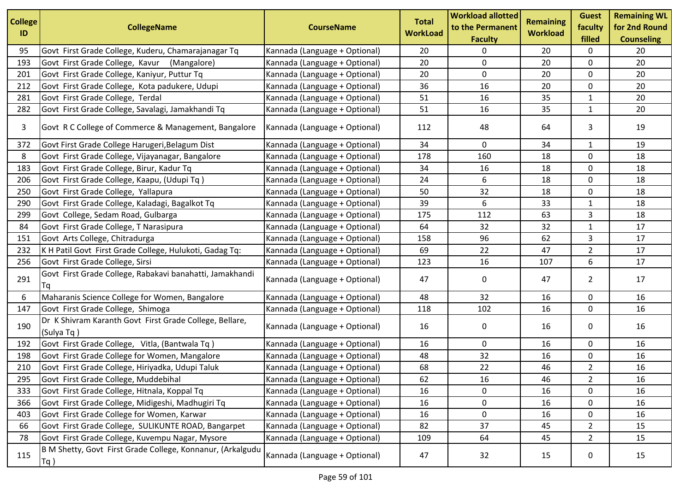| <b>College</b><br>ID | <b>CollegeName</b>                                                    | <b>CourseName</b>             | <b>Total</b><br><b>WorkLoad</b> | <b>Workload allotted</b><br>to the Permanent<br><b>Faculty</b> | <b>Remaining</b><br><b>Workload</b> | <b>Guest</b><br>faculty<br>filled | <b>Remaining WL</b><br>for 2nd Round<br><b>Counseling</b> |
|----------------------|-----------------------------------------------------------------------|-------------------------------|---------------------------------|----------------------------------------------------------------|-------------------------------------|-----------------------------------|-----------------------------------------------------------|
| 95                   | Govt First Grade College, Kuderu, Chamarajanagar Tq                   | Kannada (Language + Optional) | 20                              | 0                                                              | 20                                  | 0                                 | 20                                                        |
| 193                  | Govt First Grade College, Kavur (Mangalore)                           | Kannada (Language + Optional) | 20                              | 0                                                              | 20                                  | 0                                 | 20                                                        |
| 201                  | Govt First Grade College, Kaniyur, Puttur Tq                          | Kannada (Language + Optional) | 20                              | $\mathbf 0$                                                    | 20                                  | 0                                 | 20                                                        |
| 212                  | Govt First Grade College, Kota padukere, Udupi                        | Kannada (Language + Optional) | 36                              | 16                                                             | 20                                  | 0                                 | 20                                                        |
| 281                  | Govt First Grade College, Terdal                                      | Kannada (Language + Optional) | 51                              | 16                                                             | 35                                  | $\mathbf{1}$                      | 20                                                        |
| 282                  | Govt First Grade College, Savalagi, Jamakhandi Tq                     | Kannada (Language + Optional) | 51                              | 16                                                             | 35                                  | 1                                 | 20                                                        |
| 3                    | Govt R C College of Commerce & Management, Bangalore                  | Kannada (Language + Optional) | 112                             | 48                                                             | 64                                  | 3                                 | 19                                                        |
| 372                  | Govt First Grade College Harugeri, Belagum Dist                       | Kannada (Language + Optional) | 34                              | 0                                                              | 34                                  | 1                                 | 19                                                        |
| 8                    | Govt First Grade College, Vijayanagar, Bangalore                      | Kannada (Language + Optional) | 178                             | 160                                                            | 18                                  | 0                                 | 18                                                        |
| 183                  | Govt First Grade College, Birur, Kadur Tq                             | Kannada (Language + Optional) | 34                              | 16                                                             | 18                                  | 0                                 | 18                                                        |
| 206                  | Govt First Grade College, Kaapu, (Udupi Tq)                           | Kannada (Language + Optional) | 24                              | 6                                                              | 18                                  | 0                                 | 18                                                        |
| 250                  | Govt First Grade College, Yallapura                                   | Kannada (Language + Optional) | 50                              | 32                                                             | 18                                  | 0                                 | 18                                                        |
| 290                  | Govt First Grade College, Kaladagi, Bagalkot Tq                       | Kannada (Language + Optional) | 39                              | 6                                                              | 33                                  | 1                                 | 18                                                        |
| 299                  | Govt College, Sedam Road, Gulbarga                                    | Kannada (Language + Optional) | 175                             | 112                                                            | 63                                  | 3                                 | 18                                                        |
| 84                   | Govt First Grade College, T Narasipura                                | Kannada (Language + Optional) | 64                              | 32                                                             | 32                                  | $\mathbf{1}$                      | 17                                                        |
| 151                  | Govt Arts College, Chitradurga                                        | Kannada (Language + Optional) | 158                             | 96                                                             | 62                                  | 3                                 | 17                                                        |
| 232                  | K H Patil Govt First Grade College, Hulukoti, Gadag Tq:               | Kannada (Language + Optional) | 69                              | 22                                                             | 47                                  | $\overline{2}$                    | 17                                                        |
| 256                  | Govt First Grade College, Sirsi                                       | Kannada (Language + Optional) | 123                             | 16                                                             | 107                                 | 6                                 | 17                                                        |
| 291                  | Govt First Grade College, Rabakavi banahatti, Jamakhandi<br>Τq        | Kannada (Language + Optional) | 47                              | 0                                                              | 47                                  | $\overline{2}$                    | 17                                                        |
| 6                    | Maharanis Science College for Women, Bangalore                        | Kannada (Language + Optional) | 48                              | 32                                                             | 16                                  | 0                                 | 16                                                        |
| 147                  | Govt First Grade College, Shimoga                                     | Kannada (Language + Optional) | 118                             | 102                                                            | 16                                  | 0                                 | 16                                                        |
| 190                  | Dr K Shivram Karanth Govt First Grade College, Bellare,<br>(Sulya Tq) | Kannada (Language + Optional) | 16                              | 0                                                              | 16                                  | 0                                 | 16                                                        |
| 192                  | Govt First Grade College, Vitla, (Bantwala Tq)                        | Kannada (Language + Optional) | 16                              | 0                                                              | 16                                  | 0                                 | 16                                                        |
| 198                  | Govt First Grade College for Women, Mangalore                         | Kannada (Language + Optional) | 48                              | 32                                                             | 16                                  | 0                                 | 16                                                        |
| 210                  | Govt First Grade College, Hiriyadka, Udupi Taluk                      | Kannada (Language + Optional) | 68                              | 22                                                             | 46                                  | $\overline{2}$                    | 16                                                        |
| 295                  | Govt First Grade College, Muddebihal                                  | Kannada (Language + Optional) | 62                              | 16                                                             | 46                                  | $\overline{2}$                    | 16                                                        |
| 333                  | Govt First Grade College, Hitnala, Koppal Tq                          | Kannada (Language + Optional) | 16                              | 0                                                              | 16                                  | 0                                 | 16                                                        |
| 366                  | Govt First Grade College, Midigeshi, Madhugiri Tq                     | Kannada (Language + Optional) | 16                              | $\mathbf 0$                                                    | 16                                  | $\mathbf 0$                       | 16                                                        |
| 403                  | Govt First Grade College for Women, Karwar                            | Kannada (Language + Optional) | 16                              | $\mathbf 0$                                                    | 16                                  | 0                                 | 16                                                        |
| 66                   | Govt First Grade College, SULIKUNTE ROAD, Bangarpet                   | Kannada (Language + Optional) | 82                              | 37                                                             | 45                                  | $\overline{2}$                    | 15                                                        |
| 78                   | Govt First Grade College, Kuvempu Nagar, Mysore                       | Kannada (Language + Optional) | 109                             | 64                                                             | 45                                  | $2^{\circ}$                       | 15                                                        |
| 115                  | B M Shetty, Govt First Grade College, Konnanur, (Arkalgudu<br>$Tq$ )  | Kannada (Language + Optional) | 47                              | 32                                                             | 15                                  | 0                                 | 15                                                        |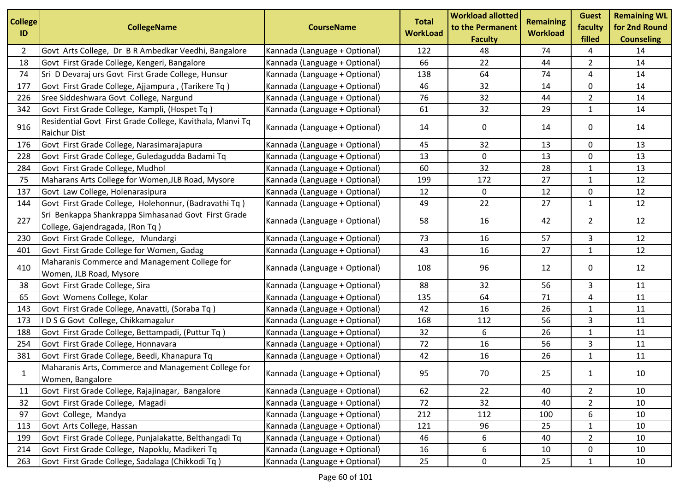| <b>College</b><br>ID | <b>CollegeName</b>                                                                     | <b>CourseName</b>             | <b>Total</b><br><b>WorkLoad</b> | <b>Workload allotted</b><br>to the Permanent<br><b>Faculty</b> | <b>Remaining</b><br><b>Workload</b> | <b>Guest</b><br>faculty<br>filled | <b>Remaining WL</b><br>for 2nd Round<br><b>Counseling</b> |
|----------------------|----------------------------------------------------------------------------------------|-------------------------------|---------------------------------|----------------------------------------------------------------|-------------------------------------|-----------------------------------|-----------------------------------------------------------|
| 2                    | Govt Arts College, Dr B R Ambedkar Veedhi, Bangalore                                   | Kannada (Language + Optional) | 122                             | 48                                                             | 74                                  | 4                                 | 14                                                        |
| 18                   | Govt First Grade College, Kengeri, Bangalore                                           | Kannada (Language + Optional) | 66                              | 22                                                             | 44                                  | $\overline{2}$                    | 14                                                        |
| 74                   | Sri D Devaraj urs Govt First Grade College, Hunsur                                     | Kannada (Language + Optional) | 138                             | 64                                                             | 74                                  | 4                                 | 14                                                        |
| 177                  | Govt First Grade College, Ajjampura, (Tarikere Tq)                                     | Kannada (Language + Optional) | 46                              | 32                                                             | 14                                  | 0                                 | 14                                                        |
| 226                  | Sree Siddeshwara Govt College, Nargund                                                 | Kannada (Language + Optional) | 76                              | 32                                                             | 44                                  | $\overline{2}$                    | 14                                                        |
| 342                  | Govt First Grade College, Kampli, (Hospet Tq)                                          | Kannada (Language + Optional) | 61                              | 32                                                             | 29                                  | 1                                 | 14                                                        |
| 916                  | Residential Govt First Grade College, Kavithala, Manvi Tq<br>Raichur Dist              | Kannada (Language + Optional) | 14                              | 0                                                              | 14                                  | 0                                 | 14                                                        |
| 176                  | Govt First Grade College, Narasimarajapura                                             | Kannada (Language + Optional) | 45                              | 32                                                             | 13                                  | 0                                 | 13                                                        |
| 228                  | Govt First Grade College, Guledagudda Badami Tq                                        | Kannada (Language + Optional) | 13                              | 0                                                              | 13                                  | $\mathbf 0$                       | 13                                                        |
| 284                  | Govt First Grade College, Mudhol                                                       | Kannada (Language + Optional) | 60                              | 32                                                             | 28                                  | $\mathbf{1}$                      | 13                                                        |
| 75                   | Maharans Arts College for Women, JLB Road, Mysore                                      | Kannada (Language + Optional) | 199                             | 172                                                            | 27                                  | 1                                 | 12                                                        |
| 137                  | Govt Law College, Holenarasipura                                                       | Kannada (Language + Optional) | 12                              | 0                                                              | 12                                  | $\mathbf 0$                       | 12                                                        |
| 144                  | Govt First Grade College, Holehonnur, (Badravathi Tq)                                  | Kannada (Language + Optional) | 49                              | 22                                                             | 27                                  | 1                                 | 12                                                        |
| 227                  | Sri Benkappa Shankrappa Simhasanad Govt First Grade<br>College, Gajendragada, (Ron Tq) | Kannada (Language + Optional) | 58                              | 16                                                             | 42                                  | $\overline{2}$                    | 12                                                        |
| 230                  | Govt First Grade College, Mundargi                                                     | Kannada (Language + Optional) | 73                              | 16                                                             | 57                                  | 3                                 | 12                                                        |
| 401                  | Govt First Grade College for Women, Gadag                                              | Kannada (Language + Optional) | 43                              | 16                                                             | 27                                  | $\mathbf{1}$                      | 12                                                        |
| 410                  | Maharanis Commerce and Management College for<br>Women, JLB Road, Mysore               | Kannada (Language + Optional) | 108                             | 96                                                             | 12                                  | 0                                 | 12                                                        |
| 38                   | Govt First Grade College, Sira                                                         | Kannada (Language + Optional) | 88                              | 32                                                             | 56                                  | 3                                 | 11                                                        |
| 65                   | Govt Womens College, Kolar                                                             | Kannada (Language + Optional) | 135                             | 64                                                             | 71                                  | 4                                 | 11                                                        |
| 143                  | Govt First Grade College, Anavatti, (Soraba Tq)                                        | Kannada (Language + Optional) | 42                              | 16                                                             | 26                                  | $\mathbf{1}$                      | 11                                                        |
| 173                  | IDSG Govt College, Chikkamagalur                                                       | Kannada (Language + Optional) | 168                             | 112                                                            | 56                                  | 3                                 | 11                                                        |
| 188                  | Govt First Grade College, Bettampadi, (Puttur Tq)                                      | Kannada (Language + Optional) | 32                              | 6                                                              | 26                                  | 1                                 | 11                                                        |
| 254                  | Govt First Grade College, Honnavara                                                    | Kannada (Language + Optional) | 72                              | 16                                                             | 56                                  | 3                                 | 11                                                        |
| 381                  | Govt First Grade College, Beedi, Khanapura Tq                                          | Kannada (Language + Optional) | 42                              | 16                                                             | 26                                  | $\mathbf{1}$                      | 11                                                        |
| $\mathbf{1}$         | Maharanis Arts, Commerce and Management College for<br>Women, Bangalore                | Kannada (Language + Optional) | 95                              | 70                                                             | 25                                  | 1                                 | 10                                                        |
| 11                   | Govt First Grade College, Rajajinagar, Bangalore                                       | Kannada (Language + Optional) | 62                              | 22                                                             | 40                                  | $\overline{2}$                    | 10                                                        |
| 32                   | Govt First Grade College, Magadi                                                       | Kannada (Language + Optional) | 72                              | 32                                                             | 40                                  | $\overline{2}$                    | 10                                                        |
| 97                   | Govt College, Mandya                                                                   | Kannada (Language + Optional) | 212                             | 112                                                            | 100                                 | 6                                 | 10                                                        |
| 113                  | Govt Arts College, Hassan                                                              | Kannada (Language + Optional) | 121                             | 96                                                             | 25                                  | 1                                 | 10                                                        |
| 199                  | Govt First Grade College, Punjalakatte, Belthangadi Tq                                 | Kannada (Language + Optional) | 46                              | 6                                                              | 40                                  | $\overline{2}$                    | 10                                                        |
| 214                  | Govt First Grade College, Napoklu, Madikeri Tq                                         | Kannada (Language + Optional) | 16                              | 6                                                              | 10                                  | 0                                 | 10                                                        |
| 263                  | Govt First Grade College, Sadalaga (Chikkodi Tq)                                       | Kannada (Language + Optional) | 25                              | 0                                                              | 25                                  | 1                                 | 10                                                        |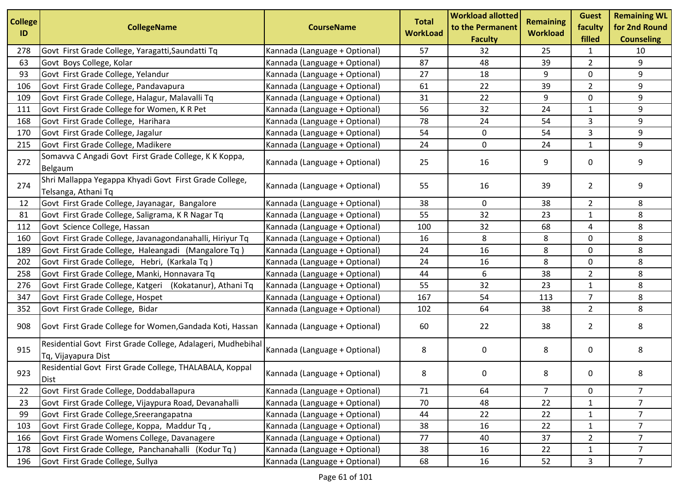| <b>College</b><br>ID | <b>CollegeName</b>                                                                       | <b>CourseName</b>             | <b>Total</b><br><b>WorkLoad</b> | <b>Workload allotted</b><br>to the Permanent<br><b>Faculty</b> | <b>Remaining</b><br><b>Workload</b> | <b>Guest</b><br>faculty<br>filled | <b>Remaining WL</b><br>for 2nd Round<br><b>Counseling</b> |
|----------------------|------------------------------------------------------------------------------------------|-------------------------------|---------------------------------|----------------------------------------------------------------|-------------------------------------|-----------------------------------|-----------------------------------------------------------|
| 278                  | Govt First Grade College, Yaragatti, Saundatti Tq                                        | Kannada (Language + Optional) | 57                              | 32                                                             | 25                                  | 1                                 | 10                                                        |
| 63                   | Govt Boys College, Kolar                                                                 | Kannada (Language + Optional) | 87                              | 48                                                             | 39                                  | $\overline{2}$                    | 9                                                         |
| 93                   | Govt First Grade College, Yelandur                                                       | Kannada (Language + Optional) | 27                              | 18                                                             | 9                                   | 0                                 | 9                                                         |
| 106                  | Govt First Grade College, Pandavapura                                                    | Kannada (Language + Optional) | 61                              | 22                                                             | 39                                  | $\overline{2}$                    | 9                                                         |
| 109                  | Govt First Grade College, Halagur, Malavalli Tq                                          | Kannada (Language + Optional) | 31                              | 22                                                             | 9                                   | 0                                 | 9                                                         |
| 111                  | Govt First Grade College for Women, K R Pet                                              | Kannada (Language + Optional) | 56                              | 32                                                             | 24                                  | $\mathbf{1}$                      | 9                                                         |
| 168                  | Govt First Grade College, Harihara                                                       | Kannada (Language + Optional) | 78                              | 24                                                             | 54                                  | 3                                 | 9                                                         |
| 170                  | Govt First Grade College, Jagalur                                                        | Kannada (Language + Optional) | 54                              | $\mathbf 0$                                                    | 54                                  | 3                                 | 9                                                         |
| 215                  | Govt First Grade College, Madikere                                                       | Kannada (Language + Optional) | 24                              | $\mathbf 0$                                                    | 24                                  | $\mathbf{1}$                      | 9                                                         |
| 272                  | Somavva C Angadi Govt First Grade College, K K Koppa,<br>Belgaum                         | Kannada (Language + Optional) | 25                              | 16                                                             | 9                                   | 0                                 | 9                                                         |
| 274                  | Shri Mallappa Yegappa Khyadi Govt First Grade College,<br>Telsanga, Athani Tq            | Kannada (Language + Optional) | 55                              | 16                                                             | 39                                  | $\overline{2}$                    | 9                                                         |
| 12                   | Govt First Grade College, Jayanagar, Bangalore                                           | Kannada (Language + Optional) | 38                              | 0                                                              | 38                                  | $\overline{2}$                    | 8                                                         |
| 81                   | Govt First Grade College, Saligrama, K R Nagar Tq                                        | Kannada (Language + Optional) | 55                              | 32                                                             | 23                                  | $\mathbf{1}$                      | 8                                                         |
| 112                  | Govt Science College, Hassan                                                             | Kannada (Language + Optional) | 100                             | 32                                                             | 68                                  | 4                                 | 8                                                         |
| 160                  | Govt First Grade College, Javanagondanahalli, Hiriyur Tq                                 | Kannada (Language + Optional) | 16                              | 8                                                              | 8                                   | 0                                 | 8                                                         |
| 189                  | Govt First Grade College, Haleangadi (Mangalore Tq)                                      | Kannada (Language + Optional) | 24                              | 16                                                             | 8                                   | 0                                 | 8                                                         |
| 202                  | Govt First Grade College, Hebri, (Karkala Tq)                                            | Kannada (Language + Optional) | 24                              | 16                                                             | 8                                   | 0                                 | 8                                                         |
| 258                  | Govt First Grade College, Manki, Honnavara Tq                                            | Kannada (Language + Optional) | 44                              | 6                                                              | 38                                  | $\overline{2}$                    | 8                                                         |
| 276                  | Govt First Grade College, Katgeri (Kokatanur), Athani Tq                                 | Kannada (Language + Optional) | 55                              | 32                                                             | 23                                  | $\mathbf{1}$                      | 8                                                         |
| 347                  | Govt First Grade College, Hospet                                                         | Kannada (Language + Optional) | 167                             | 54                                                             | 113                                 | $\overline{7}$                    | 8                                                         |
| 352                  | Govt First Grade College, Bidar                                                          | Kannada (Language + Optional) | 102                             | 64                                                             | 38                                  | $\overline{2}$                    | 8                                                         |
| 908                  | Govt First Grade College for Women, Gandada Koti, Hassan   Kannada (Language + Optional) |                               | 60                              | 22                                                             | 38                                  | $\overline{2}$                    | 8                                                         |
| 915                  | Residential Govt First Grade College, Adalageri, Mudhebihal<br>Tq, Vijayapura Dist       | Kannada (Language + Optional) | 8                               | 0                                                              | 8                                   | 0                                 | 8                                                         |
| 923                  | Residential Govt First Grade College, THALABALA, Koppal<br><b>Dist</b>                   | Kannada (Language + Optional) | 8                               | 0                                                              | 8                                   | 0                                 | 8                                                         |
| 22                   | Govt First Grade College, Doddaballapura                                                 | Kannada (Language + Optional) | 71                              | 64                                                             | $\overline{7}$                      | 0                                 | $\overline{7}$                                            |
| 23                   | Govt First Grade College, Vijaypura Road, Devanahalli                                    | Kannada (Language + Optional) | 70                              | 48                                                             | 22                                  | $\mathbf{1}$                      | $\overline{7}$                                            |
| 99                   | Govt First Grade College, Sreerangapatna                                                 | Kannada (Language + Optional) | 44                              | 22                                                             | 22                                  | $\mathbf{1}$                      | $\overline{7}$                                            |
| 103                  | Govt First Grade College, Koppa, Maddur Tq,                                              | Kannada (Language + Optional) | 38                              | 16                                                             | 22                                  | $\mathbf{1}$                      | $\overline{7}$                                            |
| 166                  | Govt First Grade Womens College, Davanagere                                              | Kannada (Language + Optional) | 77                              | 40                                                             | 37                                  | $\overline{2}$                    | $\overline{7}$                                            |
| 178                  | Govt First Grade College, Panchanahalli (Kodur Tq)                                       | Kannada (Language + Optional) | 38                              | 16                                                             | 22                                  | $\mathbf{1}$                      | $\overline{7}$                                            |
| 196                  | Govt First Grade College, Sullya                                                         | Kannada (Language + Optional) | 68                              | 16                                                             | 52                                  | 3                                 | $\overline{7}$                                            |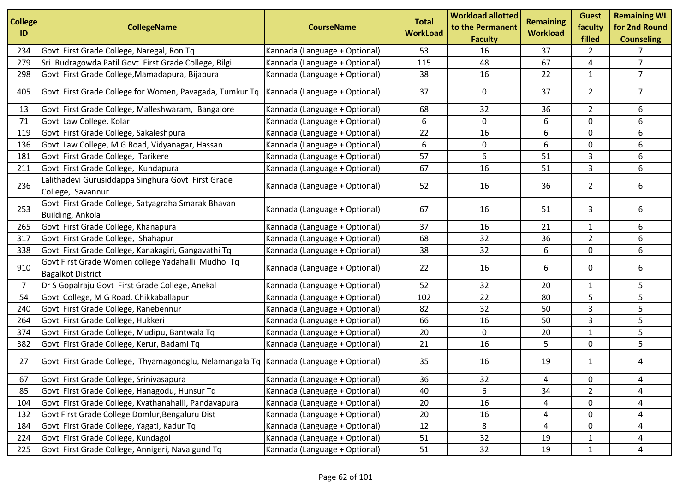| <b>College</b><br>ID | <b>CollegeName</b>                                                                      | <b>CourseName</b>             | <b>Total</b><br><b>WorkLoad</b> | <b>Workload allotted</b><br>to the Permanent<br><b>Faculty</b> | <b>Remaining</b><br><b>Workload</b> | <b>Guest</b><br>faculty<br>filled | <b>Remaining WL</b><br>for 2nd Round<br><b>Counseling</b> |
|----------------------|-----------------------------------------------------------------------------------------|-------------------------------|---------------------------------|----------------------------------------------------------------|-------------------------------------|-----------------------------------|-----------------------------------------------------------|
| 234                  | Govt First Grade College, Naregal, Ron Tq                                               | Kannada (Language + Optional) | 53                              | 16                                                             | 37                                  | $\overline{2}$                    | 7                                                         |
| 279                  | Sri Rudragowda Patil Govt First Grade College, Bilgi                                    | Kannada (Language + Optional) | 115                             | 48                                                             | 67                                  | 4                                 | $\overline{7}$                                            |
| 298                  | Govt First Grade College, Mamadapura, Bijapura                                          | Kannada (Language + Optional) | 38                              | 16                                                             | 22                                  | $\mathbf{1}$                      | $\overline{7}$                                            |
| 405                  | Govt First Grade College for Women, Pavagada, Tumkur Tq                                 | Kannada (Language + Optional) | 37                              | 0                                                              | 37                                  | $\overline{2}$                    | $\overline{7}$                                            |
| 13                   | Govt First Grade College, Malleshwaram, Bangalore                                       | Kannada (Language + Optional) | 68                              | 32                                                             | 36                                  | $\overline{2}$                    | 6                                                         |
| 71                   | Govt Law College, Kolar                                                                 | Kannada (Language + Optional) | 6                               | 0                                                              | 6                                   | $\mathbf 0$                       | 6                                                         |
| 119                  | Govt First Grade College, Sakaleshpura                                                  | Kannada (Language + Optional) | 22                              | 16                                                             | 6                                   | $\mathbf 0$                       | 6                                                         |
| 136                  | Govt Law College, M G Road, Vidyanagar, Hassan                                          | Kannada (Language + Optional) | 6                               | 0                                                              | 6                                   | 0                                 | 6                                                         |
| 181                  | Govt First Grade College, Tarikere                                                      | Kannada (Language + Optional) | 57                              | 6                                                              | 51                                  | 3                                 | 6                                                         |
| 211                  | Govt First Grade College, Kundapura                                                     | Kannada (Language + Optional) | 67                              | 16                                                             | 51                                  | 3                                 | 6                                                         |
| 236                  | Lalithadevi Gurusiddappa Singhura Govt First Grade<br>College, Savannur                 | Kannada (Language + Optional) | 52                              | 16                                                             | 36                                  | $\overline{2}$                    | 6                                                         |
| 253                  | Govt First Grade College, Satyagraha Smarak Bhavan<br>Building, Ankola                  | Kannada (Language + Optional) | 67                              | 16                                                             | 51                                  | 3                                 | 6                                                         |
| 265                  | Govt First Grade College, Khanapura                                                     | Kannada (Language + Optional) | 37                              | 16                                                             | 21                                  | $\mathbf{1}$                      | 6                                                         |
| 317                  | Govt First Grade College, Shahapur                                                      | Kannada (Language + Optional) | 68                              | 32                                                             | 36                                  | $\overline{2}$                    | 6                                                         |
| 338                  | Govt First Grade College, Kanakagiri, Gangavathi Tq                                     | Kannada (Language + Optional) | 38                              | 32                                                             | 6                                   | 0                                 | 6                                                         |
| 910                  | Govt First Grade Women college Yadahalli Mudhol Tq<br><b>Bagalkot District</b>          | Kannada (Language + Optional) | 22                              | 16                                                             | 6                                   | 0                                 | 6                                                         |
| $\overline{7}$       | Dr S Gopalraju Govt First Grade College, Anekal                                         | Kannada (Language + Optional) | 52                              | 32                                                             | 20                                  | $\mathbf{1}$                      | 5                                                         |
| 54                   | Govt College, M G Road, Chikkaballapur                                                  | Kannada (Language + Optional) | 102                             | 22                                                             | 80                                  | 5                                 | 5                                                         |
| 240                  | Govt First Grade College, Ranebennur                                                    | Kannada (Language + Optional) | 82                              | 32                                                             | 50                                  | 3                                 | 5                                                         |
| 264                  | Govt First Grade College, Hukkeri                                                       | Kannada (Language + Optional) | 66                              | 16                                                             | 50                                  | 3                                 | 5                                                         |
| 374                  | Govt First Grade College, Mudipu, Bantwala Tq                                           | Kannada (Language + Optional) | 20                              | 0                                                              | 20                                  | 1                                 | 5                                                         |
| 382                  | Govt First Grade College, Kerur, Badami Tq                                              | Kannada (Language + Optional) | 21                              | 16                                                             | 5                                   | $\mathbf 0$                       | 5                                                         |
| 27                   | Govt First Grade College, Thyamagondglu, Nelamangala Tq   Kannada (Language + Optional) |                               | 35                              | 16                                                             | 19                                  | $\mathbf{1}$                      | 4                                                         |
| 67                   | Govt First Grade College, Srinivasapura                                                 | Kannada (Language + Optional) | 36                              | 32                                                             | 4                                   | 0                                 | 4                                                         |
| 85                   | Govt First Grade College, Hanagodu, Hunsur Tq                                           | Kannada (Language + Optional) | 40                              | 6                                                              | 34                                  | $\overline{2}$                    | 4                                                         |
| 104                  | Govt First Grade College, Kyathanahalli, Pandavapura                                    | Kannada (Language + Optional) | 20                              | 16                                                             | 4                                   | $\mathbf 0$                       | 4                                                         |
| 132                  | Govt First Grade College Domlur, Bengaluru Dist                                         | Kannada (Language + Optional) | 20                              | 16                                                             | 4                                   | $\mathbf 0$                       | 4                                                         |
| 184                  | Govt First Grade College, Yagati, Kadur Tq                                              | Kannada (Language + Optional) | 12                              | 8                                                              | 4                                   | 0                                 | 4                                                         |
| 224                  | Govt First Grade College, Kundagol                                                      | Kannada (Language + Optional) | 51                              | 32                                                             | 19                                  | 1                                 | 4                                                         |
| 225                  | Govt First Grade College, Annigeri, Navalgund Tq                                        | Kannada (Language + Optional) | 51                              | 32                                                             | 19                                  | $\mathbf{1}$                      | 4                                                         |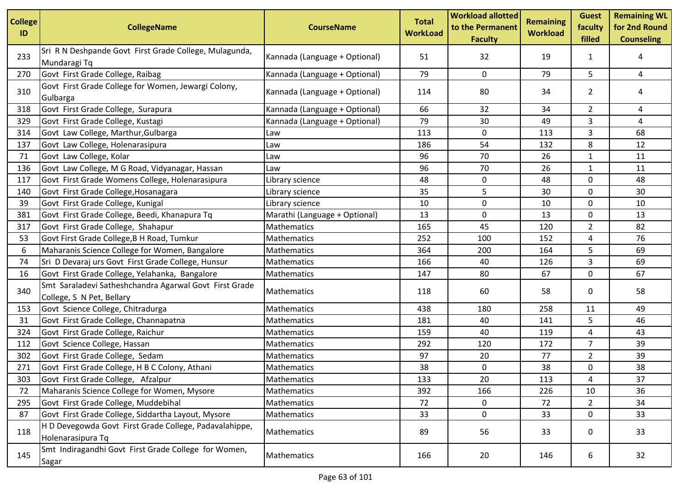| <b>College</b><br>ID | <b>CollegeName</b>                                                                  | <b>CourseName</b>             | <b>Total</b><br><b>WorkLoad</b> | <b>Workload allotted</b><br>to the Permanent<br><b>Faculty</b> | <b>Remaining</b><br><b>Workload</b> | <b>Guest</b><br>faculty<br>filled | <b>Remaining WL</b><br>for 2nd Round<br><b>Counseling</b> |
|----------------------|-------------------------------------------------------------------------------------|-------------------------------|---------------------------------|----------------------------------------------------------------|-------------------------------------|-----------------------------------|-----------------------------------------------------------|
| 233                  | Sri R N Deshpande Govt First Grade College, Mulagunda,<br>Mundaragi Tq              | Kannada (Language + Optional) | 51                              | 32                                                             | 19                                  | 1                                 | 4                                                         |
| 270                  | Govt First Grade College, Raibag                                                    | Kannada (Language + Optional) | 79                              | 0                                                              | 79                                  | 5                                 | $\overline{4}$                                            |
| 310                  | Govt First Grade College for Women, Jewargi Colony,<br>Gulbarga                     | Kannada (Language + Optional) | 114                             | 80                                                             | 34                                  | $\overline{2}$                    | 4                                                         |
| 318                  | Govt First Grade College, Surapura                                                  | Kannada (Language + Optional) | 66                              | 32                                                             | 34                                  | $\overline{2}$                    | 4                                                         |
| 329                  | Govt First Grade College, Kustagi                                                   | Kannada (Language + Optional) | 79                              | 30                                                             | 49                                  | 3                                 | 4                                                         |
| 314                  | Govt Law College, Marthur, Gulbarga                                                 | Law                           | 113                             | 0                                                              | 113                                 | $\overline{3}$                    | 68                                                        |
| 137                  | Govt Law College, Holenarasipura                                                    | Law                           | 186                             | 54                                                             | 132                                 | 8                                 | 12                                                        |
| 71                   | Govt Law College, Kolar                                                             | Law                           | 96                              | 70                                                             | 26                                  | $\mathbf{1}$                      | 11                                                        |
| 136                  | Govt Law College, M G Road, Vidyanagar, Hassan                                      | Law                           | 96                              | 70                                                             | 26                                  | $\mathbf{1}$                      | 11                                                        |
| 117                  | Govt First Grade Womens College, Holenarasipura                                     | Library science               | 48                              | 0                                                              | 48                                  | 0                                 | 48                                                        |
| 140                  | Govt First Grade College, Hosanagara                                                | Library science               | 35                              | 5                                                              | 30                                  | $\mathbf 0$                       | 30                                                        |
| 39                   | Govt First Grade College, Kunigal                                                   | Library science               | 10                              | 0                                                              | 10                                  | 0                                 | 10                                                        |
| 381                  | Govt First Grade College, Beedi, Khanapura Tq                                       | Marathi (Language + Optional) | 13                              | $\mathbf 0$                                                    | 13                                  | 0                                 | 13                                                        |
| 317                  | Govt First Grade College, Shahapur                                                  | Mathematics                   | 165                             | 45                                                             | 120                                 | $\overline{2}$                    | 82                                                        |
| 53                   | Govt First Grade College, B H Road, Tumkur                                          | Mathematics                   | 252                             | 100                                                            | 152                                 | 4                                 | 76                                                        |
| 6                    | Maharanis Science College for Women, Bangalore                                      | Mathematics                   | 364                             | 200                                                            | 164                                 | 5                                 | 69                                                        |
| 74                   | Sri D Devaraj urs Govt First Grade College, Hunsur                                  | Mathematics                   | 166                             | 40                                                             | 126                                 | 3                                 | 69                                                        |
| 16                   | Govt First Grade College, Yelahanka, Bangalore                                      | Mathematics                   | 147                             | 80                                                             | 67                                  | 0                                 | 67                                                        |
| 340                  | Smt Saraladevi Satheshchandra Agarwal Govt First Grade<br>College, S N Pet, Bellary | Mathematics                   | 118                             | 60                                                             | 58                                  | 0                                 | 58                                                        |
| 153                  | Govt Science College, Chitradurga                                                   | Mathematics                   | 438                             | 180                                                            | 258                                 | 11                                | 49                                                        |
| 31                   | Govt First Grade College, Channapatna                                               | Mathematics                   | 181                             | 40                                                             | 141                                 | 5                                 | 46                                                        |
| 324                  | Govt First Grade College, Raichur                                                   | Mathematics                   | 159                             | 40                                                             | 119                                 | 4                                 | 43                                                        |
| 112                  | Govt Science College, Hassan                                                        | Mathematics                   | 292                             | 120                                                            | 172                                 | $\overline{7}$                    | 39                                                        |
| 302                  | Govt First Grade College, Sedam                                                     | Mathematics                   | 97                              | 20                                                             | 77                                  | $\overline{2}$                    | 39                                                        |
| 271                  | Govt First Grade College, H B C Colony, Athani                                      | Mathematics                   | 38                              | 0                                                              | 38                                  | 0                                 | 38                                                        |
| 303                  | Govt First Grade College, Afzalpur                                                  | Mathematics                   | 133                             | 20                                                             | 113                                 | 4                                 | 37                                                        |
| 72                   | Maharanis Science College for Women, Mysore                                         | Mathematics                   | 392                             | 166                                                            | 226                                 | 10                                | 36                                                        |
| 295                  | Govt First Grade College, Muddebihal                                                | Mathematics                   | 72                              | 0                                                              | 72                                  | $\overline{2}$                    | 34                                                        |
| 87                   | Govt First Grade College, Siddartha Layout, Mysore                                  | Mathematics                   | 33                              | $\pmb{0}$                                                      | 33                                  | 0                                 | 33                                                        |
| 118                  | H D Devegowda Govt First Grade College, Padavalahippe,<br>Holenarasipura Tq         | Mathematics                   | 89                              | 56                                                             | 33                                  | 0                                 | 33                                                        |
| 145                  | Smt Indiragandhi Govt First Grade College for Women,<br>Sagar                       | Mathematics                   | 166                             | 20                                                             | 146                                 | 6                                 | 32                                                        |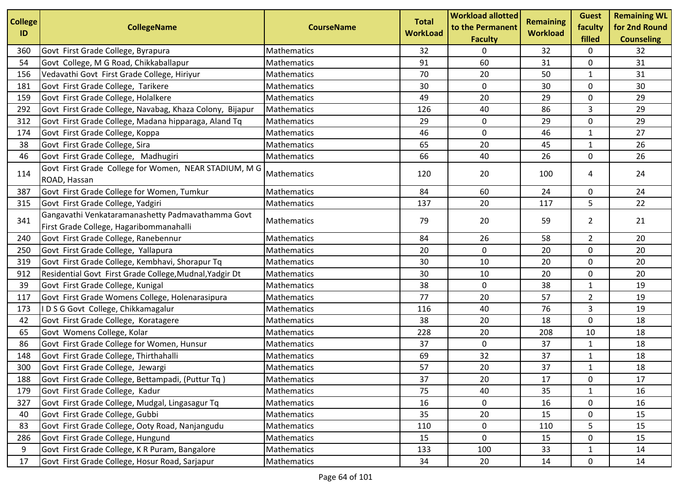| <b>College</b> |                                                                                              |                    | <b>Total</b>    | <b>Workload allotted</b>           | Remaining       | <b>Guest</b>      | <b>Remaining WL</b>                |
|----------------|----------------------------------------------------------------------------------------------|--------------------|-----------------|------------------------------------|-----------------|-------------------|------------------------------------|
| ID             | <b>CollegeName</b>                                                                           | <b>CourseName</b>  | <b>WorkLoad</b> | to the Permanent<br><b>Faculty</b> | <b>Workload</b> | faculty<br>filled | for 2nd Round<br><b>Counseling</b> |
| 360            | Govt First Grade College, Byrapura                                                           | Mathematics        | 32              | 0                                  | 32              | 0                 | 32                                 |
| 54             | Govt College, M G Road, Chikkaballapur                                                       | Mathematics        | 91              | 60                                 | 31              | 0                 | 31                                 |
| 156            | Vedavathi Govt First Grade College, Hiriyur                                                  | Mathematics        | 70              | 20                                 | 50              | $\mathbf{1}$      | 31                                 |
| 181            | Govt First Grade College, Tarikere                                                           | Mathematics        | 30              | 0                                  | 30              | 0                 | 30                                 |
| 159            | Govt First Grade College, Holalkere                                                          | Mathematics        | 49              | 20                                 | 29              | 0                 | 29                                 |
| 292            | Govt First Grade College, Navabag, Khaza Colony, Bijapur                                     | Mathematics        | 126             | 40                                 | 86              | 3                 | 29                                 |
| 312            | Govt First Grade College, Madana hipparaga, Aland Tq                                         | Mathematics        | 29              | 0                                  | 29              | 0                 | 29                                 |
| 174            | Govt First Grade College, Koppa                                                              | Mathematics        | 46              | 0                                  | 46              | $\mathbf{1}$      | 27                                 |
| 38             | Govt First Grade College, Sira                                                               | Mathematics        | 65              | 20                                 | 45              | $\mathbf{1}$      | 26                                 |
| 46             | Govt First Grade College, Madhugiri                                                          | Mathematics        | 66              | 40                                 | 26              | 0                 | 26                                 |
| 114            | Govt First Grade College for Women, NEAR STADIUM, M G<br>ROAD, Hassan                        | <b>Mathematics</b> | 120             | 20                                 | 100             | 4                 | 24                                 |
| 387            | Govt First Grade College for Women, Tumkur                                                   | Mathematics        | 84              | 60                                 | 24              | 0                 | 24                                 |
| 315            | Govt First Grade College, Yadgiri                                                            | Mathematics        | 137             | 20                                 | 117             | 5                 | 22                                 |
| 341            | Gangavathi Venkataramanashetty Padmavathamma Govt<br>First Grade College, Hagaribommanahalli | <b>Mathematics</b> | 79              | 20                                 | 59              | $\overline{2}$    | 21                                 |
| 240            | Govt First Grade College, Ranebennur                                                         | Mathematics        | 84              | 26                                 | 58              | $\overline{2}$    | 20                                 |
| 250            | Govt First Grade College, Yallapura                                                          | Mathematics        | 20              | 0                                  | 20              | 0                 | 20                                 |
| 319            | Govt First Grade College, Kembhavi, Shorapur Tq                                              | Mathematics        | 30              | 10                                 | 20              | 0                 | 20                                 |
| 912            | Residential Govt First Grade College, Mudnal, Yadgir Dt                                      | Mathematics        | 30              | 10                                 | 20              | 0                 | 20                                 |
| 39             | Govt First Grade College, Kunigal                                                            | Mathematics        | 38              | $\mathbf 0$                        | 38              | $\mathbf{1}$      | 19                                 |
| 117            | Govt First Grade Womens College, Holenarasipura                                              | Mathematics        | 77              | 20                                 | 57              | $\overline{2}$    | 19                                 |
| 173            | IDSG Govt College, Chikkamagalur                                                             | Mathematics        | 116             | 40                                 | 76              | 3                 | 19                                 |
| 42             | Govt First Grade College, Koratagere                                                         | Mathematics        | 38              | 20                                 | 18              | 0                 | 18                                 |
| 65             | Govt Womens College, Kolar                                                                   | Mathematics        | 228             | 20                                 | 208             | 10                | 18                                 |
| 86             | Govt First Grade College for Women, Hunsur                                                   | Mathematics        | 37              | 0                                  | 37              | $\mathbf{1}$      | 18                                 |
| 148            | Govt First Grade College, Thirthahalli                                                       | Mathematics        | 69              | 32                                 | 37              | $\mathbf{1}$      | 18                                 |
| 300            | Govt First Grade College, Jewargi                                                            | Mathematics        | 57              | 20                                 | 37              | $\mathbf{1}$      | 18                                 |
| 188            | Govt First Grade College, Bettampadi, (Puttur Tq)                                            | Mathematics        | 37              | 20                                 | $17\,$          | 0                 | 17                                 |
| 179            | Govt First Grade College, Kadur                                                              | Mathematics        | 75              | 40                                 | 35              | $\mathbf{1}$      | 16                                 |
| 327            | Govt First Grade College, Mudgal, Lingasagur Tq                                              | Mathematics        | 16              | 0                                  | 16              | 0                 | 16                                 |
| 40             | Govt First Grade College, Gubbi                                                              | Mathematics        | 35              | 20                                 | 15              | 0                 | 15                                 |
| 83             | Govt First Grade College, Ooty Road, Nanjangudu                                              | Mathematics        | 110             | 0                                  | 110             | 5                 | 15                                 |
| 286            | Govt First Grade College, Hungund                                                            | Mathematics        | 15              | $\mathbf 0$                        | 15              | 0                 | 15                                 |
| 9              | Govt First Grade College, K R Puram, Bangalore                                               | Mathematics        | 133             | 100                                | 33              | 1                 | 14                                 |
| 17             | Govt First Grade College, Hosur Road, Sarjapur                                               | Mathematics        | 34              | 20                                 | 14              | 0                 | 14                                 |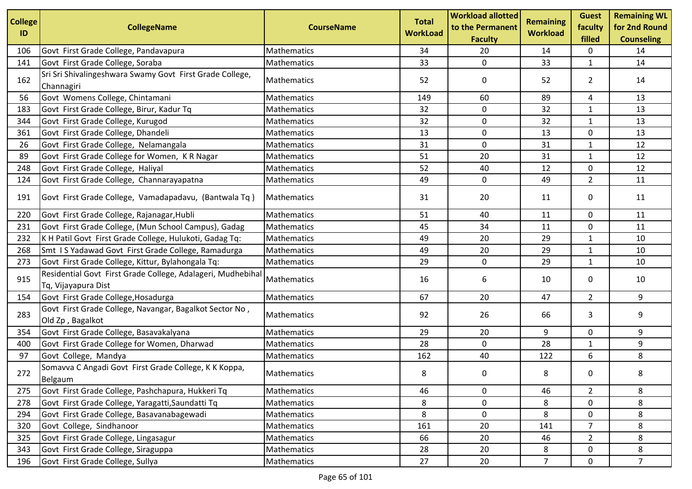| <b>College</b> | <b>CollegeName</b>                                                                 | <b>CourseName</b> | <b>Total</b>    | <b>Workload allotted</b><br>to the Permanent | <b>Remaining</b> | <b>Guest</b><br>faculty | <b>Remaining WL</b><br>for 2nd Round |
|----------------|------------------------------------------------------------------------------------|-------------------|-----------------|----------------------------------------------|------------------|-------------------------|--------------------------------------|
| ID             |                                                                                    |                   | <b>WorkLoad</b> | <b>Faculty</b>                               | <b>Workload</b>  | filled                  | <b>Counseling</b>                    |
| 106            | Govt First Grade College, Pandavapura                                              | Mathematics       | 34              | 20                                           | 14               | 0                       | 14                                   |
| 141            | Govt First Grade College, Soraba                                                   | Mathematics       | 33              | $\mathbf 0$                                  | 33               | $\mathbf{1}$            | 14                                   |
| 162            | Sri Sri Shivalingeshwara Swamy Govt First Grade College,<br>Channagiri             | Mathematics       | 52              | 0                                            | 52               | $\overline{2}$          | 14                                   |
| 56             | Govt Womens College, Chintamani                                                    | Mathematics       | 149             | 60                                           | 89               | 4                       | 13                                   |
| 183            | Govt First Grade College, Birur, Kadur Tq                                          | Mathematics       | 32              | $\mathbf 0$                                  | 32               | $\mathbf{1}$            | 13                                   |
| 344            | Govt First Grade College, Kurugod                                                  | Mathematics       | 32              | 0                                            | 32               | 1                       | 13                                   |
| 361            | Govt First Grade College, Dhandeli                                                 | Mathematics       | 13              | 0                                            | 13               | 0                       | 13                                   |
| 26             | Govt First Grade College, Nelamangala                                              | Mathematics       | 31              | 0                                            | 31               | 1                       | 12                                   |
| 89             | Govt First Grade College for Women, K R Nagar                                      | Mathematics       | 51              | 20                                           | 31               | $\mathbf{1}$            | 12                                   |
| 248            | Govt First Grade College, Haliyal                                                  | Mathematics       | 52              | 40                                           | 12               | 0                       | 12                                   |
| 124            | Govt First Grade College, Channarayapatna                                          | Mathematics       | 49              | 0                                            | 49               | $\overline{2}$          | 11                                   |
| 191            | Govt First Grade College, Vamadapadavu, (Bantwala Tq)                              | Mathematics       | 31              | 20                                           | 11               | 0                       | 11                                   |
| 220            | Govt First Grade College, Rajanagar, Hubli                                         | Mathematics       | 51              | 40                                           | 11               | 0                       | 11                                   |
| 231            | Govt First Grade College, (Mun School Campus), Gadag                               | Mathematics       | 45              | 34                                           | 11               | $\mathbf 0$             | 11                                   |
| 232            | K H Patil Govt First Grade College, Hulukoti, Gadag Tq:                            | Mathematics       | 49              | 20                                           | 29               | 1                       | 10                                   |
| 268            | Smt IS Yadawad Govt First Grade College, Ramadurga                                 | Mathematics       | 49              | 20                                           | 29               | $\mathbf{1}$            | 10                                   |
| 273            | Govt First Grade College, Kittur, Bylahongala Tq:                                  | Mathematics       | 29              | $\mathbf 0$                                  | 29               | $\mathbf{1}$            | 10                                   |
| 915            | Residential Govt First Grade College, Adalageri, Mudhebihal<br>Tq, Vijayapura Dist | Mathematics       | 16              | 6                                            | 10               | 0                       | 10                                   |
| 154            | Govt First Grade College, Hosadurga                                                | Mathematics       | 67              | 20                                           | 47               | $\overline{2}$          | 9                                    |
| 283            | Govt First Grade College, Navangar, Bagalkot Sector No,<br>Old Zp, Bagalkot        | Mathematics       | 92              | 26                                           | 66               | 3                       | 9                                    |
| 354            | Govt First Grade College, Basavakalyana                                            | Mathematics       | 29              | 20                                           | 9                | 0                       | 9                                    |
| 400            | Govt First Grade College for Women, Dharwad                                        | Mathematics       | 28              | 0                                            | 28               | $\mathbf{1}$            | 9                                    |
| 97             | Govt College, Mandya                                                               | Mathematics       | 162             | 40                                           | 122              | 6                       | 8                                    |
| 272            | Somavva C Angadi Govt First Grade College, K K Koppa,<br>Belgaum                   | Mathematics       | 8               | 0                                            | 8                | 0                       | 8                                    |
| 275            | Govt First Grade College, Pashchapura, Hukkeri Tq                                  | Mathematics       | 46              | 0                                            | 46               | $\overline{2}$          | 8                                    |
| 278            | Govt First Grade College, Yaragatti, Saundatti Tq                                  | Mathematics       | 8               | 0                                            | 8                | 0                       | 8                                    |
| 294            | Govt First Grade College, Basavanabagewadi                                         | Mathematics       | 8               | 0                                            | 8                | 0                       | 8                                    |
| 320            | Govt College, Sindhanoor                                                           | Mathematics       | 161             | 20                                           | 141              | 7                       | 8                                    |
| 325            | Govt First Grade College, Lingasagur                                               | Mathematics       | 66              | 20                                           | 46               | $\overline{2}$          | 8                                    |
| 343            | Govt First Grade College, Siraguppa                                                | Mathematics       | 28              | 20                                           | 8                | 0                       | 8                                    |
| 196            | Govt First Grade College, Sullya                                                   | Mathematics       | 27              | 20                                           | $\overline{7}$   | 0                       | 7 <sup>1</sup>                       |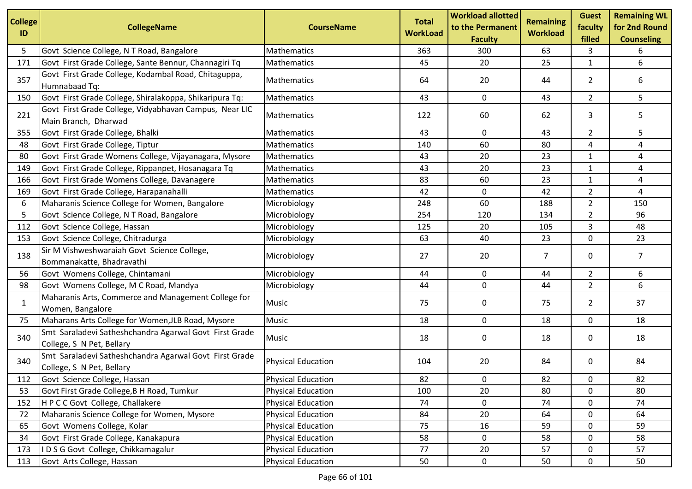| <b>College</b><br>ID | <b>CollegeName</b>                                                                  | <b>CourseName</b>         | <b>Total</b><br><b>WorkLoad</b> | <b>Workload allotted</b><br>to the Permanent<br><b>Faculty</b> | <b>Remaining</b><br><b>Workload</b> | <b>Guest</b><br>faculty<br>filled | <b>Remaining WL</b><br>for 2nd Round<br><b>Counseling</b> |
|----------------------|-------------------------------------------------------------------------------------|---------------------------|---------------------------------|----------------------------------------------------------------|-------------------------------------|-----------------------------------|-----------------------------------------------------------|
| 5                    | Govt Science College, N T Road, Bangalore                                           | Mathematics               | 363                             | 300                                                            | 63                                  | 3                                 | 6                                                         |
| 171                  | Govt First Grade College, Sante Bennur, Channagiri Tq                               | Mathematics               | 45                              | 20                                                             | 25                                  | $\mathbf{1}$                      | 6                                                         |
| 357                  | Govt First Grade College, Kodambal Road, Chitaguppa,<br>Humnabaad Tq:               | Mathematics               | 64                              | 20                                                             | 44                                  | $\overline{2}$                    | 6                                                         |
| 150                  | Govt First Grade College, Shiralakoppa, Shikaripura Tq:                             | Mathematics               | 43                              | 0                                                              | 43                                  | $2^{\circ}$                       | 5                                                         |
| 221                  | Govt First Grade College, Vidyabhavan Campus, Near LIC<br>Main Branch, Dharwad      | Mathematics               | 122                             | 60                                                             | 62                                  | 3                                 | 5                                                         |
| 355                  | Govt First Grade College, Bhalki                                                    | Mathematics               | 43                              | 0                                                              | 43                                  | $\overline{2}$                    | 5                                                         |
| 48                   | Govt First Grade College, Tiptur                                                    | Mathematics               | 140                             | 60                                                             | 80                                  | 4                                 | 4                                                         |
| 80                   | Govt First Grade Womens College, Vijayanagara, Mysore                               | Mathematics               | 43                              | 20                                                             | 23                                  | $\mathbf{1}$                      | 4                                                         |
| 149                  | Govt First Grade College, Rippanpet, Hosanagara Tq                                  | Mathematics               | 43                              | 20                                                             | 23                                  | $\mathbf{1}$                      | 4                                                         |
| 166                  | Govt First Grade Womens College, Davanagere                                         | Mathematics               | 83                              | 60                                                             | 23                                  | 1                                 | 4                                                         |
| 169                  | Govt First Grade College, Harapanahalli                                             | Mathematics               | 42                              | 0                                                              | 42                                  | $\overline{2}$                    | 4                                                         |
| 6                    | Maharanis Science College for Women, Bangalore                                      | Microbiology              | 248                             | 60                                                             | 188                                 | $\overline{2}$                    | 150                                                       |
| 5                    | Govt Science College, N T Road, Bangalore                                           | Microbiology              | 254                             | 120                                                            | 134                                 | $\overline{2}$                    | 96                                                        |
| 112                  | Govt Science College, Hassan                                                        | Microbiology              | 125                             | 20                                                             | 105                                 | 3                                 | 48                                                        |
| 153                  | Govt Science College, Chitradurga                                                   | Microbiology              | 63                              | 40                                                             | 23                                  | 0                                 | 23                                                        |
| 138                  | Sir M Vishweshwaraiah Govt Science College,<br>Bommanakatte, Bhadravathi            | Microbiology              | 27                              | 20                                                             | 7                                   | 0                                 | $\overline{7}$                                            |
| 56                   | Govt Womens College, Chintamani                                                     | Microbiology              | 44                              | 0                                                              | 44                                  | $\overline{2}$                    | 6                                                         |
| 98                   | Govt Womens College, M C Road, Mandya                                               | Microbiology              | 44                              | 0                                                              | 44                                  | $\overline{2}$                    | 6                                                         |
| 1                    | Maharanis Arts, Commerce and Management College for<br>Women, Bangalore             | Music                     | 75                              | 0                                                              | 75                                  | $\overline{2}$                    | 37                                                        |
| 75                   | Maharans Arts College for Women, JLB Road, Mysore                                   | Music                     | 18                              | 0                                                              | 18                                  | 0                                 | 18                                                        |
| 340                  | Smt Saraladevi Satheshchandra Agarwal Govt First Grade<br>College, S N Pet, Bellary | <b>Music</b>              | 18                              | 0                                                              | 18                                  | 0                                 | 18                                                        |
| 340                  | Smt Saraladevi Satheshchandra Agarwal Govt First Grade<br>College, S N Pet, Bellary | <b>Physical Education</b> | 104                             | 20                                                             | 84                                  | 0                                 | 84                                                        |
| 112                  | Govt Science College, Hassan                                                        | <b>Physical Education</b> | 82                              | 0                                                              | 82                                  | 0                                 | 82                                                        |
| 53                   | Govt First Grade College, B H Road, Tumkur                                          | <b>Physical Education</b> | 100                             | 20                                                             | 80                                  | 0                                 | 80                                                        |
| 152                  | HPCCGovt College, Challakere                                                        | <b>Physical Education</b> | 74                              | 0                                                              | 74                                  | $\mathbf 0$                       | 74                                                        |
| 72                   | Maharanis Science College for Women, Mysore                                         | <b>Physical Education</b> | 84                              | 20                                                             | 64                                  | 0                                 | 64                                                        |
| 65                   | Govt Womens College, Kolar                                                          | <b>Physical Education</b> | 75                              | 16                                                             | 59                                  | 0                                 | 59                                                        |
| 34                   | Govt First Grade College, Kanakapura                                                | <b>Physical Education</b> | 58                              | 0                                                              | 58                                  | $\mathbf 0$                       | 58                                                        |
| 173                  | IDSG Govt College, Chikkamagalur                                                    | <b>Physical Education</b> | 77                              | 20                                                             | 57                                  | 0                                 | 57                                                        |
| 113                  | Govt Arts College, Hassan                                                           | <b>Physical Education</b> | 50                              | $\mathbf 0$                                                    | 50                                  | 0                                 | 50                                                        |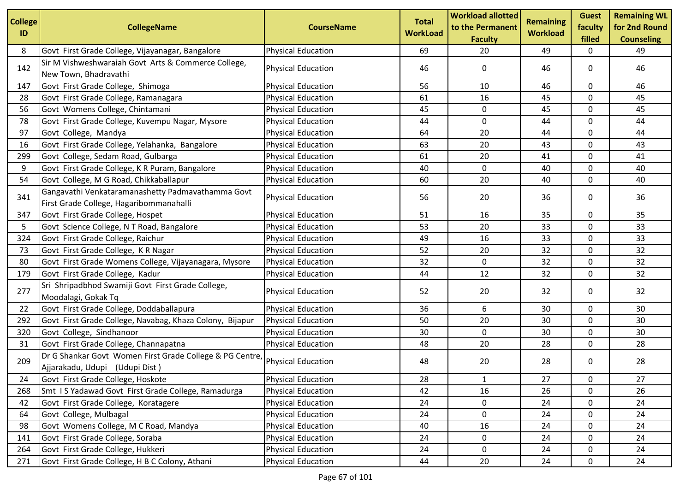| <b>College</b><br>ID | <b>CollegeName</b>                                                                           | <b>CourseName</b>         | <b>Total</b><br><b>WorkLoad</b> | <b>Workload allotted</b><br>to the Permanent<br><b>Faculty</b> | <b>Remaining</b><br><b>Workload</b> | <b>Guest</b><br>faculty<br>filled | <b>Remaining WL</b><br>for 2nd Round<br><b>Counseling</b> |
|----------------------|----------------------------------------------------------------------------------------------|---------------------------|---------------------------------|----------------------------------------------------------------|-------------------------------------|-----------------------------------|-----------------------------------------------------------|
| 8                    | Govt First Grade College, Vijayanagar, Bangalore                                             | <b>Physical Education</b> | 69                              | 20                                                             | 49                                  | 0                                 | 49                                                        |
| 142                  | Sir M Vishweshwaraiah Govt Arts & Commerce College,<br>New Town, Bhadravathi                 | <b>Physical Education</b> | 46                              | 0                                                              | 46                                  | 0                                 | 46                                                        |
| 147                  | Govt First Grade College, Shimoga                                                            | <b>Physical Education</b> | 56                              | 10                                                             | 46                                  | 0                                 | 46                                                        |
| 28                   | Govt First Grade College, Ramanagara                                                         | <b>Physical Education</b> | 61                              | 16                                                             | 45                                  | 0                                 | 45                                                        |
| 56                   | Govt Womens College, Chintamani                                                              | <b>Physical Education</b> | 45                              | 0                                                              | 45                                  | 0                                 | 45                                                        |
| 78                   | Govt First Grade College, Kuvempu Nagar, Mysore                                              | <b>Physical Education</b> | 44                              | 0                                                              | 44                                  | 0                                 | 44                                                        |
| 97                   | Govt College, Mandya                                                                         | <b>Physical Education</b> | 64                              | 20                                                             | 44                                  | 0                                 | 44                                                        |
| 16                   | Govt First Grade College, Yelahanka, Bangalore                                               | <b>Physical Education</b> | 63                              | 20                                                             | 43                                  | 0                                 | 43                                                        |
| 299                  | Govt College, Sedam Road, Gulbarga                                                           | <b>Physical Education</b> | 61                              | 20                                                             | 41                                  | 0                                 | 41                                                        |
| 9                    | Govt First Grade College, K R Puram, Bangalore                                               | <b>Physical Education</b> | 40                              | 0                                                              | 40                                  | 0                                 | 40                                                        |
| 54                   | Govt College, M G Road, Chikkaballapur                                                       | <b>Physical Education</b> | 60                              | 20                                                             | 40                                  | 0                                 | 40                                                        |
| 341                  | Gangavathi Venkataramanashetty Padmavathamma Govt<br>First Grade College, Hagaribommanahalli | <b>Physical Education</b> | 56                              | 20                                                             | 36                                  | 0                                 | 36                                                        |
| 347                  | Govt First Grade College, Hospet                                                             | <b>Physical Education</b> | 51                              | 16                                                             | 35                                  | 0                                 | 35                                                        |
| 5                    | Govt Science College, N T Road, Bangalore                                                    | <b>Physical Education</b> | 53                              | 20                                                             | 33                                  | $\mathbf 0$                       | 33                                                        |
| 324                  | Govt First Grade College, Raichur                                                            | <b>Physical Education</b> | 49                              | 16                                                             | 33                                  | 0                                 | 33                                                        |
| 73                   | Govt First Grade College, KR Nagar                                                           | <b>Physical Education</b> | 52                              | 20                                                             | 32                                  | 0                                 | 32                                                        |
| 80                   | Govt First Grade Womens College, Vijayanagara, Mysore                                        | <b>Physical Education</b> | 32                              | 0                                                              | 32                                  | $\mathbf 0$                       | 32                                                        |
| 179                  | Govt First Grade College, Kadur                                                              | <b>Physical Education</b> | 44                              | 12                                                             | 32                                  | 0                                 | 32                                                        |
| 277                  | Sri Shripadbhod Swamiji Govt First Grade College,<br>Moodalagi, Gokak Tq                     | <b>Physical Education</b> | 52                              | 20                                                             | 32                                  | 0                                 | 32                                                        |
| 22                   | Govt First Grade College, Doddaballapura                                                     | <b>Physical Education</b> | 36                              | 6                                                              | 30                                  | 0                                 | 30                                                        |
| 292                  | Govt First Grade College, Navabag, Khaza Colony, Bijapur                                     | <b>Physical Education</b> | 50                              | 20                                                             | 30                                  | $\mathbf 0$                       | 30                                                        |
| 320                  | Govt College, Sindhanoor                                                                     | <b>Physical Education</b> | 30                              | 0                                                              | 30                                  | 0                                 | 30                                                        |
| 31                   | Govt First Grade College, Channapatna                                                        | <b>Physical Education</b> | 48                              | 20                                                             | 28                                  | 0                                 | 28                                                        |
| 209                  | Dr G Shankar Govt Women First Grade College & PG Centre<br>Ajjarakadu, Udupi (Udupi Dist)    | <b>Physical Education</b> | 48                              | 20                                                             | 28                                  | 0                                 | 28                                                        |
| 24                   | Govt First Grade College, Hoskote                                                            | <b>Physical Education</b> | 28                              | $\mathbf{1}$                                                   | $27\,$                              | 0                                 | $27\,$                                                    |
| 268                  | Smt IS Yadawad Govt First Grade College, Ramadurga                                           | <b>Physical Education</b> | 42                              | 16                                                             | 26                                  | 0                                 | 26                                                        |
| 42                   | Govt First Grade College, Koratagere                                                         | <b>Physical Education</b> | 24                              | 0                                                              | 24                                  | 0                                 | 24                                                        |
| 64                   | Govt College, Mulbagal                                                                       | <b>Physical Education</b> | 24                              | $\pmb{0}$                                                      | 24                                  | $\mathbf 0$                       | 24                                                        |
| 98                   | Govt Womens College, M C Road, Mandya                                                        | <b>Physical Education</b> | 40                              | 16                                                             | 24                                  | 0                                 | 24                                                        |
| 141                  | Govt First Grade College, Soraba                                                             | <b>Physical Education</b> | 24                              | 0                                                              | 24                                  | $\mathbf 0$                       | 24                                                        |
| 264                  | Govt First Grade College, Hukkeri                                                            | <b>Physical Education</b> | 24                              | 0                                                              | 24                                  | 0                                 | 24                                                        |
| 271                  | Govt First Grade College, H B C Colony, Athani                                               | <b>Physical Education</b> | 44                              | 20                                                             | 24                                  | 0                                 | 24                                                        |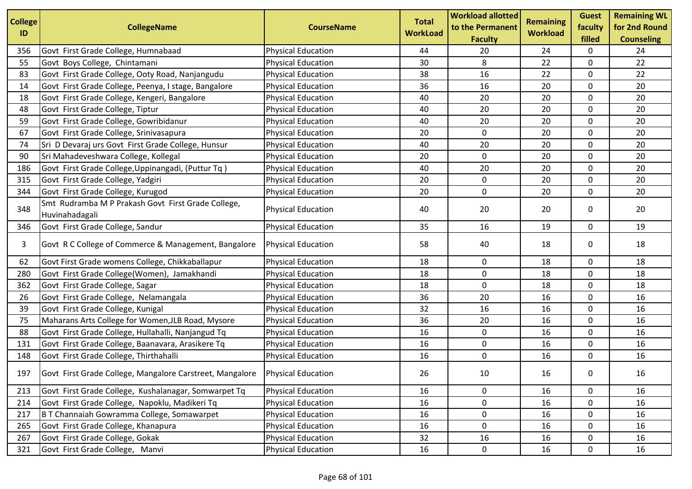| <b>College</b><br>ID | <b>CollegeName</b>                                                   | <b>CourseName</b>         | <b>Total</b><br><b>WorkLoad</b> | <b>Workload allotted</b><br>to the Permanent<br><b>Faculty</b> | <b>Remaining</b><br><b>Workload</b> | <b>Guest</b><br>faculty<br>filled | <b>Remaining WL</b><br>for 2nd Round<br><b>Counseling</b> |
|----------------------|----------------------------------------------------------------------|---------------------------|---------------------------------|----------------------------------------------------------------|-------------------------------------|-----------------------------------|-----------------------------------------------------------|
| 356                  | Govt First Grade College, Humnabaad                                  | <b>Physical Education</b> | 44                              | 20                                                             | 24                                  | 0                                 | 24                                                        |
| 55                   | Govt Boys College, Chintamani                                        | <b>Physical Education</b> | 30                              | 8                                                              | 22                                  | 0                                 | 22                                                        |
| 83                   | Govt First Grade College, Ooty Road, Nanjangudu                      | <b>Physical Education</b> | 38                              | 16                                                             | 22                                  | 0                                 | 22                                                        |
| 14                   | Govt First Grade College, Peenya, I stage, Bangalore                 | <b>Physical Education</b> | 36                              | 16                                                             | 20                                  | 0                                 | 20                                                        |
| 18                   | Govt First Grade College, Kengeri, Bangalore                         | <b>Physical Education</b> | 40                              | 20                                                             | 20                                  | $\mathbf 0$                       | 20                                                        |
| 48                   | Govt First Grade College, Tiptur                                     | <b>Physical Education</b> | 40                              | 20                                                             | 20                                  | 0                                 | 20                                                        |
| 59                   | Govt First Grade College, Gowribidanur                               | <b>Physical Education</b> | 40                              | 20                                                             | 20                                  | 0                                 | 20                                                        |
| 67                   | Govt First Grade College, Srinivasapura                              | <b>Physical Education</b> | 20                              | $\mathbf 0$                                                    | 20                                  | $\mathbf 0$                       | 20                                                        |
| 74                   | Sri D Devaraj urs Govt First Grade College, Hunsur                   | <b>Physical Education</b> | 40                              | 20                                                             | 20                                  | 0                                 | 20                                                        |
| 90                   | Sri Mahadeveshwara College, Kollegal                                 | <b>Physical Education</b> | 20                              | $\mathbf 0$                                                    | 20                                  | 0                                 | 20                                                        |
| 186                  | Govt First Grade College, Uppinangadi, (Puttur Tq)                   | <b>Physical Education</b> | 40                              | 20                                                             | 20                                  | 0                                 | 20                                                        |
| 315                  | Govt First Grade College, Yadgiri                                    | <b>Physical Education</b> | 20                              | 0                                                              | 20                                  | 0                                 | 20                                                        |
| 344                  | Govt First Grade College, Kurugod                                    | <b>Physical Education</b> | 20                              | $\mathbf{0}$                                                   | 20                                  | 0                                 | 20                                                        |
| 348                  | Smt Rudramba M P Prakash Govt First Grade College,<br>Huvinahadagali | <b>Physical Education</b> | 40                              | 20                                                             | 20                                  | 0                                 | 20                                                        |
| 346                  | Govt First Grade College, Sandur                                     | <b>Physical Education</b> | 35                              | 16                                                             | 19                                  | 0                                 | 19                                                        |
| 3                    | Govt R C College of Commerce & Management, Bangalore                 | <b>Physical Education</b> | 58                              | 40                                                             | 18                                  | 0                                 | 18                                                        |
| 62                   | Govt First Grade womens College, Chikkaballapur                      | <b>Physical Education</b> | 18                              | 0                                                              | 18                                  | 0                                 | 18                                                        |
| 280                  | Govt First Grade College(Women), Jamakhandi                          | <b>Physical Education</b> | 18                              | 0                                                              | 18                                  | 0                                 | 18                                                        |
| 362                  | Govt First Grade College, Sagar                                      | <b>Physical Education</b> | 18                              | $\mathbf 0$                                                    | 18                                  | 0                                 | 18                                                        |
| 26                   | Govt First Grade College, Nelamangala                                | <b>Physical Education</b> | 36                              | 20                                                             | 16                                  | 0                                 | 16                                                        |
| 39                   | Govt First Grade College, Kunigal                                    | <b>Physical Education</b> | 32                              | 16                                                             | 16                                  | 0                                 | 16                                                        |
| 75                   | Maharans Arts College for Women, JLB Road, Mysore                    | <b>Physical Education</b> | 36                              | 20                                                             | 16                                  | 0                                 | 16                                                        |
| 88                   | Govt First Grade College, Hullahalli, Nanjangud Tq                   | <b>Physical Education</b> | 16                              | 0                                                              | 16                                  | 0                                 | 16                                                        |
| 131                  | Govt First Grade College, Baanavara, Arasikere Tq                    | <b>Physical Education</b> | 16                              | $\mathbf 0$                                                    | 16                                  | 0                                 | 16                                                        |
| 148                  | Govt First Grade College, Thirthahalli                               | <b>Physical Education</b> | 16                              | $\mathbf 0$                                                    | 16                                  | 0                                 | 16                                                        |
| 197                  | Govt First Grade College, Mangalore Carstreet, Mangalore             | <b>Physical Education</b> | 26                              | 10                                                             | 16                                  | 0                                 | 16                                                        |
| 213                  | Govt First Grade College, Kushalanagar, Somwarpet Tq                 | <b>Physical Education</b> | 16                              | 0                                                              | 16                                  | 0                                 | 16                                                        |
| 214                  | Govt First Grade College, Napoklu, Madikeri Tq                       | <b>Physical Education</b> | 16                              | $\mathbf 0$                                                    | 16                                  | $\mathbf 0$                       | 16                                                        |
| 217                  | B T Channaiah Gowramma College, Somawarpet                           | <b>Physical Education</b> | 16                              | $\mathbf 0$                                                    | 16                                  | 0                                 | 16                                                        |
| 265                  | Govt First Grade College, Khanapura                                  | <b>Physical Education</b> | 16                              | $\mathbf 0$                                                    | 16                                  | 0                                 | 16                                                        |
| 267                  | Govt First Grade College, Gokak                                      | <b>Physical Education</b> | 32                              | 16                                                             | 16                                  | 0                                 | 16                                                        |
| 321                  | Govt First Grade College, Manvi                                      | <b>Physical Education</b> | 16                              | $\mathbf 0$                                                    | 16                                  | 0                                 | 16                                                        |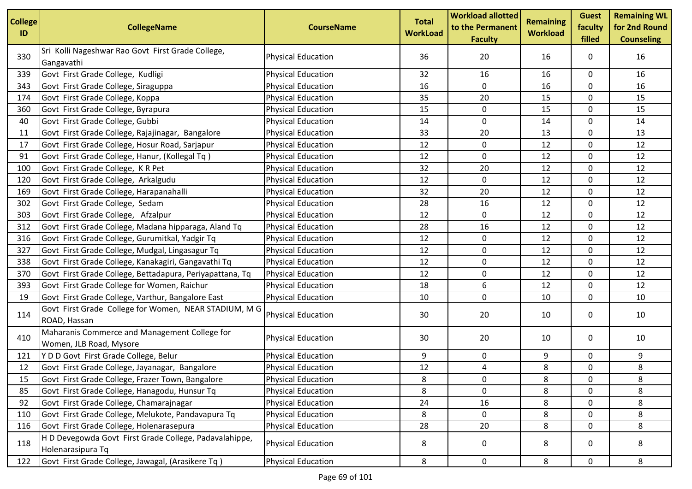| <b>College</b><br>ID | <b>CollegeName</b>                                                          | <b>CourseName</b>         | <b>Total</b><br><b>WorkLoad</b> | <b>Workload allotted</b><br>to the Permanent<br><b>Faculty</b> | <b>Remaining</b><br><b>Workload</b> | <b>Guest</b><br>faculty<br>filled | <b>Remaining WL</b><br>for 2nd Round<br><b>Counseling</b> |
|----------------------|-----------------------------------------------------------------------------|---------------------------|---------------------------------|----------------------------------------------------------------|-------------------------------------|-----------------------------------|-----------------------------------------------------------|
| 330                  | Sri Kolli Nageshwar Rao Govt First Grade College,<br>Gangavathi             | <b>Physical Education</b> | 36                              | 20                                                             | 16                                  | 0                                 | 16                                                        |
| 339                  | Govt First Grade College, Kudligi                                           | <b>Physical Education</b> | 32                              | 16                                                             | 16                                  | 0                                 | 16                                                        |
| 343                  | Govt First Grade College, Siraguppa                                         | <b>Physical Education</b> | 16                              | 0                                                              | 16                                  | 0                                 | 16                                                        |
| 174                  | Govt First Grade College, Koppa                                             | <b>Physical Education</b> | 35                              | 20                                                             | 15                                  | 0                                 | 15                                                        |
| 360                  | Govt First Grade College, Byrapura                                          | <b>Physical Education</b> | 15                              | $\mathbf 0$                                                    | 15                                  | 0                                 | 15                                                        |
| 40                   | Govt First Grade College, Gubbi                                             | <b>Physical Education</b> | 14                              | $\mathbf 0$                                                    | 14                                  | 0                                 | 14                                                        |
| 11                   | Govt First Grade College, Rajajinagar, Bangalore                            | <b>Physical Education</b> | 33                              | 20                                                             | 13                                  | 0                                 | 13                                                        |
| 17                   | Govt First Grade College, Hosur Road, Sarjapur                              | <b>Physical Education</b> | 12                              | 0                                                              | 12                                  | 0                                 | 12                                                        |
| 91                   | Govt First Grade College, Hanur, (Kollegal Tq)                              | <b>Physical Education</b> | 12                              | 0                                                              | 12                                  | 0                                 | 12                                                        |
| 100                  | Govt First Grade College, K R Pet                                           | <b>Physical Education</b> | 32                              | 20                                                             | 12                                  | 0                                 | 12                                                        |
| 120                  | Govt First Grade College, Arkalgudu                                         | <b>Physical Education</b> | 12                              | $\mathbf 0$                                                    | 12                                  | 0                                 | 12                                                        |
| 169                  | Govt First Grade College, Harapanahalli                                     | <b>Physical Education</b> | 32                              | 20                                                             | 12                                  | 0                                 | 12                                                        |
| 302                  | Govt First Grade College, Sedam                                             | <b>Physical Education</b> | 28                              | 16                                                             | 12                                  | 0                                 | 12                                                        |
| 303                  | Govt First Grade College, Afzalpur                                          | <b>Physical Education</b> | 12                              | $\mathbf 0$                                                    | 12                                  | 0                                 | 12                                                        |
| 312                  | Govt First Grade College, Madana hipparaga, Aland Tq                        | <b>Physical Education</b> | 28                              | 16                                                             | 12                                  | 0                                 | 12                                                        |
| 316                  | Govt First Grade College, Gurumitkal, Yadgir Tq                             | <b>Physical Education</b> | 12                              | $\mathbf 0$                                                    | 12                                  | 0                                 | 12                                                        |
| 327                  | Govt First Grade College, Mudgal, Lingasagur Tq                             | <b>Physical Education</b> | 12                              | 0                                                              | 12                                  | 0                                 | 12                                                        |
| 338                  | Govt First Grade College, Kanakagiri, Gangavathi Tq                         | <b>Physical Education</b> | 12                              | 0                                                              | 12                                  | 0                                 | 12                                                        |
| 370                  | Govt First Grade College, Bettadapura, Periyapattana, Tq                    | <b>Physical Education</b> | 12                              | 0                                                              | 12                                  | 0                                 | 12                                                        |
| 393                  | Govt First Grade College for Women, Raichur                                 | <b>Physical Education</b> | 18                              | 6                                                              | 12                                  | 0                                 | 12                                                        |
| 19                   | Govt First Grade College, Varthur, Bangalore East                           | <b>Physical Education</b> | 10                              | 0                                                              | 10                                  | 0                                 | 10                                                        |
| 114                  | Govt First Grade College for Women, NEAR STADIUM, M G<br>ROAD, Hassan       | <b>Physical Education</b> | 30                              | 20                                                             | 10                                  | 0                                 | 10                                                        |
| 410                  | Maharanis Commerce and Management College for<br>Women, JLB Road, Mysore    | <b>Physical Education</b> | 30                              | 20                                                             | 10                                  | 0                                 | 10                                                        |
| 121                  | Y D D Govt First Grade College, Belur                                       | <b>Physical Education</b> | 9                               | 0                                                              | 9                                   | 0                                 | 9                                                         |
| 12                   | Govt First Grade College, Jayanagar, Bangalore                              | <b>Physical Education</b> | 12                              | 4                                                              | 8                                   | 0                                 | 8                                                         |
| 15                   | Govt First Grade College, Frazer Town, Bangalore                            | <b>Physical Education</b> | 8                               | 0                                                              | 8                                   | 0                                 | 8                                                         |
| 85                   | Govt First Grade College, Hanagodu, Hunsur Tq                               | <b>Physical Education</b> | 8                               | 0                                                              | 8                                   | 0                                 | 8                                                         |
| 92                   | Govt First Grade College, Chamarajnagar                                     | <b>Physical Education</b> | 24                              | 16                                                             | 8                                   | 0                                 | 8                                                         |
| 110                  | Govt First Grade College, Melukote, Pandavapura Tq                          | <b>Physical Education</b> | 8                               | $\mathbf 0$                                                    | 8                                   | 0                                 | 8                                                         |
| 116                  | Govt First Grade College, Holenarasepura                                    | <b>Physical Education</b> | 28                              | 20                                                             | 8                                   | 0                                 | 8                                                         |
| 118                  | H D Devegowda Govt First Grade College, Padavalahippe,<br>Holenarasipura Tq | <b>Physical Education</b> | 8                               | 0                                                              | 8                                   | 0                                 | 8                                                         |
| 122                  | Govt First Grade College, Jawagal, (Arasikere Tq)                           | <b>Physical Education</b> | 8                               | $\mathsf{O}\phantom{0}$                                        | 8                                   | 0                                 | 8                                                         |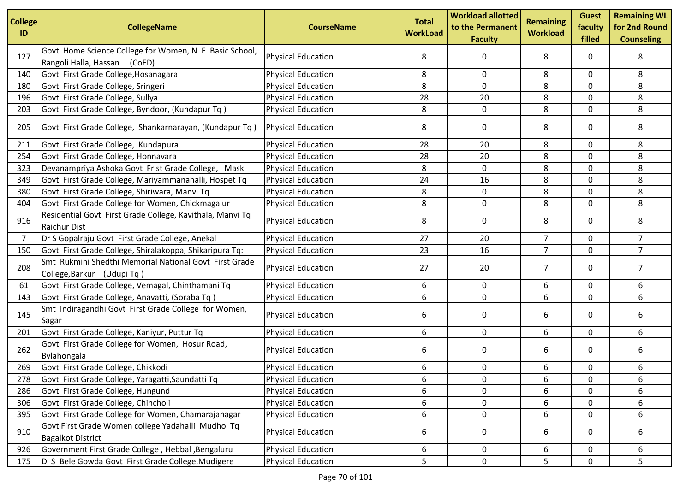| <b>College</b><br>ID | <b>CollegeName</b>                                                                        | <b>CourseName</b>         | <b>Total</b><br><b>WorkLoad</b> | <b>Workload allotted</b><br>to the Permanent<br><b>Faculty</b> | <b>Remaining</b><br><b>Workload</b> | <b>Guest</b><br>faculty<br>filled | <b>Remaining WL</b><br>for 2nd Round<br><b>Counseling</b> |
|----------------------|-------------------------------------------------------------------------------------------|---------------------------|---------------------------------|----------------------------------------------------------------|-------------------------------------|-----------------------------------|-----------------------------------------------------------|
| 127                  | Govt Home Science College for Women, N E Basic School,<br>Rangoli Halla, Hassan<br>(CoED) | <b>Physical Education</b> | 8                               | 0                                                              | 8                                   | 0                                 | 8                                                         |
| 140                  | Govt First Grade College, Hosanagara                                                      | <b>Physical Education</b> | 8                               | 0                                                              | 8                                   | 0                                 | 8                                                         |
| 180                  | Govt First Grade College, Sringeri                                                        | <b>Physical Education</b> | 8                               | 0                                                              | 8                                   | 0                                 | 8                                                         |
| 196                  | Govt First Grade College, Sullya                                                          | <b>Physical Education</b> | 28                              | 20                                                             | 8                                   | $\mathbf{0}$                      | 8                                                         |
| 203                  | Govt First Grade College, Byndoor, (Kundapur Tq)                                          | <b>Physical Education</b> | 8                               | 0                                                              | 8                                   | $\mathbf 0$                       | 8                                                         |
| 205                  | Govt First Grade College, Shankarnarayan, (Kundapur Tq)                                   | <b>Physical Education</b> | 8                               | 0                                                              | 8                                   | 0                                 | 8                                                         |
| 211                  | Govt First Grade College, Kundapura                                                       | <b>Physical Education</b> | 28                              | 20                                                             | 8                                   | 0                                 | 8                                                         |
| 254                  | Govt First Grade College, Honnavara                                                       | <b>Physical Education</b> | 28                              | 20                                                             | 8                                   | 0                                 | 8                                                         |
| 323                  | Devanampriya Ashoka Govt Frist Grade College, Maski                                       | <b>Physical Education</b> | 8                               | 0                                                              | 8                                   | $\mathbf 0$                       | 8                                                         |
| 349                  | Govt First Grade College, Mariyammanahalli, Hospet Tq                                     | <b>Physical Education</b> | 24                              | 16                                                             | 8                                   | 0                                 | 8                                                         |
| 380                  | Govt First Grade College, Shiriwara, Manvi Tq                                             | <b>Physical Education</b> | 8                               | $\mathbf 0$                                                    | 8                                   | 0                                 | 8                                                         |
| 404                  | Govt First Grade College for Women, Chickmagalur                                          | <b>Physical Education</b> | 8                               | 0                                                              | 8                                   | 0                                 | 8                                                         |
| 916                  | Residential Govt First Grade College, Kavithala, Manvi Tq<br><b>Raichur Dist</b>          | <b>Physical Education</b> | 8                               | 0                                                              | 8                                   | 0                                 | 8                                                         |
| $\overline{7}$       | Dr S Gopalraju Govt First Grade College, Anekal                                           | <b>Physical Education</b> | 27                              | 20                                                             | $\overline{7}$                      | 0                                 | $\overline{7}$                                            |
| 150                  | Govt First Grade College, Shiralakoppa, Shikaripura Tq:                                   | <b>Physical Education</b> | 23                              | 16                                                             | $\overline{7}$                      | 0                                 | $\overline{7}$                                            |
| 208                  | Smt Rukmini Shedthi Memorial National Govt First Grade<br>College, Barkur (Udupi Tq)      | <b>Physical Education</b> | 27                              | 20                                                             | 7                                   | 0                                 | 7                                                         |
| 61                   | Govt First Grade College, Vemagal, Chinthamani Tq                                         | <b>Physical Education</b> | 6                               | 0                                                              | 6                                   | 0                                 | 6                                                         |
| 143                  | Govt First Grade College, Anavatti, (Soraba Tq)                                           | <b>Physical Education</b> | 6                               | 0                                                              | 6                                   | 0                                 | 6                                                         |
| 145                  | Smt Indiragandhi Govt First Grade College for Women,<br>Sagar                             | <b>Physical Education</b> | 6                               | 0                                                              | 6                                   | 0                                 | 6                                                         |
| 201                  | Govt First Grade College, Kaniyur, Puttur Tq                                              | <b>Physical Education</b> | 6                               | 0                                                              | 6                                   | 0                                 | 6                                                         |
| 262                  | Govt First Grade College for Women, Hosur Road,<br>Bylahongala                            | <b>Physical Education</b> | 6                               | 0                                                              | 6                                   | 0                                 | 6                                                         |
| 269                  | Govt First Grade College, Chikkodi                                                        | <b>Physical Education</b> | 6                               | 0                                                              | 6                                   | 0                                 | 6                                                         |
| 278                  | Govt First Grade College, Yaragatti, Saundatti Tq                                         | <b>Physical Education</b> | 6                               | 0                                                              | 6                                   | 0                                 | 6                                                         |
| 286                  | Govt First Grade College, Hungund                                                         | <b>Physical Education</b> | 6                               | 0                                                              | 6                                   | 0                                 | 6                                                         |
| 306                  | Govt First Grade College, Chincholi                                                       | <b>Physical Education</b> | 6                               | 0                                                              | 6                                   | 0                                 | 6                                                         |
| 395                  | Govt First Grade College for Women, Chamarajanagar                                        | <b>Physical Education</b> | 6                               | 0                                                              | 6                                   | 0                                 | 6                                                         |
| 910                  | Govt First Grade Women college Yadahalli Mudhol Tq<br><b>Bagalkot District</b>            | <b>Physical Education</b> | 6                               | 0                                                              | 6                                   | 0                                 | 6                                                         |
| 926                  | Government First Grade College, Hebbal, Bengaluru                                         | <b>Physical Education</b> | 6                               | 0                                                              | 6                                   | 0                                 | 6                                                         |
| 175                  | D S Bele Gowda Govt First Grade College, Mudigere                                         | <b>Physical Education</b> | 5                               | $\mathbf 0$                                                    | 5                                   | $\mathbf 0$                       | 5                                                         |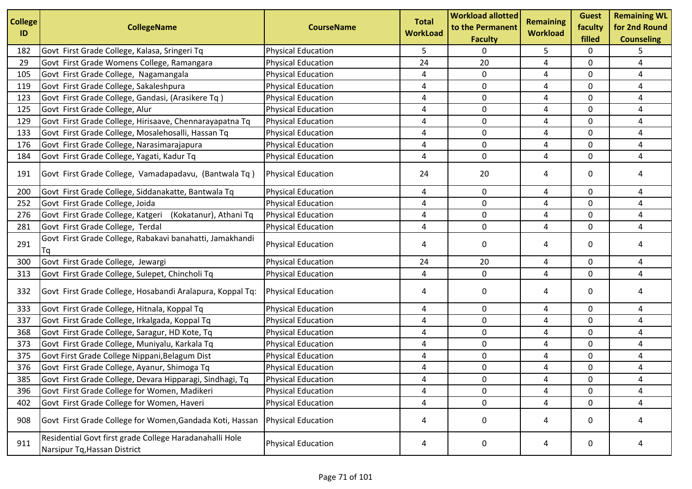| <b>College</b><br>ID | <b>CollegeName</b>                                                                      | <b>CourseName</b>         | <b>Total</b><br><b>WorkLoad</b> | <b>Workload allotted</b><br>to the Permanent<br><b>Faculty</b> | <b>Remaining</b><br><b>Workload</b> | <b>Guest</b><br>faculty<br>filled | <b>Remaining WL</b><br>for 2nd Round<br><b>Counseling</b> |
|----------------------|-----------------------------------------------------------------------------------------|---------------------------|---------------------------------|----------------------------------------------------------------|-------------------------------------|-----------------------------------|-----------------------------------------------------------|
| 182                  | Govt First Grade College, Kalasa, Sringeri Tq                                           | <b>Physical Education</b> | 5                               | 0                                                              | 5                                   | 0                                 | 5                                                         |
| 29                   | Govt First Grade Womens College, Ramangara                                              | <b>Physical Education</b> | 24                              | 20                                                             | 4                                   | 0                                 | 4                                                         |
| 105                  | Govt First Grade College, Nagamangala                                                   | <b>Physical Education</b> | 4                               | 0                                                              | 4                                   | 0                                 | 4                                                         |
| 119                  | Govt First Grade College, Sakaleshpura                                                  | <b>Physical Education</b> | 4                               | 0                                                              | 4                                   | 0                                 | 4                                                         |
| 123                  | Govt First Grade College, Gandasi, (Arasikere Tq)                                       | <b>Physical Education</b> | 4                               | 0                                                              | 4                                   | $\mathbf 0$                       | 4                                                         |
| 125                  | Govt First Grade College, Alur                                                          | <b>Physical Education</b> | 4                               | $\mathbf 0$                                                    | 4                                   | 0                                 | 4                                                         |
| 129                  | Govt First Grade College, Hirisaave, Chennarayapatna Tq                                 | <b>Physical Education</b> | 4                               | $\mathbf 0$                                                    | 4                                   | 0                                 | 4                                                         |
| 133                  | Govt First Grade College, Mosalehosalli, Hassan Tq                                      | <b>Physical Education</b> | 4                               | $\mathbf 0$                                                    | 4                                   | 0                                 | 4                                                         |
| 176                  | Govt First Grade College, Narasimarajapura                                              | <b>Physical Education</b> | 4                               | 0                                                              | 4                                   | 0                                 | 4                                                         |
| 184                  | Govt First Grade College, Yagati, Kadur Tq                                              | <b>Physical Education</b> | 4                               | $\mathbf 0$                                                    | 4                                   | 0                                 | 4                                                         |
| 191                  | Govt First Grade College, Vamadapadavu, (Bantwala Tq)                                   | <b>Physical Education</b> | 24                              | 20                                                             | 4                                   | 0                                 | 4                                                         |
| 200                  | Govt First Grade College, Siddanakatte, Bantwala Tq                                     | <b>Physical Education</b> | 4                               | 0                                                              | 4                                   | 0                                 | 4                                                         |
| 252                  | Govt First Grade College, Joida                                                         | <b>Physical Education</b> | 4                               | 0                                                              | 4                                   | 0                                 | 4                                                         |
| 276                  | Govt First Grade College, Katgeri (Kokatanur), Athani Tq                                | <b>Physical Education</b> | 4                               | 0                                                              | 4                                   | 0                                 | 4                                                         |
| 281                  | Govt First Grade College, Terdal                                                        | <b>Physical Education</b> | 4                               | 0                                                              | 4                                   | 0                                 | 4                                                         |
| 291                  | Govt First Grade College, Rabakavi banahatti, Jamakhandi<br>Tq                          | <b>Physical Education</b> | 4                               | $\mathbf 0$                                                    | 4                                   | 0                                 | 4                                                         |
| 300                  | Govt First Grade College, Jewargi                                                       | <b>Physical Education</b> | 24                              | 20                                                             | 4                                   | 0                                 | 4                                                         |
| 313                  | Govt First Grade College, Sulepet, Chincholi Tq                                         | <b>Physical Education</b> | 4                               | 0                                                              | 4                                   | 0                                 | 4                                                         |
| 332                  | Govt First Grade College, Hosabandi Aralapura, Koppal Tq:                               | <b>Physical Education</b> | 4                               | 0                                                              | 4                                   | 0                                 | 4                                                         |
| 333                  | Govt First Grade College, Hitnala, Koppal Tq                                            | <b>Physical Education</b> | 4                               | 0                                                              | 4                                   | 0                                 | 4                                                         |
| 337                  | Govt First Grade College, Irkalgada, Koppal Tq                                          | <b>Physical Education</b> | 4                               | 0                                                              | 4                                   | 0                                 | 4                                                         |
| 368                  | Govt First Grade College, Saragur, HD Kote, Tq                                          | <b>Physical Education</b> | 4                               | 0                                                              | 4                                   | 0                                 | 4                                                         |
| 373                  | Govt First Grade College, Muniyalu, Karkala Tq                                          | <b>Physical Education</b> | 4                               | 0                                                              | 4                                   | $\Omega$                          | 4                                                         |
| 375                  | Govt First Grade College Nippani, Belagum Dist                                          | <b>Physical Education</b> | 4                               | $\mathbf 0$                                                    | 4                                   | 0                                 | 4                                                         |
| 376                  | Govt First Grade College, Ayanur, Shimoga Tq                                            | <b>Physical Education</b> | 4                               | 0                                                              | 4                                   | 0                                 | 4                                                         |
| 385                  | Govt First Grade College, Devara Hipparagi, Sindhagi, Tq                                | Physical Education        | 4                               | 0                                                              | 4                                   | 0                                 | 4                                                         |
| 396                  | Govt First Grade College for Women, Madikeri                                            | <b>Physical Education</b> | 4                               | 0                                                              | 4                                   | 0                                 | 4                                                         |
| 402                  | Govt First Grade College for Women, Haveri                                              | <b>Physical Education</b> | 4                               | $\mathbf 0$                                                    | 4                                   | 0                                 | 4                                                         |
| 908                  | Govt First Grade College for Women, Gandada Koti, Hassan                                | <b>Physical Education</b> | 4                               | 0                                                              | 4                                   | 0                                 | 4                                                         |
| 911                  | Residential Govt first grade College Haradanahalli Hole<br>Narsipur Tq, Hassan District | <b>Physical Education</b> | 4                               | 0                                                              | 4                                   | 0                                 | 4                                                         |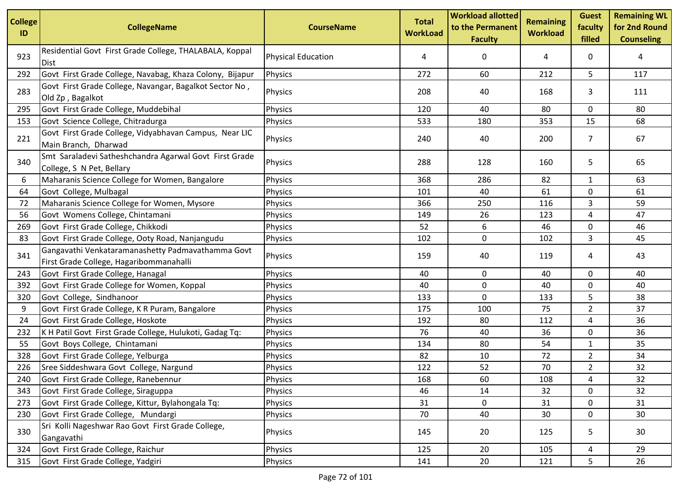| <b>College</b><br>ID | <b>CollegeName</b>                                                                           | <b>CourseName</b>         | <b>Total</b><br><b>WorkLoad</b> | <b>Workload allotted</b><br>to the Permanent<br><b>Faculty</b> | <b>Remaining</b><br><b>Workload</b> | <b>Guest</b><br>faculty<br>filled | <b>Remaining WL</b><br>for 2nd Round<br><b>Counseling</b> |
|----------------------|----------------------------------------------------------------------------------------------|---------------------------|---------------------------------|----------------------------------------------------------------|-------------------------------------|-----------------------------------|-----------------------------------------------------------|
| 923                  | Residential Govt First Grade College, THALABALA, Koppal<br><b>Dist</b>                       | <b>Physical Education</b> | 4                               | 0                                                              | 4                                   | 0                                 | 4                                                         |
| 292                  | Govt First Grade College, Navabag, Khaza Colony, Bijapur                                     | Physics                   | 272                             | 60                                                             | 212                                 | 5                                 | 117                                                       |
| 283                  | Govt First Grade College, Navangar, Bagalkot Sector No,<br>Old Zp, Bagalkot                  | Physics                   | 208                             | 40                                                             | 168                                 | 3                                 | 111                                                       |
| 295                  | Govt First Grade College, Muddebihal                                                         | Physics                   | 120                             | 40                                                             | 80                                  | 0                                 | 80                                                        |
| 153                  | Govt Science College, Chitradurga                                                            | Physics                   | 533                             | 180                                                            | 353                                 | 15                                | 68                                                        |
| 221                  | Govt First Grade College, Vidyabhavan Campus, Near LIC<br>Main Branch, Dharwad               | Physics                   | 240                             | 40                                                             | 200                                 | $\overline{7}$                    | 67                                                        |
| 340                  | Smt Saraladevi Satheshchandra Agarwal Govt First Grade<br>College, S N Pet, Bellary          | Physics                   | 288                             | 128                                                            | 160                                 | 5                                 | 65                                                        |
| 6                    | Maharanis Science College for Women, Bangalore                                               | Physics                   | 368                             | 286                                                            | 82                                  | 1                                 | 63                                                        |
| 64                   | Govt College, Mulbagal                                                                       | Physics                   | 101                             | 40                                                             | 61                                  | 0                                 | 61                                                        |
| 72                   | Maharanis Science College for Women, Mysore                                                  | Physics                   | 366                             | 250                                                            | 116                                 | 3                                 | 59                                                        |
| 56                   | Govt Womens College, Chintamani                                                              | Physics                   | 149                             | 26                                                             | 123                                 | 4                                 | 47                                                        |
| 269                  | Govt First Grade College, Chikkodi                                                           | Physics                   | 52                              | 6                                                              | 46                                  | 0                                 | 46                                                        |
| 83                   | Govt First Grade College, Ooty Road, Nanjangudu                                              | Physics                   | 102                             | 0                                                              | 102                                 | 3                                 | 45                                                        |
| 341                  | Gangavathi Venkataramanashetty Padmavathamma Govt<br>First Grade College, Hagaribommanahalli | Physics                   | 159                             | 40                                                             | 119                                 | 4                                 | 43                                                        |
| 243                  | Govt First Grade College, Hanagal                                                            | Physics                   | 40                              | 0                                                              | 40                                  | 0                                 | 40                                                        |
| 392                  | Govt First Grade College for Women, Koppal                                                   | Physics                   | 40                              | 0                                                              | 40                                  | 0                                 | 40                                                        |
| 320                  | Govt College, Sindhanoor                                                                     | Physics                   | 133                             | 0                                                              | 133                                 | 5                                 | 38                                                        |
| 9                    | Govt First Grade College, K R Puram, Bangalore                                               | Physics                   | 175                             | 100                                                            | 75                                  | $\overline{2}$                    | 37                                                        |
| 24                   | Govt First Grade College, Hoskote                                                            | Physics                   | 192                             | 80                                                             | 112                                 | 4                                 | 36                                                        |
| 232                  | K H Patil Govt First Grade College, Hulukoti, Gadag Tq:                                      | Physics                   | 76                              | 40                                                             | 36                                  | 0                                 | 36                                                        |
| 55                   | Govt Boys College, Chintamani                                                                | Physics                   | 134                             | 80                                                             | 54                                  | $\mathbf{1}$                      | 35                                                        |
| 328                  | Govt First Grade College, Yelburga                                                           | Physics                   | 82                              | 10                                                             | 72                                  | $\overline{2}$                    | 34                                                        |
| 226                  | Sree Siddeshwara Govt College, Nargund                                                       | Physics                   | 122                             | 52                                                             | 70                                  | $\overline{2}$                    | 32                                                        |
| 240                  | Govt First Grade College, Ranebennur                                                         | Physics                   | 168                             | 60                                                             | 108                                 | 4                                 | 32                                                        |
| 343                  | Govt First Grade College, Siraguppa                                                          | Physics                   | 46                              | 14                                                             | 32                                  | 0                                 | 32                                                        |
| 273                  | Govt First Grade College, Kittur, Bylahongala Tq:                                            | Physics                   | 31                              | $\mathbf 0$                                                    | 31                                  | $\mathbf 0$                       | 31                                                        |
| 230                  | Govt First Grade College, Mundargi                                                           | Physics                   | 70                              | 40                                                             | 30                                  | 0                                 | 30                                                        |
| 330                  | Sri Kolli Nageshwar Rao Govt First Grade College,<br>Gangavathi                              | Physics                   | 145                             | 20                                                             | 125                                 | 5                                 | 30                                                        |
| 324                  | Govt First Grade College, Raichur                                                            | Physics                   | 125                             | 20                                                             | 105                                 | 4                                 | 29                                                        |
| 315                  | Govt First Grade College, Yadgiri                                                            | Physics                   | 141                             | 20                                                             | 121                                 | 5                                 | 26                                                        |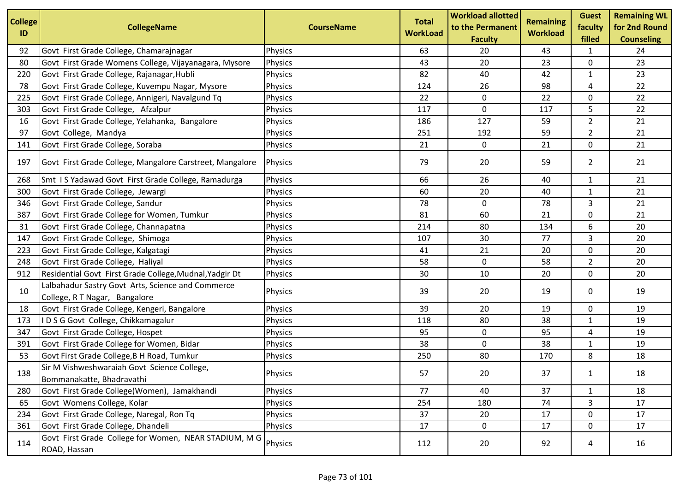| <b>College</b><br>ID | <b>CollegeName</b>                                                                 | <b>CourseName</b> | <b>Total</b><br><b>WorkLoad</b> | <b>Workload allotted</b><br>to the Permanent<br><b>Faculty</b> | Remaining<br><b>Workload</b> | <b>Guest</b><br>faculty<br>filled | <b>Remaining WL</b><br>for 2nd Round<br><b>Counseling</b> |
|----------------------|------------------------------------------------------------------------------------|-------------------|---------------------------------|----------------------------------------------------------------|------------------------------|-----------------------------------|-----------------------------------------------------------|
| 92                   | Govt First Grade College, Chamarajnagar                                            | Physics           | 63                              | 20                                                             | 43                           | 1                                 | 24                                                        |
| 80                   | Govt First Grade Womens College, Vijayanagara, Mysore                              | Physics           | 43                              | 20                                                             | 23                           | 0                                 | 23                                                        |
| 220                  | Govt First Grade College, Rajanagar, Hubli                                         | Physics           | 82                              | 40                                                             | 42                           | $\mathbf{1}$                      | 23                                                        |
| 78                   | Govt First Grade College, Kuvempu Nagar, Mysore                                    | Physics           | 124                             | 26                                                             | 98                           | 4                                 | 22                                                        |
| 225                  | Govt First Grade College, Annigeri, Navalgund Tq                                   | Physics           | 22                              | 0                                                              | 22                           | 0                                 | 22                                                        |
| 303                  | Govt First Grade College, Afzalpur                                                 | Physics           | 117                             | $\mathsf 0$                                                    | 117                          | 5                                 | 22                                                        |
| 16                   | Govt First Grade College, Yelahanka, Bangalore                                     | Physics           | 186                             | 127                                                            | 59                           | $\overline{2}$                    | 21                                                        |
| 97                   | Govt College, Mandya                                                               | Physics           | 251                             | 192                                                            | 59                           | $\overline{2}$                    | 21                                                        |
| 141                  | Govt First Grade College, Soraba                                                   | Physics           | 21                              | 0                                                              | 21                           | 0                                 | 21                                                        |
| 197                  | Govt First Grade College, Mangalore Carstreet, Mangalore                           | <b>Physics</b>    | 79                              | 20                                                             | 59                           | $\overline{2}$                    | 21                                                        |
| 268                  | Smt IS Yadawad Govt First Grade College, Ramadurga                                 | Physics           | 66                              | 26                                                             | 40                           | $\mathbf{1}$                      | 21                                                        |
| 300                  | Govt First Grade College, Jewargi                                                  | Physics           | 60                              | 20                                                             | 40                           | $\mathbf{1}$                      | 21                                                        |
| 346                  | Govt First Grade College, Sandur                                                   | Physics           | 78                              | 0                                                              | 78                           | 3                                 | 21                                                        |
| 387                  | Govt First Grade College for Women, Tumkur                                         | Physics           | 81                              | 60                                                             | 21                           | 0                                 | 21                                                        |
| 31                   | Govt First Grade College, Channapatna                                              | Physics           | 214                             | 80                                                             | 134                          | 6                                 | 20                                                        |
| 147                  | Govt First Grade College, Shimoga                                                  | Physics           | 107                             | 30                                                             | 77                           | 3                                 | 20                                                        |
| 223                  | Govt First Grade College, Kalgatagi                                                | Physics           | 41                              | 21                                                             | 20                           | 0                                 | 20                                                        |
| 248                  | Govt First Grade College, Haliyal                                                  | Physics           | 58                              | $\mathbf 0$                                                    | 58                           | $\overline{2}$                    | 20                                                        |
| 912                  | Residential Govt First Grade College, Mudnal, Yadgir Dt                            | <b>Physics</b>    | 30                              | 10                                                             | 20                           | 0                                 | 20                                                        |
| 10                   | Lalbahadur Sastry Govt Arts, Science and Commerce<br>College, R T Nagar, Bangalore | Physics           | 39                              | 20                                                             | 19                           | 0                                 | 19                                                        |
| 18                   | Govt First Grade College, Kengeri, Bangalore                                       | Physics           | 39                              | 20                                                             | 19                           | 0                                 | 19                                                        |
| 173                  | I D S G Govt College, Chikkamagalur                                                | Physics           | 118                             | 80                                                             | 38                           | $\mathbf{1}$                      | 19                                                        |
| 347                  | Govt First Grade College, Hospet                                                   | Physics           | 95                              | 0                                                              | 95                           | 4                                 | 19                                                        |
| 391                  | Govt First Grade College for Women, Bidar                                          | Physics           | 38                              | 0                                                              | 38                           | $\mathbf{1}$                      | 19                                                        |
| 53                   | Govt First Grade College, B H Road, Tumkur                                         | Physics           | 250                             | 80                                                             | 170                          | 8                                 | 18                                                        |
| 138                  | Sir M Vishweshwaraiah Govt Science College,<br>Bommanakatte, Bhadravathi           | Physics           | 57                              | 20                                                             | 37                           | 1                                 | 18                                                        |
| 280                  | Govt First Grade College(Women), Jamakhandi                                        | Physics           | 77                              | 40                                                             | 37                           | $\mathbf{1}$                      | 18                                                        |
| 65                   | Govt Womens College, Kolar                                                         | Physics           | 254                             | 180                                                            | 74                           | 3                                 | 17                                                        |
| 234                  | Govt First Grade College, Naregal, Ron Tq                                          | Physics           | 37                              | 20                                                             | 17                           | 0                                 | 17                                                        |
| 361                  | Govt First Grade College, Dhandeli                                                 | Physics           | 17                              | 0                                                              | 17                           | 0                                 | 17                                                        |
| 114                  | Govt First Grade College for Women, NEAR STADIUM, M G<br>ROAD, Hassan              | Physics           | 112                             | 20                                                             | 92                           | 4                                 | 16                                                        |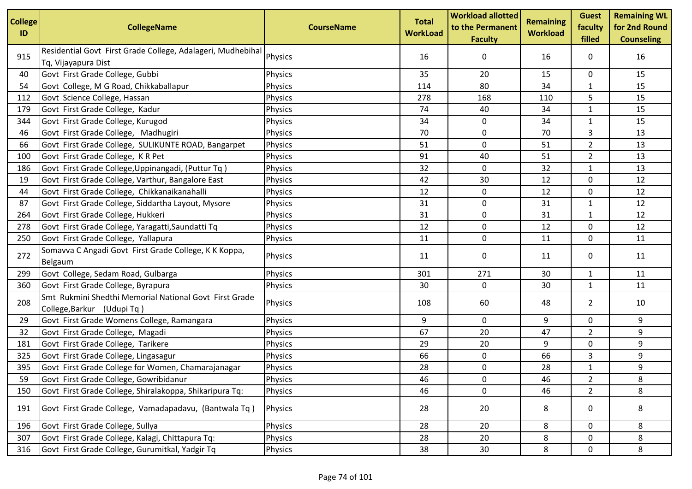| <b>College</b><br>ID | <b>CollegeName</b>                                                                   | <b>CourseName</b> | <b>Total</b><br><b>WorkLoad</b> | <b>Workload allotted</b><br>to the Permanent<br><b>Faculty</b> | <b>Remaining</b><br><b>Workload</b> | <b>Guest</b><br>faculty<br>filled | <b>Remaining WL</b><br>for 2nd Round<br><b>Counseling</b> |
|----------------------|--------------------------------------------------------------------------------------|-------------------|---------------------------------|----------------------------------------------------------------|-------------------------------------|-----------------------------------|-----------------------------------------------------------|
| 915                  | Residential Govt First Grade College, Adalageri, Mudhebihal<br>Tq, Vijayapura Dist   | Physics           | 16                              | 0                                                              | 16                                  | 0                                 | 16                                                        |
| 40                   | Govt First Grade College, Gubbi                                                      | Physics           | 35                              | 20                                                             | 15                                  | 0                                 | 15                                                        |
| 54                   | Govt College, M G Road, Chikkaballapur                                               | Physics           | 114                             | 80                                                             | 34                                  | 1                                 | 15                                                        |
| 112                  | Govt Science College, Hassan                                                         | Physics           | 278                             | 168                                                            | 110                                 | 5                                 | 15                                                        |
| 179                  | Govt First Grade College, Kadur                                                      | Physics           | 74                              | 40                                                             | 34                                  | 1                                 | 15                                                        |
| 344                  | Govt First Grade College, Kurugod                                                    | Physics           | 34                              | 0                                                              | 34                                  | $\mathbf{1}$                      | 15                                                        |
| 46                   | Govt First Grade College, Madhugiri                                                  | Physics           | 70                              | $\mathbf 0$                                                    | 70                                  | 3                                 | 13                                                        |
| 66                   | Govt First Grade College, SULIKUNTE ROAD, Bangarpet                                  | Physics           | 51                              | 0                                                              | 51                                  | $\overline{2}$                    | 13                                                        |
| 100                  | Govt First Grade College, K R Pet                                                    | Physics           | 91                              | 40                                                             | 51                                  | $\overline{2}$                    | 13                                                        |
| 186                  | Govt First Grade College, Uppinangadi, (Puttur Tq)                                   | Physics           | 32                              | 0                                                              | 32                                  | $\mathbf{1}$                      | 13                                                        |
| 19                   | Govt First Grade College, Varthur, Bangalore East                                    | Physics           | 42                              | 30                                                             | 12                                  | 0                                 | 12                                                        |
| 44                   | Govt First Grade College, Chikkanaikanahalli                                         | Physics           | 12                              | $\mathbf 0$                                                    | 12                                  | 0                                 | 12                                                        |
| 87                   | Govt First Grade College, Siddartha Layout, Mysore                                   | Physics           | 31                              | 0                                                              | 31                                  | 1                                 | 12                                                        |
| 264                  | Govt First Grade College, Hukkeri                                                    | Physics           | 31                              | 0                                                              | 31                                  | 1                                 | 12                                                        |
| 278                  | Govt First Grade College, Yaragatti, Saundatti Tq                                    | Physics           | 12                              | 0                                                              | 12                                  | 0                                 | 12                                                        |
| 250                  | Govt First Grade College, Yallapura                                                  | Physics           | 11                              | 0                                                              | 11                                  | 0                                 | 11                                                        |
| 272                  | Somavva C Angadi Govt First Grade College, K K Koppa,<br><b>Belgaum</b>              | Physics           | 11                              | 0                                                              | 11                                  | 0                                 | 11                                                        |
| 299                  | Govt College, Sedam Road, Gulbarga                                                   | Physics           | 301                             | 271                                                            | 30                                  | $\mathbf{1}$                      | 11                                                        |
| 360                  | Govt First Grade College, Byrapura                                                   | Physics           | 30                              | 0                                                              | 30                                  | $\mathbf{1}$                      | 11                                                        |
| 208                  | Smt Rukmini Shedthi Memorial National Govt First Grade<br>College, Barkur (Udupi Tq) | Physics           | 108                             | 60                                                             | 48                                  | $\overline{2}$                    | 10                                                        |
| 29                   | Govt First Grade Womens College, Ramangara                                           | Physics           | 9                               | 0                                                              | 9                                   | 0                                 | 9                                                         |
| 32                   | Govt First Grade College, Magadi                                                     | Physics           | 67                              | 20                                                             | 47                                  | $\overline{2}$                    | 9                                                         |
| 181                  | Govt First Grade College, Tarikere                                                   | Physics           | 29                              | 20                                                             | 9                                   | 0                                 | 9                                                         |
| 325                  | Govt First Grade College, Lingasagur                                                 | Physics           | 66                              | $\mathbf 0$                                                    | 66                                  | 3                                 | 9                                                         |
| 395                  | Govt First Grade College for Women, Chamarajanagar                                   | Physics           | 28                              | 0                                                              | 28                                  | 1                                 | 9                                                         |
| 59                   | Govt First Grade College, Gowribidanur                                               | Physics           | 46                              | 0                                                              | 46                                  | $\overline{\mathbf{c}}$           | 8                                                         |
| 150                  | Govt First Grade College, Shiralakoppa, Shikaripura Tq:                              | Physics           | 46                              | $\mathbf 0$                                                    | 46                                  | $\overline{2}$                    | 8                                                         |
| 191                  | Govt First Grade College, Vamadapadavu, (Bantwala Tq)                                | Physics           | 28                              | 20                                                             | 8                                   | 0                                 | 8                                                         |
| 196                  | Govt First Grade College, Sullya                                                     | Physics           | 28                              | 20                                                             | 8                                   | 0                                 | 8                                                         |
| 307                  | Govt First Grade College, Kalagi, Chittapura Tq:                                     | Physics           | 28                              | 20                                                             | 8                                   | 0                                 | 8                                                         |
| 316                  | Govt First Grade College, Gurumitkal, Yadgir Tq                                      | Physics           | 38                              | 30                                                             | 8                                   | 0                                 | 8                                                         |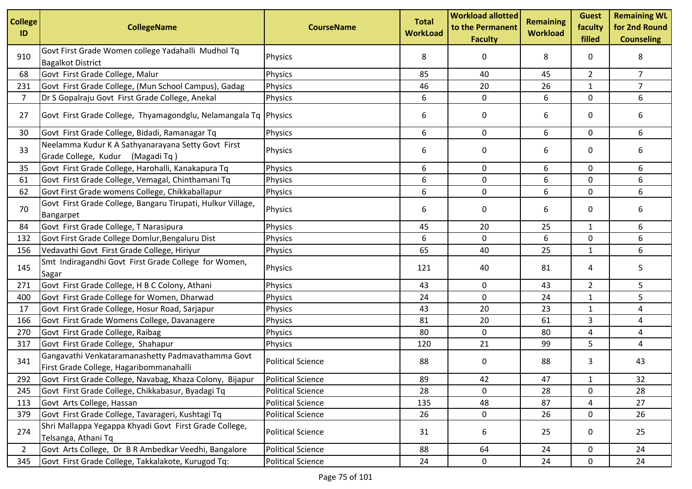| <b>College</b><br>ID | <b>CollegeName</b>                                                                           | <b>CourseName</b>        | <b>Total</b><br><b>WorkLoad</b> | <b>Workload allotted</b><br>to the Permanent<br><b>Faculty</b> | <b>Remaining</b><br><b>Workload</b> | <b>Guest</b><br>faculty<br>filled | <b>Remaining WL</b><br>for 2nd Round<br><b>Counseling</b> |
|----------------------|----------------------------------------------------------------------------------------------|--------------------------|---------------------------------|----------------------------------------------------------------|-------------------------------------|-----------------------------------|-----------------------------------------------------------|
| 910                  | Govt First Grade Women college Yadahalli Mudhol Tq<br><b>Bagalkot District</b>               | Physics                  | 8                               | 0                                                              | 8                                   | 0                                 | 8                                                         |
| 68                   | Govt First Grade College, Malur                                                              | Physics                  | 85                              | 40                                                             | 45                                  | $\overline{2}$                    | $\overline{7}$                                            |
| 231                  | Govt First Grade College, (Mun School Campus), Gadag                                         | Physics                  | 46                              | 20                                                             | 26                                  | $\mathbf{1}$                      | $\overline{7}$                                            |
| $\overline{7}$       | Dr S Gopalraju Govt First Grade College, Anekal                                              | Physics                  | 6                               | 0                                                              | 6                                   | $\mathbf 0$                       | 6                                                         |
| 27                   | Govt First Grade College, Thyamagondglu, Nelamangala Tq Physics                              |                          | 6                               | 0                                                              | 6                                   | 0                                 | 6                                                         |
| 30                   | Govt First Grade College, Bidadi, Ramanagar Tq                                               | Physics                  | 6                               | $\mathbf 0$                                                    | 6                                   | $\mathbf 0$                       | 6                                                         |
| 33                   | Neelamma Kudur K A Sathyanarayana Setty Govt First<br>Grade College, Kudur (Magadi Tq)       | Physics                  | 6                               | 0                                                              | 6                                   | 0                                 | 6                                                         |
| 35                   | Govt First Grade College, Harohalli, Kanakapura Tq                                           | Physics                  | 6                               | 0                                                              | 6                                   | 0                                 | 6                                                         |
| 61                   | Govt First Grade College, Vemagal, Chinthamani Tq                                            | Physics                  | 6                               | 0                                                              | 6                                   | 0                                 | 6                                                         |
| 62                   | Govt First Grade womens College, Chikkaballapur                                              | Physics                  | 6                               | 0                                                              | 6                                   | $\mathbf 0$                       | 6                                                         |
| 70                   | Govt First Grade College, Bangaru Tirupati, Hulkur Village,<br>Bangarpet                     | Physics                  | 6                               | 0                                                              | 6                                   | 0                                 | 6                                                         |
| 84                   | Govt First Grade College, T Narasipura                                                       | Physics                  | 45                              | 20                                                             | 25                                  | $\mathbf{1}$                      | 6                                                         |
| 132                  | Govt First Grade College Domlur, Bengaluru Dist                                              | Physics                  | 6                               | 0                                                              | 6                                   | 0                                 | 6                                                         |
| 156                  | Vedavathi Govt First Grade College, Hiriyur                                                  | Physics                  | 65                              | 40                                                             | 25                                  | $\mathbf{1}$                      | 6                                                         |
| 145                  | Smt Indiragandhi Govt First Grade College for Women,<br>Sagar                                | Physics                  | 121                             | 40                                                             | 81                                  | 4                                 | 5                                                         |
| 271                  | Govt First Grade College, H B C Colony, Athani                                               | Physics                  | 43                              | 0                                                              | 43                                  | $\overline{2}$                    | 5                                                         |
| 400                  | Govt First Grade College for Women, Dharwad                                                  | Physics                  | 24                              | $\mathbf 0$                                                    | 24                                  | $\mathbf{1}$                      | 5                                                         |
| 17                   | Govt First Grade College, Hosur Road, Sarjapur                                               | Physics                  | 43                              | 20                                                             | 23                                  | 1                                 | 4                                                         |
| 166                  | Govt First Grade Womens College, Davanagere                                                  | Physics                  | 81                              | 20                                                             | 61                                  | 3                                 | 4                                                         |
| 270                  | Govt First Grade College, Raibag                                                             | Physics                  | 80                              | 0                                                              | 80                                  | 4                                 | 4                                                         |
| 317                  | Govt First Grade College, Shahapur                                                           | Physics                  | 120                             | 21                                                             | 99                                  | 5                                 | 4                                                         |
| 341                  | Gangavathi Venkataramanashetty Padmavathamma Govt<br>First Grade College, Hagaribommanahalli | <b>Political Science</b> | 88                              | 0                                                              | 88                                  | 3                                 | 43                                                        |
| 292                  | Govt First Grade College, Navabag, Khaza Colony, Bijapur                                     | <b>Political Science</b> | 89                              | 42                                                             | 47                                  | $\mathbf{1}$                      | 32                                                        |
| 245                  | Govt First Grade College, Chikkabasur, Byadagi Tq                                            | <b>Political Science</b> | 28                              | 0                                                              | 28                                  | 0                                 | 28                                                        |
| 113                  | Govt Arts College, Hassan                                                                    | <b>Political Science</b> | 135                             | 48                                                             | 87                                  | 4                                 | 27                                                        |
| 379                  | Govt First Grade College, Tavarageri, Kushtagi Tq                                            | <b>Political Science</b> | 26                              | 0                                                              | 26                                  | $\mathsf{O}$                      | 26                                                        |
| 274                  | Shri Mallappa Yegappa Khyadi Govt First Grade College,<br>Telsanga, Athani Tq                | <b>Political Science</b> | 31                              | 6                                                              | 25                                  | 0                                 | 25                                                        |
| 2                    | Govt Arts College, Dr B R Ambedkar Veedhi, Bangalore                                         | <b>Political Science</b> | 88                              | 64                                                             | 24                                  | 0                                 | 24                                                        |
| 345                  | Govt First Grade College, Takkalakote, Kurugod Tq:                                           | <b>Political Science</b> | 24                              | 0                                                              | 24                                  | $\mathbf 0$                       | 24                                                        |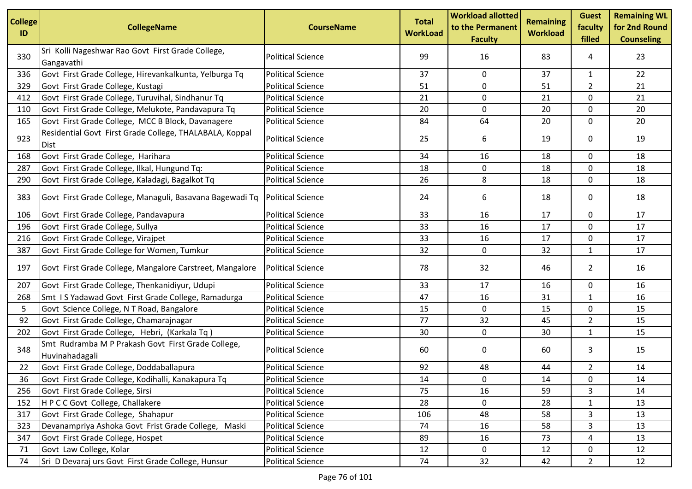| <b>College</b><br>ID | <b>CollegeName</b>                                                     | <b>CourseName</b>        | <b>Total</b><br><b>WorkLoad</b> | <b>Workload allotted</b><br>to the Permanent<br><b>Faculty</b> | <b>Remaining</b><br><b>Workload</b> | <b>Guest</b><br>faculty<br>filled | <b>Remaining WL</b><br>for 2nd Round<br><b>Counseling</b> |
|----------------------|------------------------------------------------------------------------|--------------------------|---------------------------------|----------------------------------------------------------------|-------------------------------------|-----------------------------------|-----------------------------------------------------------|
| 330                  | Sri Kolli Nageshwar Rao Govt First Grade College,<br>Gangavathi        | <b>Political Science</b> | 99                              | 16                                                             | 83                                  | 4                                 | 23                                                        |
| 336                  | Govt First Grade College, Hirevankalkunta, Yelburga Tq                 | <b>Political Science</b> | 37                              | 0                                                              | 37                                  | $\mathbf{1}$                      | 22                                                        |
| 329                  | Govt First Grade College, Kustagi                                      | <b>Political Science</b> | 51                              | 0                                                              | 51                                  | $\overline{2}$                    | 21                                                        |
| 412                  | Govt First Grade College, Turuvihal, Sindhanur Tq                      | <b>Political Science</b> | 21                              | 0                                                              | 21                                  | 0                                 | 21                                                        |
| 110                  | Govt First Grade College, Melukote, Pandavapura Tq                     | <b>Political Science</b> | 20                              | 0                                                              | 20                                  | $\mathbf 0$                       | 20                                                        |
| 165                  | Govt First Grade College, MCC B Block, Davanagere                      | <b>Political Science</b> | 84                              | 64                                                             | 20                                  | $\mathbf 0$                       | 20                                                        |
| 923                  | Residential Govt First Grade College, THALABALA, Koppal<br><b>Dist</b> | <b>Political Science</b> | 25                              | 6                                                              | 19                                  | 0                                 | 19                                                        |
| 168                  | Govt First Grade College, Harihara                                     | <b>Political Science</b> | 34                              | 16                                                             | 18                                  | 0                                 | 18                                                        |
| 287                  | Govt First Grade College, Ilkal, Hungund Tq:                           | <b>Political Science</b> | 18                              | 0                                                              | 18                                  | $\mathbf 0$                       | 18                                                        |
| 290                  | Govt First Grade College, Kaladagi, Bagalkot Tq                        | <b>Political Science</b> | 26                              | 8                                                              | 18                                  | 0                                 | 18                                                        |
| 383                  | Govt First Grade College, Managuli, Basavana Bagewadi Tq               | <b>Political Science</b> | 24                              | 6                                                              | 18                                  | 0                                 | 18                                                        |
| 106                  | Govt First Grade College, Pandavapura                                  | <b>Political Science</b> | 33                              | 16                                                             | 17                                  | 0                                 | 17                                                        |
| 196                  | Govt First Grade College, Sullya                                       | <b>Political Science</b> | 33                              | 16                                                             | 17                                  | $\mathbf 0$                       | 17                                                        |
| 216                  | Govt First Grade College, Virajpet                                     | <b>Political Science</b> | 33                              | 16                                                             | 17                                  | 0                                 | 17                                                        |
| 387                  | Govt First Grade College for Women, Tumkur                             | <b>Political Science</b> | 32                              | $\mathbf 0$                                                    | 32                                  | $\mathbf{1}$                      | 17                                                        |
| 197                  | Govt First Grade College, Mangalore Carstreet, Mangalore               | <b>Political Science</b> | 78                              | 32                                                             | 46                                  | $\overline{2}$                    | 16                                                        |
| 207                  | Govt First Grade College, Thenkanidiyur, Udupi                         | <b>Political Science</b> | 33                              | 17                                                             | 16                                  | 0                                 | 16                                                        |
| 268                  | Smt IS Yadawad Govt First Grade College, Ramadurga                     | <b>Political Science</b> | 47                              | 16                                                             | 31                                  | 1                                 | 16                                                        |
| 5                    | Govt Science College, N T Road, Bangalore                              | <b>Political Science</b> | 15                              | 0                                                              | 15                                  | 0                                 | 15                                                        |
| 92                   | Govt First Grade College, Chamarajnagar                                | <b>Political Science</b> | 77                              | 32                                                             | 45                                  | $\overline{2}$                    | 15                                                        |
| 202                  | Govt First Grade College, Hebri, (Karkala Tq)                          | <b>Political Science</b> | 30                              | 0                                                              | 30                                  | $\mathbf{1}$                      | 15                                                        |
| 348                  | Smt Rudramba M P Prakash Govt First Grade College,<br>Huvinahadagali   | <b>Political Science</b> | 60                              | 0                                                              | 60                                  | 3                                 | 15                                                        |
| 22                   | Govt First Grade College, Doddaballapura                               | <b>Political Science</b> | 92                              | 48                                                             | 44                                  | $\overline{a}$                    | 14                                                        |
| 36                   | Govt First Grade College, Kodihalli, Kanakapura Tq                     | <b>Political Science</b> | $14\,$                          | 0                                                              | 14                                  | 0                                 | 14                                                        |
| 256                  | Govt First Grade College, Sirsi                                        | <b>Political Science</b> | 75                              | 16                                                             | 59                                  | 3                                 | 14                                                        |
| 152                  | HPCC Govt College, Challakere                                          | <b>Political Science</b> | 28                              | 0                                                              | 28                                  | $\mathbf{1}$                      | 13                                                        |
| 317                  | Govt First Grade College, Shahapur                                     | <b>Political Science</b> | 106                             | 48                                                             | 58                                  | 3                                 | 13                                                        |
| 323                  | Devanampriya Ashoka Govt Frist Grade College, Maski                    | <b>Political Science</b> | 74                              | 16                                                             | 58                                  | 3                                 | 13                                                        |
| 347                  | Govt First Grade College, Hospet                                       | <b>Political Science</b> | 89                              | 16                                                             | 73                                  | 4                                 | 13                                                        |
| 71                   | Govt Law College, Kolar                                                | <b>Political Science</b> | 12                              | $\mathbf 0$                                                    | 12                                  | 0                                 | 12                                                        |
| 74                   | Sri D Devaraj urs Govt First Grade College, Hunsur                     | <b>Political Science</b> | 74                              | 32                                                             | 42                                  | $\overline{2}$                    | 12                                                        |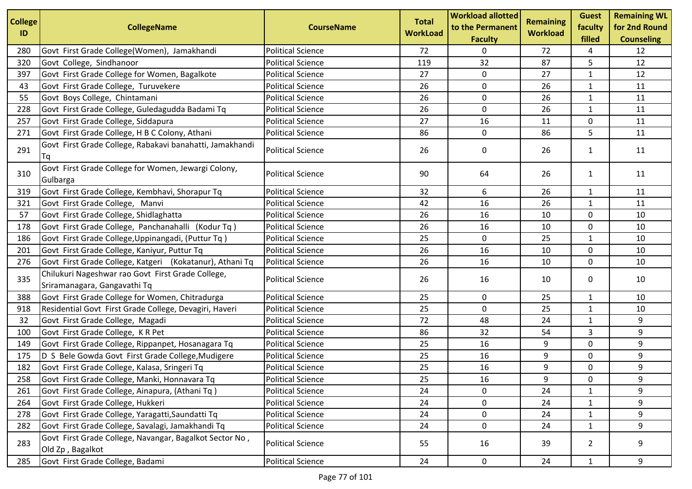| <b>College</b> | <b>CollegeName</b>                                                                | <b>CourseName</b>        | <b>Total</b>    | <b>Workload allotted</b><br>to the Permanent | <b>Remaining</b> | <b>Guest</b><br>faculty | <b>Remaining WL</b><br>for 2nd Round |
|----------------|-----------------------------------------------------------------------------------|--------------------------|-----------------|----------------------------------------------|------------------|-------------------------|--------------------------------------|
| ID             |                                                                                   |                          | <b>WorkLoad</b> | <b>Faculty</b>                               | <b>Workload</b>  | filled                  | <b>Counseling</b>                    |
| 280            | Govt First Grade College(Women), Jamakhandi                                       | <b>Political Science</b> | 72              | 0                                            | 72               | 4                       | 12                                   |
| 320            | Govt College, Sindhanoor                                                          | <b>Political Science</b> | 119             | 32                                           | 87               | 5                       | 12                                   |
| 397            | Govt First Grade College for Women, Bagalkote                                     | <b>Political Science</b> | 27              | $\mathbf 0$                                  | 27               | $\mathbf{1}$            | 12                                   |
| 43             | Govt First Grade College, Turuvekere                                              | <b>Political Science</b> | 26              | $\mathbf 0$                                  | 26               | $\mathbf{1}$            | 11                                   |
| 55             | Govt Boys College, Chintamani                                                     | <b>Political Science</b> | 26              | $\pmb{0}$                                    | 26               | $\mathbf{1}$            | 11                                   |
| 228            | Govt First Grade College, Guledagudda Badami Tq                                   | <b>Political Science</b> | 26              | 0                                            | 26               | $\mathbf{1}$            | 11                                   |
| 257            | Govt First Grade College, Siddapura                                               | <b>Political Science</b> | 27              | 16                                           | 11               | 0                       | 11                                   |
| 271            | Govt First Grade College, H B C Colony, Athani                                    | <b>Political Science</b> | 86              | $\mathbf 0$                                  | 86               | 5                       | 11                                   |
| 291            | Govt First Grade College, Rabakavi banahatti, Jamakhandi<br>Tq                    | <b>Political Science</b> | 26              | 0                                            | 26               | 1                       | 11                                   |
| 310            | Govt First Grade College for Women, Jewargi Colony,<br>Gulbarga                   | <b>Political Science</b> | 90              | 64                                           | 26               | $\mathbf{1}$            | 11                                   |
| 319            | Govt First Grade College, Kembhavi, Shorapur Tq                                   | <b>Political Science</b> | 32              | 6                                            | 26               | $\mathbf{1}$            | 11                                   |
| 321            | Govt First Grade College, Manvi                                                   | <b>Political Science</b> | 42              | 16                                           | 26               | 1                       | 11                                   |
| 57             | Govt First Grade College, Shidlaghatta                                            | <b>Political Science</b> | 26              | 16                                           | 10               | 0                       | 10                                   |
| 178            | Govt First Grade College, Panchanahalli (Kodur Tq)                                | <b>Political Science</b> | 26              | 16                                           | 10               | $\mathbf 0$             | 10                                   |
| 186            | Govt First Grade College, Uppinangadi, (Puttur Tq)                                | <b>Political Science</b> | 25              | 0                                            | 25               | $\mathbf{1}$            | 10                                   |
| 201            | Govt First Grade College, Kaniyur, Puttur Tq                                      | <b>Political Science</b> | 26              | 16                                           | 10               | $\mathbf 0$             | 10                                   |
| 276            | Govt First Grade College, Katgeri (Kokatanur), Athani Tq                          | <b>Political Science</b> | 26              | 16                                           | 10               | 0                       | 10                                   |
| 335            | Chilukuri Nageshwar rao Govt First Grade College,<br>Sriramanagara, Gangavathi Tq | <b>Political Science</b> | 26              | 16                                           | 10               | 0                       | 10                                   |
| 388            | Govt First Grade College for Women, Chitradurga                                   | <b>Political Science</b> | 25              | 0                                            | 25               | $\mathbf{1}$            | 10                                   |
| 918            | Residential Govt First Grade College, Devagiri, Haveri                            | <b>Political Science</b> | 25              | $\mathbf 0$                                  | 25               | $\mathbf{1}$            | 10                                   |
| 32             | Govt First Grade College, Magadi                                                  | <b>Political Science</b> | 72              | 48                                           | 24               | $\mathbf{1}$            | 9                                    |
| 100            | Govt First Grade College, K R Pet                                                 | <b>Political Science</b> | 86              | 32                                           | 54               | 3                       | 9                                    |
| 149            | Govt First Grade College, Rippanpet, Hosanagara Tq                                | <b>Political Science</b> | 25              | 16                                           | 9                | $\mathbf 0$             | 9                                    |
| 175            | D S Bele Gowda Govt First Grade College, Mudigere                                 | <b>Political Science</b> | 25              | 16                                           | 9                | 0                       | 9                                    |
| 182            | Govt First Grade College, Kalasa, Sringeri Tq                                     | <b>Political Science</b> | 25              | 16                                           | 9                | 0                       | 9                                    |
| 258            | Govt First Grade College, Manki, Honnavara Tq                                     | <b>Political Science</b> | 25              | 16                                           | 9                | 0                       | 9                                    |
| 261            | Govt First Grade College, Ainapura, (Athani Tq)                                   | <b>Political Science</b> | 24              | 0                                            | 24               | $\mathbf{1}$            | 9                                    |
| 264            | Govt First Grade College, Hukkeri                                                 | <b>Political Science</b> | 24              | $\pmb{0}$                                    | 24               | $\mathbf{1}$            | 9                                    |
| 278            | Govt First Grade College, Yaragatti, Saundatti Tq                                 | <b>Political Science</b> | 24              | 0                                            | 24               | $\mathbf{1}$            | 9                                    |
| 282            | Govt First Grade College, Savalagi, Jamakhandi Tq                                 | <b>Political Science</b> | 24              | $\mathbf 0$                                  | 24               | $\mathbf{1}$            | 9                                    |
| 283            | Govt First Grade College, Navangar, Bagalkot Sector No,<br>Old Zp, Bagalkot       | <b>Political Science</b> | 55              | 16                                           | 39               | $\overline{2}$          | 9                                    |
| 285            | Govt First Grade College, Badami                                                  | <b>Political Science</b> | 24              | $\mathbf 0$                                  | 24               | $\mathbf{1}$            | 9                                    |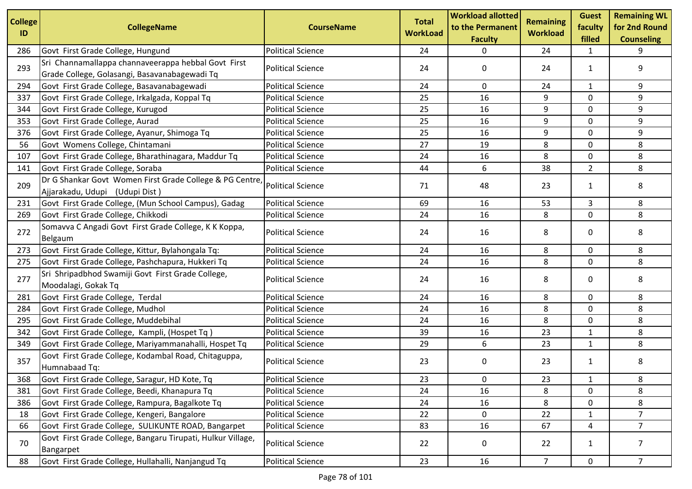| <b>College</b><br>ID | <b>CollegeName</b>                                                                                   | <b>CourseName</b>        | <b>Total</b><br><b>WorkLoad</b> | <b>Workload allotted</b><br>to the Permanent<br><b>Faculty</b> | <b>Remaining</b><br><b>Workload</b> | <b>Guest</b><br>faculty<br>filled | <b>Remaining WL</b><br>for 2nd Round<br><b>Counseling</b> |
|----------------------|------------------------------------------------------------------------------------------------------|--------------------------|---------------------------------|----------------------------------------------------------------|-------------------------------------|-----------------------------------|-----------------------------------------------------------|
| 286                  | Govt First Grade College, Hungund                                                                    | <b>Political Science</b> | 24                              | 0                                                              | 24                                  | 1                                 | 9                                                         |
| 293                  | Sri Channamallappa channaveerappa hebbal Govt First<br>Grade College, Golasangi, Basavanabagewadi Tq | <b>Political Science</b> | 24                              | 0                                                              | 24                                  | $\mathbf{1}$                      | 9                                                         |
| 294                  | Govt First Grade College, Basavanabagewadi                                                           | <b>Political Science</b> | 24                              | 0                                                              | 24                                  | $\mathbf{1}$                      | 9                                                         |
| 337                  | Govt First Grade College, Irkalgada, Koppal Tq                                                       | <b>Political Science</b> | 25                              | 16                                                             | 9                                   | $\mathbf 0$                       | 9                                                         |
| 344                  | Govt First Grade College, Kurugod                                                                    | <b>Political Science</b> | 25                              | 16                                                             | 9                                   | 0                                 | 9                                                         |
| 353                  | Govt First Grade College, Aurad                                                                      | <b>Political Science</b> | 25                              | 16                                                             | 9                                   | $\mathbf 0$                       | 9                                                         |
| 376                  | Govt First Grade College, Ayanur, Shimoga Tq                                                         | <b>Political Science</b> | 25                              | 16                                                             | 9                                   | $\mathbf 0$                       | 9                                                         |
| 56                   | Govt Womens College, Chintamani                                                                      | <b>Political Science</b> | 27                              | 19                                                             | 8                                   | 0                                 | 8                                                         |
| 107                  | Govt First Grade College, Bharathinagara, Maddur Tq                                                  | <b>Political Science</b> | 24                              | 16                                                             | 8                                   | 0                                 | 8                                                         |
| 141                  | Govt First Grade College, Soraba                                                                     | <b>Political Science</b> | 44                              | 6                                                              | 38                                  | $\overline{2}$                    | 8                                                         |
| 209                  | Dr G Shankar Govt Women First Grade College & PG Centre,<br>Ajjarakadu, Udupi (Udupi Dist)           | <b>Political Science</b> | 71                              | 48                                                             | 23                                  | $\mathbf{1}$                      | 8                                                         |
| 231                  | Govt First Grade College, (Mun School Campus), Gadag                                                 | <b>Political Science</b> | 69                              | 16                                                             | 53                                  | 3                                 | 8                                                         |
| 269                  | Govt First Grade College, Chikkodi                                                                   | <b>Political Science</b> | 24                              | 16                                                             | 8                                   | 0                                 | 8                                                         |
| 272                  | Somavva C Angadi Govt First Grade College, K K Koppa,<br>Belgaum                                     | <b>Political Science</b> | 24                              | 16                                                             | 8                                   | 0                                 | 8                                                         |
| 273                  | Govt First Grade College, Kittur, Bylahongala Tq:                                                    | <b>Political Science</b> | 24                              | 16                                                             | 8                                   | 0                                 | 8                                                         |
| 275                  | Govt First Grade College, Pashchapura, Hukkeri Tq                                                    | <b>Political Science</b> | 24                              | 16                                                             | 8                                   | 0                                 | 8                                                         |
| 277                  | Sri Shripadbhod Swamiji Govt First Grade College,<br>Moodalagi, Gokak Tq                             | <b>Political Science</b> | 24                              | 16                                                             | 8                                   | 0                                 | 8                                                         |
| 281                  | Govt First Grade College, Terdal                                                                     | <b>Political Science</b> | 24                              | 16                                                             | 8                                   | 0                                 | 8                                                         |
| 284                  | Govt First Grade College, Mudhol                                                                     | <b>Political Science</b> | 24                              | 16                                                             | 8                                   | 0                                 | 8                                                         |
| 295                  | Govt First Grade College, Muddebihal                                                                 | <b>Political Science</b> | 24                              | 16                                                             | 8                                   | 0                                 | 8                                                         |
| 342                  | Govt First Grade College, Kampli, (Hospet Tq)                                                        | <b>Political Science</b> | 39                              | 16                                                             | 23                                  | 1                                 | 8                                                         |
| 349                  | Govt First Grade College, Mariyammanahalli, Hospet Tq                                                | <b>Political Science</b> | 29                              | 6                                                              | 23                                  | $\mathbf{1}$                      | 8                                                         |
| 357                  | Govt First Grade College, Kodambal Road, Chitaguppa,<br>Humnabaad Tq:                                | <b>Political Science</b> | 23                              | 0                                                              | 23                                  | $\mathbf{1}$                      | 8                                                         |
| 368                  | Govt First Grade College, Saragur, HD Kote, Tq                                                       | <b>Political Science</b> | 23                              | 0                                                              | 23                                  | $\mathbf{1}$                      | 8                                                         |
| 381                  | Govt First Grade College, Beedi, Khanapura Tq                                                        | <b>Political Science</b> | 24                              | 16                                                             | 8                                   | 0                                 | 8                                                         |
| 386                  | Govt First Grade College, Rampura, Bagalkote Tq                                                      | <b>Political Science</b> | 24                              | 16                                                             | 8                                   | $\mathbf 0$                       | 8                                                         |
| 18                   | Govt First Grade College, Kengeri, Bangalore                                                         | <b>Political Science</b> | 22                              | $\mathbf 0$                                                    | 22                                  | $\mathbf{1}$                      | $\overline{7}$                                            |
| 66                   | Govt First Grade College, SULIKUNTE ROAD, Bangarpet                                                  | <b>Political Science</b> | 83                              | 16                                                             | 67                                  | 4                                 | $7^{\circ}$                                               |
| 70                   | Govt First Grade College, Bangaru Tirupati, Hulkur Village,<br>Bangarpet                             | <b>Political Science</b> | 22                              | 0                                                              | 22                                  | $\mathbf{1}$                      | $\overline{7}$                                            |
| 88                   | Govt First Grade College, Hullahalli, Nanjangud Tq                                                   | <b>Political Science</b> | 23                              | 16                                                             | 7 <sup>1</sup>                      | $\mathsf{O}$                      | 7 <sup>7</sup>                                            |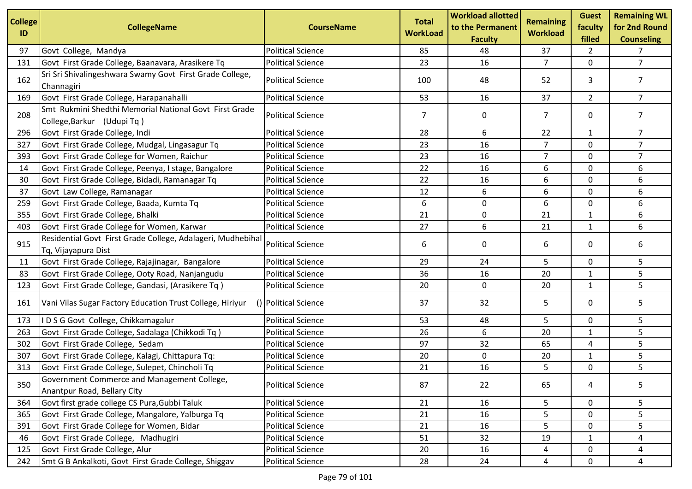| <b>College</b><br>ID | <b>CollegeName</b>                                                                   | <b>CourseName</b>        | <b>Total</b><br><b>WorkLoad</b> | <b>Workload allotted</b><br>to the Permanent | <b>Remaining</b><br><b>Workload</b> | <b>Guest</b><br>faculty | <b>Remaining WL</b><br>for 2nd Round |
|----------------------|--------------------------------------------------------------------------------------|--------------------------|---------------------------------|----------------------------------------------|-------------------------------------|-------------------------|--------------------------------------|
|                      |                                                                                      |                          |                                 | <b>Faculty</b>                               |                                     | filled                  | <b>Counseling</b>                    |
| 97                   | Govt College, Mandya                                                                 | <b>Political Science</b> | 85                              | 48                                           | 37                                  | $\overline{2}$          | 7                                    |
| 131                  | Govt First Grade College, Baanavara, Arasikere Tq                                    | <b>Political Science</b> | 23                              | 16                                           | $\overline{7}$                      | 0                       | $\overline{7}$                       |
| 162                  | Sri Sri Shivalingeshwara Swamy Govt First Grade College,<br>Channagiri               | <b>Political Science</b> | 100                             | 48                                           | 52                                  | 3                       | 7                                    |
| 169                  | Govt First Grade College, Harapanahalli                                              | <b>Political Science</b> | 53                              | 16                                           | 37                                  | $\overline{2}$          | $\overline{7}$                       |
| 208                  | Smt Rukmini Shedthi Memorial National Govt First Grade<br>College, Barkur (Udupi Tq) | <b>Political Science</b> | 7                               | 0                                            | 7                                   | 0                       | 7                                    |
| 296                  | Govt First Grade College, Indi                                                       | <b>Political Science</b> | 28                              | 6                                            | 22                                  | $\mathbf{1}$            | $\overline{7}$                       |
| 327                  | Govt First Grade College, Mudgal, Lingasagur Tq                                      | <b>Political Science</b> | 23                              | 16                                           | 7                                   | 0                       | $\overline{7}$                       |
| 393                  | Govt First Grade College for Women, Raichur                                          | <b>Political Science</b> | 23                              | 16                                           | $\overline{7}$                      | 0                       | $\overline{7}$                       |
| 14                   | Govt First Grade College, Peenya, I stage, Bangalore                                 | <b>Political Science</b> | 22                              | 16                                           | 6                                   | $\mathbf 0$             | 6                                    |
| 30                   | Govt First Grade College, Bidadi, Ramanagar Tq                                       | <b>Political Science</b> | 22                              | 16                                           | 6                                   | 0                       | 6                                    |
| 37                   | Govt Law College, Ramanagar                                                          | <b>Political Science</b> | 12                              | 6                                            | 6                                   | $\mathbf 0$             | 6                                    |
| 259                  | Govt First Grade College, Baada, Kumta Tq                                            | <b>Political Science</b> | 6                               | $\mathbf 0$                                  | 6                                   | 0                       | 6                                    |
| 355                  | Govt First Grade College, Bhalki                                                     | <b>Political Science</b> | 21                              | $\mathbf 0$                                  | 21                                  | $\mathbf{1}$            | 6                                    |
| 403                  | Govt First Grade College for Women, Karwar                                           | <b>Political Science</b> | 27                              | 6                                            | 21                                  | $\mathbf{1}$            | 6                                    |
| 915                  | Residential Govt First Grade College, Adalageri, Mudhebihal<br>Tq, Vijayapura Dist   | <b>Political Science</b> | 6                               | 0                                            | 6                                   | $\mathbf 0$             | 6                                    |
| 11                   | Govt First Grade College, Rajajinagar, Bangalore                                     | <b>Political Science</b> | 29                              | 24                                           | 5                                   | $\mathbf 0$             | 5                                    |
| 83                   | Govt First Grade College, Ooty Road, Nanjangudu                                      | <b>Political Science</b> | 36                              | 16                                           | 20                                  | $\mathbf{1}$            | 5                                    |
| 123                  | Govt First Grade College, Gandasi, (Arasikere Tq)                                    | <b>Political Science</b> | 20                              | $\mathbf 0$                                  | 20                                  | $\mathbf{1}$            | 5                                    |
| 161                  | Vani Vilas Sugar Factory Education Trust College, Hiriyur                            | () Political Science     | 37                              | 32                                           | 5                                   | 0                       | 5                                    |
| 173                  | IDSG Govt College, Chikkamagalur                                                     | <b>Political Science</b> | 53                              | 48                                           | 5                                   | 0                       | 5                                    |
| 263                  | Govt First Grade College, Sadalaga (Chikkodi Tq)                                     | <b>Political Science</b> | 26                              | 6                                            | 20                                  | $\mathbf{1}$            | 5                                    |
| 302                  | Govt First Grade College, Sedam                                                      | <b>Political Science</b> | 97                              | 32                                           | 65                                  | 4                       | 5                                    |
| 307                  | Govt First Grade College, Kalagi, Chittapura Tq:                                     | <b>Political Science</b> | 20                              | $\mathbf 0$                                  | 20                                  | $\mathbf{1}$            | 5                                    |
| 313                  | Govt First Grade College, Sulepet, Chincholi Tq                                      | <b>Political Science</b> | 21                              | 16                                           | 5                                   | 0                       | 5                                    |
| 350                  | Government Commerce and Management College,<br>Anantpur Road, Bellary City           | <b>Political Science</b> | 87                              | 22                                           | 65                                  | 4                       | 5                                    |
| 364                  | Govt first grade college CS Pura, Gubbi Taluk                                        | <b>Political Science</b> | 21                              | 16                                           | 5                                   | $\mathbf 0$             | 5                                    |
| 365                  | Govt First Grade College, Mangalore, Yalburga Tq                                     | <b>Political Science</b> | 21                              | 16                                           | 5                                   | 0                       | 5                                    |
| 391                  | Govt First Grade College for Women, Bidar                                            | <b>Political Science</b> | 21                              | 16                                           | 5                                   | 0                       | 5                                    |
| 46                   | Govt First Grade College, Madhugiri                                                  | <b>Political Science</b> | 51                              | 32                                           | 19                                  | $\mathbf{1}$            | 4                                    |
| 125                  | Govt First Grade College, Alur                                                       | <b>Political Science</b> | 20                              | 16                                           | 4                                   | 0                       | 4                                    |
| 242                  | Smt G B Ankalkoti, Govt First Grade College, Shiggav                                 | <b>Political Science</b> | 28                              | 24                                           | 4                                   | 0                       | 4                                    |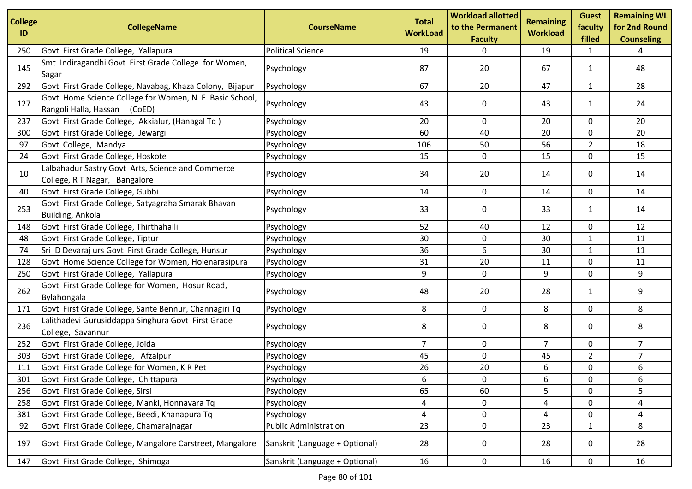| <b>College</b><br>ID | <b>CollegeName</b>                                                                     | <b>CourseName</b>              | <b>Total</b><br><b>WorkLoad</b> | <b>Workload allotted</b><br>to the Permanent<br><b>Faculty</b> | <b>Remaining</b><br><b>Workload</b> | <b>Guest</b><br>faculty<br>filled | <b>Remaining WL</b><br>for 2nd Round<br><b>Counseling</b> |
|----------------------|----------------------------------------------------------------------------------------|--------------------------------|---------------------------------|----------------------------------------------------------------|-------------------------------------|-----------------------------------|-----------------------------------------------------------|
| 250                  | Govt First Grade College, Yallapura                                                    | <b>Political Science</b>       | 19                              | 0                                                              | 19                                  | 1                                 | 4                                                         |
| 145                  | Smt Indiragandhi Govt First Grade College for Women,<br>Sagar                          | Psychology                     | 87                              | 20                                                             | 67                                  | $\mathbf{1}$                      | 48                                                        |
| 292                  | Govt First Grade College, Navabag, Khaza Colony, Bijapur                               | Psychology                     | 67                              | 20                                                             | 47                                  | $\mathbf{1}$                      | 28                                                        |
| 127                  | Govt Home Science College for Women, N E Basic School,<br>Rangoli Halla, Hassan (CoED) | Psychology                     | 43                              | 0                                                              | 43                                  | $\mathbf{1}$                      | 24                                                        |
| 237                  | Govt First Grade College, Akkialur, (Hanagal Tq)                                       | Psychology                     | 20                              | 0                                                              | 20                                  | 0                                 | 20                                                        |
| 300                  | Govt First Grade College, Jewargi                                                      | Psychology                     | 60                              | 40                                                             | 20                                  | 0                                 | 20                                                        |
| 97                   | Govt College, Mandya                                                                   | Psychology                     | 106                             | 50                                                             | 56                                  | $\overline{2}$                    | 18                                                        |
| 24                   | Govt First Grade College, Hoskote                                                      | Psychology                     | 15                              | 0                                                              | 15                                  | 0                                 | 15                                                        |
| 10                   | Lalbahadur Sastry Govt Arts, Science and Commerce<br>College, R T Nagar, Bangalore     | Psychology                     | 34                              | 20                                                             | 14                                  | 0                                 | 14                                                        |
| 40                   | Govt First Grade College, Gubbi                                                        | Psychology                     | 14                              | 0                                                              | 14                                  | 0                                 | 14                                                        |
| 253                  | Govt First Grade College, Satyagraha Smarak Bhavan<br>Building, Ankola                 | Psychology                     | 33                              | 0                                                              | 33                                  | 1                                 | 14                                                        |
| 148                  | Govt First Grade College, Thirthahalli                                                 | Psychology                     | 52                              | 40                                                             | 12                                  | 0                                 | 12                                                        |
| 48                   | Govt First Grade College, Tiptur                                                       | Psychology                     | 30                              | 0                                                              | 30                                  | 1                                 | 11                                                        |
| 74                   | Sri D Devaraj urs Govt First Grade College, Hunsur                                     | Psychology                     | 36                              | 6                                                              | 30                                  | 1                                 | 11                                                        |
| 128                  | Govt Home Science College for Women, Holenarasipura                                    | Psychology                     | 31                              | 20                                                             | 11                                  | 0                                 | 11                                                        |
| 250                  | Govt First Grade College, Yallapura                                                    | Psychology                     | 9                               | 0                                                              | 9                                   | 0                                 | 9                                                         |
| 262                  | Govt First Grade College for Women, Hosur Road,<br>Bylahongala                         | Psychology                     | 48                              | 20                                                             | 28                                  | 1                                 | 9                                                         |
| 171                  | Govt First Grade College, Sante Bennur, Channagiri Tq                                  | Psychology                     | 8                               | $\mathbf 0$                                                    | 8                                   | 0                                 | 8                                                         |
| 236                  | Lalithadevi Gurusiddappa Singhura Govt First Grade<br>College, Savannur                | Psychology                     | 8                               | 0                                                              | 8                                   | 0                                 | 8                                                         |
| 252                  | Govt First Grade College, Joida                                                        | Psychology                     | $\overline{7}$                  | 0                                                              | $\overline{7}$                      | 0                                 | $\overline{7}$                                            |
| 303                  | Govt First Grade College, Afzalpur                                                     | Psychology                     | 45                              | $\mathbf 0$                                                    | 45                                  | $\overline{2}$                    | $\overline{7}$                                            |
| 111                  | Govt First Grade College for Women, K R Pet                                            | Psychology                     | 26                              | 20                                                             | 6                                   | 0                                 | 6                                                         |
| 301                  | Govt First Grade College, Chittapura                                                   | Psychology                     | 6                               | 0                                                              | 6                                   | 0                                 | 6                                                         |
| 256                  | Govt First Grade College, Sirsi                                                        | Psychology                     | 65                              | 60                                                             | 5                                   | 0                                 | 5                                                         |
| 258                  | Govt First Grade College, Manki, Honnavara Tq                                          | Psychology                     | 4                               | 0                                                              | 4                                   | 0                                 | 4                                                         |
| 381                  | Govt First Grade College, Beedi, Khanapura Tq                                          | Psychology                     | 4                               | 0                                                              | 4                                   | 0                                 | 4                                                         |
| 92                   | Govt First Grade College, Chamarajnagar                                                | <b>Public Administration</b>   | 23                              | 0                                                              | 23                                  | 1                                 | 8                                                         |
| 197                  | Govt First Grade College, Mangalore Carstreet, Mangalore                               | Sanskrit (Language + Optional) | 28                              | 0                                                              | 28                                  | 0                                 | 28                                                        |
| 147                  | Govt First Grade College, Shimoga                                                      | Sanskrit (Language + Optional) | 16                              | 0                                                              | 16                                  | 0                                 | 16                                                        |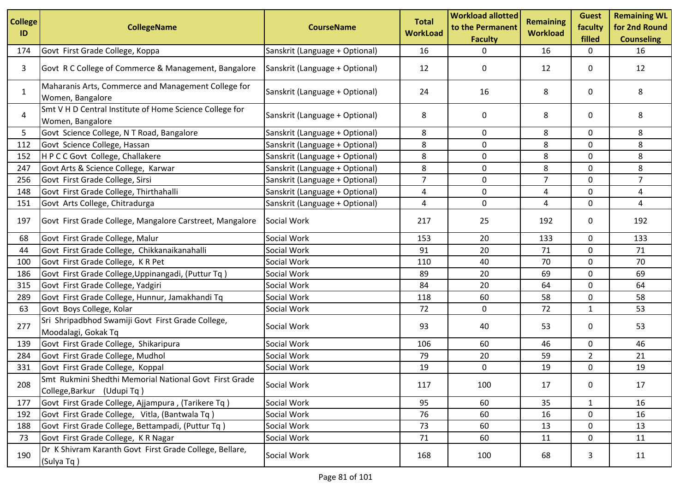| <b>College</b><br>ID | <b>CollegeName</b>                                                                   | <b>CourseName</b>              | <b>Total</b><br><b>WorkLoad</b> | <b>Workload allotted</b><br>to the Permanent<br><b>Faculty</b> | <b>Remaining</b><br><b>Workload</b> | <b>Guest</b><br>faculty<br>filled | <b>Remaining WL</b><br>for 2nd Round<br><b>Counseling</b> |
|----------------------|--------------------------------------------------------------------------------------|--------------------------------|---------------------------------|----------------------------------------------------------------|-------------------------------------|-----------------------------------|-----------------------------------------------------------|
| 174                  | Govt First Grade College, Koppa                                                      | Sanskrit (Language + Optional) | 16                              | 0                                                              | 16                                  | 0                                 | 16                                                        |
| 3                    | Govt R C College of Commerce & Management, Bangalore                                 | Sanskrit (Language + Optional) | 12                              | 0                                                              | 12                                  | 0                                 | 12                                                        |
| 1                    | Maharanis Arts, Commerce and Management College for<br>Women, Bangalore              | Sanskrit (Language + Optional) | 24                              | 16                                                             | 8                                   | 0                                 | 8                                                         |
| 4                    | Smt V H D Central Institute of Home Science College for<br>Women, Bangalore          | Sanskrit (Language + Optional) | 8                               | 0                                                              | 8                                   | 0                                 | 8                                                         |
| 5                    | Govt Science College, N T Road, Bangalore                                            | Sanskrit (Language + Optional) | 8                               | 0                                                              | 8                                   | $\mathbf{0}$                      | 8                                                         |
| 112                  | Govt Science College, Hassan                                                         | Sanskrit (Language + Optional) | 8                               | $\mathbf 0$                                                    | 8                                   | 0                                 | 8                                                         |
| 152                  | H P C C Govt College, Challakere                                                     | Sanskrit (Language + Optional) | 8                               | $\mathbf 0$                                                    | 8                                   | 0                                 | 8                                                         |
| 247                  | Govt Arts & Science College, Karwar                                                  | Sanskrit (Language + Optional) | 8                               | 0                                                              | 8                                   | $\mathbf 0$                       | 8                                                         |
| 256                  | Govt First Grade College, Sirsi                                                      | Sanskrit (Language + Optional) | $\overline{7}$                  | 0                                                              | $\overline{7}$                      | 0                                 | $\overline{7}$                                            |
| 148                  | Govt First Grade College, Thirthahalli                                               | Sanskrit (Language + Optional) | 4                               | $\mathbf 0$                                                    | 4                                   | 0                                 | 4                                                         |
| 151                  | Govt Arts College, Chitradurga                                                       | Sanskrit (Language + Optional) | 4                               | $\pmb{0}$                                                      | 4                                   | 0                                 | 4                                                         |
| 197                  | Govt First Grade College, Mangalore Carstreet, Mangalore                             | Social Work                    | 217                             | 25                                                             | 192                                 | 0                                 | 192                                                       |
| 68                   | Govt First Grade College, Malur                                                      | Social Work                    | 153                             | 20                                                             | 133                                 | 0                                 | 133                                                       |
| 44                   | Govt First Grade College, Chikkanaikanahalli                                         | Social Work                    | 91                              | 20                                                             | 71                                  | 0                                 | 71                                                        |
| 100                  | Govt First Grade College, K R Pet                                                    | Social Work                    | 110                             | 40                                                             | 70                                  | $\mathbf 0$                       | 70                                                        |
| 186                  | Govt First Grade College, Uppinangadi, (Puttur Tq)                                   | Social Work                    | 89                              | 20                                                             | 69                                  | 0                                 | 69                                                        |
| 315                  | Govt First Grade College, Yadgiri                                                    | Social Work                    | 84                              | 20                                                             | 64                                  | 0                                 | 64                                                        |
| 289                  | Govt First Grade College, Hunnur, Jamakhandi Tq                                      | Social Work                    | 118                             | 60                                                             | 58                                  | 0                                 | 58                                                        |
| 63                   | Govt Boys College, Kolar                                                             | Social Work                    | 72                              | 0                                                              | 72                                  | 1                                 | 53                                                        |
| 277                  | Sri Shripadbhod Swamiji Govt First Grade College,<br>Moodalagi, Gokak Tq             | Social Work                    | 93                              | 40                                                             | 53                                  | 0                                 | 53                                                        |
| 139                  | Govt First Grade College, Shikaripura                                                | Social Work                    | 106                             | 60                                                             | 46                                  | 0                                 | 46                                                        |
| 284                  | Govt First Grade College, Mudhol                                                     | Social Work                    | 79                              | 20                                                             | 59                                  | $\overline{2}$                    | 21                                                        |
| 331                  | Govt First Grade College, Koppal                                                     | Social Work                    | 19                              | 0                                                              | 19                                  | 0                                 | 19                                                        |
| 208                  | Smt Rukmini Shedthi Memorial National Govt First Grade<br>College, Barkur (Udupi Tq) | Social Work                    | 117                             | 100                                                            | 17                                  | $\mathbf 0$                       | 17                                                        |
| 177                  | Govt First Grade College, Ajjampura, (Tarikere Tq)                                   | Social Work                    | 95                              | 60                                                             | 35                                  | $\mathbf{1}$                      | 16                                                        |
| 192                  | Govt First Grade College, Vitla, (Bantwala Tq)                                       | Social Work                    | 76                              | 60                                                             | 16                                  | 0                                 | 16                                                        |
| 188                  | Govt First Grade College, Bettampadi, (Puttur Tq)                                    | Social Work                    | 73                              | 60                                                             | 13                                  | 0                                 | 13                                                        |
| 73                   | Govt First Grade College, K R Nagar                                                  | Social Work                    | 71                              | 60                                                             | 11                                  | $\mathbf 0$                       | 11                                                        |
| 190                  | Dr K Shivram Karanth Govt First Grade College, Bellare,<br>(Sulya Tq)                | Social Work                    | 168                             | 100                                                            | 68                                  | 3                                 | 11                                                        |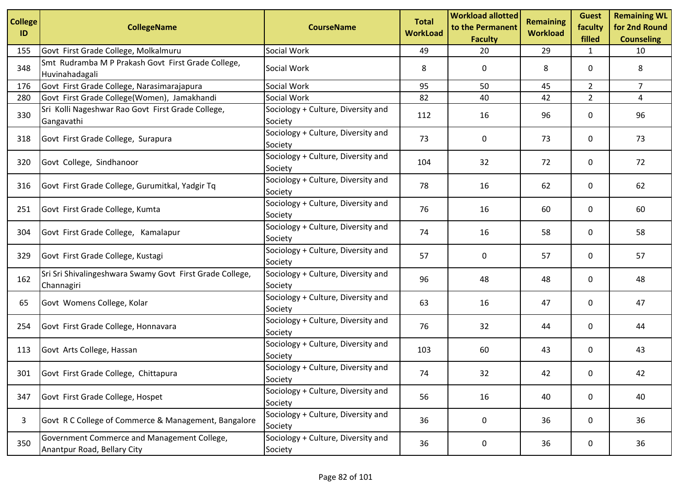| <b>College</b><br>ID | <b>CollegeName</b>                                                         | <b>CourseName</b>                             | <b>Total</b><br><b>WorkLoad</b> | <b>Workload allotted</b><br>to the Permanent<br><b>Faculty</b> | <b>Remaining</b><br><b>Workload</b> | <b>Guest</b><br>faculty<br>filled | <b>Remaining WL</b><br>for 2nd Round<br><b>Counseling</b> |
|----------------------|----------------------------------------------------------------------------|-----------------------------------------------|---------------------------------|----------------------------------------------------------------|-------------------------------------|-----------------------------------|-----------------------------------------------------------|
| 155                  | Govt First Grade College, Molkalmuru                                       | Social Work                                   | 49                              | 20                                                             | 29                                  | 1                                 | 10                                                        |
| 348                  | Smt Rudramba M P Prakash Govt First Grade College,<br>Huvinahadagali       | Social Work                                   | 8                               | 0                                                              | 8                                   | 0                                 | 8                                                         |
| 176                  | Govt First Grade College, Narasimarajapura                                 | Social Work                                   | 95                              | 50                                                             | 45                                  | $\overline{2}$                    | 7                                                         |
| 280                  | Govt First Grade College(Women), Jamakhandi                                | Social Work                                   | 82                              | 40                                                             | 42                                  | $\overline{2}$                    | 4                                                         |
| 330                  | Sri Kolli Nageshwar Rao Govt First Grade College,<br>Gangavathi            | Sociology + Culture, Diversity and<br>Society | 112                             | 16                                                             | 96                                  | 0                                 | 96                                                        |
| 318                  | Govt First Grade College, Surapura                                         | Sociology + Culture, Diversity and<br>Society | 73                              | 0                                                              | 73                                  | 0                                 | 73                                                        |
| 320                  | Govt College, Sindhanoor                                                   | Sociology + Culture, Diversity and<br>Society | 104                             | 32                                                             | 72                                  | 0                                 | 72                                                        |
| 316                  | Govt First Grade College, Gurumitkal, Yadgir Tq                            | Sociology + Culture, Diversity and<br>Society | 78                              | 16                                                             | 62                                  | 0                                 | 62                                                        |
| 251                  | Govt First Grade College, Kumta                                            | Sociology + Culture, Diversity and<br>Society | 76                              | 16                                                             | 60                                  | 0                                 | 60                                                        |
| 304                  | Govt First Grade College, Kamalapur                                        | Sociology + Culture, Diversity and<br>Society | 74                              | 16                                                             | 58                                  | 0                                 | 58                                                        |
| 329                  | Govt First Grade College, Kustagi                                          | Sociology + Culture, Diversity and<br>Society | 57                              | 0                                                              | 57                                  | 0                                 | 57                                                        |
| 162                  | Sri Sri Shivalingeshwara Swamy Govt First Grade College,<br>Channagiri     | Sociology + Culture, Diversity and<br>Society | 96                              | 48                                                             | 48                                  | 0                                 | 48                                                        |
| 65                   | Govt Womens College, Kolar                                                 | Sociology + Culture, Diversity and<br>Society | 63                              | 16                                                             | 47                                  | 0                                 | 47                                                        |
| 254                  | Govt First Grade College, Honnavara                                        | Sociology + Culture, Diversity and<br>Society | 76                              | 32                                                             | 44                                  | 0                                 | 44                                                        |
| 113                  | Govt Arts College, Hassan                                                  | Sociology + Culture, Diversity and<br>Society | 103                             | 60                                                             | 43                                  | 0                                 | 43                                                        |
| 301                  | Govt First Grade College, Chittapura                                       | Sociology + Culture, Diversity and<br>Society | 74                              | 32                                                             | 42                                  | 0                                 | 42                                                        |
| 347                  | Govt First Grade College, Hospet                                           | Sociology + Culture, Diversity and<br>Society | 56                              | 16                                                             | 40                                  | 0                                 | 40                                                        |
| 3                    | Govt R C College of Commerce & Management, Bangalore                       | Sociology + Culture, Diversity and<br>Society | 36                              | 0                                                              | 36                                  | 0                                 | 36                                                        |
| 350                  | Government Commerce and Management College,<br>Anantpur Road, Bellary City | Sociology + Culture, Diversity and<br>Society | 36                              | 0                                                              | 36                                  | 0                                 | 36                                                        |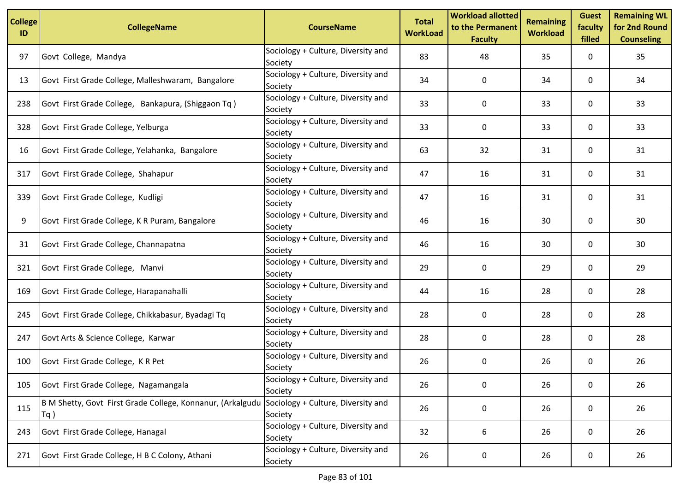| <b>College</b><br>ID | <b>CollegeName</b>                                                   | <b>CourseName</b>                             | <b>Total</b><br><b>WorkLoad</b> | <b>Workload allotted</b><br>to the Permanent<br><b>Faculty</b> | <b>Remaining</b><br><b>Workload</b> | <b>Guest</b><br>faculty<br>filled | <b>Remaining WL</b><br>for 2nd Round<br><b>Counseling</b> |
|----------------------|----------------------------------------------------------------------|-----------------------------------------------|---------------------------------|----------------------------------------------------------------|-------------------------------------|-----------------------------------|-----------------------------------------------------------|
| 97                   | Govt College, Mandya                                                 | Sociology + Culture, Diversity and<br>Society | 83                              | 48                                                             | 35                                  | 0                                 | 35                                                        |
| 13                   | Govt First Grade College, Malleshwaram, Bangalore                    | Sociology + Culture, Diversity and<br>Society | 34                              | 0                                                              | 34                                  | 0                                 | 34                                                        |
| 238                  | Govt First Grade College, Bankapura, (Shiggaon Tq)                   | Sociology + Culture, Diversity and<br>Society | 33                              | 0                                                              | 33                                  | 0                                 | 33                                                        |
| 328                  | Govt First Grade College, Yelburga                                   | Sociology + Culture, Diversity and<br>Society | 33                              | 0                                                              | 33                                  | 0                                 | 33                                                        |
| 16                   | Govt First Grade College, Yelahanka, Bangalore                       | Sociology + Culture, Diversity and<br>Society | 63                              | 32                                                             | 31                                  | 0                                 | 31                                                        |
| 317                  | Govt First Grade College, Shahapur                                   | Sociology + Culture, Diversity and<br>Society | 47                              | 16                                                             | 31                                  | 0                                 | 31                                                        |
| 339                  | Govt First Grade College, Kudligi                                    | Sociology + Culture, Diversity and<br>Society | 47                              | 16                                                             | 31                                  | 0                                 | 31                                                        |
| 9                    | Govt First Grade College, K R Puram, Bangalore                       | Sociology + Culture, Diversity and<br>Society | 46                              | 16                                                             | 30                                  | 0                                 | 30                                                        |
| 31                   | Govt First Grade College, Channapatna                                | Sociology + Culture, Diversity and<br>Society | 46                              | 16                                                             | 30                                  | 0                                 | 30                                                        |
| 321                  | Govt First Grade College, Manvi                                      | Sociology + Culture, Diversity and<br>Society | 29                              | 0                                                              | 29                                  | 0                                 | 29                                                        |
| 169                  | Govt First Grade College, Harapanahalli                              | Sociology + Culture, Diversity and<br>Society | 44                              | 16                                                             | 28                                  | 0                                 | 28                                                        |
| 245                  | Govt First Grade College, Chikkabasur, Byadagi Tq                    | Sociology + Culture, Diversity and<br>Society | 28                              | $\mathbf 0$                                                    | 28                                  | 0                                 | 28                                                        |
| 247                  | Govt Arts & Science College, Karwar                                  | Sociology + Culture, Diversity and<br>Society | 28                              | 0                                                              | 28                                  | 0                                 | 28                                                        |
| 100                  | Govt First Grade College, KR Pet                                     | Sociology + Culture, Diversity and<br>Society | 26                              | 0                                                              | 26                                  | 0                                 | 26                                                        |
| 105                  | Govt First Grade College, Nagamangala                                | Sociology + Culture, Diversity and<br>Society | 26                              | 0                                                              | 26                                  | $\mathbf 0$                       | 26                                                        |
| 115                  | B M Shetty, Govt First Grade College, Konnanur, (Arkalgudu<br>$Tq$ ) | Sociology + Culture, Diversity and<br>Society | 26                              | 0                                                              | 26                                  | 0                                 | 26                                                        |
| 243                  | Govt First Grade College, Hanagal                                    | Sociology + Culture, Diversity and<br>Society | 32                              | 6                                                              | 26                                  | 0                                 | 26                                                        |
| 271                  | Govt First Grade College, H B C Colony, Athani                       | Sociology + Culture, Diversity and<br>Society | 26                              | 0                                                              | 26                                  | 0                                 | 26                                                        |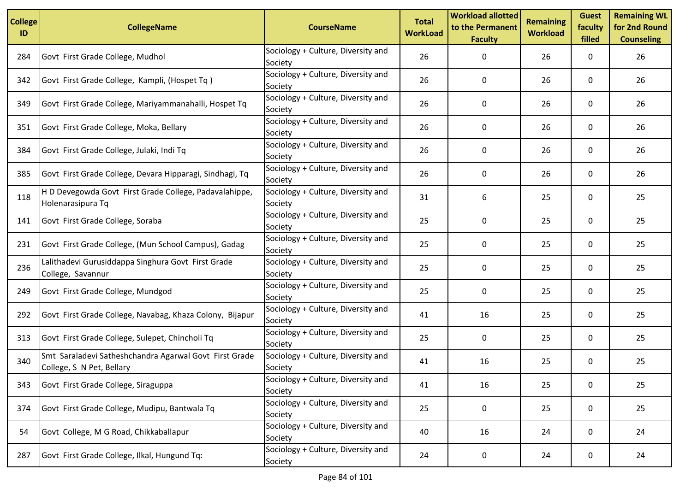| <b>College</b><br>ID | <b>CollegeName</b>                                                                  | <b>CourseName</b>                             | <b>Total</b><br><b>WorkLoad</b> | <b>Workload allotted</b><br>to the Permanent<br><b>Faculty</b> | <b>Remaining</b><br><b>Workload</b> | <b>Guest</b><br>faculty<br>filled | <b>Remaining WL</b><br>for 2nd Round<br><b>Counseling</b> |
|----------------------|-------------------------------------------------------------------------------------|-----------------------------------------------|---------------------------------|----------------------------------------------------------------|-------------------------------------|-----------------------------------|-----------------------------------------------------------|
| 284                  | Govt First Grade College, Mudhol                                                    | Sociology + Culture, Diversity and<br>Society | 26                              | 0                                                              | 26                                  | 0                                 | 26                                                        |
| 342                  | Govt First Grade College, Kampli, (Hospet Tq)                                       | Sociology + Culture, Diversity and<br>Society | 26                              | 0                                                              | 26                                  | 0                                 | 26                                                        |
| 349                  | Govt First Grade College, Mariyammanahalli, Hospet Tq                               | Sociology + Culture, Diversity and<br>Society | 26                              | 0                                                              | 26                                  | 0                                 | 26                                                        |
| 351                  | Govt First Grade College, Moka, Bellary                                             | Sociology + Culture, Diversity and<br>Society | 26                              | 0                                                              | 26                                  | 0                                 | 26                                                        |
| 384                  | Govt First Grade College, Julaki, Indi Tq                                           | Sociology + Culture, Diversity and<br>Society | 26                              | 0                                                              | 26                                  | 0                                 | 26                                                        |
| 385                  | Govt First Grade College, Devara Hipparagi, Sindhagi, Tq                            | Sociology + Culture, Diversity and<br>Society | 26                              | 0                                                              | 26                                  | 0                                 | 26                                                        |
| 118                  | H D Devegowda Govt First Grade College, Padavalahippe,<br>Holenarasipura Tq         | Sociology + Culture, Diversity and<br>Society | 31                              | 6                                                              | 25                                  | 0                                 | 25                                                        |
| 141                  | Govt First Grade College, Soraba                                                    | Sociology + Culture, Diversity and<br>Society | 25                              | 0                                                              | 25                                  | 0                                 | 25                                                        |
| 231                  | Govt First Grade College, (Mun School Campus), Gadag                                | Sociology + Culture, Diversity and<br>Society | 25                              | 0                                                              | 25                                  | 0                                 | 25                                                        |
| 236                  | Lalithadevi Gurusiddappa Singhura Govt First Grade<br>College, Savannur             | Sociology + Culture, Diversity and<br>Society | 25                              | 0                                                              | 25                                  | 0                                 | 25                                                        |
| 249                  | Govt First Grade College, Mundgod                                                   | Sociology + Culture, Diversity and<br>Society | 25                              | 0                                                              | 25                                  | 0                                 | 25                                                        |
| 292                  | Govt First Grade College, Navabag, Khaza Colony, Bijapur                            | Sociology + Culture, Diversity and<br>Society | 41                              | 16                                                             | 25                                  | 0                                 | 25                                                        |
| 313                  | Govt First Grade College, Sulepet, Chincholi Tq                                     | Sociology + Culture, Diversity and<br>Society | 25                              | 0                                                              | 25                                  | 0                                 | 25                                                        |
| 340                  | Smt Saraladevi Satheshchandra Agarwal Govt First Grade<br>College, S N Pet, Bellary | Sociology + Culture, Diversity and<br>Society | 41                              | 16                                                             | 25                                  | 0                                 | 25                                                        |
| 343                  | Govt First Grade College, Siraguppa                                                 | Sociology + Culture, Diversity and<br>Society | 41                              | 16                                                             | 25                                  | 0                                 | 25                                                        |
| 374                  | Govt First Grade College, Mudipu, Bantwala Tq                                       | Sociology + Culture, Diversity and<br>Society | 25                              | 0                                                              | 25                                  | 0                                 | 25                                                        |
| 54                   | Govt College, M G Road, Chikkaballapur                                              | Sociology + Culture, Diversity and<br>Society | 40                              | 16                                                             | 24                                  | 0                                 | 24                                                        |
| 287                  | Govt First Grade College, Ilkal, Hungund Tq:                                        | Sociology + Culture, Diversity and<br>Society | 24                              | 0                                                              | 24                                  | 0                                 | 24                                                        |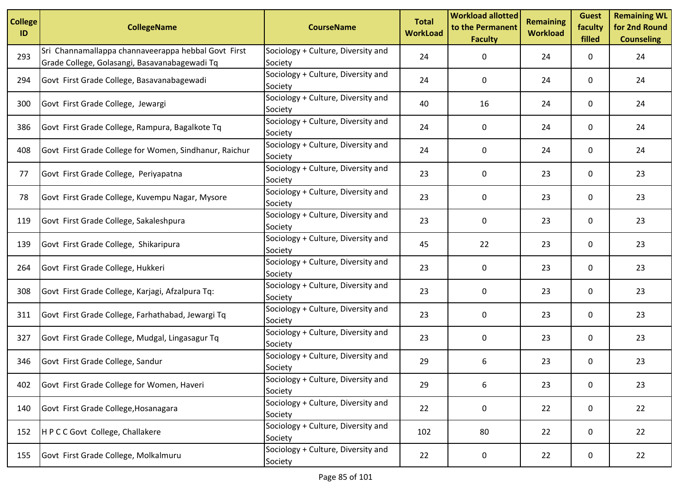| <b>College</b><br>ID | <b>CollegeName</b>                                                                                   | <b>CourseName</b>                             | <b>Total</b><br><b>WorkLoad</b> | <b>Workload allotted</b><br>to the Permanent<br><b>Faculty</b> | <b>Remaining</b><br><b>Workload</b> | <b>Guest</b><br>faculty<br>filled | <b>Remaining WL</b><br>for 2nd Round<br><b>Counseling</b> |
|----------------------|------------------------------------------------------------------------------------------------------|-----------------------------------------------|---------------------------------|----------------------------------------------------------------|-------------------------------------|-----------------------------------|-----------------------------------------------------------|
| 293                  | Sri Channamallappa channaveerappa hebbal Govt First<br>Grade College, Golasangi, Basavanabagewadi Tq | Sociology + Culture, Diversity and<br>Society | 24                              | 0                                                              | 24                                  | 0                                 | 24                                                        |
| 294                  | Govt First Grade College, Basavanabagewadi                                                           | Sociology + Culture, Diversity and<br>Society | 24                              | 0                                                              | 24                                  | 0                                 | 24                                                        |
| 300                  | Govt First Grade College, Jewargi                                                                    | Sociology + Culture, Diversity and<br>Society | 40                              | 16                                                             | 24                                  | 0                                 | 24                                                        |
| 386                  | Govt First Grade College, Rampura, Bagalkote Tq                                                      | Sociology + Culture, Diversity and<br>Society | 24                              | 0                                                              | 24                                  | 0                                 | 24                                                        |
| 408                  | Govt First Grade College for Women, Sindhanur, Raichur                                               | Sociology + Culture, Diversity and<br>Society | 24                              | 0                                                              | 24                                  | 0                                 | 24                                                        |
| 77                   | Govt First Grade College, Periyapatna                                                                | Sociology + Culture, Diversity and<br>Society | 23                              | 0                                                              | 23                                  | 0                                 | 23                                                        |
| 78                   | Govt First Grade College, Kuvempu Nagar, Mysore                                                      | Sociology + Culture, Diversity and<br>Society | 23                              | 0                                                              | 23                                  | 0                                 | 23                                                        |
| 119                  | Govt First Grade College, Sakaleshpura                                                               | Sociology + Culture, Diversity and<br>Society | 23                              | 0                                                              | 23                                  | 0                                 | 23                                                        |
| 139                  | Govt First Grade College, Shikaripura                                                                | Sociology + Culture, Diversity and<br>Society | 45                              | 22                                                             | 23                                  | 0                                 | 23                                                        |
| 264                  | Govt First Grade College, Hukkeri                                                                    | Sociology + Culture, Diversity and<br>Society | 23                              | 0                                                              | 23                                  | 0                                 | 23                                                        |
| 308                  | Govt First Grade College, Karjagi, Afzalpura Tq:                                                     | Sociology + Culture, Diversity and<br>Society | 23                              | 0                                                              | 23                                  | 0                                 | 23                                                        |
| 311                  | Govt First Grade College, Farhathabad, Jewargi Tq                                                    | Sociology + Culture, Diversity and<br>Society | 23                              | 0                                                              | 23                                  | 0                                 | 23                                                        |
| 327                  | Govt First Grade College, Mudgal, Lingasagur Tq                                                      | Sociology + Culture, Diversity and<br>Society | 23                              | 0                                                              | 23                                  | 0                                 | 23                                                        |
| 346                  | Govt First Grade College, Sandur                                                                     | Sociology + Culture, Diversity and<br>Society | 29                              | 6                                                              | 23                                  | 0                                 | 23                                                        |
| 402                  | Govt First Grade College for Women, Haveri                                                           | Sociology + Culture, Diversity and<br>Society | 29                              | 6                                                              | 23                                  | 0                                 | 23                                                        |
| 140                  | Govt First Grade College, Hosanagara                                                                 | Sociology + Culture, Diversity and<br>Society | 22                              | 0                                                              | 22                                  | 0                                 | 22                                                        |
| 152                  | HPCC Govt College, Challakere                                                                        | Sociology + Culture, Diversity and<br>Society | 102                             | 80                                                             | 22                                  | 0                                 | 22                                                        |
| 155                  | Govt First Grade College, Molkalmuru                                                                 | Sociology + Culture, Diversity and<br>Society | 22                              | 0                                                              | 22                                  | 0                                 | 22                                                        |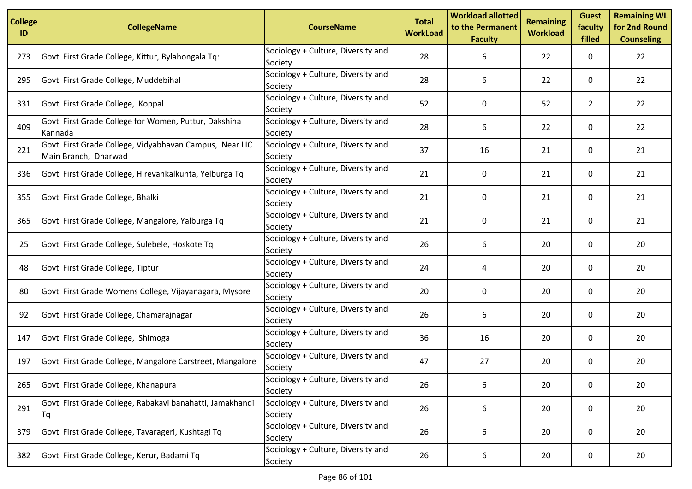| <b>College</b><br>ID | <b>CollegeName</b>                                                             | <b>CourseName</b>                             | <b>Total</b><br><b>WorkLoad</b> | <b>Workload allotted</b><br>to the Permanent<br><b>Faculty</b> | <b>Remaining</b><br><b>Workload</b> | <b>Guest</b><br>faculty<br>filled | <b>Remaining WL</b><br>for 2nd Round<br><b>Counseling</b> |
|----------------------|--------------------------------------------------------------------------------|-----------------------------------------------|---------------------------------|----------------------------------------------------------------|-------------------------------------|-----------------------------------|-----------------------------------------------------------|
| 273                  | Govt First Grade College, Kittur, Bylahongala Tq:                              | Sociology + Culture, Diversity and<br>Society | 28                              | 6                                                              | 22                                  | 0                                 | 22                                                        |
| 295                  | Govt First Grade College, Muddebihal                                           | Sociology + Culture, Diversity and<br>Society | 28                              | 6                                                              | 22                                  | 0                                 | 22                                                        |
| 331                  | Govt First Grade College, Koppal                                               | Sociology + Culture, Diversity and<br>Society | 52                              | 0                                                              | 52                                  | $\overline{2}$                    | 22                                                        |
| 409                  | Govt First Grade College for Women, Puttur, Dakshina<br>Kannada                | Sociology + Culture, Diversity and<br>Society | 28                              | 6                                                              | 22                                  | 0                                 | 22                                                        |
| 221                  | Govt First Grade College, Vidyabhavan Campus, Near LIC<br>Main Branch, Dharwad | Sociology + Culture, Diversity and<br>Society | 37                              | 16                                                             | 21                                  | 0                                 | 21                                                        |
| 336                  | Govt First Grade College, Hirevankalkunta, Yelburga Tq                         | Sociology + Culture, Diversity and<br>Society | 21                              | 0                                                              | 21                                  | 0                                 | 21                                                        |
| 355                  | Govt First Grade College, Bhalki                                               | Sociology + Culture, Diversity and<br>Society | 21                              | 0                                                              | 21                                  | 0                                 | 21                                                        |
| 365                  | Govt First Grade College, Mangalore, Yalburga Tq                               | Sociology + Culture, Diversity and<br>Society | 21                              | 0                                                              | 21                                  | 0                                 | 21                                                        |
| 25                   | Govt First Grade College, Sulebele, Hoskote Tq                                 | Sociology + Culture, Diversity and<br>Society | 26                              | 6                                                              | 20                                  | 0                                 | 20                                                        |
| 48                   | Govt First Grade College, Tiptur                                               | Sociology + Culture, Diversity and<br>Society | 24                              | 4                                                              | 20                                  | 0                                 | 20                                                        |
| 80                   | Govt First Grade Womens College, Vijayanagara, Mysore                          | Sociology + Culture, Diversity and<br>Society | 20                              | 0                                                              | 20                                  | 0                                 | 20                                                        |
| 92                   | Govt First Grade College, Chamarajnagar                                        | Sociology + Culture, Diversity and<br>Society | 26                              | 6                                                              | 20                                  | 0                                 | 20                                                        |
| 147                  | Govt First Grade College, Shimoga                                              | Sociology + Culture, Diversity and<br>Society | 36                              | 16                                                             | 20                                  | 0                                 | 20                                                        |
| 197                  | Govt First Grade College, Mangalore Carstreet, Mangalore                       | Sociology + Culture, Diversity and<br>Society | 47                              | 27                                                             | 20                                  | 0                                 | 20                                                        |
| 265                  | Govt First Grade College, Khanapura                                            | Sociology + Culture, Diversity and<br>Society | 26                              | 6                                                              | 20                                  | 0                                 | 20                                                        |
| 291                  | Govt First Grade College, Rabakavi banahatti, Jamakhandi<br>Tq                 | Sociology + Culture, Diversity and<br>Society | 26                              | 6                                                              | 20                                  | 0                                 | 20                                                        |
| 379                  | Govt First Grade College, Tavarageri, Kushtagi Tq                              | Sociology + Culture, Diversity and<br>Society | 26                              | 6                                                              | 20                                  | 0                                 | 20                                                        |
| 382                  | Govt First Grade College, Kerur, Badami Tq                                     | Sociology + Culture, Diversity and<br>Society | 26                              | 6                                                              | 20                                  | 0                                 | 20                                                        |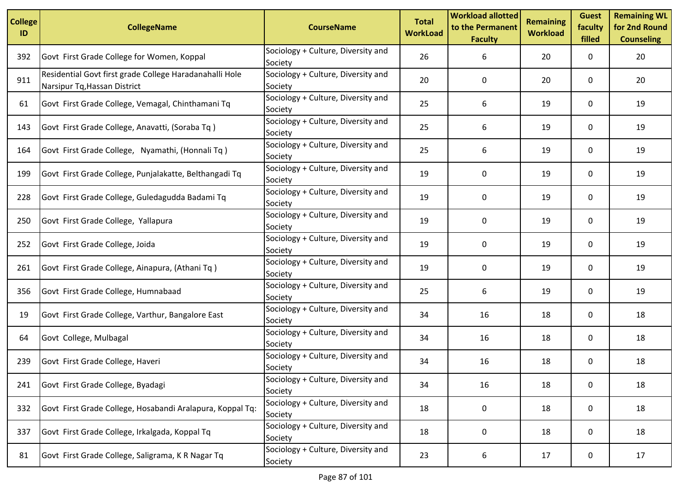| <b>College</b><br>ID | <b>CollegeName</b>                                                                      | <b>CourseName</b>                             | <b>Total</b><br><b>WorkLoad</b> | <b>Workload allotted</b><br>to the Permanent<br><b>Faculty</b> | <b>Remaining</b><br><b>Workload</b> | <b>Guest</b><br>faculty<br>filled | <b>Remaining WL</b><br>for 2nd Round<br><b>Counseling</b> |
|----------------------|-----------------------------------------------------------------------------------------|-----------------------------------------------|---------------------------------|----------------------------------------------------------------|-------------------------------------|-----------------------------------|-----------------------------------------------------------|
| 392                  | Govt First Grade College for Women, Koppal                                              | Sociology + Culture, Diversity and<br>Society | 26                              | 6                                                              | 20                                  | 0                                 | 20                                                        |
| 911                  | Residential Govt first grade College Haradanahalli Hole<br>Narsipur Tq, Hassan District | Sociology + Culture, Diversity and<br>Society | 20                              | 0                                                              | 20                                  | 0                                 | 20                                                        |
| 61                   | Govt First Grade College, Vemagal, Chinthamani Tq                                       | Sociology + Culture, Diversity and<br>Society | 25                              | 6                                                              | 19                                  | 0                                 | 19                                                        |
| 143                  | Govt First Grade College, Anavatti, (Soraba Tq)                                         | Sociology + Culture, Diversity and<br>Society | 25                              | 6                                                              | 19                                  | 0                                 | 19                                                        |
| 164                  | Govt First Grade College, Nyamathi, (Honnali Tq)                                        | Sociology + Culture, Diversity and<br>Society | 25                              | 6                                                              | 19                                  | 0                                 | 19                                                        |
| 199                  | Govt First Grade College, Punjalakatte, Belthangadi Tq                                  | Sociology + Culture, Diversity and<br>Society | 19                              | 0                                                              | 19                                  | 0                                 | 19                                                        |
| 228                  | Govt First Grade College, Guledagudda Badami Tq                                         | Sociology + Culture, Diversity and<br>Society | 19                              | 0                                                              | 19                                  | 0                                 | 19                                                        |
| 250                  | Govt First Grade College, Yallapura                                                     | Sociology + Culture, Diversity and<br>Society | 19                              | 0                                                              | 19                                  | $\mathbf{0}$                      | 19                                                        |
| 252                  | Govt First Grade College, Joida                                                         | Sociology + Culture, Diversity and<br>Society | 19                              | 0                                                              | 19                                  | 0                                 | 19                                                        |
| 261                  | Govt First Grade College, Ainapura, (Athani Tq)                                         | Sociology + Culture, Diversity and<br>Society | 19                              | 0                                                              | 19                                  | 0                                 | 19                                                        |
| 356                  | Govt First Grade College, Humnabaad                                                     | Sociology + Culture, Diversity and<br>Society | 25                              | 6                                                              | 19                                  | 0                                 | 19                                                        |
| 19                   | Govt First Grade College, Varthur, Bangalore East                                       | Sociology + Culture, Diversity and<br>Society | 34                              | 16                                                             | 18                                  | 0                                 | 18                                                        |
| 64                   | Govt College, Mulbagal                                                                  | Sociology + Culture, Diversity and<br>Society | 34                              | 16                                                             | 18                                  | 0                                 | 18                                                        |
| 239                  | Govt First Grade College, Haveri                                                        | Sociology + Culture, Diversity and<br>Society | 34                              | 16                                                             | 18                                  | 0                                 | 18                                                        |
| 241                  | Govt First Grade College, Byadagi                                                       | Sociology + Culture, Diversity and<br>Society | 34                              | 16                                                             | 18                                  | 0                                 | 18                                                        |
| 332                  | Govt First Grade College, Hosabandi Aralapura, Koppal Tq:                               | Sociology + Culture, Diversity and<br>Society | 18                              | 0                                                              | 18                                  | 0                                 | 18                                                        |
| 337                  | Govt First Grade College, Irkalgada, Koppal Tq                                          | Sociology + Culture, Diversity and<br>Society | 18                              | 0                                                              | 18                                  | 0                                 | 18                                                        |
| 81                   | Govt First Grade College, Saligrama, K R Nagar Tq                                       | Sociology + Culture, Diversity and<br>Society | 23                              | 6                                                              | 17                                  | 0                                 | 17                                                        |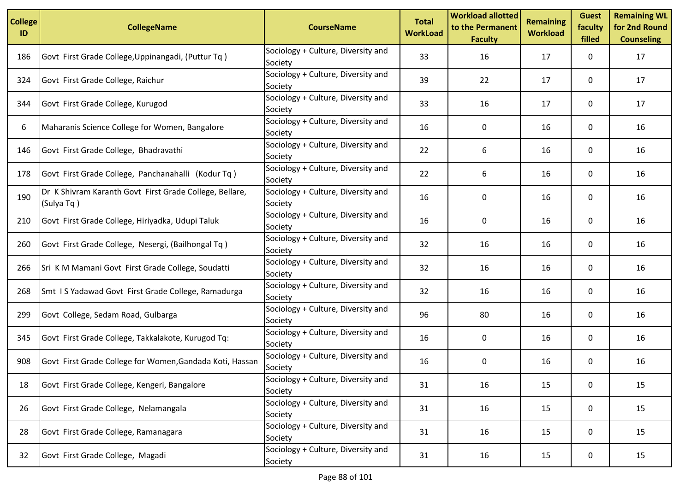| <b>College</b><br>ID | <b>CollegeName</b>                                                    | <b>CourseName</b>                             | <b>Total</b><br><b>WorkLoad</b> | <b>Workload allotted</b><br>to the Permanent<br><b>Faculty</b> | <b>Remaining</b><br><b>Workload</b> | <b>Guest</b><br>faculty<br>filled | <b>Remaining WL</b><br>for 2nd Round<br><b>Counseling</b> |
|----------------------|-----------------------------------------------------------------------|-----------------------------------------------|---------------------------------|----------------------------------------------------------------|-------------------------------------|-----------------------------------|-----------------------------------------------------------|
| 186                  | Govt First Grade College, Uppinangadi, (Puttur Tq)                    | Sociology + Culture, Diversity and<br>Society | 33                              | 16                                                             | 17                                  | 0                                 | 17                                                        |
| 324                  | Govt First Grade College, Raichur                                     | Sociology + Culture, Diversity and<br>Society | 39                              | 22                                                             | 17                                  | 0                                 | 17                                                        |
| 344                  | Govt First Grade College, Kurugod                                     | Sociology + Culture, Diversity and<br>Society | 33                              | 16                                                             | 17                                  | 0                                 | 17                                                        |
| 6                    | Maharanis Science College for Women, Bangalore                        | Sociology + Culture, Diversity and<br>Society | 16                              | 0                                                              | 16                                  | 0                                 | 16                                                        |
| 146                  | Govt First Grade College, Bhadravathi                                 | Sociology + Culture, Diversity and<br>Society | 22                              | 6                                                              | 16                                  | 0                                 | 16                                                        |
| 178                  | Govt First Grade College, Panchanahalli (Kodur Tq)                    | Sociology + Culture, Diversity and<br>Society | 22                              | 6                                                              | 16                                  | 0                                 | 16                                                        |
| 190                  | Dr K Shivram Karanth Govt First Grade College, Bellare,<br>(Sulya Tq) | Sociology + Culture, Diversity and<br>Society | 16                              | 0                                                              | 16                                  | 0                                 | 16                                                        |
| 210                  | Govt First Grade College, Hiriyadka, Udupi Taluk                      | Sociology + Culture, Diversity and<br>Society | 16                              | 0                                                              | 16                                  | 0                                 | 16                                                        |
| 260                  | Govt First Grade College, Nesergi, (Bailhongal Tq)                    | Sociology + Culture, Diversity and<br>Society | 32                              | 16                                                             | 16                                  | 0                                 | 16                                                        |
| 266                  | Sri K M Mamani Govt First Grade College, Soudatti                     | Sociology + Culture, Diversity and<br>Society | 32                              | 16                                                             | 16                                  | 0                                 | 16                                                        |
| 268                  | Smt IS Yadawad Govt First Grade College, Ramadurga                    | Sociology + Culture, Diversity and<br>Society | 32                              | 16                                                             | 16                                  | 0                                 | 16                                                        |
| 299                  | Govt College, Sedam Road, Gulbarga                                    | Sociology + Culture, Diversity and<br>Society | 96                              | 80                                                             | 16                                  | 0                                 | 16                                                        |
| 345                  | Govt First Grade College, Takkalakote, Kurugod Tq:                    | Sociology + Culture, Diversity and<br>Society | 16                              | 0                                                              | 16                                  | 0                                 | 16                                                        |
| 908                  | Govt First Grade College for Women, Gandada Koti, Hassan              | Sociology + Culture, Diversity and<br>Society | 16                              | 0                                                              | 16                                  | 0                                 | 16                                                        |
| 18                   | Govt First Grade College, Kengeri, Bangalore                          | Sociology + Culture, Diversity and<br>Society | 31                              | 16                                                             | 15                                  | 0                                 | 15                                                        |
| 26                   | Govt First Grade College, Nelamangala                                 | Sociology + Culture, Diversity and<br>Society | 31                              | 16                                                             | 15                                  | 0                                 | 15                                                        |
| 28                   | Govt First Grade College, Ramanagara                                  | Sociology + Culture, Diversity and<br>Society | 31                              | 16                                                             | 15                                  | 0                                 | 15                                                        |
| 32                   | Govt First Grade College, Magadi                                      | Sociology + Culture, Diversity and<br>Society | 31                              | 16                                                             | 15                                  | 0                                 | 15                                                        |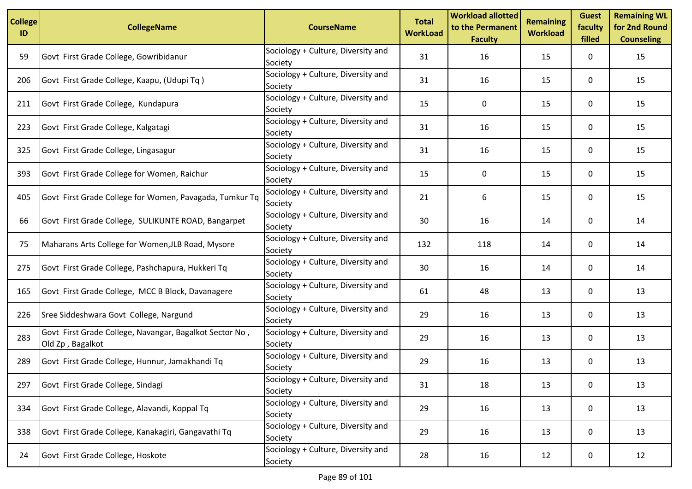| <b>College</b><br>ID | <b>CollegeName</b>                                                          | <b>CourseName</b>                             | <b>Total</b><br><b>WorkLoad</b> | <b>Workload allotted</b><br>to the Permanent<br><b>Faculty</b> | <b>Remaining</b><br><b>Workload</b> | <b>Guest</b><br>faculty<br>filled | <b>Remaining WL</b><br>for 2nd Round<br><b>Counseling</b> |
|----------------------|-----------------------------------------------------------------------------|-----------------------------------------------|---------------------------------|----------------------------------------------------------------|-------------------------------------|-----------------------------------|-----------------------------------------------------------|
| 59                   | Govt First Grade College, Gowribidanur                                      | Sociology + Culture, Diversity and<br>Society | 31                              | 16                                                             | 15                                  | 0                                 | 15                                                        |
| 206                  | Govt First Grade College, Kaapu, (Udupi Tq)                                 | Sociology + Culture, Diversity and<br>Society | 31                              | 16                                                             | 15                                  | 0                                 | 15                                                        |
| 211                  | Govt First Grade College, Kundapura                                         | Sociology + Culture, Diversity and<br>Society | 15                              | 0                                                              | 15                                  | 0                                 | 15                                                        |
| 223                  | Govt First Grade College, Kalgatagi                                         | Sociology + Culture, Diversity and<br>Society | 31                              | 16                                                             | 15                                  | 0                                 | 15                                                        |
| 325                  | Govt First Grade College, Lingasagur                                        | Sociology + Culture, Diversity and<br>Society | 31                              | 16                                                             | 15                                  | 0                                 | 15                                                        |
| 393                  | Govt First Grade College for Women, Raichur                                 | Sociology + Culture, Diversity and<br>Society | 15                              | 0                                                              | 15                                  | 0                                 | 15                                                        |
| 405                  | Govt First Grade College for Women, Pavagada, Tumkur Tq                     | Sociology + Culture, Diversity and<br>Society | 21                              | 6                                                              | 15                                  | 0                                 | 15                                                        |
| 66                   | Govt First Grade College, SULIKUNTE ROAD, Bangarpet                         | Sociology + Culture, Diversity and<br>Society | 30                              | 16                                                             | 14                                  | 0                                 | 14                                                        |
| 75                   | Maharans Arts College for Women, JLB Road, Mysore                           | Sociology + Culture, Diversity and<br>Society | 132                             | 118                                                            | 14                                  | 0                                 | 14                                                        |
| 275                  | Govt First Grade College, Pashchapura, Hukkeri Tq                           | Sociology + Culture, Diversity and<br>Society | 30                              | 16                                                             | 14                                  | 0                                 | 14                                                        |
| 165                  | Govt First Grade College, MCC B Block, Davanagere                           | Sociology + Culture, Diversity and<br>Society | 61                              | 48                                                             | 13                                  | 0                                 | 13                                                        |
| 226                  | Sree Siddeshwara Govt College, Nargund                                      | Sociology + Culture, Diversity and<br>Society | 29                              | 16                                                             | 13                                  | 0                                 | 13                                                        |
| 283                  | Govt First Grade College, Navangar, Bagalkot Sector No,<br>Old Zp, Bagalkot | Sociology + Culture, Diversity and<br>Society | 29                              | 16                                                             | 13                                  | 0                                 | 13                                                        |
| 289                  | Govt First Grade College, Hunnur, Jamakhandi Tq                             | Sociology + Culture, Diversity and<br>Society | 29                              | 16                                                             | 13                                  | 0                                 | 13                                                        |
| 297                  | Govt First Grade College, Sindagi                                           | Sociology + Culture, Diversity and<br>Society | 31                              | 18                                                             | 13                                  | 0                                 | 13                                                        |
| 334                  | Govt First Grade College, Alavandi, Koppal Tq                               | Sociology + Culture, Diversity and<br>Society | 29                              | 16                                                             | 13                                  | 0                                 | 13                                                        |
| 338                  | Govt First Grade College, Kanakagiri, Gangavathi Tq                         | Sociology + Culture, Diversity and<br>Society | 29                              | 16                                                             | 13                                  | 0                                 | 13                                                        |
| 24                   | Govt First Grade College, Hoskote                                           | Sociology + Culture, Diversity and<br>Society | 28                              | 16                                                             | 12                                  | 0                                 | 12                                                        |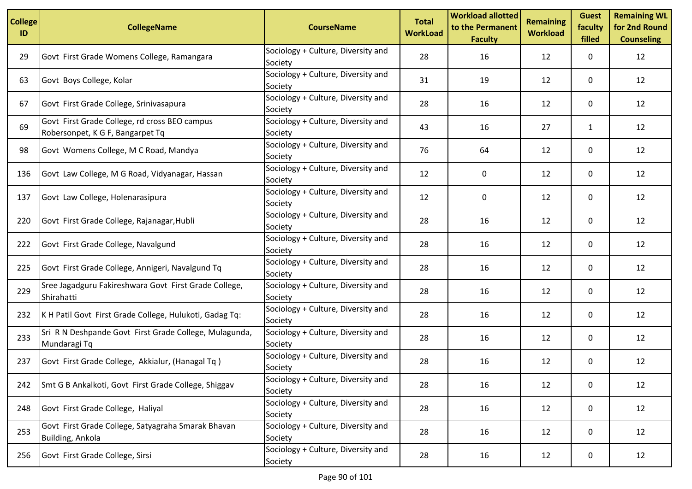| <b>College</b><br>ID | <b>CollegeName</b>                                                                | <b>CourseName</b>                             | <b>Total</b><br><b>WorkLoad</b> | <b>Workload allotted</b><br>to the Permanent<br><b>Faculty</b> | <b>Remaining</b><br><b>Workload</b> | <b>Guest</b><br>faculty<br>filled | <b>Remaining WL</b><br>for 2nd Round<br><b>Counseling</b> |
|----------------------|-----------------------------------------------------------------------------------|-----------------------------------------------|---------------------------------|----------------------------------------------------------------|-------------------------------------|-----------------------------------|-----------------------------------------------------------|
| 29                   | Govt First Grade Womens College, Ramangara                                        | Sociology + Culture, Diversity and<br>Society | 28                              | 16                                                             | 12                                  | 0                                 | 12                                                        |
| 63                   | Govt Boys College, Kolar                                                          | Sociology + Culture, Diversity and<br>Society | 31                              | 19                                                             | 12                                  | 0                                 | 12                                                        |
| 67                   | Govt First Grade College, Srinivasapura                                           | Sociology + Culture, Diversity and<br>Society | 28                              | 16                                                             | 12                                  | 0                                 | 12                                                        |
| 69                   | Govt First Grade College, rd cross BEO campus<br>Robersonpet, K G F, Bangarpet Tq | Sociology + Culture, Diversity and<br>Society | 43                              | 16                                                             | 27                                  | $\mathbf{1}$                      | 12                                                        |
| 98                   | Govt Womens College, M C Road, Mandya                                             | Sociology + Culture, Diversity and<br>Society | 76                              | 64                                                             | 12                                  | 0                                 | 12                                                        |
| 136                  | Govt Law College, M G Road, Vidyanagar, Hassan                                    | Sociology + Culture, Diversity and<br>Society | 12                              | 0                                                              | 12                                  | 0                                 | 12                                                        |
| 137                  | Govt Law College, Holenarasipura                                                  | Sociology + Culture, Diversity and<br>Society | 12                              | 0                                                              | 12                                  | 0                                 | 12                                                        |
| 220                  | Govt First Grade College, Rajanagar, Hubli                                        | Sociology + Culture, Diversity and<br>Society | 28                              | 16                                                             | 12                                  | 0                                 | 12                                                        |
| 222                  | Govt First Grade College, Navalgund                                               | Sociology + Culture, Diversity and<br>Society | 28                              | 16                                                             | 12                                  | 0                                 | 12                                                        |
| 225                  | Govt First Grade College, Annigeri, Navalgund Tq                                  | Sociology + Culture, Diversity and<br>Society | 28                              | 16                                                             | 12                                  | 0                                 | 12                                                        |
| 229                  | Sree Jagadguru Fakireshwara Govt First Grade College,<br>Shirahatti               | Sociology + Culture, Diversity and<br>Society | 28                              | 16                                                             | 12                                  | 0                                 | 12                                                        |
| 232                  | K H Patil Govt First Grade College, Hulukoti, Gadag Tq:                           | Sociology + Culture, Diversity and<br>Society | 28                              | 16                                                             | 12                                  | 0                                 | 12                                                        |
| 233                  | Sri R N Deshpande Govt First Grade College, Mulagunda,<br>Mundaragi Tq            | Sociology + Culture, Diversity and<br>Society | 28                              | 16                                                             | 12                                  | 0                                 | 12                                                        |
| 237                  | Govt First Grade College, Akkialur, (Hanagal Tq)                                  | Sociology + Culture, Diversity and<br>Society | 28                              | 16                                                             | 12                                  | 0                                 | 12                                                        |
| 242                  | Smt G B Ankalkoti, Govt First Grade College, Shiggav                              | Sociology + Culture, Diversity and<br>Society | 28                              | 16                                                             | 12                                  | 0                                 | 12                                                        |
| 248                  | Govt First Grade College, Haliyal                                                 | Sociology + Culture, Diversity and<br>Society | 28                              | 16                                                             | 12                                  | 0                                 | 12                                                        |
| 253                  | Govt First Grade College, Satyagraha Smarak Bhavan<br>Building, Ankola            | Sociology + Culture, Diversity and<br>Society | 28                              | 16                                                             | 12                                  | 0                                 | 12                                                        |
| 256                  | Govt First Grade College, Sirsi                                                   | Sociology + Culture, Diversity and<br>Society | 28                              | 16                                                             | 12                                  | 0                                 | 12                                                        |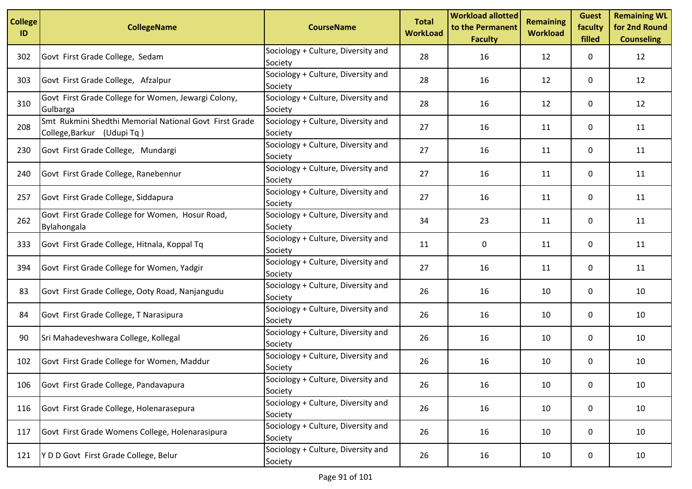| <b>College</b><br>ID | <b>CollegeName</b>                                                                   | <b>CourseName</b>                             | <b>Total</b><br><b>WorkLoad</b> | <b>Workload allotted</b><br>to the Permanent<br><b>Faculty</b> | <b>Remaining</b><br><b>Workload</b> | <b>Guest</b><br>faculty<br>filled | <b>Remaining WL</b><br>for 2nd Round<br><b>Counseling</b> |
|----------------------|--------------------------------------------------------------------------------------|-----------------------------------------------|---------------------------------|----------------------------------------------------------------|-------------------------------------|-----------------------------------|-----------------------------------------------------------|
| 302                  | Govt First Grade College, Sedam                                                      | Sociology + Culture, Diversity and<br>Society | 28                              | 16                                                             | 12                                  | 0                                 | 12                                                        |
| 303                  | Govt First Grade College, Afzalpur                                                   | Sociology + Culture, Diversity and<br>Society | 28                              | 16                                                             | 12                                  | 0                                 | 12                                                        |
| 310                  | Govt First Grade College for Women, Jewargi Colony,<br>Gulbarga                      | Sociology + Culture, Diversity and<br>Society | 28                              | 16                                                             | 12                                  | 0                                 | 12                                                        |
| 208                  | Smt Rukmini Shedthi Memorial National Govt First Grade<br>College, Barkur (Udupi Tq) | Sociology + Culture, Diversity and<br>Society | 27                              | 16                                                             | 11                                  | 0                                 | 11                                                        |
| 230                  | Govt First Grade College, Mundargi                                                   | Sociology + Culture, Diversity and<br>Society | 27                              | 16                                                             | 11                                  | 0                                 | 11                                                        |
| 240                  | Govt First Grade College, Ranebennur                                                 | Sociology + Culture, Diversity and<br>Society | 27                              | 16                                                             | 11                                  | 0                                 | 11                                                        |
| 257                  | Govt First Grade College, Siddapura                                                  | Sociology + Culture, Diversity and<br>Society | 27                              | 16                                                             | 11                                  | 0                                 | 11                                                        |
| 262                  | Govt First Grade College for Women, Hosur Road,<br>Bylahongala                       | Sociology + Culture, Diversity and<br>Society | 34                              | 23                                                             | 11                                  | 0                                 | 11                                                        |
| 333                  | Govt First Grade College, Hitnala, Koppal Tq                                         | Sociology + Culture, Diversity and<br>Society | 11                              | 0                                                              | 11                                  | 0                                 | 11                                                        |
| 394                  | Govt First Grade College for Women, Yadgir                                           | Sociology + Culture, Diversity and<br>Society | 27                              | 16                                                             | 11                                  | 0                                 | 11                                                        |
| 83                   | Govt First Grade College, Ooty Road, Nanjangudu                                      | Sociology + Culture, Diversity and<br>Society | 26                              | 16                                                             | 10                                  | 0                                 | 10                                                        |
| 84                   | Govt First Grade College, T Narasipura                                               | Sociology + Culture, Diversity and<br>Society | 26                              | 16                                                             | 10                                  | 0                                 | 10                                                        |
| 90                   | Sri Mahadeveshwara College, Kollegal                                                 | Sociology + Culture, Diversity and<br>Society | 26                              | 16                                                             | 10                                  | 0                                 | 10                                                        |
| 102                  | Govt First Grade College for Women, Maddur                                           | Sociology + Culture, Diversity and<br>Society | 26                              | 16                                                             | 10                                  | 0                                 | 10                                                        |
| 106                  | Govt First Grade College, Pandavapura                                                | Sociology + Culture, Diversity and<br>Society | 26                              | 16                                                             | 10                                  | 0                                 | 10                                                        |
| 116                  | Govt First Grade College, Holenarasepura                                             | Sociology + Culture, Diversity and<br>Society | 26                              | 16                                                             | 10                                  | 0                                 | 10                                                        |
| 117                  | Govt First Grade Womens College, Holenarasipura                                      | Sociology + Culture, Diversity and<br>Society | 26                              | 16                                                             | 10                                  | 0                                 | 10                                                        |
| 121                  | Y D D Govt First Grade College, Belur                                                | Sociology + Culture, Diversity and<br>Society | 26                              | 16                                                             | 10                                  | 0                                 | 10                                                        |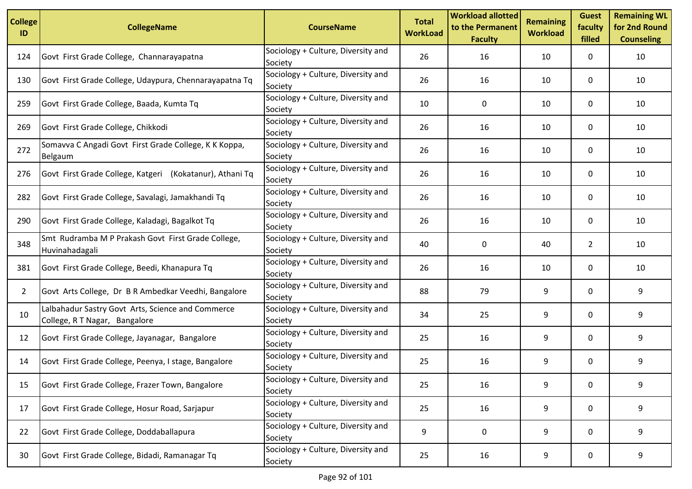| <b>College</b><br>ID | <b>CollegeName</b>                                                                 | <b>CourseName</b>                             | <b>Total</b><br><b>WorkLoad</b> | <b>Workload allotted</b><br>to the Permanent<br><b>Faculty</b> | <b>Remaining</b><br><b>Workload</b> | <b>Guest</b><br>faculty<br>filled | <b>Remaining WL</b><br>for 2nd Round<br><b>Counseling</b> |
|----------------------|------------------------------------------------------------------------------------|-----------------------------------------------|---------------------------------|----------------------------------------------------------------|-------------------------------------|-----------------------------------|-----------------------------------------------------------|
| 124                  | Govt First Grade College, Channarayapatna                                          | Sociology + Culture, Diversity and<br>Society | 26                              | 16                                                             | 10                                  | 0                                 | 10                                                        |
| 130                  | Govt First Grade College, Udaypura, Chennarayapatna Tq                             | Sociology + Culture, Diversity and<br>Society | 26                              | 16                                                             | 10                                  | 0                                 | 10                                                        |
| 259                  | Govt First Grade College, Baada, Kumta Tq                                          | Sociology + Culture, Diversity and<br>Society | 10                              | 0                                                              | 10                                  | 0                                 | 10                                                        |
| 269                  | Govt First Grade College, Chikkodi                                                 | Sociology + Culture, Diversity and<br>Society | 26                              | 16                                                             | 10                                  | 0                                 | 10                                                        |
| 272                  | Somavva C Angadi Govt First Grade College, K K Koppa,<br>Belgaum                   | Sociology + Culture, Diversity and<br>Society | 26                              | 16                                                             | 10                                  | 0                                 | 10                                                        |
| 276                  | Govt First Grade College, Katgeri (Kokatanur), Athani Tq                           | Sociology + Culture, Diversity and<br>Society | 26                              | 16                                                             | 10                                  | 0                                 | 10                                                        |
| 282                  | Govt First Grade College, Savalagi, Jamakhandi Tq                                  | Sociology + Culture, Diversity and<br>Society | 26                              | 16                                                             | 10                                  | 0                                 | 10                                                        |
| 290                  | Govt First Grade College, Kaladagi, Bagalkot Tq                                    | Sociology + Culture, Diversity and<br>Society | 26                              | 16                                                             | 10                                  | 0                                 | 10                                                        |
| 348                  | Smt Rudramba M P Prakash Govt First Grade College,<br>Huvinahadagali               | Sociology + Culture, Diversity and<br>Society | 40                              | 0                                                              | 40                                  | $\overline{2}$                    | 10                                                        |
| 381                  | Govt First Grade College, Beedi, Khanapura Tq                                      | Sociology + Culture, Diversity and<br>Society | 26                              | 16                                                             | 10                                  | 0                                 | 10                                                        |
| $\overline{2}$       | Govt Arts College, Dr B R Ambedkar Veedhi, Bangalore                               | Sociology + Culture, Diversity and<br>Society | 88                              | 79                                                             | 9                                   | 0                                 | 9                                                         |
| 10                   | Lalbahadur Sastry Govt Arts, Science and Commerce<br>College, R T Nagar, Bangalore | Sociology + Culture, Diversity and<br>Society | 34                              | 25                                                             | 9                                   | 0                                 | 9                                                         |
| 12                   | Govt First Grade College, Jayanagar, Bangalore                                     | Sociology + Culture, Diversity and<br>Society | 25                              | 16                                                             | 9                                   | 0                                 | 9                                                         |
| 14                   | Govt First Grade College, Peenya, I stage, Bangalore                               | Sociology + Culture, Diversity and<br>Society | 25                              | 16                                                             | 9                                   | 0                                 | 9                                                         |
| 15                   | Govt First Grade College, Frazer Town, Bangalore                                   | Sociology + Culture, Diversity and<br>Society | 25                              | 16                                                             | 9                                   | 0                                 | 9                                                         |
| 17                   | Govt First Grade College, Hosur Road, Sarjapur                                     | Sociology + Culture, Diversity and<br>Society | 25                              | 16                                                             | 9                                   | 0                                 | 9                                                         |
| 22                   | Govt First Grade College, Doddaballapura                                           | Sociology + Culture, Diversity and<br>Society | 9                               | 0                                                              | 9                                   | 0                                 | 9                                                         |
| 30                   | Govt First Grade College, Bidadi, Ramanagar Tq                                     | Sociology + Culture, Diversity and<br>Society | 25                              | 16                                                             | 9                                   | 0                                 | 9                                                         |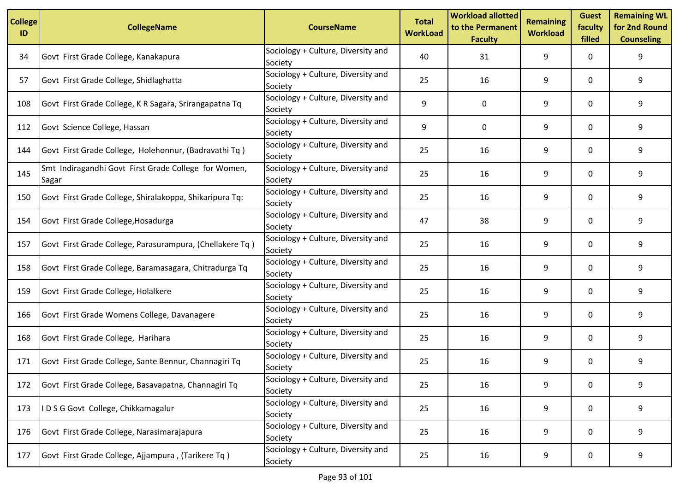| <b>College</b><br>ID | <b>CollegeName</b>                                            | <b>CourseName</b>                             | <b>Total</b><br><b>WorkLoad</b> | <b>Workload allotted</b><br>to the Permanent<br><b>Faculty</b> | <b>Remaining</b><br><b>Workload</b> | <b>Guest</b><br>faculty<br>filled | <b>Remaining WL</b><br>for 2nd Round<br><b>Counseling</b> |
|----------------------|---------------------------------------------------------------|-----------------------------------------------|---------------------------------|----------------------------------------------------------------|-------------------------------------|-----------------------------------|-----------------------------------------------------------|
| 34                   | Govt First Grade College, Kanakapura                          | Sociology + Culture, Diversity and<br>Society | 40                              | 31                                                             | 9                                   | 0                                 | 9                                                         |
| 57                   | Govt First Grade College, Shidlaghatta                        | Sociology + Culture, Diversity and<br>Society | 25                              | 16                                                             | 9                                   | 0                                 | 9                                                         |
| 108                  | Govt First Grade College, K R Sagara, Srirangapatna Tq        | Sociology + Culture, Diversity and<br>Society | 9                               | 0                                                              | 9                                   | $\mathbf{0}$                      | 9                                                         |
| 112                  | Govt Science College, Hassan                                  | Sociology + Culture, Diversity and<br>Society | 9                               | 0                                                              | 9                                   | 0                                 | 9                                                         |
| 144                  | Govt First Grade College, Holehonnur, (Badravathi Tq)         | Sociology + Culture, Diversity and<br>Society | 25                              | 16                                                             | 9                                   | 0                                 | 9                                                         |
| 145                  | Smt Indiragandhi Govt First Grade College for Women,<br>Sagar | Sociology + Culture, Diversity and<br>Society | 25                              | 16                                                             | 9                                   | $\mathbf{0}$                      | 9                                                         |
| 150                  | Govt First Grade College, Shiralakoppa, Shikaripura Tq:       | Sociology + Culture, Diversity and<br>Society | 25                              | 16                                                             | 9                                   | 0                                 | 9                                                         |
| 154                  | Govt First Grade College, Hosadurga                           | Sociology + Culture, Diversity and<br>Society | 47                              | 38                                                             | 9                                   | $\mathbf{0}$                      | 9                                                         |
| 157                  | Govt First Grade College, Parasurampura, (Chellakere Tq)      | Sociology + Culture, Diversity and<br>Society | 25                              | 16                                                             | 9                                   | 0                                 | 9                                                         |
| 158                  | Govt First Grade College, Baramasagara, Chitradurga Tq        | Sociology + Culture, Diversity and<br>Society | 25                              | 16                                                             | 9                                   | 0                                 | 9                                                         |
| 159                  | Govt First Grade College, Holalkere                           | Sociology + Culture, Diversity and<br>Society | 25                              | 16                                                             | 9                                   | $\mathbf{0}$                      | 9                                                         |
| 166                  | Govt First Grade Womens College, Davanagere                   | Sociology + Culture, Diversity and<br>Society | 25                              | 16                                                             | 9                                   | 0                                 | 9                                                         |
| 168                  | Govt First Grade College, Harihara                            | Sociology + Culture, Diversity and<br>Society | 25                              | 16                                                             | 9                                   | 0                                 | 9                                                         |
| 171                  | Govt First Grade College, Sante Bennur, Channagiri Tq         | Sociology + Culture, Diversity and<br>Society | 25                              | 16                                                             | 9                                   | 0                                 | 9                                                         |
| 172                  | Govt First Grade College, Basavapatna, Channagiri Tq          | Sociology + Culture, Diversity and<br>Society | 25                              | 16                                                             | 9                                   | 0                                 | 9                                                         |
| 173                  | IDSG Govt College, Chikkamagalur                              | Sociology + Culture, Diversity and<br>Society | 25                              | 16                                                             | 9                                   | 0                                 | 9                                                         |
| 176                  | Govt First Grade College, Narasimarajapura                    | Sociology + Culture, Diversity and<br>Society | 25                              | 16                                                             | 9                                   | 0                                 | 9                                                         |
| 177                  | Govt First Grade College, Ajjampura, (Tarikere Tq)            | Sociology + Culture, Diversity and<br>Society | 25                              | 16                                                             | 9                                   | 0                                 | 9                                                         |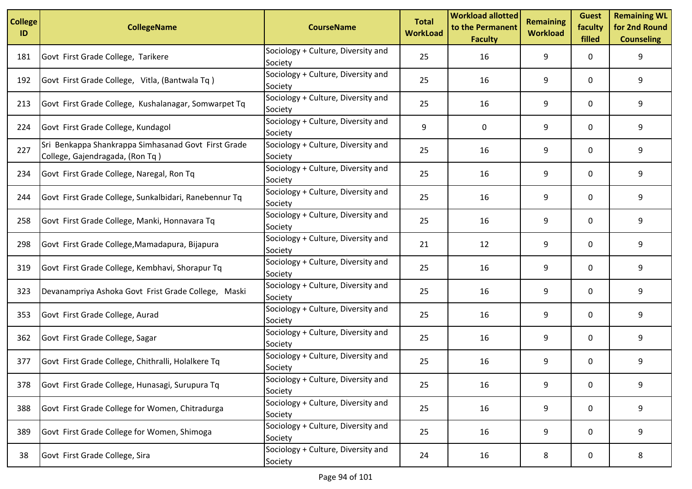| <b>College</b><br>ID | <b>CollegeName</b>                                                                     | <b>CourseName</b>                             | <b>Total</b><br><b>WorkLoad</b> | <b>Workload allotted</b><br>to the Permanent<br><b>Faculty</b> | <b>Remaining</b><br><b>Workload</b> | <b>Guest</b><br>faculty<br>filled | <b>Remaining WL</b><br>for 2nd Round<br><b>Counseling</b> |
|----------------------|----------------------------------------------------------------------------------------|-----------------------------------------------|---------------------------------|----------------------------------------------------------------|-------------------------------------|-----------------------------------|-----------------------------------------------------------|
| 181                  | Govt First Grade College, Tarikere                                                     | Sociology + Culture, Diversity and<br>Society | 25                              | 16                                                             | 9                                   | 0                                 | 9                                                         |
| 192                  | Govt First Grade College, Vitla, (Bantwala Tq)                                         | Sociology + Culture, Diversity and<br>Society | 25                              | 16                                                             | 9                                   | 0                                 | 9                                                         |
| 213                  | Govt First Grade College, Kushalanagar, Somwarpet Tq                                   | Sociology + Culture, Diversity and<br>Society | 25                              | 16                                                             | 9                                   | $\mathbf{0}$                      | 9                                                         |
| 224                  | Govt First Grade College, Kundagol                                                     | Sociology + Culture, Diversity and<br>Society | 9                               | 0                                                              | 9                                   | 0                                 | 9                                                         |
| 227                  | Sri Benkappa Shankrappa Simhasanad Govt First Grade<br>College, Gajendragada, (Ron Tq) | Sociology + Culture, Diversity and<br>Society | 25                              | 16                                                             | 9                                   | 0                                 | 9                                                         |
| 234                  | Govt First Grade College, Naregal, Ron Tq                                              | Sociology + Culture, Diversity and<br>Society | 25                              | 16                                                             | 9                                   | $\mathbf{0}$                      | 9                                                         |
| 244                  | Govt First Grade College, Sunkalbidari, Ranebennur Tq                                  | Sociology + Culture, Diversity and<br>Society | 25                              | 16                                                             | 9                                   | 0                                 | 9                                                         |
| 258                  | Govt First Grade College, Manki, Honnavara Tq                                          | Sociology + Culture, Diversity and<br>Society | 25                              | 16                                                             | 9                                   | $\mathbf{0}$                      | 9                                                         |
| 298                  | Govt First Grade College, Mamadapura, Bijapura                                         | Sociology + Culture, Diversity and<br>Society | 21                              | 12                                                             | 9                                   | 0                                 | 9                                                         |
| 319                  | Govt First Grade College, Kembhavi, Shorapur Tq                                        | Sociology + Culture, Diversity and<br>Society | 25                              | 16                                                             | 9                                   | 0                                 | 9                                                         |
| 323                  | Devanampriya Ashoka Govt Frist Grade College, Maski                                    | Sociology + Culture, Diversity and<br>Society | 25                              | 16                                                             | 9                                   | $\mathbf{0}$                      | 9                                                         |
| 353                  | Govt First Grade College, Aurad                                                        | Sociology + Culture, Diversity and<br>Society | 25                              | 16                                                             | 9                                   | 0                                 | 9                                                         |
| 362                  | Govt First Grade College, Sagar                                                        | Sociology + Culture, Diversity and<br>Society | 25                              | 16                                                             | 9                                   | 0                                 | 9                                                         |
| 377                  | Govt First Grade College, Chithralli, Holalkere Tq                                     | Sociology + Culture, Diversity and<br>Society | 25                              | 16                                                             | 9                                   | 0                                 | 9                                                         |
| 378                  | Govt First Grade College, Hunasagi, Surupura Tq                                        | Sociology + Culture, Diversity and<br>Society | 25                              | 16                                                             | 9                                   | 0                                 | 9                                                         |
| 388                  | Govt First Grade College for Women, Chitradurga                                        | Sociology + Culture, Diversity and<br>Society | 25                              | 16                                                             | 9                                   | 0                                 | 9                                                         |
| 389                  | Govt First Grade College for Women, Shimoga                                            | Sociology + Culture, Diversity and<br>Society | 25                              | 16                                                             | 9                                   | 0                                 | 9                                                         |
| 38                   | Govt First Grade College, Sira                                                         | Sociology + Culture, Diversity and<br>Society | 24                              | 16                                                             | 8                                   | 0                                 | 8                                                         |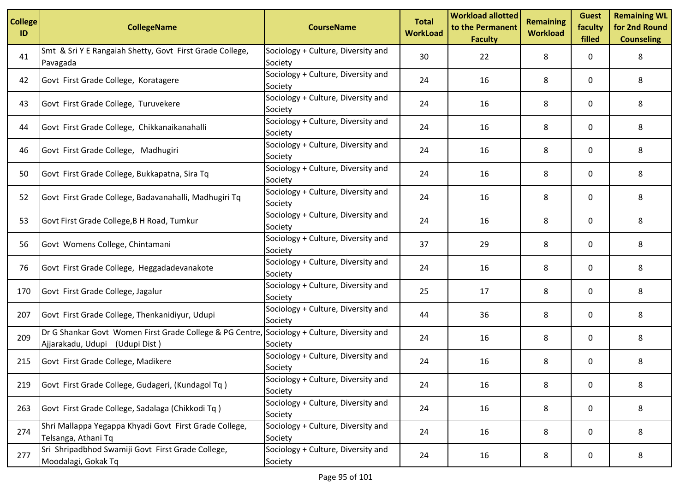| <b>College</b><br>ID | <b>CollegeName</b>                                                                         | <b>CourseName</b>                             | <b>Total</b><br><b>WorkLoad</b> | <b>Workload allotted</b><br>to the Permanent<br><b>Faculty</b> | <b>Remaining</b><br><b>Workload</b> | <b>Guest</b><br>faculty<br>filled | <b>Remaining WL</b><br>for 2nd Round<br><b>Counseling</b> |
|----------------------|--------------------------------------------------------------------------------------------|-----------------------------------------------|---------------------------------|----------------------------------------------------------------|-------------------------------------|-----------------------------------|-----------------------------------------------------------|
| 41                   | Smt & Sri Y E Rangaiah Shetty, Govt First Grade College,<br>Pavagada                       | Sociology + Culture, Diversity and<br>Society | 30                              | 22                                                             | 8                                   | 0                                 | 8                                                         |
| 42                   | Govt First Grade College, Koratagere                                                       | Sociology + Culture, Diversity and<br>Society | 24                              | 16                                                             | 8                                   | 0                                 | 8                                                         |
| 43                   | Govt First Grade College, Turuvekere                                                       | Sociology + Culture, Diversity and<br>Society | 24                              | 16                                                             | 8                                   | 0                                 | 8                                                         |
| 44                   | Govt First Grade College, Chikkanaikanahalli                                               | Sociology + Culture, Diversity and<br>Society | 24                              | 16                                                             | 8                                   | 0                                 | 8                                                         |
| 46                   | Govt First Grade College, Madhugiri                                                        | Sociology + Culture, Diversity and<br>Society | 24                              | 16                                                             | 8                                   | 0                                 | 8                                                         |
| 50                   | Govt First Grade College, Bukkapatna, Sira Tq                                              | Sociology + Culture, Diversity and<br>Society | 24                              | 16                                                             | 8                                   | 0                                 | 8                                                         |
| 52                   | Govt First Grade College, Badavanahalli, Madhugiri Tq                                      | Sociology + Culture, Diversity and<br>Society | 24                              | 16                                                             | 8                                   | 0                                 | 8                                                         |
| 53                   | Govt First Grade College, B H Road, Tumkur                                                 | Sociology + Culture, Diversity and<br>Society | 24                              | 16                                                             | 8                                   | 0                                 | 8                                                         |
| 56                   | Govt Womens College, Chintamani                                                            | Sociology + Culture, Diversity and<br>Society | 37                              | 29                                                             | 8                                   | 0                                 | 8                                                         |
| 76                   | Govt First Grade College, Heggadadevanakote                                                | Sociology + Culture, Diversity and<br>Society | 24                              | 16                                                             | 8                                   | 0                                 | 8                                                         |
| 170                  | Govt First Grade College, Jagalur                                                          | Sociology + Culture, Diversity and<br>Society | 25                              | 17                                                             | 8                                   | 0                                 | 8                                                         |
| 207                  | Govt First Grade College, Thenkanidiyur, Udupi                                             | Sociology + Culture, Diversity and<br>Society | 44                              | 36                                                             | 8                                   | 0                                 | 8                                                         |
| 209                  | Dr G Shankar Govt Women First Grade College & PG Centre,<br>Ajjarakadu, Udupi (Udupi Dist) | Sociology + Culture, Diversity and<br>Society | 24                              | 16                                                             | 8                                   | 0                                 | 8                                                         |
| 215                  | Govt First Grade College, Madikere                                                         | Sociology + Culture, Diversity and<br>Society | 24                              | 16                                                             | 8                                   | 0                                 | 8                                                         |
| 219                  | Govt First Grade College, Gudageri, (Kundagol Tq)                                          | Sociology + Culture, Diversity and<br>Society | 24                              | 16                                                             | 8                                   | 0                                 | 8                                                         |
| 263                  | Govt First Grade College, Sadalaga (Chikkodi Tq)                                           | Sociology + Culture, Diversity and<br>Society | 24                              | 16                                                             | 8                                   | 0                                 | 8                                                         |
| 274                  | Shri Mallappa Yegappa Khyadi Govt First Grade College,<br>Telsanga, Athani Tq              | Sociology + Culture, Diversity and<br>Society | 24                              | 16                                                             | 8                                   | 0                                 | 8                                                         |
| 277                  | Sri Shripadbhod Swamiji Govt First Grade College,<br>Moodalagi, Gokak Tq                   | Sociology + Culture, Diversity and<br>Society | 24                              | 16                                                             | 8                                   | 0                                 | 8                                                         |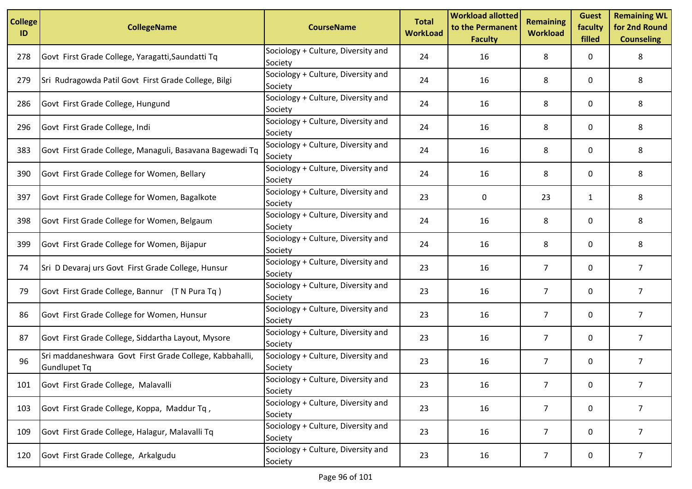| <b>College</b><br>ID | <b>CollegeName</b>                                                      | <b>CourseName</b>                             | <b>Total</b><br><b>WorkLoad</b> | <b>Workload allotted</b><br>to the Permanent<br><b>Faculty</b> | <b>Remaining</b><br><b>Workload</b> | <b>Guest</b><br>faculty<br>filled | <b>Remaining WL</b><br>for 2nd Round<br><b>Counseling</b> |
|----------------------|-------------------------------------------------------------------------|-----------------------------------------------|---------------------------------|----------------------------------------------------------------|-------------------------------------|-----------------------------------|-----------------------------------------------------------|
| 278                  | Govt First Grade College, Yaragatti, Saundatti Tq                       | Sociology + Culture, Diversity and<br>Society | 24                              | 16                                                             | 8                                   | 0                                 | 8                                                         |
| 279                  | Sri Rudragowda Patil Govt First Grade College, Bilgi                    | Sociology + Culture, Diversity and<br>Society | 24                              | 16                                                             | 8                                   | 0                                 | 8                                                         |
| 286                  | Govt First Grade College, Hungund                                       | Sociology + Culture, Diversity and<br>Society | 24                              | 16                                                             | 8                                   | 0                                 | 8                                                         |
| 296                  | Govt First Grade College, Indi                                          | Sociology + Culture, Diversity and<br>Society | 24                              | 16                                                             | 8                                   | 0                                 | 8                                                         |
| 383                  | Govt First Grade College, Managuli, Basavana Bagewadi Tq                | Sociology + Culture, Diversity and<br>Society | 24                              | 16                                                             | 8                                   | 0                                 | 8                                                         |
| 390                  | Govt First Grade College for Women, Bellary                             | Sociology + Culture, Diversity and<br>Society | 24                              | 16                                                             | 8                                   | 0                                 | 8                                                         |
| 397                  | Govt First Grade College for Women, Bagalkote                           | Sociology + Culture, Diversity and<br>Society | 23                              | 0                                                              | 23                                  | 1                                 | 8                                                         |
| 398                  | Govt First Grade College for Women, Belgaum                             | Sociology + Culture, Diversity and<br>Society | 24                              | 16                                                             | 8                                   | 0                                 | 8                                                         |
| 399                  | Govt First Grade College for Women, Bijapur                             | Sociology + Culture, Diversity and<br>Society | 24                              | 16                                                             | 8                                   | 0                                 | 8                                                         |
| 74                   | Sri D Devaraj urs Govt First Grade College, Hunsur                      | Sociology + Culture, Diversity and<br>Society | 23                              | 16                                                             | 7                                   | 0                                 | 7                                                         |
| 79                   | Govt First Grade College, Bannur (T N Pura Tq)                          | Sociology + Culture, Diversity and<br>Society | 23                              | 16                                                             | $\overline{7}$                      | 0                                 | $\overline{7}$                                            |
| 86                   | Govt First Grade College for Women, Hunsur                              | Sociology + Culture, Diversity and<br>Society | 23                              | 16                                                             | $\overline{7}$                      | 0                                 | $\overline{7}$                                            |
| 87                   | Govt First Grade College, Siddartha Layout, Mysore                      | Sociology + Culture, Diversity and<br>Society | 23                              | 16                                                             | $\overline{7}$                      | 0                                 | $\overline{7}$                                            |
| 96                   | Sri maddaneshwara Govt First Grade College, Kabbahalli,<br>Gundlupet Tq | Sociology + Culture, Diversity and<br>Society | 23                              | 16                                                             | 7                                   | 0                                 | 7                                                         |
| 101                  | Govt First Grade College, Malavalli                                     | Sociology + Culture, Diversity and<br>Society | 23                              | 16                                                             | 7                                   | 0                                 | 7                                                         |
| 103                  | Govt First Grade College, Koppa, Maddur Tq,                             | Sociology + Culture, Diversity and<br>Society | 23                              | 16                                                             | $\overline{7}$                      | 0                                 | $\overline{7}$                                            |
| 109                  | Govt First Grade College, Halagur, Malavalli Tq                         | Sociology + Culture, Diversity and<br>Society | 23                              | 16                                                             | $\overline{7}$                      | 0                                 | $\overline{7}$                                            |
| 120                  | Govt First Grade College, Arkalgudu                                     | Sociology + Culture, Diversity and<br>Society | 23                              | 16                                                             | $\overline{7}$                      | 0                                 | 7                                                         |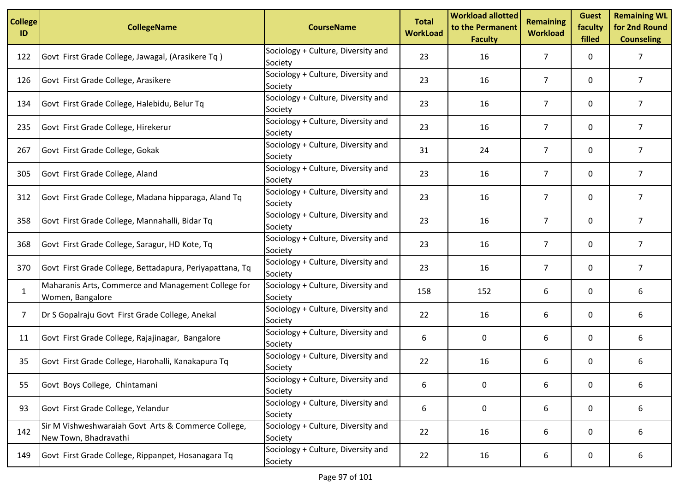| <b>College</b><br>ID | <b>CollegeName</b>                                                           | <b>CourseName</b>                             | <b>Total</b><br><b>WorkLoad</b> | <b>Workload allotted</b><br>to the Permanent<br><b>Faculty</b> | <b>Remaining</b><br><b>Workload</b> | <b>Guest</b><br>faculty<br>filled | <b>Remaining WL</b><br>for 2nd Round<br><b>Counseling</b> |
|----------------------|------------------------------------------------------------------------------|-----------------------------------------------|---------------------------------|----------------------------------------------------------------|-------------------------------------|-----------------------------------|-----------------------------------------------------------|
| 122                  | Govt First Grade College, Jawagal, (Arasikere Tq)                            | Sociology + Culture, Diversity and<br>Society | 23                              | 16                                                             | 7                                   | 0                                 | 7                                                         |
| 126                  | Govt First Grade College, Arasikere                                          | Sociology + Culture, Diversity and<br>Society | 23                              | 16                                                             | 7                                   | 0                                 | 7                                                         |
| 134                  | Govt First Grade College, Halebidu, Belur Tq                                 | Sociology + Culture, Diversity and<br>Society | 23                              | 16                                                             | $\overline{7}$                      | 0                                 | $\overline{7}$                                            |
| 235                  | Govt First Grade College, Hirekerur                                          | Sociology + Culture, Diversity and<br>Society | 23                              | 16                                                             | 7                                   | 0                                 | $\overline{7}$                                            |
| 267                  | Govt First Grade College, Gokak                                              | Sociology + Culture, Diversity and<br>Society | 31                              | 24                                                             | 7                                   | 0                                 | 7                                                         |
| 305                  | Govt First Grade College, Aland                                              | Sociology + Culture, Diversity and<br>Society | 23                              | 16                                                             | 7                                   | 0                                 | 7                                                         |
| 312                  | Govt First Grade College, Madana hipparaga, Aland Tq                         | Sociology + Culture, Diversity and<br>Society | 23                              | 16                                                             | $\overline{7}$                      | 0                                 | $\overline{7}$                                            |
| 358                  | Govt First Grade College, Mannahalli, Bidar Tq                               | Sociology + Culture, Diversity and<br>Society | 23                              | 16                                                             | $\overline{7}$                      | 0                                 | $\overline{7}$                                            |
| 368                  | Govt First Grade College, Saragur, HD Kote, Tq                               | Sociology + Culture, Diversity and<br>Society | 23                              | 16                                                             | 7                                   | 0                                 | $\overline{7}$                                            |
| 370                  | Govt First Grade College, Bettadapura, Periyapattana, Tq                     | Sociology + Culture, Diversity and<br>Society | 23                              | 16                                                             | 7                                   | 0                                 | $\overline{7}$                                            |
| $\mathbf{1}$         | Maharanis Arts, Commerce and Management College for<br>Women, Bangalore      | Sociology + Culture, Diversity and<br>Society | 158                             | 152                                                            | 6                                   | 0                                 | 6                                                         |
| 7                    | Dr S Gopalraju Govt First Grade College, Anekal                              | Sociology + Culture, Diversity and<br>Society | 22                              | 16                                                             | 6                                   | 0                                 | 6                                                         |
| 11                   | Govt First Grade College, Rajajinagar, Bangalore                             | Sociology + Culture, Diversity and<br>Society | 6                               | 0                                                              | 6                                   | 0                                 | 6                                                         |
| 35                   | Govt First Grade College, Harohalli, Kanakapura Tq                           | Sociology + Culture, Diversity and<br>Society | 22                              | 16                                                             | 6                                   | 0                                 | 6                                                         |
| 55                   | Govt Boys College, Chintamani                                                | Sociology + Culture, Diversity and<br>Society | 6                               | $\pmb{0}$                                                      | 6                                   | 0                                 | 6                                                         |
| 93                   | Govt First Grade College, Yelandur                                           | Sociology + Culture, Diversity and<br>Society | 6                               | 0                                                              | 6                                   | 0                                 | 6                                                         |
| 142                  | Sir M Vishweshwaraiah Govt Arts & Commerce College,<br>New Town, Bhadravathi | Sociology + Culture, Diversity and<br>Society | 22                              | 16                                                             | 6                                   | 0                                 | 6                                                         |
| 149                  | Govt First Grade College, Rippanpet, Hosanagara Tq                           | Sociology + Culture, Diversity and<br>Society | 22                              | 16                                                             | 6                                   | 0                                 | 6                                                         |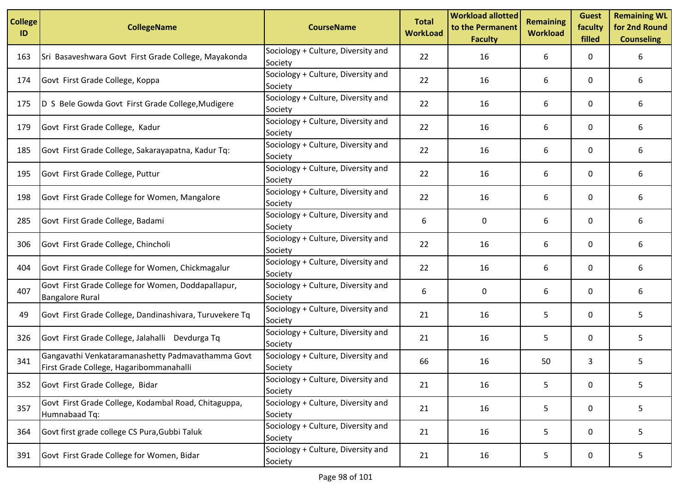| <b>College</b><br>ID | <b>CollegeName</b>                                                                           | <b>CourseName</b>                             | <b>Total</b><br><b>WorkLoad</b> | <b>Workload allotted</b><br>to the Permanent<br><b>Faculty</b> | <b>Remaining</b><br><b>Workload</b> | <b>Guest</b><br>faculty<br>filled | <b>Remaining WL</b><br>for 2nd Round<br><b>Counseling</b> |
|----------------------|----------------------------------------------------------------------------------------------|-----------------------------------------------|---------------------------------|----------------------------------------------------------------|-------------------------------------|-----------------------------------|-----------------------------------------------------------|
| 163                  | Sri Basaveshwara Govt First Grade College, Mayakonda                                         | Sociology + Culture, Diversity and<br>Society | 22                              | 16                                                             | 6                                   | 0                                 | 6                                                         |
| 174                  | Govt First Grade College, Koppa                                                              | Sociology + Culture, Diversity and<br>Society | 22                              | 16                                                             | 6                                   | 0                                 | 6                                                         |
| 175                  | D S Bele Gowda Govt First Grade College, Mudigere                                            | Sociology + Culture, Diversity and<br>Society | 22                              | 16                                                             | 6                                   | 0                                 | 6                                                         |
| 179                  | Govt First Grade College, Kadur                                                              | Sociology + Culture, Diversity and<br>Society | 22                              | 16                                                             | 6                                   | 0                                 | 6                                                         |
| 185                  | Govt First Grade College, Sakarayapatna, Kadur Tq:                                           | Sociology + Culture, Diversity and<br>Society | 22                              | 16                                                             | 6                                   | 0                                 | 6                                                         |
| 195                  | Govt First Grade College, Puttur                                                             | Sociology + Culture, Diversity and<br>Society | 22                              | 16                                                             | 6                                   | 0                                 | 6                                                         |
| 198                  | Govt First Grade College for Women, Mangalore                                                | Sociology + Culture, Diversity and<br>Society | 22                              | 16                                                             | 6                                   | 0                                 | 6                                                         |
| 285                  | Govt First Grade College, Badami                                                             | Sociology + Culture, Diversity and<br>Society | 6                               | 0                                                              | 6                                   | 0                                 | 6                                                         |
| 306                  | Govt First Grade College, Chincholi                                                          | Sociology + Culture, Diversity and<br>Society | 22                              | 16                                                             | 6                                   | 0                                 | 6                                                         |
| 404                  | Govt First Grade College for Women, Chickmagalur                                             | Sociology + Culture, Diversity and<br>Society | 22                              | 16                                                             | 6                                   | 0                                 | 6                                                         |
| 407                  | Govt First Grade College for Women, Doddapallapur,<br><b>Bangalore Rural</b>                 | Sociology + Culture, Diversity and<br>Society | 6                               | 0                                                              | 6                                   | 0                                 | 6                                                         |
| 49                   | Govt First Grade College, Dandinashivara, Turuvekere Tq                                      | Sociology + Culture, Diversity and<br>Society | 21                              | 16                                                             | 5                                   | 0                                 | 5                                                         |
| 326                  | Govt First Grade College, Jalahalli Devdurga Tq                                              | Sociology + Culture, Diversity and<br>Society | 21                              | 16                                                             | 5                                   | 0                                 | 5.                                                        |
| 341                  | Gangavathi Venkataramanashetty Padmavathamma Govt<br>First Grade College, Hagaribommanahalli | Sociology + Culture, Diversity and<br>Society | 66                              | 16                                                             | 50                                  | 3                                 | 5                                                         |
| 352                  | Govt First Grade College, Bidar                                                              | Sociology + Culture, Diversity and<br>Society | 21                              | 16                                                             | 5                                   | 0                                 | 5                                                         |
| 357                  | Govt First Grade College, Kodambal Road, Chitaguppa,<br>Humnabaad Tq:                        | Sociology + Culture, Diversity and<br>Society | 21                              | 16                                                             | 5                                   | 0                                 | 5                                                         |
| 364                  | Govt first grade college CS Pura, Gubbi Taluk                                                | Sociology + Culture, Diversity and<br>Society | 21                              | 16                                                             | 5                                   | 0                                 | 5                                                         |
| 391                  | Govt First Grade College for Women, Bidar                                                    | Sociology + Culture, Diversity and<br>Society | 21                              | 16                                                             | 5                                   | 0                                 | 5                                                         |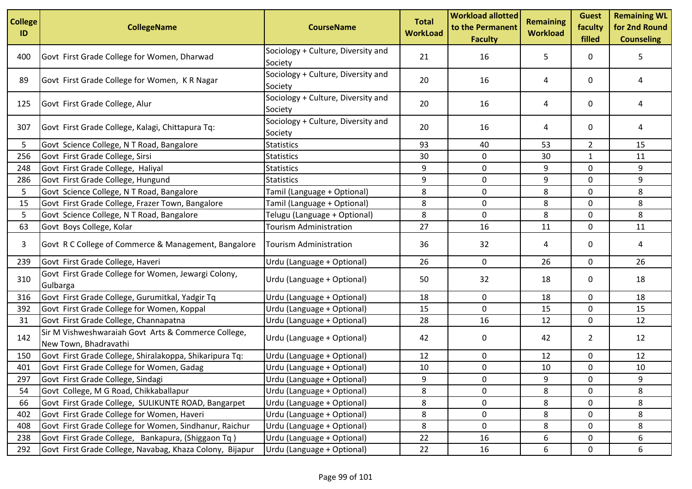| <b>College</b><br>ID | <b>CollegeName</b>                                                           | <b>CourseName</b>                             | <b>Total</b><br><b>WorkLoad</b> | <b>Workload allotted</b><br>to the Permanent<br><b>Faculty</b> | <b>Remaining</b><br><b>Workload</b> | <b>Guest</b><br>faculty<br>filled | <b>Remaining WL</b><br>for 2nd Round<br><b>Counseling</b> |
|----------------------|------------------------------------------------------------------------------|-----------------------------------------------|---------------------------------|----------------------------------------------------------------|-------------------------------------|-----------------------------------|-----------------------------------------------------------|
| 400                  | Govt First Grade College for Women, Dharwad                                  | Sociology + Culture, Diversity and<br>Society | 21                              | 16                                                             | 5                                   | 0                                 | 5.                                                        |
| 89                   | Govt First Grade College for Women, KR Nagar                                 | Sociology + Culture, Diversity and<br>Society | 20                              | 16                                                             | 4                                   | 0                                 | 4                                                         |
| 125                  | Govt First Grade College, Alur                                               | Sociology + Culture, Diversity and<br>Society | 20                              | 16                                                             | 4                                   | 0                                 | 4                                                         |
| 307                  | Govt First Grade College, Kalagi, Chittapura Tq:                             | Sociology + Culture, Diversity and<br>Society | 20                              | 16                                                             | 4                                   | 0                                 | 4                                                         |
| 5                    | Govt Science College, N T Road, Bangalore                                    | <b>Statistics</b>                             | 93                              | 40                                                             | 53                                  | $\overline{2}$                    | 15                                                        |
| 256                  | Govt First Grade College, Sirsi                                              | <b>Statistics</b>                             | 30                              | 0                                                              | 30                                  | 1                                 | 11                                                        |
| 248                  | Govt First Grade College, Haliyal                                            | <b>Statistics</b>                             | 9                               | 0                                                              | 9                                   | $\mathbf 0$                       | 9                                                         |
| 286                  | Govt First Grade College, Hungund                                            | <b>Statistics</b>                             | 9                               | 0                                                              | 9                                   | 0                                 | 9                                                         |
| 5                    | Govt Science College, N T Road, Bangalore                                    | Tamil (Language + Optional)                   | 8                               | $\mathbf 0$                                                    | 8                                   | 0                                 | 8                                                         |
| 15                   | Govt First Grade College, Frazer Town, Bangalore                             | Tamil (Language + Optional)                   | 8                               | 0                                                              | 8                                   | $\mathbf 0$                       | 8                                                         |
| 5                    | Govt Science College, N T Road, Bangalore                                    | Telugu (Language + Optional)                  | 8                               | 0                                                              | 8                                   | 0                                 | 8                                                         |
| 63                   | Govt Boys College, Kolar                                                     | <b>Tourism Administration</b>                 | 27                              | 16                                                             | 11                                  | 0                                 | 11                                                        |
| 3                    | Govt R C College of Commerce & Management, Bangalore                         | <b>Tourism Administration</b>                 | 36                              | 32                                                             | 4                                   | 0                                 | 4                                                         |
| 239                  | Govt First Grade College, Haveri                                             | Urdu (Language + Optional)                    | 26                              | 0                                                              | 26                                  | 0                                 | 26                                                        |
| 310                  | Govt First Grade College for Women, Jewargi Colony,<br>Gulbarga              | Urdu (Language + Optional)                    | 50                              | 32                                                             | 18                                  | 0                                 | 18                                                        |
| 316                  | Govt First Grade College, Gurumitkal, Yadgir Tq                              | Urdu (Language + Optional)                    | 18                              | 0                                                              | 18                                  | 0                                 | 18                                                        |
| 392                  | Govt First Grade College for Women, Koppal                                   | Urdu (Language + Optional)                    | 15                              | $\mathbf 0$                                                    | 15                                  | 0                                 | 15                                                        |
| 31                   | Govt First Grade College, Channapatna                                        | Urdu (Language + Optional)                    | 28                              | 16                                                             | 12                                  | 0                                 | 12                                                        |
| 142                  | Sir M Vishweshwaraiah Govt Arts & Commerce College,<br>New Town, Bhadravathi | Urdu (Language + Optional)                    | 42                              | 0                                                              | 42                                  | $\overline{2}$                    | 12                                                        |
| 150                  | Govt First Grade College, Shiralakoppa, Shikaripura Tq:                      | Urdu (Language + Optional)                    | 12                              | 0                                                              | 12                                  | $\mathbf 0$                       | 12                                                        |
| 401                  | Govt First Grade College for Women, Gadag                                    | Urdu (Language + Optional)                    | 10                              | 0                                                              | 10                                  | 0                                 | 10                                                        |
| 297                  | Govt First Grade College, Sindagi                                            | Urdu (Language + Optional)                    | 9                               | 0                                                              | 9                                   | 0                                 | 9                                                         |
| 54                   | Govt College, M G Road, Chikkaballapur                                       | Urdu (Language + Optional)                    | 8                               | 0                                                              | 8                                   | 0                                 | 8                                                         |
| 66                   | Govt First Grade College, SULIKUNTE ROAD, Bangarpet                          | Urdu (Language + Optional)                    | 8                               | $\pmb{0}$                                                      | 8                                   | 0                                 | 8                                                         |
| 402                  | Govt First Grade College for Women, Haveri                                   | Urdu (Language + Optional)                    | 8                               | 0                                                              | 8                                   | 0                                 | 8                                                         |
| 408                  | Govt First Grade College for Women, Sindhanur, Raichur                       | Urdu (Language + Optional)                    | 8                               | 0                                                              | 8                                   | 0                                 | 8                                                         |
| 238                  | Govt First Grade College, Bankapura, (Shiggaon Tq)                           | Urdu (Language + Optional)                    | 22                              | 16                                                             | 6                                   | 0                                 | 6                                                         |
| 292                  | Govt First Grade College, Navabag, Khaza Colony, Bijapur                     | Urdu (Language + Optional)                    | 22                              | 16                                                             | 6                                   | 0                                 | 6                                                         |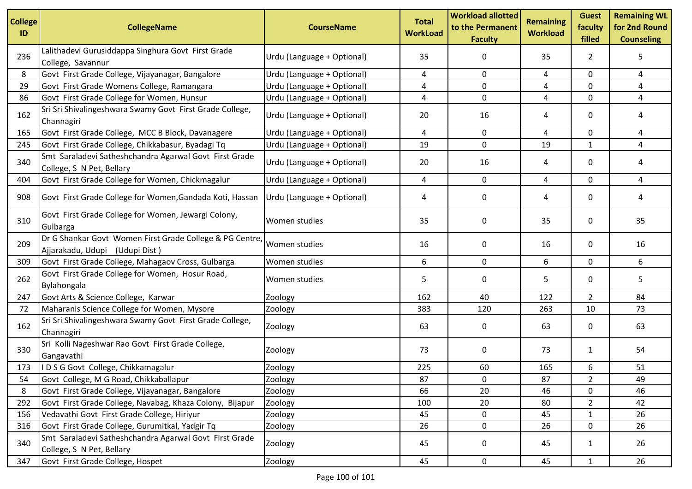| <b>College</b><br>ID | <b>CollegeName</b>                                                                         | <b>CourseName</b>          | <b>Total</b><br><b>WorkLoad</b> | <b>Workload allotted</b><br>to the Permanent<br><b>Faculty</b> | <b>Remaining</b><br><b>Workload</b> | <b>Guest</b><br>faculty<br>filled | <b>Remaining WL</b><br>for 2nd Round<br><b>Counseling</b> |
|----------------------|--------------------------------------------------------------------------------------------|----------------------------|---------------------------------|----------------------------------------------------------------|-------------------------------------|-----------------------------------|-----------------------------------------------------------|
| 236                  | Lalithadevi Gurusiddappa Singhura Govt First Grade<br>College, Savannur                    | Urdu (Language + Optional) | 35                              | 0                                                              | 35                                  | $\mathbf{2}$                      | 5                                                         |
| 8                    | Govt First Grade College, Vijayanagar, Bangalore                                           | Urdu (Language + Optional) | 4                               | $\mathbf 0$                                                    | 4                                   | 0                                 | 4                                                         |
| 29                   | Govt First Grade Womens College, Ramangara                                                 | Urdu (Language + Optional) | 4                               | 0                                                              | 4                                   | 0                                 | 4                                                         |
| 86                   | Govt First Grade College for Women, Hunsur                                                 | Urdu (Language + Optional) | 4                               | 0                                                              | 4                                   | 0                                 | 4                                                         |
| 162                  | Sri Sri Shivalingeshwara Swamy Govt First Grade College,<br>Channagiri                     | Urdu (Language + Optional) | 20                              | 16                                                             | 4                                   | 0                                 | 4                                                         |
| 165                  | Govt First Grade College, MCC B Block, Davanagere                                          | Urdu (Language + Optional) | 4                               | 0                                                              | 4                                   | 0                                 | 4                                                         |
| 245                  | Govt First Grade College, Chikkabasur, Byadagi Tq                                          | Urdu (Language + Optional) | 19                              | 0                                                              | 19                                  | $\mathbf{1}$                      | 4                                                         |
| 340                  | Smt Saraladevi Satheshchandra Agarwal Govt First Grade<br>College, S N Pet, Bellary        | Urdu (Language + Optional) | 20                              | 16                                                             | 4                                   | 0                                 | 4                                                         |
| 404                  | Govt First Grade College for Women, Chickmagalur                                           | Urdu (Language + Optional) | 4                               | 0                                                              | 4                                   | 0                                 | 4                                                         |
| 908                  | Govt First Grade College for Women, Gandada Koti, Hassan                                   | Urdu (Language + Optional) | 4                               | 0                                                              | 4                                   | 0                                 | 4                                                         |
| 310                  | Govt First Grade College for Women, Jewargi Colony,<br>Gulbarga                            | Women studies              | 35                              | 0                                                              | 35                                  | 0                                 | 35                                                        |
| 209                  | Dr G Shankar Govt Women First Grade College & PG Centre,<br>Ajjarakadu, Udupi (Udupi Dist) | Women studies              | 16                              | 0                                                              | 16                                  | 0                                 | 16                                                        |
| 309                  | Govt First Grade College, Mahagaov Cross, Gulbarga                                         | Women studies              | 6                               | $\mathbf 0$                                                    | 6                                   | 0                                 | 6                                                         |
| 262                  | Govt First Grade College for Women, Hosur Road,<br>Bylahongala                             | Women studies              | 5                               | 0                                                              | 5                                   | 0                                 | 5                                                         |
| 247                  | Govt Arts & Science College, Karwar                                                        | Zoology                    | 162                             | 40                                                             | 122                                 | $\overline{2}$                    | 84                                                        |
| 72                   | Maharanis Science College for Women, Mysore                                                | Zoology                    | 383                             | 120                                                            | 263                                 | 10                                | 73                                                        |
| 162                  | Sri Sri Shivalingeshwara Swamy Govt First Grade College,<br>Channagiri                     | Zoology                    | 63                              | 0                                                              | 63                                  | 0                                 | 63                                                        |
| 330                  | Sri Kolli Nageshwar Rao Govt First Grade College,<br>Gangavathi                            | Zoology                    | 73                              | 0                                                              | 73                                  | $\mathbf{1}$                      | 54                                                        |
| 173                  | I D S G Govt College, Chikkamagalur                                                        | Zoology                    | 225                             | 60                                                             | 165                                 | 6                                 | 51                                                        |
| 54                   | Govt College, M G Road, Chikkaballapur                                                     | Zoology                    | 87                              | 0                                                              | 87                                  | $\overline{a}$                    | 49                                                        |
| 8                    | Govt First Grade College, Vijayanagar, Bangalore                                           | Zoology                    | 66                              | 20                                                             | 46                                  | 0                                 | 46                                                        |
| 292                  | Govt First Grade College, Navabag, Khaza Colony, Bijapur                                   | Zoology                    | 100                             | 20                                                             | 80                                  | $\overline{2}$                    | 42                                                        |
| 156                  | Vedavathi Govt First Grade College, Hiriyur                                                | Zoology                    | 45                              | $\mathbf 0$                                                    | 45                                  | $\mathbf{1}$                      | 26                                                        |
| 316                  | Govt First Grade College, Gurumitkal, Yadgir Tq                                            | Zoology                    | 26                              | 0                                                              | 26                                  | 0                                 | 26                                                        |
| 340                  | Smt Saraladevi Satheshchandra Agarwal Govt First Grade<br>College, S N Pet, Bellary        | Zoology                    | 45                              | $\mathbf 0$                                                    | 45                                  | $\mathbf{1}$                      | 26                                                        |
| 347                  | Govt First Grade College, Hospet                                                           | Zoology                    | 45                              | 0                                                              | 45                                  | $\mathbf{1}$                      | 26                                                        |